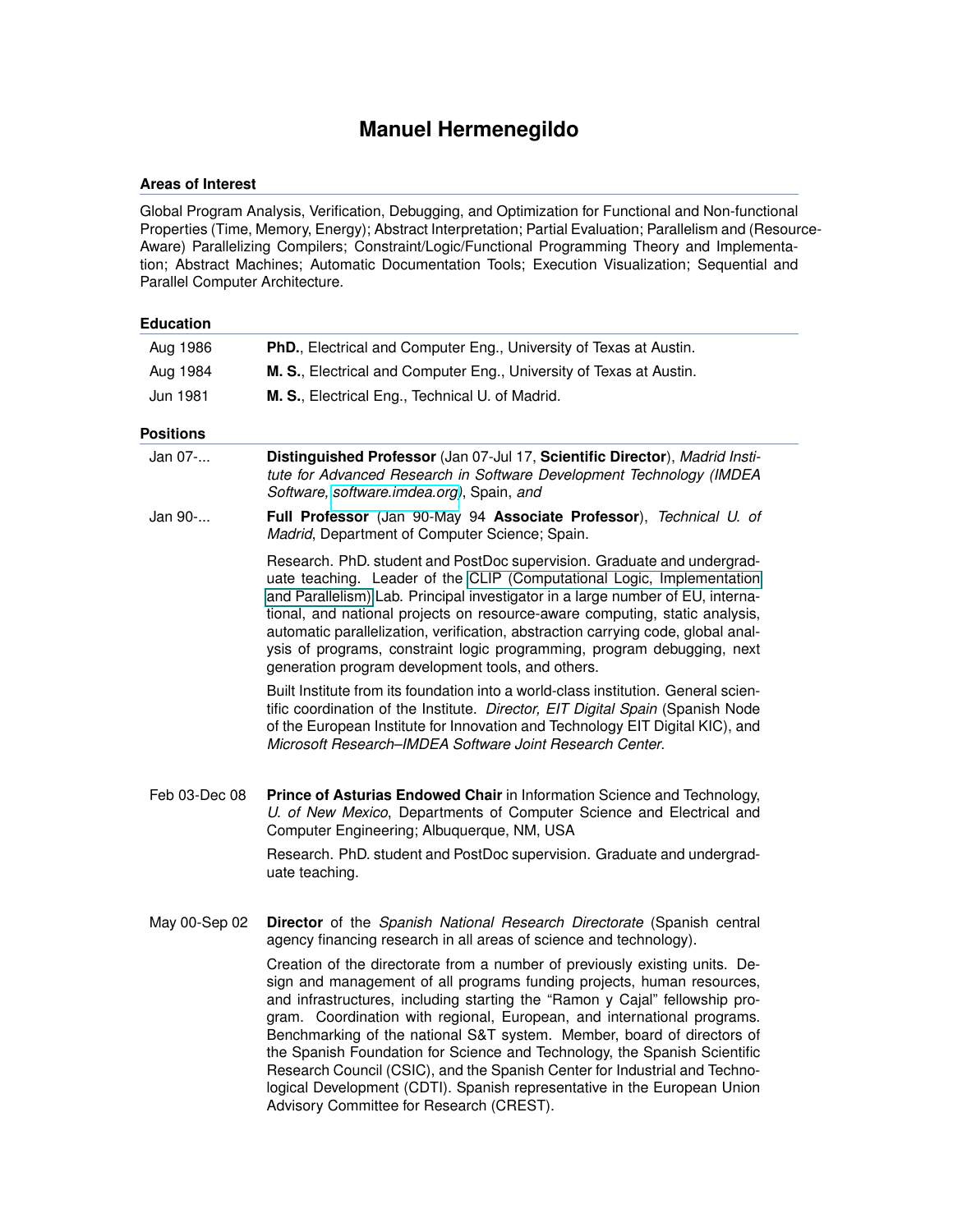# **Manuel Hermenegildo**

# **Areas of Interest**

Global Program Analysis, Verification, Debugging, and Optimization for Functional and Non-functional Properties (Time, Memory, Energy); Abstract Interpretation; Partial Evaluation; Parallelism and (Resource-Aware) Parallelizing Compilers; Constraint/Logic/Functional Programming Theory and Implementation; Abstract Machines; Automatic Documentation Tools; Execution Visualization; Sequential and Parallel Computer Architecture.

| <b>Education</b> |                                                                                                                                                                                                                                                                                                                                                                                                                                                                                                                                                                                                                                                                              |
|------------------|------------------------------------------------------------------------------------------------------------------------------------------------------------------------------------------------------------------------------------------------------------------------------------------------------------------------------------------------------------------------------------------------------------------------------------------------------------------------------------------------------------------------------------------------------------------------------------------------------------------------------------------------------------------------------|
| Aug 1986         | PhD., Electrical and Computer Eng., University of Texas at Austin.                                                                                                                                                                                                                                                                                                                                                                                                                                                                                                                                                                                                           |
| Aug 1984         | M. S., Electrical and Computer Eng., University of Texas at Austin.                                                                                                                                                                                                                                                                                                                                                                                                                                                                                                                                                                                                          |
| Jun 1981         | M. S., Electrical Eng., Technical U. of Madrid.                                                                                                                                                                                                                                                                                                                                                                                                                                                                                                                                                                                                                              |
| <b>Positions</b> |                                                                                                                                                                                                                                                                                                                                                                                                                                                                                                                                                                                                                                                                              |
| Jan 07-          | Distinguished Professor (Jan 07-Jul 17, Scientific Director), Madrid Insti-<br>tute for Advanced Research in Software Development Technology (IMDEA<br>Software, software.imdea.org), Spain, and                                                                                                                                                                                                                                                                                                                                                                                                                                                                             |
| Jan 90-          | Full Professor (Jan 90-May 94 Associate Professor), Technical U. of<br>Madrid, Department of Computer Science; Spain.                                                                                                                                                                                                                                                                                                                                                                                                                                                                                                                                                        |
|                  | Research. PhD. student and PostDoc supervision. Graduate and undergrad-<br>uate teaching. Leader of the CLIP (Computational Logic, Implementation<br>and Parallelism) Lab. Principal investigator in a large number of EU, interna-<br>tional, and national projects on resource-aware computing, static analysis,<br>automatic parallelization, verification, abstraction carrying code, global anal-<br>ysis of programs, constraint logic programming, program debugging, next<br>generation program development tools, and others.                                                                                                                                       |
|                  | Built Institute from its foundation into a world-class institution. General scien-<br>tific coordination of the Institute. Director, EIT Digital Spain (Spanish Node<br>of the European Institute for Innovation and Technology EIT Digital KIC), and<br>Microsoft Research–IMDEA Software Joint Research Center.                                                                                                                                                                                                                                                                                                                                                            |
| Feb 03-Dec 08    | Prince of Asturias Endowed Chair in Information Science and Technology,<br>U. of New Mexico, Departments of Computer Science and Electrical and<br>Computer Engineering; Albuquerque, NM, USA                                                                                                                                                                                                                                                                                                                                                                                                                                                                                |
|                  | Research. PhD. student and PostDoc supervision. Graduate and undergrad-<br>uate teaching.                                                                                                                                                                                                                                                                                                                                                                                                                                                                                                                                                                                    |
| May 00-Sep 02    | Director of the Spanish National Research Directorate (Spanish central<br>agency financing research in all areas of science and technology).                                                                                                                                                                                                                                                                                                                                                                                                                                                                                                                                 |
|                  | Creation of the directorate from a number of previously existing units. De-<br>sign and management of all programs funding projects, human resources,<br>and infrastructures, including starting the "Ramon y Cajal" fellowship pro-<br>gram. Coordination with regional, European, and international programs.<br>Benchmarking of the national S&T system. Member, board of directors of<br>the Spanish Foundation for Science and Technology, the Spanish Scientific<br>Research Council (CSIC), and the Spanish Center for Industrial and Techno-<br>logical Development (CDTI). Spanish representative in the European Union<br>Advisory Committee for Research (CREST). |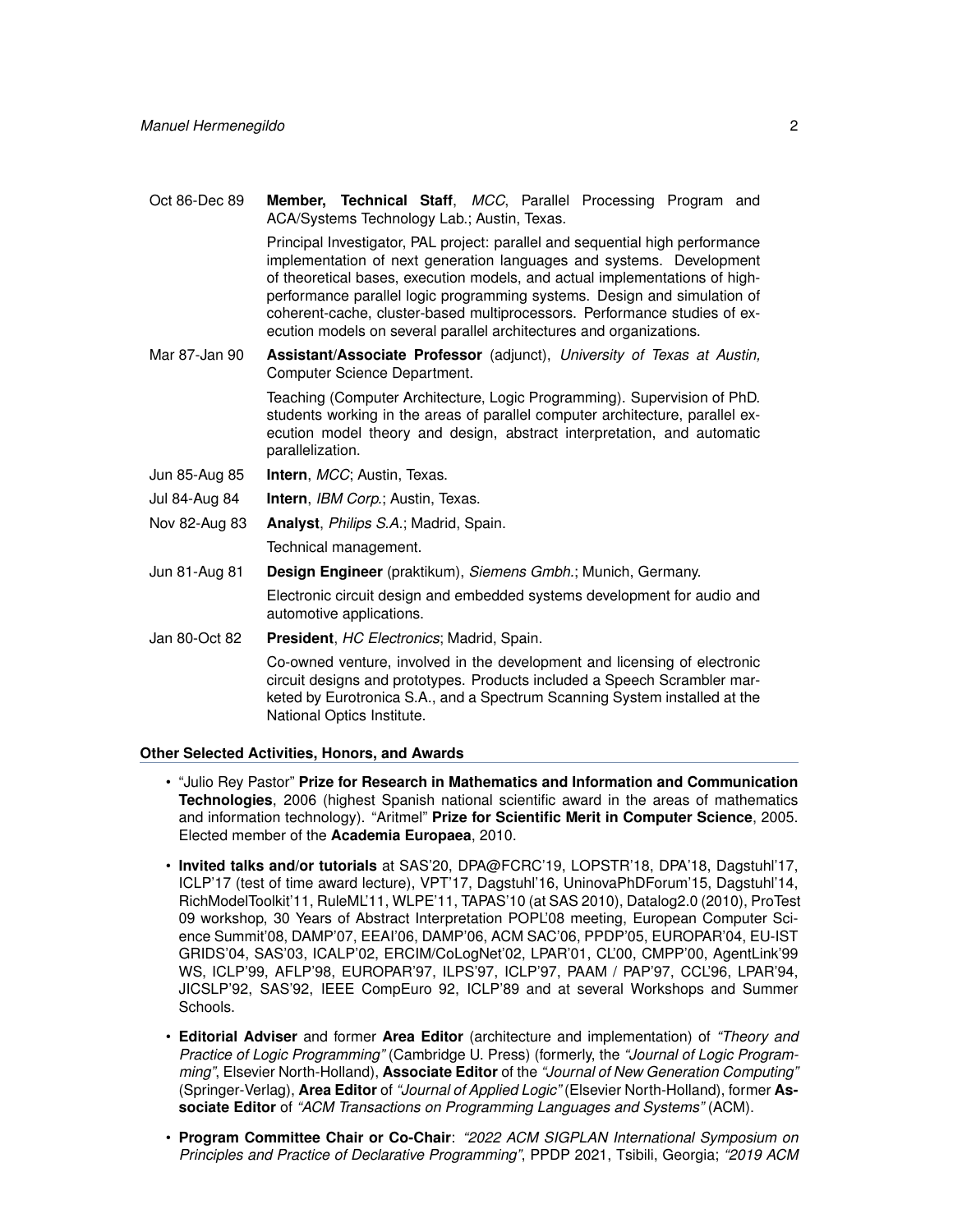Oct 86-Dec 89 **Member, Technical Staff**, *MCC*, Parallel Processing Program and ACA/Systems Technology Lab.; Austin, Texas.

> Principal Investigator, PAL project: parallel and sequential high performance implementation of next generation languages and systems. Development of theoretical bases, execution models, and actual implementations of highperformance parallel logic programming systems. Design and simulation of coherent-cache, cluster-based multiprocessors. Performance studies of execution models on several parallel architectures and organizations.

Mar 87-Jan 90 **Assistant/Associate Professor** (adjunct), *University of Texas at Austin,* Computer Science Department.

> Teaching (Computer Architecture, Logic Programming). Supervision of PhD. students working in the areas of parallel computer architecture, parallel execution model theory and design, abstract interpretation, and automatic parallelization.

Jun 85-Aug 85 **Intern**, *MCC*; Austin, Texas.

Jul 84-Aug 84 **Intern**, *IBM Corp.*; Austin, Texas.

Nov 82-Aug 83 **Analyst**, *Philips S.A.*; Madrid, Spain.

Technical management.

Jun 81-Aug 81 **Design Engineer** (praktikum), *Siemens Gmbh.*; Munich, Germany.

Electronic circuit design and embedded systems development for audio and automotive applications.

Jan 80-Oct 82 **President**, *HC Electronics*; Madrid, Spain.

Co-owned venture, involved in the development and licensing of electronic circuit designs and prototypes. Products included a Speech Scrambler marketed by Eurotronica S.A., and a Spectrum Scanning System installed at the National Optics Institute.

## **Other Selected Activities, Honors, and Awards**

- "Julio Rey Pastor" **Prize for Research in Mathematics and Information and Communication Technologies**, 2006 (highest Spanish national scientific award in the areas of mathematics and information technology). "Aritmel" **Prize for Scientific Merit in Computer Science**, 2005. Elected member of the **Academia Europaea**, 2010.
- **Invited talks and/or tutorials** at SAS'20, DPA@FCRC'19, LOPSTR'18, DPA'18, Dagstuhl'17, ICLP'17 (test of time award lecture), VPT'17, Dagstuhl'16, UninovaPhDForum'15, Dagstuhl'14, RichModelToolkit'11, RuleML'11, WLPE'11, TAPAS'10 (at SAS 2010), Datalog2.0 (2010), ProTest 09 workshop, 30 Years of Abstract Interpretation POPL'08 meeting, European Computer Science Summit'08, DAMP'07, EEAI'06, DAMP'06, ACM SAC'06, PPDP'05, EUROPAR'04, EU-IST GRIDS'04, SAS'03, ICALP'02, ERCIM/CoLogNet'02, LPAR'01, CL'00, CMPP'00, AgentLink'99 WS, ICLP'99, AFLP'98, EUROPAR'97, ILPS'97, ICLP'97, PAAM / PAP'97, CCL'96, LPAR'94, JICSLP'92, SAS'92, IEEE CompEuro 92, ICLP'89 and at several Workshops and Summer Schools.
- **Editorial Adviser** and former **Area Editor** (architecture and implementation) of *"Theory and Practice of Logic Programming"* (Cambridge U. Press) (formerly, the *"Journal of Logic Programming"*, Elsevier North-Holland), **Associate Editor** of the *"Journal of New Generation Computing"* (Springer-Verlag), **Area Editor** of *"Journal of Applied Logic"* (Elsevier North-Holland), former **Associate Editor** of *"ACM Transactions on Programming Languages and Systems"* (ACM).
- **Program Committee Chair or Co-Chair**: *"2022 ACM SIGPLAN International Symposium on Principles and Practice of Declarative Programming"*, PPDP 2021, Tsibili, Georgia; *"2019 ACM*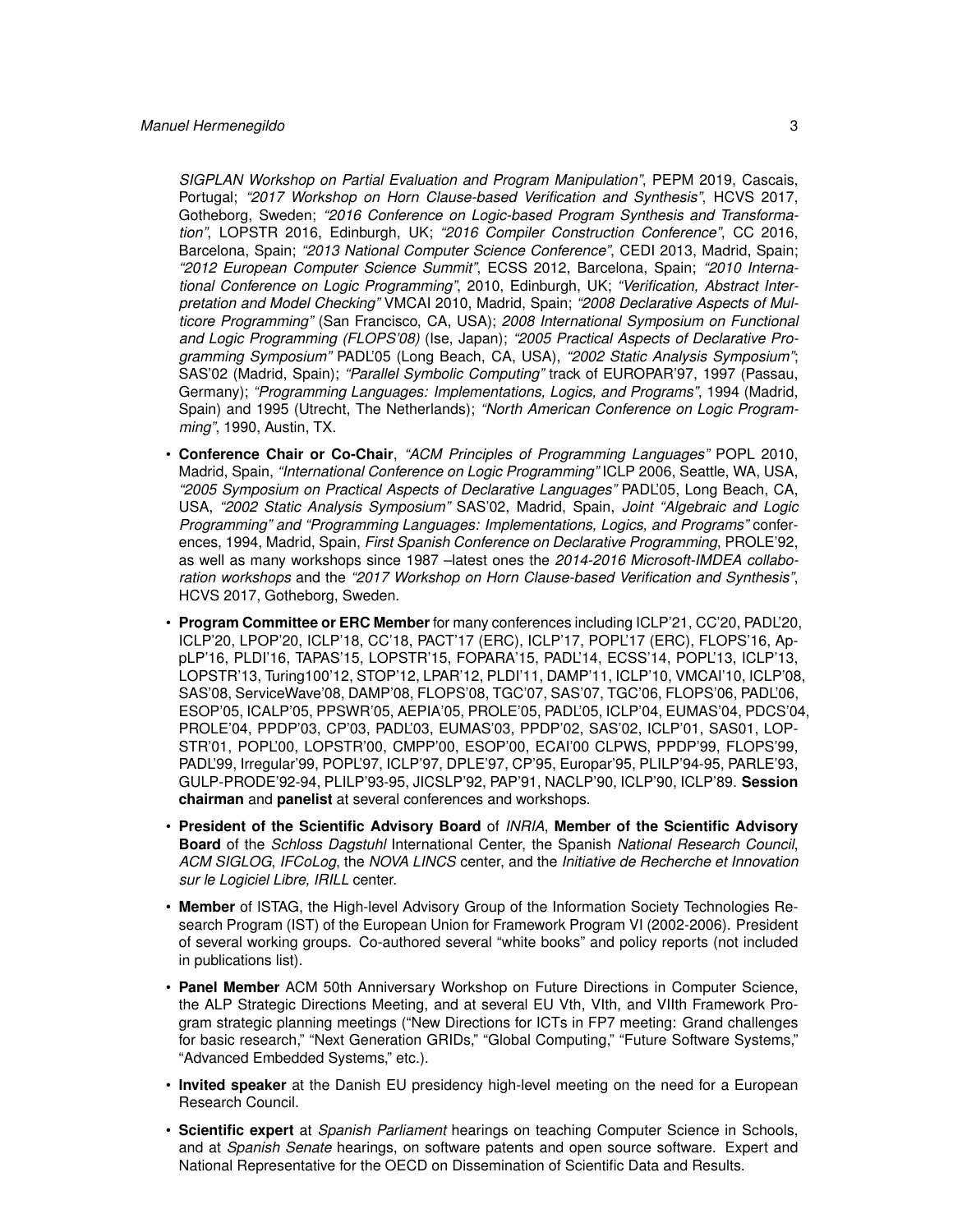*SIGPLAN Workshop on Partial Evaluation and Program Manipulation"*, PEPM 2019, Cascais, Portugal; *"2017 Workshop on Horn Clause-based Verification and Synthesis"*, HCVS 2017, Gotheborg, Sweden; *"2016 Conference on Logic-based Program Synthesis and Transformation"*, LOPSTR 2016, Edinburgh, UK; *"2016 Compiler Construction Conference"*, CC 2016, Barcelona, Spain; *"2013 National Computer Science Conference"*, CEDI 2013, Madrid, Spain; *"2012 European Computer Science Summit"*, ECSS 2012, Barcelona, Spain; *"2010 International Conference on Logic Programming"*, 2010, Edinburgh, UK; *"Verification, Abstract Interpretation and Model Checking"* VMCAI 2010, Madrid, Spain; *"2008 Declarative Aspects of Multicore Programming"* (San Francisco, CA, USA); *2008 International Symposium on Functional and Logic Programming (FLOPS'08)* (Ise, Japan); *"2005 Practical Aspects of Declarative Programming Symposium"* PADL'05 (Long Beach, CA, USA), *"2002 Static Analysis Symposium"*; SAS'02 (Madrid, Spain); *"Parallel Symbolic Computing"* track of EUROPAR'97, 1997 (Passau, Germany); *"Programming Languages: Implementations, Logics, and Programs"*, 1994 (Madrid, Spain) and 1995 (Utrecht, The Netherlands); *"North American Conference on Logic Programming"*, 1990, Austin, TX.

- **Conference Chair or Co-Chair**, *"ACM Principles of Programming Languages"* POPL 2010, Madrid, Spain, *"International Conference on Logic Programming"* ICLP 2006, Seattle, WA, USA, *"2005 Symposium on Practical Aspects of Declarative Languages"* PADL'05, Long Beach, CA, USA, *"2002 Static Analysis Symposium"* SAS'02, Madrid, Spain, *Joint "Algebraic and Logic Programming" and "Programming Languages: Implementations, Logics, and Programs"* conferences, 1994, Madrid, Spain, *First Spanish Conference on Declarative Programming*, PROLE'92, as well as many workshops since 1987 –latest ones the *2014-2016 Microsoft-IMDEA collaboration workshops* and the *"2017 Workshop on Horn Clause-based Verification and Synthesis"*, HCVS 2017, Gotheborg, Sweden.
- **Program Committee or ERC Member** for many conferences including ICLP'21, CC'20, PADL'20, ICLP'20, LPOP'20, ICLP'18, CC'18, PACT'17 (ERC), ICLP'17, POPL'17 (ERC), FLOPS'16, AppLP'16, PLDI'16, TAPAS'15, LOPSTR'15, FOPARA'15, PADL'14, ECSS'14, POPL'13, ICLP'13, LOPSTR'13, Turing100'12, STOP'12, LPAR'12, PLDI'11, DAMP'11, ICLP'10, VMCAI'10, ICLP'08, SAS'08, ServiceWave'08, DAMP'08, FLOPS'08, TGC'07, SAS'07, TGC'06, FLOPS'06, PADL'06, ESOP'05, ICALP'05, PPSWR'05, AEPIA'05, PROLE'05, PADL'05, ICLP'04, EUMAS'04, PDCS'04, PROLE'04, PPDP'03, CP'03, PADL'03, EUMAS'03, PPDP'02, SAS'02, ICLP'01, SAS01, LOP-STR'01, POPL'00, LOPSTR'00, CMPP'00, ESOP'00, ECAI'00 CLPWS, PPDP'99, FLOPS'99, PADL'99, Irregular'99, POPL'97, ICLP'97, DPLE'97, CP'95, Europar'95, PLILP'94-95, PARLE'93, GULP-PRODE'92-94, PLILP'93-95, JICSLP'92, PAP'91, NACLP'90, ICLP'90, ICLP'89. **Session chairman** and **panelist** at several conferences and workshops.
- **President of the Scientific Advisory Board** of *INRIA*, **Member of the Scientific Advisory Board** of the *Schloss Dagstuhl* International Center, the Spanish *National Research Council*, *ACM SIGLOG*, *IFCoLog*, the *NOVA LINCS* center, and the *Initiative de Recherche et Innovation sur le Logiciel Libre, IRILL* center.
- **Member** of ISTAG, the High-level Advisory Group of the Information Society Technologies Research Program (IST) of the European Union for Framework Program VI (2002-2006). President of several working groups. Co-authored several "white books" and policy reports (not included in publications list).
- **Panel Member** ACM 50th Anniversary Workshop on Future Directions in Computer Science, the ALP Strategic Directions Meeting, and at several EU Vth, VIth, and VIIth Framework Program strategic planning meetings ("New Directions for ICTs in FP7 meeting: Grand challenges for basic research," "Next Generation GRIDs," "Global Computing," "Future Software Systems," "Advanced Embedded Systems," etc.).
- **Invited speaker** at the Danish EU presidency high-level meeting on the need for a European Research Council.
- **Scientific expert** at *Spanish Parliament* hearings on teaching Computer Science in Schools, and at *Spanish Senate* hearings, on software patents and open source software. Expert and National Representative for the OECD on Dissemination of Scientific Data and Results.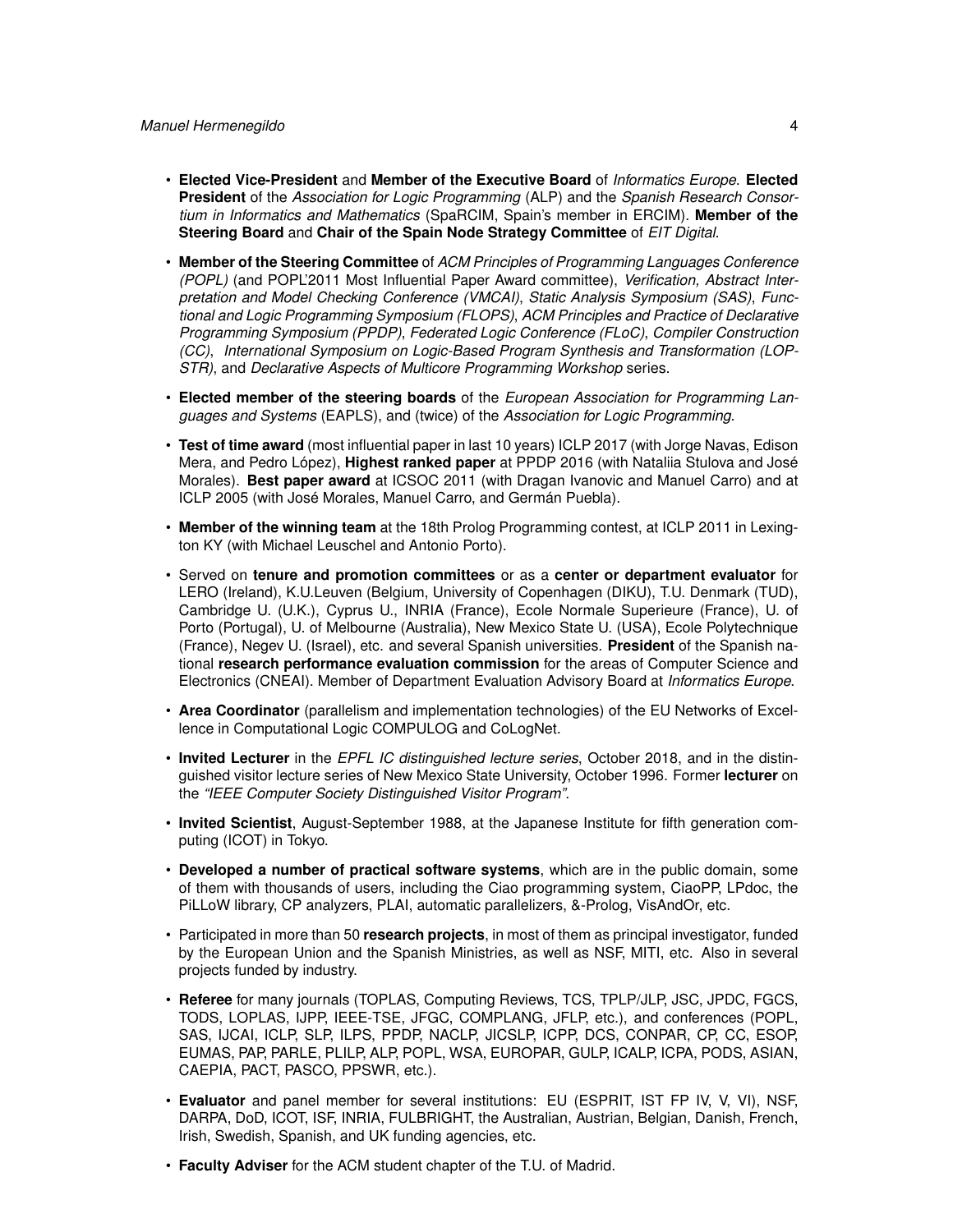- **Elected Vice-President** and **Member of the Executive Board** of *Informatics Europe*. **Elected President** of the *Association for Logic Programming* (ALP) and the *Spanish Research Consortium in Informatics and Mathematics* (SpaRCIM, Spain's member in ERCIM). **Member of the Steering Board** and **Chair of the Spain Node Strategy Committee** of *EIT Digital*.
- **Member of the Steering Committee** of *ACM Principles of Programming Languages Conference (POPL)* (and POPL'2011 Most Influential Paper Award committee), *Verification, Abstract Interpretation and Model Checking Conference (VMCAI)*, *Static Analysis Symposium (SAS)*, *Functional and Logic Programming Symposium (FLOPS)*, *ACM Principles and Practice of Declarative Programming Symposium (PPDP)*, *Federated Logic Conference (FLoC)*, *Compiler Construction (CC)*, *International Symposium on Logic-Based Program Synthesis and Transformation (LOP-STR)*, and *Declarative Aspects of Multicore Programming Workshop* series.
- **Elected member of the steering boards** of the *European Association for Programming Languages and Systems* (EAPLS), and (twice) of the *Association for Logic Programming*.
- **Test of time award** (most influential paper in last 10 years) ICLP 2017 (with Jorge Navas, Edison Mera, and Pedro López), **Highest ranked paper** at PPDP 2016 (with Nataliia Stulova and José Morales). **Best paper award** at ICSOC 2011 (with Dragan Ivanovic and Manuel Carro) and at ICLP 2005 (with José Morales, Manuel Carro, and Germán Puebla).
- **Member of the winning team** at the 18th Prolog Programming contest, at ICLP 2011 in Lexington KY (with Michael Leuschel and Antonio Porto).
- Served on **tenure and promotion committees** or as a **center or department evaluator** for LERO (Ireland), K.U.Leuven (Belgium, University of Copenhagen (DIKU), T.U. Denmark (TUD), Cambridge U. (U.K.), Cyprus U., INRIA (France), Ecole Normale Superieure (France), U. of Porto (Portugal), U. of Melbourne (Australia), New Mexico State U. (USA), Ecole Polytechnique (France), Negev U. (Israel), etc. and several Spanish universities. **President** of the Spanish national **research performance evaluation commission** for the areas of Computer Science and Electronics (CNEAI). Member of Department Evaluation Advisory Board at *Informatics Europe*.
- **Area Coordinator** (parallelism and implementation technologies) of the EU Networks of Excellence in Computational Logic COMPULOG and CoLogNet.
- **Invited Lecturer** in the *EPFL IC distinguished lecture series*, October 2018, and in the distinguished visitor lecture series of New Mexico State University, October 1996. Former **lecturer** on the *"IEEE Computer Society Distinguished Visitor Program"*.
- **Invited Scientist**, August-September 1988, at the Japanese Institute for fifth generation computing (ICOT) in Tokyo.
- **Developed a number of practical software systems**, which are in the public domain, some of them with thousands of users, including the Ciao programming system, CiaoPP, LPdoc, the PiLLoW library, CP analyzers, PLAI, automatic parallelizers, &-Prolog, VisAndOr, etc.
- Participated in more than 50 **research projects**, in most of them as principal investigator, funded by the European Union and the Spanish Ministries, as well as NSF, MITI, etc. Also in several projects funded by industry.
- **Referee** for many journals (TOPLAS, Computing Reviews, TCS, TPLP/JLP, JSC, JPDC, FGCS, TODS, LOPLAS, IJPP, IEEE-TSE, JFGC, COMPLANG, JFLP, etc.), and conferences (POPL, SAS, IJCAI, ICLP, SLP, ILPS, PPDP, NACLP, JICSLP, ICPP, DCS, CONPAR, CP, CC, ESOP, EUMAS, PAP, PARLE, PLILP, ALP, POPL, WSA, EUROPAR, GULP, ICALP, ICPA, PODS, ASIAN, CAEPIA, PACT, PASCO, PPSWR, etc.).
- **Evaluator** and panel member for several institutions: EU (ESPRIT, IST FP IV, V, VI), NSF, DARPA, DoD, ICOT, ISF, INRIA, FULBRIGHT, the Australian, Austrian, Belgian, Danish, French, Irish, Swedish, Spanish, and UK funding agencies, etc.
- **Faculty Adviser** for the ACM student chapter of the T.U. of Madrid.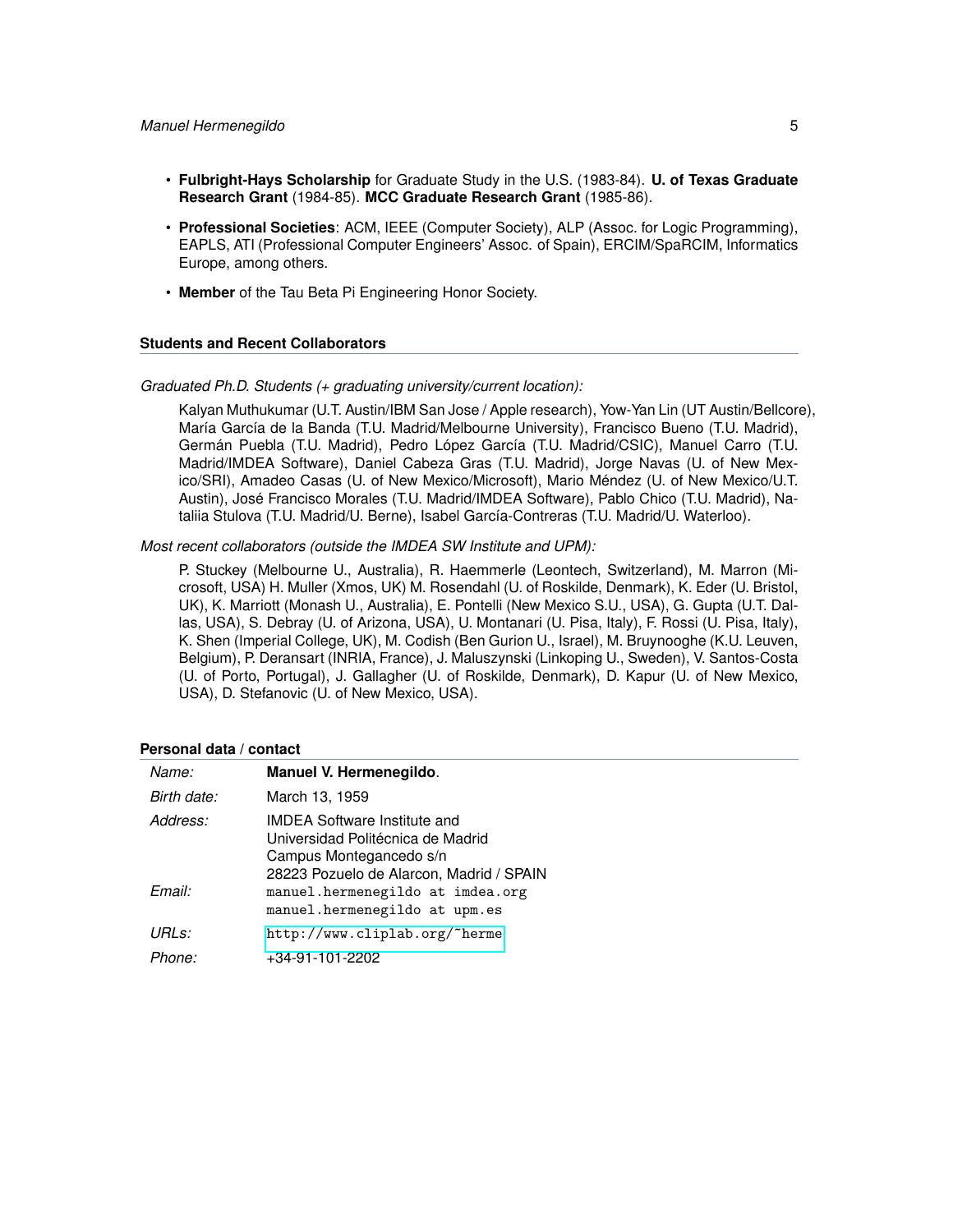- **Fulbright-Hays Scholarship** for Graduate Study in the U.S. (1983-84). **U. of Texas Graduate Research Grant** (1984-85). **MCC Graduate Research Grant** (1985-86).
- **Professional Societies**: ACM, IEEE (Computer Society), ALP (Assoc. for Logic Programming), EAPLS, ATI (Professional Computer Engineers' Assoc. of Spain), ERCIM/SpaRCIM, Informatics Europe, among others.
- **Member** of the Tau Beta Pi Engineering Honor Society.

#### **Students and Recent Collaborators**

# *Graduated Ph.D. Students (+ graduating university/current location):*

Kalyan Muthukumar (U.T. Austin/IBM San Jose / Apple research), Yow-Yan Lin (UT Austin/Bellcore), María García de la Banda (T.U. Madrid/Melbourne University), Francisco Bueno (T.U. Madrid), Germán Puebla (T.U. Madrid), Pedro López García (T.U. Madrid/CSIC), Manuel Carro (T.U. Madrid/IMDEA Software), Daniel Cabeza Gras (T.U. Madrid), Jorge Navas (U. of New Mexico/SRI), Amadeo Casas (U. of New Mexico/Microsoft), Mario Méndez (U. of New Mexico/U.T. Austin), José Francisco Morales (T.U. Madrid/IMDEA Software), Pablo Chico (T.U. Madrid), Nataliia Stulova (T.U. Madrid/U. Berne), Isabel García-Contreras (T.U. Madrid/U. Waterloo).

## *Most recent collaborators (outside the IMDEA SW Institute and UPM):*

P. Stuckey (Melbourne U., Australia), R. Haemmerle (Leontech, Switzerland), M. Marron (Microsoft, USA) H. Muller (Xmos, UK) M. Rosendahl (U. of Roskilde, Denmark), K. Eder (U. Bristol, UK), K. Marriott (Monash U., Australia), E. Pontelli (New Mexico S.U., USA), G. Gupta (U.T. Dallas, USA), S. Debray (U. of Arizona, USA), U. Montanari (U. Pisa, Italy), F. Rossi (U. Pisa, Italy), K. Shen (Imperial College, UK), M. Codish (Ben Gurion U., Israel), M. Bruynooghe (K.U. Leuven, Belgium), P. Deransart (INRIA, France), J. Maluszynski (Linkoping U., Sweden), V. Santos-Costa (U. of Porto, Portugal), J. Gallagher (U. of Roskilde, Denmark), D. Kapur (U. of New Mexico, USA), D. Stefanovic (U. of New Mexico, USA).

#### **Personal data / contact**

| Name:       | Manuel V. Hermenegildo.                                                                                       |
|-------------|---------------------------------------------------------------------------------------------------------------|
| Birth date: | March 13, 1959                                                                                                |
| Address:    | <b>IMDEA Software Institute and</b><br>Universidad Politécnica de Madrid<br>Campus Montegancedo s/n           |
| Email:      | 28223 Pozuelo de Alarcon, Madrid / SPAIN<br>manuel.hermenegildo at imdea.org<br>manuel.hermenegildo at upm.es |
| URLs:       | http://www.cliplab.org/"herme                                                                                 |
| Phone:      | +34-91-101-2202                                                                                               |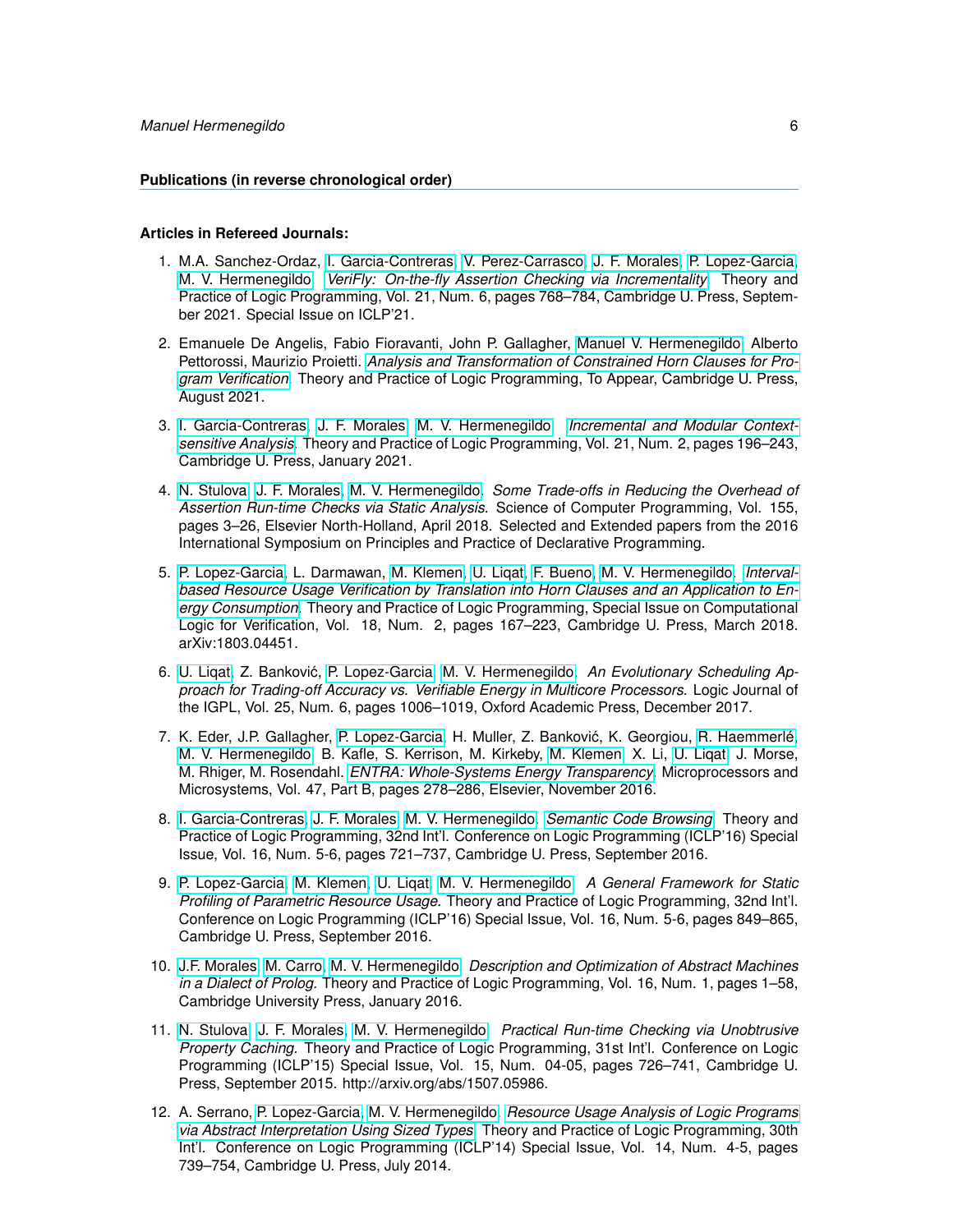#### **Publications (in reverse chronological order)**

#### **Articles in Refereed Journals:**

- 1. M.A. Sanchez-Ordaz, [I. Garcia-Contreras,](https://software.imdea.org/people/isabel.garcia/index.html) [V. Perez-Carrasco,](https://software.imdea.org/people/victor.perez/index.html) [J. F. Morales,](http://www.clip.dia.fi.upm.es/~{}jfran) [P. Lopez-Garcia,](http://www.clip.dia.fi.upm.es/~{}pedro) [M. V. Hermenegildo.](http://www.clip.dia.fi.upm.es/~{}herme) *[VeriFly: On-the-fly Assertion Checking via Incrementality.](http://arxiv.org/abs/2106.07045)* Theory and Practice of Logic Programming, Vol. 21, Num. 6, pages 768–784, Cambridge U. Press, September 2021. Special Issue on ICLP'21.
- 2. Emanuele De Angelis, Fabio Fioravanti, John P. Gallagher, [Manuel V. Hermenegildo,](http://www.clip.dia.fi.upm.es/~{}herme) Alberto Pettorossi, Maurizio Proietti. *[Analysis and Transformation of Constrained Horn Clauses for Pro](http://arxiv.org/abs/2108.00739)[gram Verification.](http://arxiv.org/abs/2108.00739)* Theory and Practice of Logic Programming, To Appear, Cambridge U. Press, August 2021.
- 3. [I. Garcia-Contreras,](https://software.imdea.org/people/isabel.garcia/index.html) [J. F. Morales,](http://www.clip.dia.fi.upm.es/~{}jfran) [M. V. Hermenegildo.](http://www.clip.dia.fi.upm.es/~{}herme) *[Incremental and Modular Context](https://arxiv.org/abs/1804.01839)[sensitive Analysis.](https://arxiv.org/abs/1804.01839)* Theory and Practice of Logic Programming, Vol. 21, Num. 2, pages 196–243, Cambridge U. Press, January 2021.
- 4. [N. Stulova,](https://software.imdea.org/people/nataliia.stulova/index.html) [J. F. Morales,](http://www.clip.dia.fi.upm.es/~{}jfran) [M. V. Hermenegildo.](http://www.clip.dia.fi.upm.es/~{}herme) *Some Trade-offs in Reducing the Overhead of Assertion Run-time Checks via Static Analysis.* Science of Computer Programming, Vol. 155, pages 3–26, Elsevier North-Holland, April 2018. Selected and Extended papers from the 2016 International Symposium on Principles and Practice of Declarative Programming.
- 5. [P. Lopez-Garcia,](http://www.clip.dia.fi.upm.es/~{}pedro) L. Darmawan, [M. Klemen,](http://software.imdea.org/people/maximiliano.klemen/index.html) [U. Liqat,](http://software.imdea.org/people/umer.liqat/index.html) [F. Bueno,](http://www.clip.dia.fi.upm.es/~{}bueno) [M. V. Hermenegildo.](http://www.clip.dia.fi.upm.es/~{}herme) *[Interval](https://arxiv.org/abs/1803.04451)[based Resource Usage Verification by Translation into Horn Clauses and an Application to En](https://arxiv.org/abs/1803.04451)[ergy Consumption.](https://arxiv.org/abs/1803.04451)* Theory and Practice of Logic Programming, Special Issue on Computational Logic for Verification, Vol. 18, Num. 2, pages 167–223, Cambridge U. Press, March 2018. arXiv:1803.04451.
- 6. [U. Liqat,](http://software.imdea.org/people/umer.liqat/index.html) Z. Bankovic, [P. Lopez-Garcia,](http://www.clip.dia.fi.upm.es/~{}pedro) [M. V. Hermenegildo.](http://www.clip.dia.fi.upm.es/~{}herme) ´ *An Evolutionary Scheduling Approach for Trading-off Accuracy vs. Verifiable Energy in Multicore Processors.* Logic Journal of the IGPL, Vol. 25, Num. 6, pages 1006–1019, Oxford Academic Press, December 2017.
- 7. K. Eder, J.P. Gallagher, [P. Lopez-Garcia,](http://www.clip.dia.fi.upm.es/~{}pedro) H. Muller, Z. Bankovic, K. Georgiou, [R. Haemmerlé,](http://www.clip.dia.fi.upm.es/~{}remy) ´ [M. V. Hermenegildo,](http://www.clip.dia.fi.upm.es/~{}herme) B. Kafle, S. Kerrison, M. Kirkeby, [M. Klemen,](http://software.imdea.org/people/maximiliano.klemen/index.html) X. Li, [U. Liqat,](http://software.imdea.org/people/umer.liqat/index.html) J. Morse, M. Rhiger, M. Rosendahl. *[ENTRA: Whole-Systems Energy Transparency.](https://arxiv.org/abs/1606.04074)* Microprocessors and Microsystems, Vol. 47, Part B, pages 278–286, Elsevier, November 2016.
- 8. [I. Garcia-Contreras,](https://software.imdea.org/people/isabel.garcia/index.html) [J. F. Morales,](http://www.clip.dia.fi.upm.es/~{}jfran) [M. V. Hermenegildo.](http://www.clip.dia.fi.upm.es/~{}herme) *[Semantic Code Browsing.](https://arxiv.org/abs/1608.02565)* Theory and Practice of Logic Programming, 32nd Int'l. Conference on Logic Programming (ICLP'16) Special Issue, Vol. 16, Num. 5-6, pages 721–737, Cambridge U. Press, September 2016.
- 9. [P. Lopez-Garcia,](http://www.clip.dia.fi.upm.es/~{}pedro) [M. Klemen,](http://software.imdea.org/people/maximiliano.klemen/index.html) [U. Liqat,](http://software.imdea.org/people/umer.liqat/index.html) [M. V. Hermenegildo.](http://www.clip.dia.fi.upm.es/~{}herme) *A General Framework for Static Profiling of Parametric Resource Usage.* Theory and Practice of Logic Programming, 32nd Int'l. Conference on Logic Programming (ICLP'16) Special Issue, Vol. 16, Num. 5-6, pages 849–865, Cambridge U. Press, September 2016.
- 10. [J.F. Morales,](http://www.clip.dia.fi.upm.es/~{}jfran) [M. Carro,](http://www.clip.dia.fi.upm.es/~{}mcarro) [M. V. Hermenegildo.](http://www.clip.dia.fi.upm.es/~{}herme) *Description and Optimization of Abstract Machines in a Dialect of Prolog.* Theory and Practice of Logic Programming, Vol. 16, Num. 1, pages 1–58, Cambridge University Press, January 2016.
- 11. [N. Stulova,](https://software.imdea.org/people/nataliia.stulova/index.html) [J. F. Morales,](http://www.clip.dia.fi.upm.es/~{}jfran) [M. V. Hermenegildo.](http://www.clip.dia.fi.upm.es/~{}herme) *Practical Run-time Checking via Unobtrusive Property Caching.* Theory and Practice of Logic Programming, 31st Int'l. Conference on Logic Programming (ICLP'15) Special Issue, Vol. 15, Num. 04-05, pages 726–741, Cambridge U. Press, September 2015. http://arxiv.org/abs/1507.05986.
- 12. A. Serrano, [P. Lopez-Garcia,](http://www.clip.dia.fi.upm.es/~{}pedro) [M. V. Hermenegildo.](http://www.clip.dia.fi.upm.es/~{}herme) *[Resource Usage Analysis of Logic Programs](http://cliplab.org/papers/plai-resources-iclp14) [via Abstract Interpretation Using Sized Types.](http://cliplab.org/papers/plai-resources-iclp14)* Theory and Practice of Logic Programming, 30th Int'l. Conference on Logic Programming (ICLP'14) Special Issue, Vol. 14, Num. 4-5, pages 739–754, Cambridge U. Press, July 2014.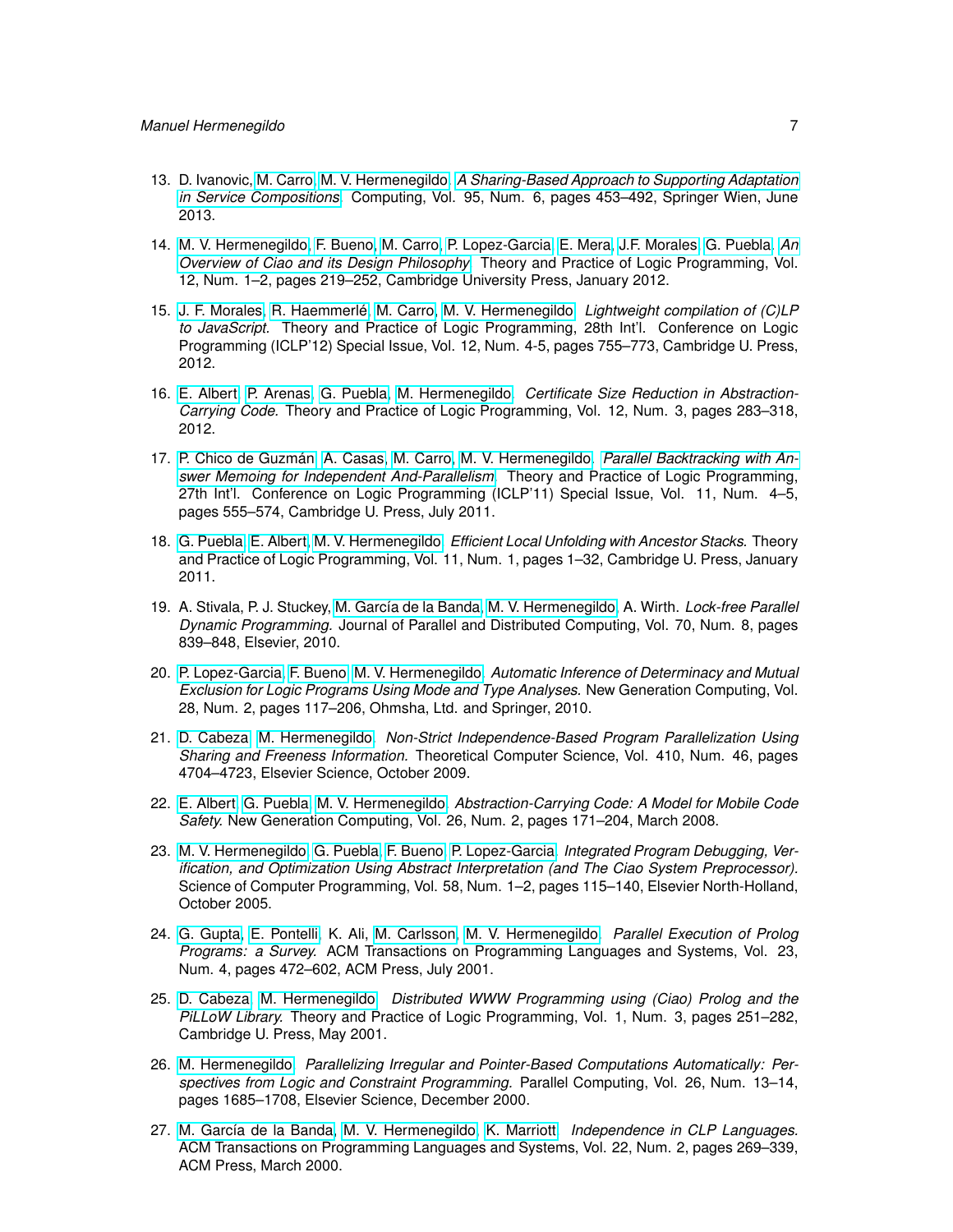- 13. D. Ivanovic, [M. Carro,](http://www.clip.dia.fi.upm.es/~{}mcarro) [M. V. Hermenegildo.](http://www.clip.dia.fi.upm.es/~{}herme) *[A Sharing-Based Approach to Supporting Adaptation](http://dx.doi.org/10.1007/s00607-012-0230-z) [in Service Compositions.](http://dx.doi.org/10.1007/s00607-012-0230-z)* Computing, Vol. 95, Num. 6, pages 453–492, Springer Wien, June 2013.
- 14. [M. V. Hermenegildo,](http://www.clip.dia.fi.upm.es/~{}herme) [F. Bueno,](http://www.clip.dia.fi.upm.es/~{}bueno) [M. Carro,](http://www.clip.dia.fi.upm.es/~{}mcarro) [P. Lopez-Garcia,](http://www.clip.dia.fi.upm.es/~{}pedro) [E. Mera,](http://www.clip.dia.fi.upm.es/~{}edison) [J.F. Morales,](http://www.clip.dia.fi.upm.es/~{}jfran) [G. Puebla.](http://www.clip.dia.fi.upm.es/~{}german) *[An](http://arxiv.org/abs/1102.5497) [Overview of Ciao and its Design Philosophy.](http://arxiv.org/abs/1102.5497)* Theory and Practice of Logic Programming, Vol. 12, Num. 1–2, pages 219–252, Cambridge University Press, January 2012.
- 15. [J. F. Morales,](http://www.clip.dia.fi.upm.es/~{}jfran) [R. Haemmerlé,](http://www.clip.dia.fi.upm.es/~{}remy) [M. Carro,](http://www.clip.dia.fi.upm.es/~{}mcarro) [M. V. Hermenegildo.](http://www.clip.dia.fi.upm.es/~{}herme) *Lightweight compilation of (C)LP to JavaScript.* Theory and Practice of Logic Programming, 28th Int'l. Conference on Logic Programming (ICLP'12) Special Issue, Vol. 12, Num. 4-5, pages 755–773, Cambridge U. Press, 2012.
- 16. [E. Albert,](http://www.clip.dia.fi.upm.es/~{}elvira) [P. Arenas,](http://www.clip.dia.fi.upm.es/~{}puri) [G. Puebla,](http://www.clip.dia.fi.upm.es/~{}german) [M. Hermenegildo.](http://www.clip.dia.fi.upm.es/~{}herme) *Certificate Size Reduction in Abstraction-Carrying Code.* Theory and Practice of Logic Programming, Vol. 12, Num. 3, pages 283–318, 2012.
- 17. [P. Chico de Guzmán,](http://www.clip.dia.fi.upm.es/~{}pchico) [A. Casas,](http://www.clip.dia.fi.upm.es/~{}amadeo) [M. Carro,](http://www.clip.dia.fi.upm.es/~{}mcarro) [M. V. Hermenegildo.](http://www.clip.dia.fi.upm.es/~{}herme) *[Parallel Backtracking with An](http://arxiv.org/abs/1107.4724)[swer Memoing for Independent And-Parallelism.](http://arxiv.org/abs/1107.4724)* Theory and Practice of Logic Programming, 27th Int'l. Conference on Logic Programming (ICLP'11) Special Issue, Vol. 11, Num. 4–5, pages 555–574, Cambridge U. Press, July 2011.
- 18. [G. Puebla,](http://www.clip.dia.fi.upm.es/~{}german) [E. Albert,](http://www.clip.dia.fi.upm.es/~{}elvira) [M. V. Hermenegildo.](http://www.clip.dia.fi.upm.es/~{}herme) *Efficient Local Unfolding with Ancestor Stacks.* Theory and Practice of Logic Programming, Vol. 11, Num. 1, pages 1–32, Cambridge U. Press, January 2011.
- 19. A. Stivala, P. J. Stuckey, [M. García de la Banda,](http://www.csse.monash.edu.au/~{}mbanda) [M. V. Hermenegildo,](http://www.clip.dia.fi.upm.es/~{}herme) A. Wirth. *Lock-free Parallel Dynamic Programming.* Journal of Parallel and Distributed Computing, Vol. 70, Num. 8, pages 839–848, Elsevier, 2010.
- 20. [P. Lopez-Garcia,](http://www.clip.dia.fi.upm.es/~{}pedro) [F. Bueno,](http://www.clip.dia.fi.upm.es/~{}bueno) [M. V. Hermenegildo.](http://www.clip.dia.fi.upm.es/~{}herme) *Automatic Inference of Determinacy and Mutual Exclusion for Logic Programs Using Mode and Type Analyses.* New Generation Computing, Vol. 28, Num. 2, pages 117–206, Ohmsha, Ltd. and Springer, 2010.
- 21. [D. Cabeza,](http://www.clip.dia.fi.upm.es/~{}bardo) [M. Hermenegildo.](http://www.clip.dia.fi.upm.es/~{}herme) *Non-Strict Independence-Based Program Parallelization Using Sharing and Freeness Information.* Theoretical Computer Science, Vol. 410, Num. 46, pages 4704–4723, Elsevier Science, October 2009.
- 22. [E. Albert,](http://www.clip.dia.fi.upm.es/~{}elvira) [G. Puebla,](http://www.clip.dia.fi.upm.es/~{}german) [M. V. Hermenegildo.](http://www.clip.dia.fi.upm.es/~{}herme) *Abstraction-Carrying Code: A Model for Mobile Code Safety.* New Generation Computing, Vol. 26, Num. 2, pages 171–204, March 2008.
- 23. [M. V. Hermenegildo,](http://www.clip.dia.fi.upm.es/~{}herme) [G. Puebla,](http://www.clip.dia.fi.upm.es/~{}german) [F. Bueno,](http://www.clip.dia.fi.upm.es/~{}bueno) [P. Lopez-Garcia.](http://www.clip.dia.fi.upm.es/~{}pedro) *Integrated Program Debugging, Verification, and Optimization Using Abstract Interpretation (and The Ciao System Preprocessor).* Science of Computer Programming, Vol. 58, Num. 1–2, pages 115–140, Elsevier North-Holland, October 2005.
- 24. [G. Gupta,](http://www.cs.nmsu.edu/lldap/people/gupta.html) [E. Pontelli,](http://www.cs.nmsu.edu/lldap/people/epontell.html) K. Ali, [M. Carlsson,](http://www.sics.se/~{}matsc) [M. V. Hermenegildo.](http://www.clip.dia.fi.upm.es/~{}herme) *Parallel Execution of Prolog Programs: a Survey.* ACM Transactions on Programming Languages and Systems, Vol. 23, Num. 4, pages 472–602, ACM Press, July 2001.
- 25. [D. Cabeza,](http://www.clip.dia.fi.upm.es/~{}bardo) [M. Hermenegildo.](http://www.clip.dia.fi.upm.es/~{}herme) *Distributed WWW Programming using (Ciao) Prolog and the PiLLoW Library.* Theory and Practice of Logic Programming, Vol. 1, Num. 3, pages 251–282, Cambridge U. Press, May 2001.
- 26. [M. Hermenegildo.](http://www.clip.dia.fi.upm.es/~{}herme) *Parallelizing Irregular and Pointer-Based Computations Automatically: Perspectives from Logic and Constraint Programming.* Parallel Computing, Vol. 26, Num. 13–14, pages 1685–1708, Elsevier Science, December 2000.
- 27. [M. García de la Banda,](http://www.csse.monash.edu.au/~{}mbanda) [M. V. Hermenegildo,](http://www.clip.dia.fi.upm.es/~{}herme) [K. Marriott.](http://www.csse.monash.edu.au/~{}marriott) *Independence in CLP Languages.* ACM Transactions on Programming Languages and Systems, Vol. 22, Num. 2, pages 269–339, ACM Press, March 2000.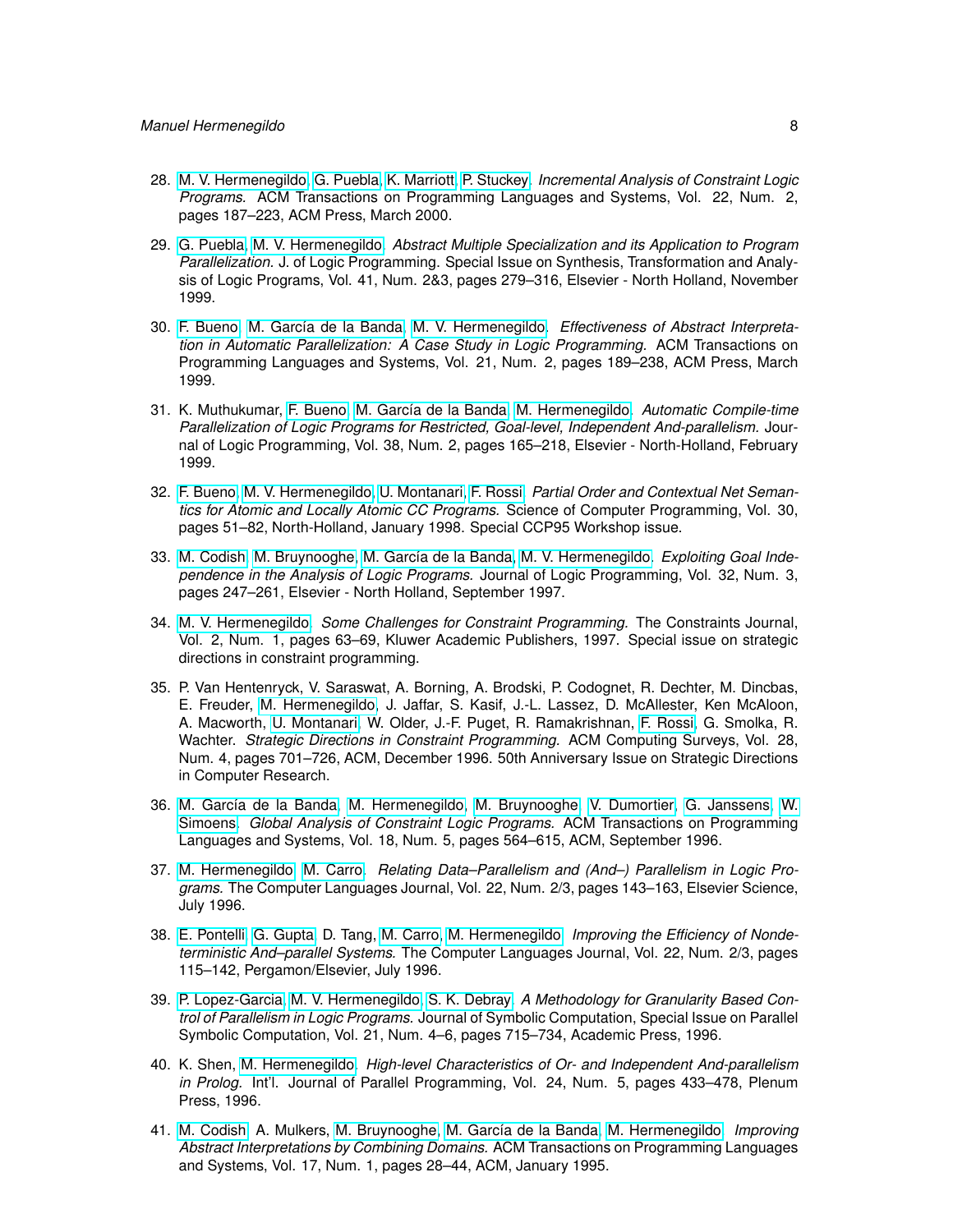- 28. [M. V. Hermenegildo,](http://www.clip.dia.fi.upm.es/~{}herme) [G. Puebla,](http://www.clip.dia.fi.upm.es/~{}german) [K. Marriott,](http://www.csse.monash.edu.au/~{}marriott) [P. Stuckey.](http://www.cs.mu.OZ.AU/~{}pjs) *Incremental Analysis of Constraint Logic Programs.* ACM Transactions on Programming Languages and Systems, Vol. 22, Num. 2, pages 187–223, ACM Press, March 2000.
- 29. [G. Puebla,](http://www.clip.dia.fi.upm.es/~{}german) [M. V. Hermenegildo.](http://www.clip.dia.fi.upm.es/~{}herme) *Abstract Multiple Specialization and its Application to Program Parallelization.* J. of Logic Programming. Special Issue on Synthesis, Transformation and Analysis of Logic Programs, Vol. 41, Num. 2&3, pages 279–316, Elsevier - North Holland, November 1999.
- 30. [F. Bueno,](http://www.clip.dia.fi.upm.es/~{}bueno) [M. García de la Banda,](http://www.csse.monash.edu.au/~{}mbanda) [M. V. Hermenegildo.](http://www.clip.dia.fi.upm.es/~{}herme) *Effectiveness of Abstract Interpretation in Automatic Parallelization: A Case Study in Logic Programming.* ACM Transactions on Programming Languages and Systems, Vol. 21, Num. 2, pages 189–238, ACM Press, March 1999.
- 31. K. Muthukumar, [F. Bueno,](http://www.clip.dia.fi.upm.es/~{}bueno) [M. García de la Banda,](http://www.csse.monash.edu.au/~{}mbanda) [M. Hermenegildo.](http://www.clip.dia.fi.upm.es/~{}herme) *Automatic Compile-time Parallelization of Logic Programs for Restricted, Goal-level, Independent And-parallelism.* Journal of Logic Programming, Vol. 38, Num. 2, pages 165–218, Elsevier - North-Holland, February 1999.
- 32. [F. Bueno,](http://www.clip.dia.fi.upm.es/~{}bueno) [M. V. Hermenegildo,](http://www.clip.dia.fi.upm.es/~{}herme) [U. Montanari,](http://www.di.unipi.it/~{}ugo/ugo.html) [F. Rossi.](http://www.di.unipi.it/~{}rossi) *Partial Order and Contextual Net Semantics for Atomic and Locally Atomic CC Programs.* Science of Computer Programming, Vol. 30, pages 51–82, North-Holland, January 1998. Special CCP95 Workshop issue.
- 33. [M. Codish,](http://www.CS.bgu.ac.il/~{}codish) [M. Bruynooghe,](http://www.cs.kuleuven.ac.be/cwis/research/dtai/members-E.shtml) [M. García de la Banda,](http://www.csse.monash.edu.au/~{}mbanda) [M. V. Hermenegildo.](http://www.clip.dia.fi.upm.es/~{}herme) *Exploiting Goal Independence in the Analysis of Logic Programs.* Journal of Logic Programming, Vol. 32, Num. 3, pages 247–261, Elsevier - North Holland, September 1997.
- 34. [M. V. Hermenegildo.](http://www.clip.dia.fi.upm.es/~{}herme) *Some Challenges for Constraint Programming.* The Constraints Journal, Vol. 2, Num. 1, pages 63–69, Kluwer Academic Publishers, 1997. Special issue on strategic directions in constraint programming.
- 35. P. Van Hentenryck, V. Saraswat, A. Borning, A. Brodski, P. Codognet, R. Dechter, M. Dincbas, E. Freuder, [M. Hermenegildo,](http://www.clip.dia.fi.upm.es/~{}herme) J. Jaffar, S. Kasif, J.-L. Lassez, D. McAllester, Ken McAloon, A. Macworth, [U. Montanari,](http://www.di.unipi.it/~{}ugo/ugo.html) W. Older, J.-F. Puget, R. Ramakrishnan, [F. Rossi,](http://www.di.unipi.it/~{}rossi) G. Smolka, R. Wachter. *Strategic Directions in Constraint Programming.* ACM Computing Surveys, Vol. 28, Num. 4, pages 701–726, ACM, December 1996. 50th Anniversary Issue on Strategic Directions in Computer Research.
- 36. [M. García de la Banda,](http://www.csse.monash.edu.au/~{}mbanda) [M. Hermenegildo,](http://www.clip.dia.fi.upm.es/~{}herme) [M. Bruynooghe, V. Dumortier, G. Janssens, W.](http://www.cs.kuleuven.ac.be/cwis/research/dtai/members-E.shtml) [Simoens.](http://www.cs.kuleuven.ac.be/cwis/research/dtai/members-E.shtml) *Global Analysis of Constraint Logic Programs.* ACM Transactions on Programming Languages and Systems, Vol. 18, Num. 5, pages 564–615, ACM, September 1996.
- 37. [M. Hermenegildo,](http://www.clip.dia.fi.upm.es/~{}herme) [M. Carro.](http://www.clip.dia.fi.upm.es/~{}mcarro) *Relating Data–Parallelism and (And–) Parallelism in Logic Programs.* The Computer Languages Journal, Vol. 22, Num. 2/3, pages 143–163, Elsevier Science, July 1996.
- 38. [E. Pontelli,](http://www.cs.nmsu.edu/lldap/people/epontell.html) [G. Gupta,](http://www.cs.nmsu.edu/lldap/people/gupta.html) D. Tang, [M. Carro,](http://www.clip.dia.fi.upm.es/~{}mcarro) [M. Hermenegildo.](http://www.clip.dia.fi.upm.es/~{}herme) *Improving the Efficiency of Nondeterministic And–parallel Systems.* The Computer Languages Journal, Vol. 22, Num. 2/3, pages 115–142, Pergamon/Elsevier, July 1996.
- 39. [P. Lopez-Garcia,](http://www.clip.dia.fi.upm.es/~{}pedro) [M. V. Hermenegildo,](http://www.clip.dia.fi.upm.es/~{}herme) [S. K. Debray.](http://cs.arizona.edu/~{}debray) *A Methodology for Granularity Based Control of Parallelism in Logic Programs.* Journal of Symbolic Computation, Special Issue on Parallel Symbolic Computation, Vol. 21, Num. 4–6, pages 715–734, Academic Press, 1996.
- 40. K. Shen, [M. Hermenegildo.](http://www.clip.dia.fi.upm.es/~{}herme) *High-level Characteristics of Or- and Independent And-parallelism in Prolog.* Int'l. Journal of Parallel Programming, Vol. 24, Num. 5, pages 433–478, Plenum Press, 1996.
- 41. [M. Codish,](http://www.CS.bgu.ac.il/~{}codish) A. Mulkers, [M. Bruynooghe,](http://www.cs.kuleuven.ac.be/cwis/research/dtai/members-E.shtml) [M. García de la Banda,](http://www.csse.monash.edu.au/~{}mbanda) [M. Hermenegildo.](http://www.clip.dia.fi.upm.es/~{}herme) *Improving Abstract Interpretations by Combining Domains.* ACM Transactions on Programming Languages and Systems, Vol. 17, Num. 1, pages 28–44, ACM, January 1995.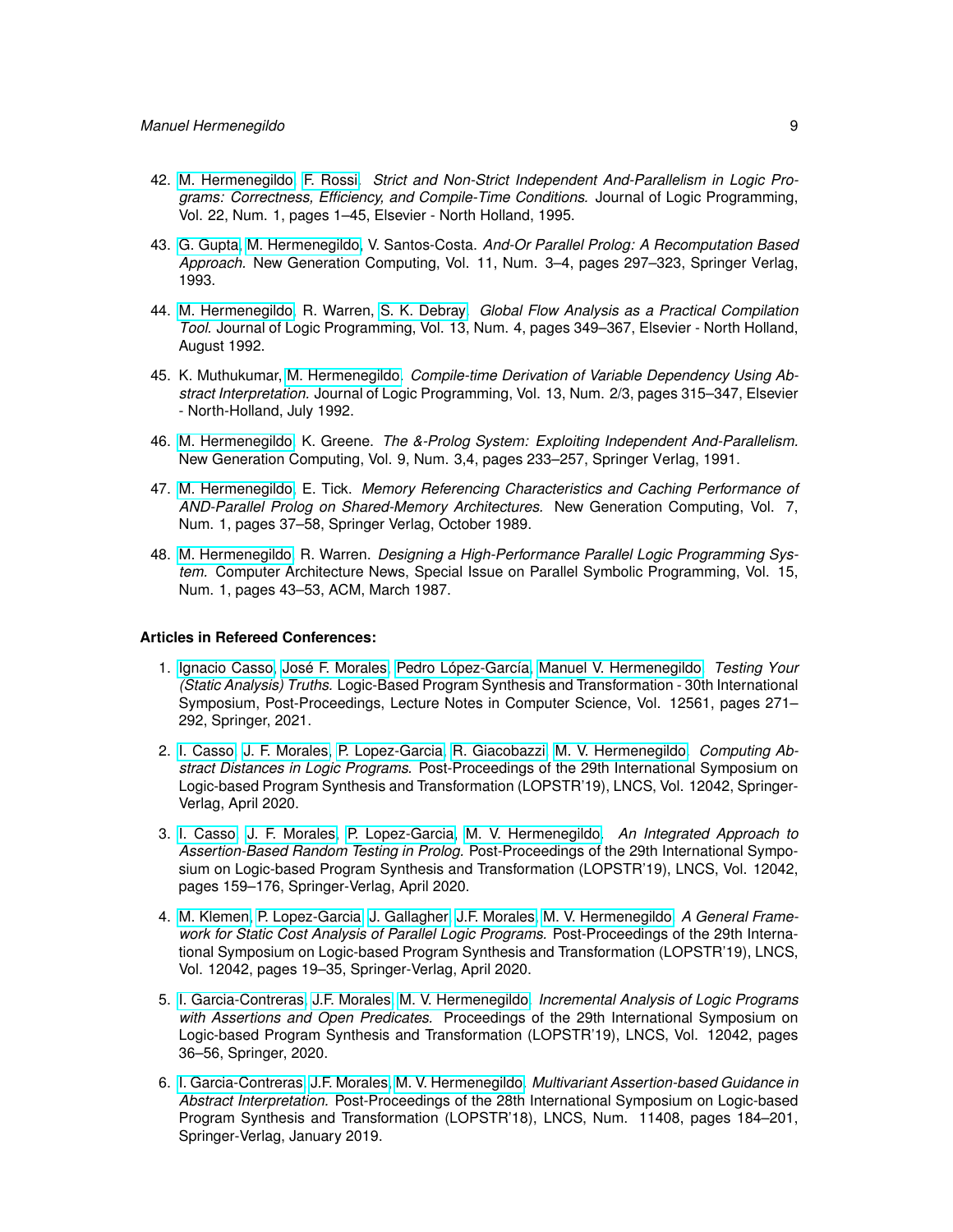- 42. [M. Hermenegildo,](http://www.clip.dia.fi.upm.es/~{}herme) [F. Rossi.](http://www.di.unipi.it/~{}rossi) *Strict and Non-Strict Independent And-Parallelism in Logic Programs: Correctness, Efficiency, and Compile-Time Conditions.* Journal of Logic Programming, Vol. 22, Num. 1, pages 1–45, Elsevier - North Holland, 1995.
- 43. [G. Gupta,](http://www.cs.nmsu.edu/lldap/people/gupta.html) [M. Hermenegildo,](http://www.clip.dia.fi.upm.es/~{}herme) V. Santos-Costa. *And-Or Parallel Prolog: A Recomputation Based Approach.* New Generation Computing, Vol. 11, Num. 3–4, pages 297–323, Springer Verlag, 1993.
- 44. [M. Hermenegildo,](http://www.clip.dia.fi.upm.es/~{}herme) R. Warren, [S. K. Debray.](http://cs.arizona.edu/~{}debray) *Global Flow Analysis as a Practical Compilation Tool.* Journal of Logic Programming, Vol. 13, Num. 4, pages 349–367, Elsevier - North Holland, August 1992.
- 45. K. Muthukumar, [M. Hermenegildo.](http://www.clip.dia.fi.upm.es/~{}herme) *Compile-time Derivation of Variable Dependency Using Abstract Interpretation.* Journal of Logic Programming, Vol. 13, Num. 2/3, pages 315–347, Elsevier - North-Holland, July 1992.
- 46. [M. Hermenegildo,](http://www.clip.dia.fi.upm.es/~{}herme) K. Greene. *The &-Prolog System: Exploiting Independent And-Parallelism.* New Generation Computing, Vol. 9, Num. 3,4, pages 233–257, Springer Verlag, 1991.
- 47. [M. Hermenegildo,](http://www.clip.dia.fi.upm.es/~{}herme) E. Tick. *Memory Referencing Characteristics and Caching Performance of AND-Parallel Prolog on Shared-Memory Architectures.* New Generation Computing, Vol. 7, Num. 1, pages 37–58, Springer Verlag, October 1989.
- 48. [M. Hermenegildo,](http://www.clip.dia.fi.upm.es/~{}herme) R. Warren. *Designing a High-Performance Parallel Logic Programming System.* Computer Architecture News, Special Issue on Parallel Symbolic Programming, Vol. 15, Num. 1, pages 43–53, ACM, March 1987.

## **Articles in Refereed Conferences:**

- 1. [Ignacio Casso,](https://software.imdea.org/people/ignacio.decasso/index.html) [José F. Morales,](http://www.clip.dia.fi.upm.es/~{}jfran) [Pedro López-García,](http://www.clip.dia.fi.upm.es/~{}pedro) [Manuel V. Hermenegildo.](http://www.clip.dia.fi.upm.es/~{}herme) *Testing Your (Static Analysis) Truths.* Logic-Based Program Synthesis and Transformation - 30th International Symposium, Post-Proceedings, Lecture Notes in Computer Science, Vol. 12561, pages 271– 292, Springer, 2021.
- 2. [I. Casso,](https://software.imdea.org/people/ignacio.decasso/index.html) [J. F. Morales,](http://www.clip.dia.fi.upm.es/~{}jfran) [P. Lopez-Garcia,](http://www.clip.dia.fi.upm.es/~{}pedro) [R. Giacobazzi,](https://software.imdea.org/people/roberto.giacobazzi/index.html) [M. V. Hermenegildo.](http://www.clip.dia.fi.upm.es/~{}herme) *Computing Abstract Distances in Logic Programs.* Post-Proceedings of the 29th International Symposium on Logic-based Program Synthesis and Transformation (LOPSTR'19), LNCS, Vol. 12042, Springer-Verlag, April 2020.
- 3. [I. Casso,](https://software.imdea.org/people/ignacio.decasso/index.html) [J. F. Morales,](http://www.clip.dia.fi.upm.es/~{}jfran) [P. Lopez-Garcia,](http://www.clip.dia.fi.upm.es/~{}pedro) [M. V. Hermenegildo.](http://www.clip.dia.fi.upm.es/~{}herme) *An Integrated Approach to Assertion-Based Random Testing in Prolog.* Post-Proceedings of the 29th International Symposium on Logic-based Program Synthesis and Transformation (LOPSTR'19), LNCS, Vol. 12042, pages 159–176, Springer-Verlag, April 2020.
- 4. [M. Klemen,](http://software.imdea.org/people/maximiliano.klemen/index.html) [P. Lopez-Garcia,](http://www.clip.dia.fi.upm.es/~{}pedro) [J. Gallagher,](john.gallagher@imdea.org) [J.F. Morales,](http://www.clip.dia.fi.upm.es/~{}jfran) [M. V. Hermenegildo.](http://www.clip.dia.fi.upm.es/~{}herme) *A General Framework for Static Cost Analysis of Parallel Logic Programs.* Post-Proceedings of the 29th International Symposium on Logic-based Program Synthesis and Transformation (LOPSTR'19), LNCS, Vol. 12042, pages 19–35, Springer-Verlag, April 2020.
- 5. [I. Garcia-Contreras,](https://software.imdea.org/people/isabel.garcia/index.html) [J.F. Morales,](http://www.clip.dia.fi.upm.es/~{}jfran) [M. V. Hermenegildo.](http://www.clip.dia.fi.upm.es/~{}herme) *Incremental Analysis of Logic Programs with Assertions and Open Predicates.* Proceedings of the 29th International Symposium on Logic-based Program Synthesis and Transformation (LOPSTR'19), LNCS, Vol. 12042, pages 36–56, Springer, 2020.
- 6. [I. Garcia-Contreras,](https://software.imdea.org/people/isabel.garcia/index.html) [J.F. Morales,](http://www.clip.dia.fi.upm.es/~{}jfran) [M. V. Hermenegildo.](http://www.clip.dia.fi.upm.es/~{}herme) *Multivariant Assertion-based Guidance in Abstract Interpretation.* Post-Proceedings of the 28th International Symposium on Logic-based Program Synthesis and Transformation (LOPSTR'18), LNCS, Num. 11408, pages 184–201, Springer-Verlag, January 2019.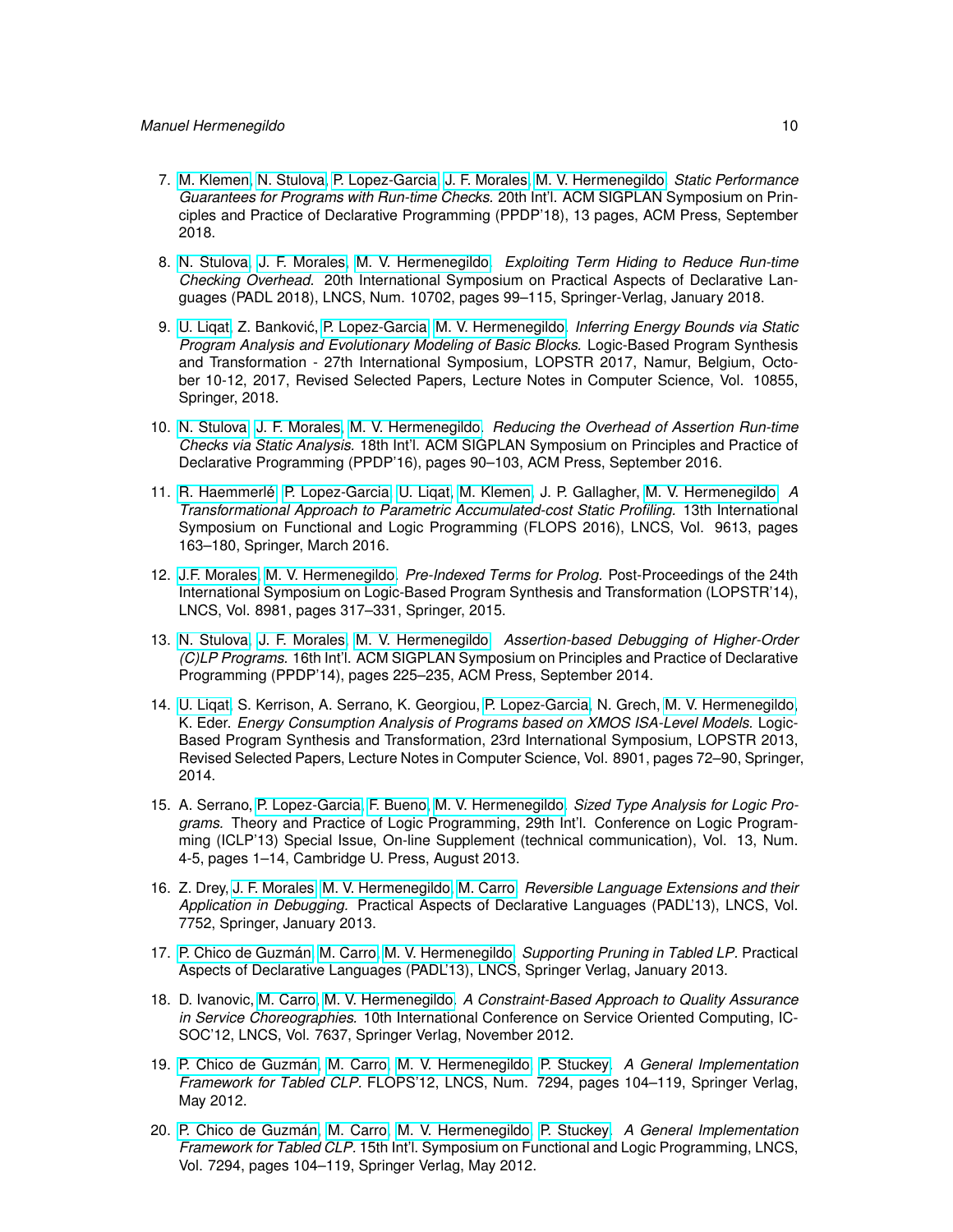- 7. [M. Klemen,](http://software.imdea.org/people/maximiliano.klemen/index.html) [N. Stulova,](https://software.imdea.org/people/nataliia.stulova/index.html) [P. Lopez-Garcia,](http://www.clip.dia.fi.upm.es/~{}pedro) [J. F. Morales,](http://www.clip.dia.fi.upm.es/~{}jfran) [M. V. Hermenegildo.](http://www.clip.dia.fi.upm.es/~{}herme) *Static Performance Guarantees for Programs with Run-time Checks.* 20th Int'l. ACM SIGPLAN Symposium on Principles and Practice of Declarative Programming (PPDP'18), 13 pages, ACM Press, September 2018.
- 8. [N. Stulova,](https://software.imdea.org/people/nataliia.stulova/index.html) [J. F. Morales,](http://www.clip.dia.fi.upm.es/~{}jfran) [M. V. Hermenegildo.](http://www.clip.dia.fi.upm.es/~{}herme) *Exploiting Term Hiding to Reduce Run-time Checking Overhead.* 20th International Symposium on Practical Aspects of Declarative Languages (PADL 2018), LNCS, Num. 10702, pages 99–115, Springer-Verlag, January 2018.
- 9. [U. Liqat,](http://software.imdea.org/people/umer.liqat/index.html) Z. Bankovic, [P. Lopez-Garcia,](http://www.clip.dia.fi.upm.es/~{}pedro) [M. V. Hermenegildo.](http://www.clip.dia.fi.upm.es/~{}herme) ´ *Inferring Energy Bounds via Static Program Analysis and Evolutionary Modeling of Basic Blocks.* Logic-Based Program Synthesis and Transformation - 27th International Symposium, LOPSTR 2017, Namur, Belgium, October 10-12, 2017, Revised Selected Papers, Lecture Notes in Computer Science, Vol. 10855, Springer, 2018.
- 10. [N. Stulova,](https://software.imdea.org/people/nataliia.stulova/index.html) [J. F. Morales,](http://www.clip.dia.fi.upm.es/~{}jfran) [M. V. Hermenegildo.](http://www.clip.dia.fi.upm.es/~{}herme) *Reducing the Overhead of Assertion Run-time Checks via Static Analysis.* 18th Int'l. ACM SIGPLAN Symposium on Principles and Practice of Declarative Programming (PPDP'16), pages 90–103, ACM Press, September 2016.
- 11. [R. Haemmerlé,](http://www.clip.dia.fi.upm.es/~{}remy) [P. Lopez-Garcia,](http://www.clip.dia.fi.upm.es/~{}pedro) [U. Liqat,](http://software.imdea.org/people/umer.liqat/index.html) [M. Klemen,](http://software.imdea.org/people/maximiliano.klemen/index.html) J. P. Gallagher, [M. V. Hermenegildo.](http://www.clip.dia.fi.upm.es/~{}herme) *A Transformational Approach to Parametric Accumulated-cost Static Profiling.* 13th International Symposium on Functional and Logic Programming (FLOPS 2016), LNCS, Vol. 9613, pages 163–180, Springer, March 2016.
- 12. [J.F. Morales,](http://www.clip.dia.fi.upm.es/~{}jfran) [M. V. Hermenegildo.](http://www.clip.dia.fi.upm.es/~{}herme) *Pre-Indexed Terms for Prolog.* Post-Proceedings of the 24th International Symposium on Logic-Based Program Synthesis and Transformation (LOPSTR'14), LNCS, Vol. 8981, pages 317–331, Springer, 2015.
- 13. [N. Stulova,](https://software.imdea.org/people/nataliia.stulova/index.html) [J. F. Morales,](http://www.clip.dia.fi.upm.es/~{}jfran) [M. V. Hermenegildo.](http://www.clip.dia.fi.upm.es/~{}herme) *Assertion-based Debugging of Higher-Order (C)LP Programs.* 16th Int'l. ACM SIGPLAN Symposium on Principles and Practice of Declarative Programming (PPDP'14), pages 225–235, ACM Press, September 2014.
- 14. [U. Liqat,](http://software.imdea.org/people/umer.liqat/index.html) S. Kerrison, A. Serrano, K. Georgiou, [P. Lopez-Garcia,](http://www.clip.dia.fi.upm.es/~{}pedro) N. Grech, [M. V. Hermenegildo,](http://www.clip.dia.fi.upm.es/~{}herme) K. Eder. *Energy Consumption Analysis of Programs based on XMOS ISA-Level Models.* Logic-Based Program Synthesis and Transformation, 23rd International Symposium, LOPSTR 2013, Revised Selected Papers, Lecture Notes in Computer Science, Vol. 8901, pages 72–90, Springer, 2014.
- 15. A. Serrano, [P. Lopez-Garcia,](http://www.clip.dia.fi.upm.es/~{}pedro) [F. Bueno,](http://www.clip.dia.fi.upm.es/~{}bueno) [M. V. Hermenegildo.](http://www.clip.dia.fi.upm.es/~{}herme) *Sized Type Analysis for Logic Programs.* Theory and Practice of Logic Programming, 29th Int'l. Conference on Logic Programming (ICLP'13) Special Issue, On-line Supplement (technical communication), Vol. 13, Num. 4-5, pages 1–14, Cambridge U. Press, August 2013.
- 16. Z. Drey, [J. F. Morales,](http://www.clip.dia.fi.upm.es/~{}jfran) [M. V. Hermenegildo,](http://www.clip.dia.fi.upm.es/~{}herme) [M. Carro.](http://www.clip.dia.fi.upm.es/~{}mcarro) *Reversible Language Extensions and their Application in Debugging.* Practical Aspects of Declarative Languages (PADL'13), LNCS, Vol. 7752, Springer, January 2013.
- 17. [P. Chico de Guzmán,](http://www.clip.dia.fi.upm.es/~{}pchico) [M. Carro,](http://www.clip.dia.fi.upm.es/~{}mcarro) [M. V. Hermenegildo.](http://www.clip.dia.fi.upm.es/~{}herme) *Supporting Pruning in Tabled LP.* Practical Aspects of Declarative Languages (PADL'13), LNCS, Springer Verlag, January 2013.
- 18. D. Ivanovic, [M. Carro,](http://www.clip.dia.fi.upm.es/~{}mcarro) [M. V. Hermenegildo.](http://www.clip.dia.fi.upm.es/~{}herme) *A Constraint-Based Approach to Quality Assurance in Service Choreographies.* 10th International Conference on Service Oriented Computing, IC-SOC'12, LNCS, Vol. 7637, Springer Verlag, November 2012.
- 19. [P. Chico de Guzmán,](http://www.clip.dia.fi.upm.es/~{}pchico) [M. Carro,](http://www.clip.dia.fi.upm.es/~{}mcarro) [M. V. Hermenegildo,](http://www.clip.dia.fi.upm.es/~{}herme) [P. Stuckey.](http://www.cs.mu.OZ.AU/~{}pjs) *A General Implementation Framework for Tabled CLP.* FLOPS'12, LNCS, Num. 7294, pages 104–119, Springer Verlag, May 2012.
- 20. [P. Chico de Guzmán,](http://www.clip.dia.fi.upm.es/~{}pchico) [M. Carro,](http://www.clip.dia.fi.upm.es/~{}mcarro) [M. V. Hermenegildo,](http://www.clip.dia.fi.upm.es/~{}herme) [P. Stuckey.](http://www.cs.mu.OZ.AU/~{}pjs) *A General Implementation Framework for Tabled CLP.* 15th Int'l. Symposium on Functional and Logic Programming, LNCS, Vol. 7294, pages 104–119, Springer Verlag, May 2012.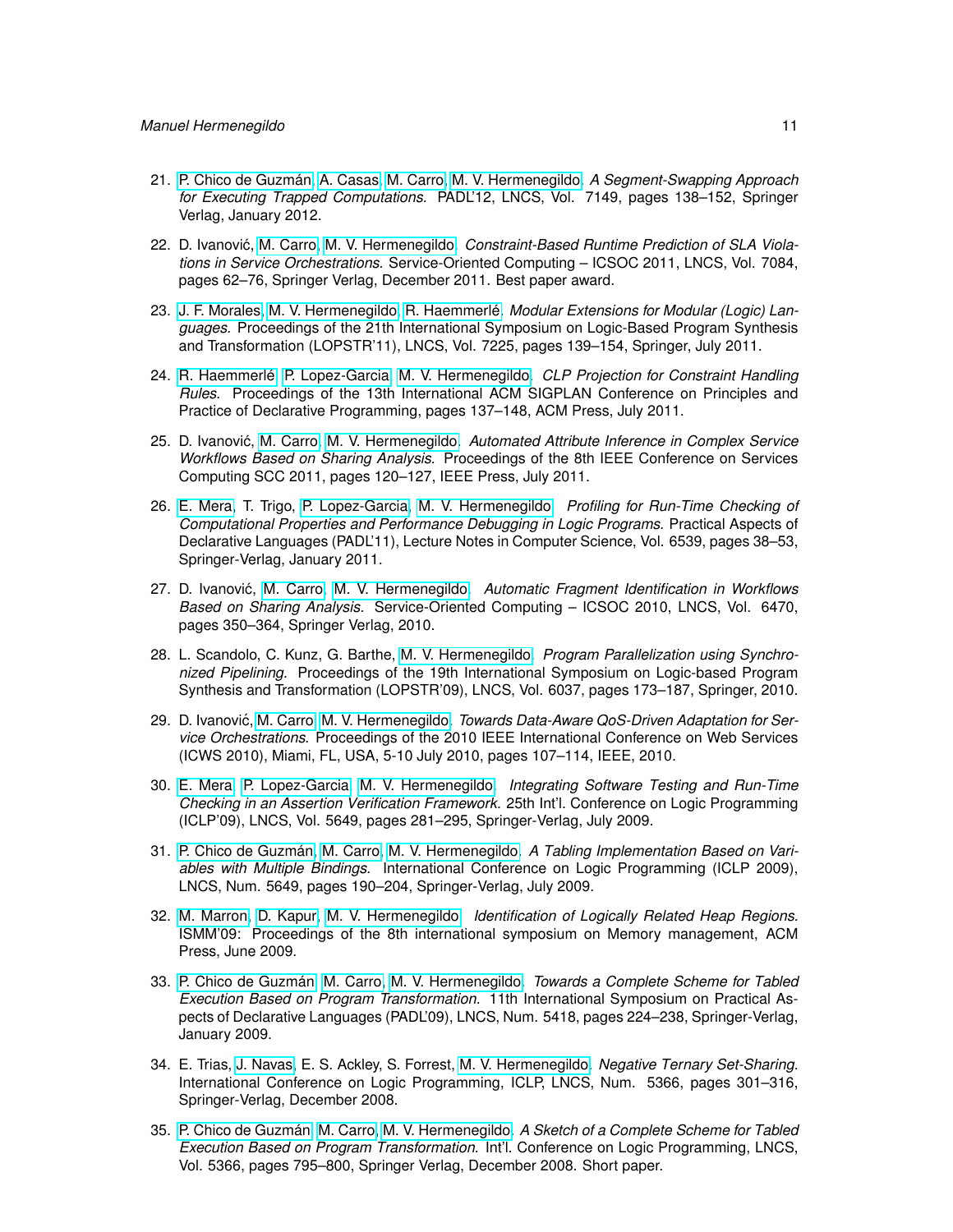- 21. [P. Chico de Guzmán,](http://www.clip.dia.fi.upm.es/~{}pchico) [A. Casas,](http://www.clip.dia.fi.upm.es/~{}amadeo) [M. Carro,](http://www.clip.dia.fi.upm.es/~{}mcarro) [M. V. Hermenegildo.](http://www.clip.dia.fi.upm.es/~{}herme) *A Segment-Swapping Approach for Executing Trapped Computations.* PADL'12, LNCS, Vol. 7149, pages 138–152, Springer Verlag, January 2012.
- 22. D. Ivanović, [M. Carro,](http://www.clip.dia.fi.upm.es/~{}mcarro) [M. V. Hermenegildo.](http://www.clip.dia.fi.upm.es/~{}herme) Constraint-Based Runtime Prediction of SLA Viola*tions in Service Orchestrations.* Service-Oriented Computing – ICSOC 2011, LNCS, Vol. 7084, pages 62–76, Springer Verlag, December 2011. Best paper award.
- 23. [J. F. Morales,](http://www.clip.dia.fi.upm.es/~{}jfran) [M. V. Hermenegildo,](http://www.clip.dia.fi.upm.es/~{}herme) [R. Haemmerlé.](http://www.clip.dia.fi.upm.es/~{}remy) *Modular Extensions for Modular (Logic) Languages.* Proceedings of the 21th International Symposium on Logic-Based Program Synthesis and Transformation (LOPSTR'11), LNCS, Vol. 7225, pages 139–154, Springer, July 2011.
- 24. [R. Haemmerlé,](http://www.clip.dia.fi.upm.es/~{}remy) [P. Lopez-Garcia,](http://www.clip.dia.fi.upm.es/~{}pedro) [M. V. Hermenegildo.](http://www.clip.dia.fi.upm.es/~{}herme) *CLP Projection for Constraint Handling Rules.* Proceedings of the 13th International ACM SIGPLAN Conference on Principles and Practice of Declarative Programming, pages 137–148, ACM Press, July 2011.
- 25. D. Ivanović, [M. Carro,](http://www.clip.dia.fi.upm.es/~{}mcarro) [M. V. Hermenegildo.](http://www.clip.dia.fi.upm.es/~{}herme) Automated Attribute Inference in Complex Service *Workflows Based on Sharing Analysis.* Proceedings of the 8th IEEE Conference on Services Computing SCC 2011, pages 120–127, IEEE Press, July 2011.
- 26. [E. Mera,](http://www.clip.dia.fi.upm.es/~{}edison) T. Trigo, [P. Lopez-Garcia,](http://www.clip.dia.fi.upm.es/~{}pedro) [M. V. Hermenegildo.](http://www.clip.dia.fi.upm.es/~{}herme) *Profiling for Run-Time Checking of Computational Properties and Performance Debugging in Logic Programs.* Practical Aspects of Declarative Languages (PADL'11), Lecture Notes in Computer Science, Vol. 6539, pages 38–53, Springer-Verlag, January 2011.
- 27. D. Ivanovic, [M. Carro,](http://www.clip.dia.fi.upm.es/~{}mcarro) [M. V. Hermenegildo.](http://www.clip.dia.fi.upm.es/~{}herme) ´ *Automatic Fragment Identification in Workflows Based on Sharing Analysis.* Service-Oriented Computing – ICSOC 2010, LNCS, Vol. 6470, pages 350–364, Springer Verlag, 2010.
- 28. L. Scandolo, C. Kunz, G. Barthe, [M. V. Hermenegildo.](http://www.clip.dia.fi.upm.es/~{}herme) *Program Parallelization using Synchronized Pipelining.* Proceedings of the 19th International Symposium on Logic-based Program Synthesis and Transformation (LOPSTR'09), LNCS, Vol. 6037, pages 173–187, Springer, 2010.
- 29. D. Ivanović, [M. Carro,](http://www.clip.dia.fi.upm.es/~{}mcarro) [M. V. Hermenegildo.](http://www.clip.dia.fi.upm.es/~{}herme) *Towards Data-Aware QoS-Driven Adaptation for Service Orchestrations.* Proceedings of the 2010 IEEE International Conference on Web Services (ICWS 2010), Miami, FL, USA, 5-10 July 2010, pages 107–114, IEEE, 2010.
- 30. [E. Mera,](http://www.clip.dia.fi.upm.es/~{}edison) [P. Lopez-Garcia,](http://www.clip.dia.fi.upm.es/~{}pedro) [M. V. Hermenegildo.](http://www.clip.dia.fi.upm.es/~{}herme) *Integrating Software Testing and Run-Time Checking in an Assertion Verification Framework.* 25th Int'l. Conference on Logic Programming (ICLP'09), LNCS, Vol. 5649, pages 281–295, Springer-Verlag, July 2009.
- 31. [P. Chico de Guzmán,](http://www.clip.dia.fi.upm.es/~{}pchico) [M. Carro,](http://www.clip.dia.fi.upm.es/~{}mcarro) [M. V. Hermenegildo.](http://www.clip.dia.fi.upm.es/~{}herme) *A Tabling Implementation Based on Variables with Multiple Bindings.* International Conference on Logic Programming (ICLP 2009), LNCS, Num. 5649, pages 190–204, Springer-Verlag, July 2009.
- 32. [M. Marron,](http://www.software.imdea.org/people/mmarron/home.html) [D. Kapur,](http://www.cs.unm.edu/~{}kapur/) [M. V. Hermenegildo.](http://www.clip.dia.fi.upm.es/~{}herme) *Identification of Logically Related Heap Regions.* ISMM'09: Proceedings of the 8th international symposium on Memory management, ACM Press, June 2009.
- 33. [P. Chico de Guzmán,](http://www.clip.dia.fi.upm.es/~{}pchico) [M. Carro,](http://www.clip.dia.fi.upm.es/~{}mcarro) [M. V. Hermenegildo.](http://www.clip.dia.fi.upm.es/~{}herme) *Towards a Complete Scheme for Tabled Execution Based on Program Transformation.* 11th International Symposium on Practical Aspects of Declarative Languages (PADL'09), LNCS, Num. 5418, pages 224–238, Springer-Verlag, January 2009.
- 34. E. Trias, [J. Navas,](http://www.clip.dia.fi.upm.es/~{}jorge) E. S. Ackley, S. Forrest, [M. V. Hermenegildo.](http://www.clip.dia.fi.upm.es/~{}herme) *Negative Ternary Set-Sharing.* International Conference on Logic Programming, ICLP, LNCS, Num. 5366, pages 301–316, Springer-Verlag, December 2008.
- 35. [P. Chico de Guzmán,](http://www.clip.dia.fi.upm.es/~{}pchico) [M. Carro,](http://www.clip.dia.fi.upm.es/~{}mcarro) [M. V. Hermenegildo.](http://www.clip.dia.fi.upm.es/~{}herme) *A Sketch of a Complete Scheme for Tabled Execution Based on Program Transformation.* Int'l. Conference on Logic Programming, LNCS, Vol. 5366, pages 795–800, Springer Verlag, December 2008. Short paper.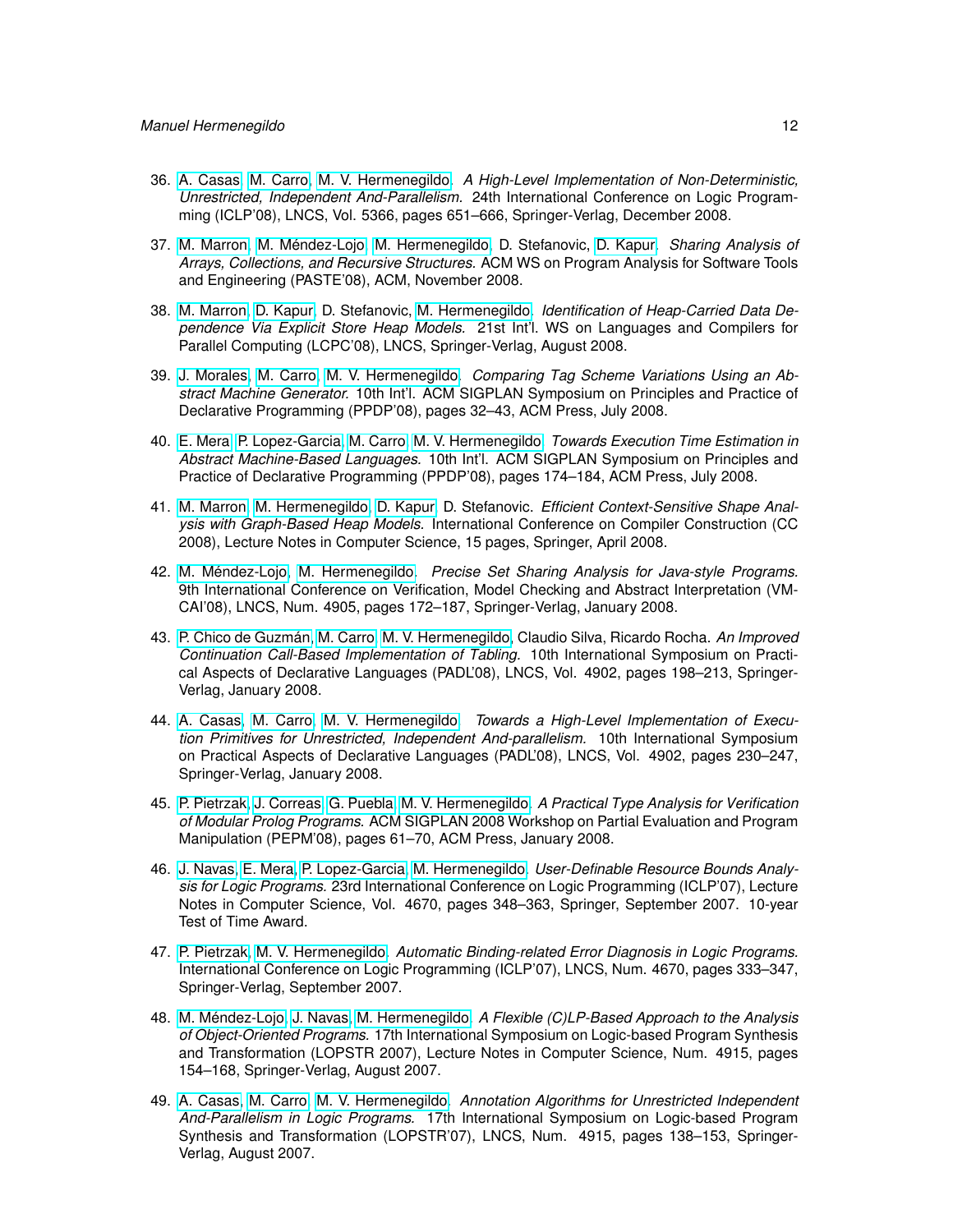- 36. [A. Casas,](http://www.clip.dia.fi.upm.es/~{}amadeo) [M. Carro,](http://www.clip.dia.fi.upm.es/~{}mcarro) [M. V. Hermenegildo.](http://www.clip.dia.fi.upm.es/~{}herme) *A High-Level Implementation of Non-Deterministic, Unrestricted, Independent And-Parallelism.* 24th International Conference on Logic Programming (ICLP'08), LNCS, Vol. 5366, pages 651–666, Springer-Verlag, December 2008.
- 37. [M. Marron,](http://www.software.imdea.org/people/mmarron/home.html) [M. Méndez-Lojo,](http://www.clip.dia.fi.upm.es/~{}mario) [M. Hermenegildo,](http://www.clip.dia.fi.upm.es/~{}herme) D. Stefanovic, [D. Kapur.](http://www.cs.unm.edu/~{}kapur/) *Sharing Analysis of Arrays, Collections, and Recursive Structures.* ACM WS on Program Analysis for Software Tools and Engineering (PASTE'08), ACM, November 2008.
- 38. [M. Marron,](http://www.software.imdea.org/people/mmarron/home.html) [D. Kapur,](http://www.cs.unm.edu/~{}kapur/) D. Stefanovic, [M. Hermenegildo.](http://www.clip.dia.fi.upm.es/~{}herme) *Identification of Heap-Carried Data Dependence Via Explicit Store Heap Models.* 21st Int'l. WS on Languages and Compilers for Parallel Computing (LCPC'08), LNCS, Springer-Verlag, August 2008.
- 39. [J. Morales,](http://www.clip.dia.fi.upm.es/~{}jfran) [M. Carro,](http://www.clip.dia.fi.upm.es/~{}mcarro) [M. V. Hermenegildo.](http://www.clip.dia.fi.upm.es/~{}herme) *Comparing Tag Scheme Variations Using an Abstract Machine Generator.* 10th Int'l. ACM SIGPLAN Symposium on Principles and Practice of Declarative Programming (PPDP'08), pages 32–43, ACM Press, July 2008.
- 40. [E. Mera,](http://www.clip.dia.fi.upm.es/~{}edison) [P. Lopez-Garcia,](http://www.clip.dia.fi.upm.es/~{}pedro) [M. Carro,](http://www.clip.dia.fi.upm.es/~{}mcarro) [M. V. Hermenegildo.](http://www.clip.dia.fi.upm.es/~{}herme) *Towards Execution Time Estimation in Abstract Machine-Based Languages.* 10th Int'l. ACM SIGPLAN Symposium on Principles and Practice of Declarative Programming (PPDP'08), pages 174–184, ACM Press, July 2008.
- 41. [M. Marron,](http://www.software.imdea.org/people/mmarron/home.html) [M. Hermenegildo,](http://www.clip.dia.fi.upm.es/~{}herme) [D. Kapur,](http://www.cs.unm.edu/~{}kapur/) D. Stefanovic. *Efficient Context-Sensitive Shape Analysis with Graph-Based Heap Models.* International Conference on Compiler Construction (CC 2008), Lecture Notes in Computer Science, 15 pages, Springer, April 2008.
- 42. [M. Méndez-Lojo,](http://www.clip.dia.fi.upm.es/~{}mario) [M. Hermenegildo.](http://www.clip.dia.fi.upm.es/~{}herme) *Precise Set Sharing Analysis for Java-style Programs.* 9th International Conference on Verification, Model Checking and Abstract Interpretation (VM-CAI'08), LNCS, Num. 4905, pages 172–187, Springer-Verlag, January 2008.
- 43. [P. Chico de Guzmán,](http://www.clip.dia.fi.upm.es/~{}pchico) [M. Carro,](http://www.clip.dia.fi.upm.es/~{}mcarro) [M. V. Hermenegildo,](http://www.clip.dia.fi.upm.es/~{}herme) Claudio Silva, Ricardo Rocha. *An Improved Continuation Call-Based Implementation of Tabling.* 10th International Symposium on Practical Aspects of Declarative Languages (PADL'08), LNCS, Vol. 4902, pages 198–213, Springer-Verlag, January 2008.
- 44. [A. Casas,](http://www.clip.dia.fi.upm.es/~{}amadeo) [M. Carro,](http://www.clip.dia.fi.upm.es/~{}mcarro) [M. V. Hermenegildo.](http://www.clip.dia.fi.upm.es/~{}herme) *Towards a High-Level Implementation of Execution Primitives for Unrestricted, Independent And-parallelism.* 10th International Symposium on Practical Aspects of Declarative Languages (PADL'08), LNCS, Vol. 4902, pages 230–247, Springer-Verlag, January 2008.
- 45. [P. Pietrzak,](http://www.clip.dia.fi.upm.es/~{}pawel) [J. Correas,](http://www.clip.dia.fi.upm.es/~{}jcorreas) [G. Puebla,](http://www.clip.dia.fi.upm.es/~{}german) [M. V. Hermenegildo.](http://www.clip.dia.fi.upm.es/~{}herme) *A Practical Type Analysis for Verification of Modular Prolog Programs.* ACM SIGPLAN 2008 Workshop on Partial Evaluation and Program Manipulation (PEPM'08), pages 61–70, ACM Press, January 2008.
- 46. [J. Navas,](http://www.clip.dia.fi.upm.es/~{}jorge) [E. Mera,](http://www.clip.dia.fi.upm.es/~{}edison) [P. Lopez-Garcia,](http://www.clip.dia.fi.upm.es/~{}pedro) [M. Hermenegildo.](http://www.clip.dia.fi.upm.es/~{}herme) *User-Definable Resource Bounds Analysis for Logic Programs.* 23rd International Conference on Logic Programming (ICLP'07), Lecture Notes in Computer Science, Vol. 4670, pages 348–363, Springer, September 2007. 10-year Test of Time Award.
- 47. [P. Pietrzak,](http://www.clip.dia.fi.upm.es/~{}pawel) [M. V. Hermenegildo.](http://www.clip.dia.fi.upm.es/~{}herme) *Automatic Binding-related Error Diagnosis in Logic Programs.* International Conference on Logic Programming (ICLP'07), LNCS, Num. 4670, pages 333–347, Springer-Verlag, September 2007.
- 48. [M. Méndez-Lojo,](http://www.clip.dia.fi.upm.es/~{}mario) [J. Navas,](http://www.clip.dia.fi.upm.es/~{}jorge) [M. Hermenegildo.](http://www.clip.dia.fi.upm.es/~{}herme) *A Flexible (C)LP-Based Approach to the Analysis of Object-Oriented Programs.* 17th International Symposium on Logic-based Program Synthesis and Transformation (LOPSTR 2007), Lecture Notes in Computer Science, Num. 4915, pages 154–168, Springer-Verlag, August 2007.
- 49. [A. Casas,](http://www.clip.dia.fi.upm.es/~{}amadeo) [M. Carro,](http://www.clip.dia.fi.upm.es/~{}mcarro) [M. V. Hermenegildo.](http://www.clip.dia.fi.upm.es/~{}herme) *Annotation Algorithms for Unrestricted Independent And-Parallelism in Logic Programs.* 17th International Symposium on Logic-based Program Synthesis and Transformation (LOPSTR'07), LNCS, Num. 4915, pages 138–153, Springer-Verlag, August 2007.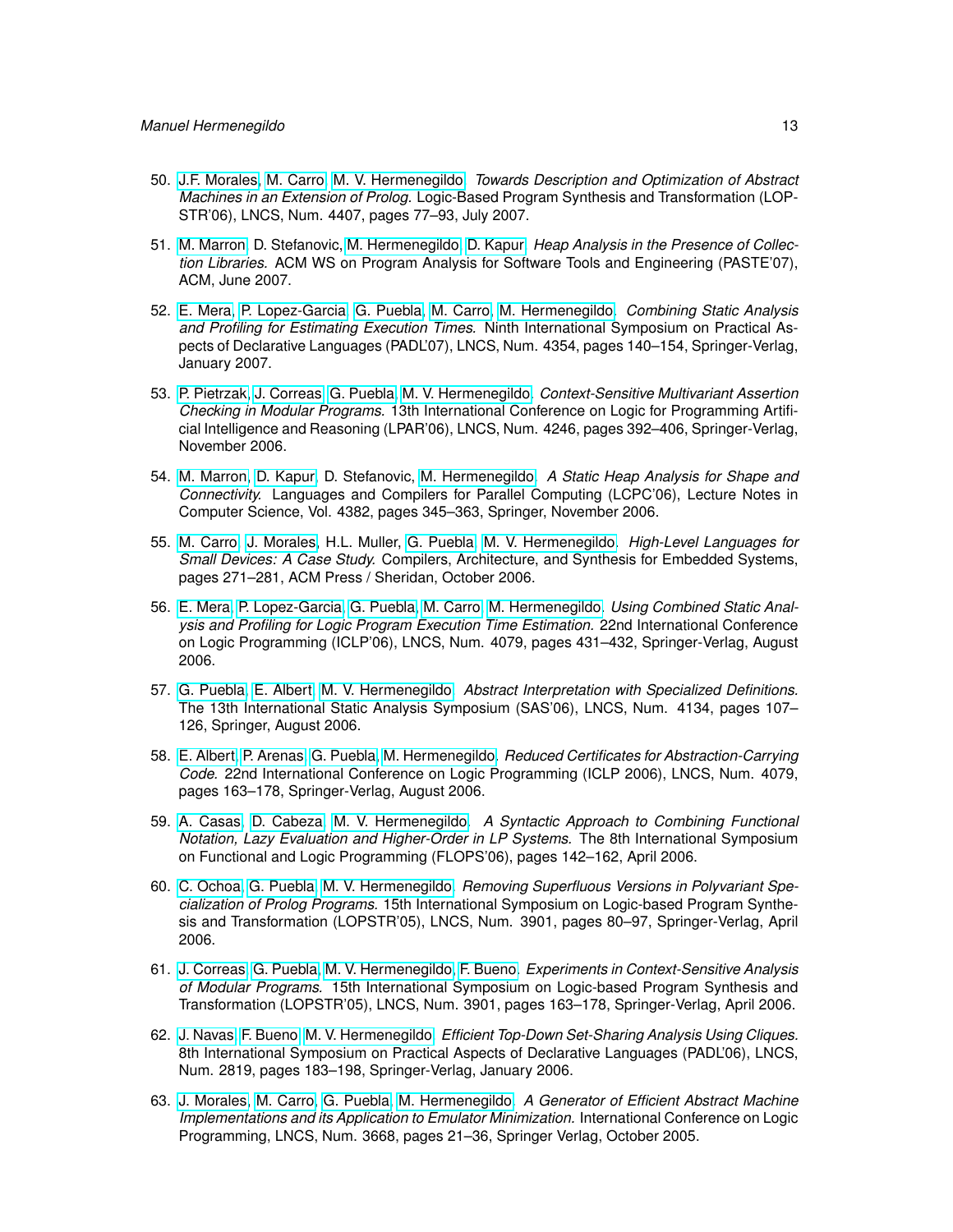- 50. [J.F. Morales,](http://www.clip.dia.fi.upm.es/~{}jfran) [M. Carro,](http://www.clip.dia.fi.upm.es/~{}mcarro) [M. V. Hermenegildo.](http://www.clip.dia.fi.upm.es/~{}herme) *Towards Description and Optimization of Abstract Machines in an Extension of Prolog.* Logic-Based Program Synthesis and Transformation (LOP-STR'06), LNCS, Num. 4407, pages 77–93, July 2007.
- 51. [M. Marron,](http://www.software.imdea.org/people/mmarron/home.html) D. Stefanovic, [M. Hermenegildo,](http://www.clip.dia.fi.upm.es/~{}herme) [D. Kapur.](http://www.cs.unm.edu/~{}kapur/) *Heap Analysis in the Presence of Collection Libraries.* ACM WS on Program Analysis for Software Tools and Engineering (PASTE'07), ACM, June 2007.
- 52. [E. Mera,](http://www.clip.dia.fi.upm.es/~{}edison) [P. Lopez-Garcia,](http://www.clip.dia.fi.upm.es/~{}pedro) [G. Puebla,](http://www.clip.dia.fi.upm.es/~{}german) [M. Carro,](http://www.clip.dia.fi.upm.es/~{}mcarro) [M. Hermenegildo.](http://www.clip.dia.fi.upm.es/~{}herme) *Combining Static Analysis and Profiling for Estimating Execution Times.* Ninth International Symposium on Practical Aspects of Declarative Languages (PADL'07), LNCS, Num. 4354, pages 140–154, Springer-Verlag, January 2007.
- 53. [P. Pietrzak,](http://www.clip.dia.fi.upm.es/~{}pawel) [J. Correas,](http://www.clip.dia.fi.upm.es/~{}jcorreas) [G. Puebla,](http://www.clip.dia.fi.upm.es/~{}german) [M. V. Hermenegildo.](http://www.clip.dia.fi.upm.es/~{}herme) *Context-Sensitive Multivariant Assertion Checking in Modular Programs.* 13th International Conference on Logic for Programming Artificial Intelligence and Reasoning (LPAR'06), LNCS, Num. 4246, pages 392–406, Springer-Verlag, November 2006.
- 54. [M. Marron,](http://www.software.imdea.org/people/mmarron/home.html) [D. Kapur,](http://www.cs.unm.edu/~{}kapur/) D. Stefanovic, [M. Hermenegildo.](http://www.clip.dia.fi.upm.es/~{}herme) *A Static Heap Analysis for Shape and Connectivity.* Languages and Compilers for Parallel Computing (LCPC'06), Lecture Notes in Computer Science, Vol. 4382, pages 345–363, Springer, November 2006.
- 55. [M. Carro,](http://www.clip.dia.fi.upm.es/~{}mcarro) [J. Morales,](http://www.clip.dia.fi.upm.es/~{}jfran) H.L. Muller, [G. Puebla,](http://www.clip.dia.fi.upm.es/~{}german) [M. V. Hermenegildo.](http://www.clip.dia.fi.upm.es/~{}herme) *High-Level Languages for Small Devices: A Case Study.* Compilers, Architecture, and Synthesis for Embedded Systems, pages 271–281, ACM Press / Sheridan, October 2006.
- 56. [E. Mera,](http://www.clip.dia.fi.upm.es/~{}edison) [P. Lopez-Garcia,](http://www.clip.dia.fi.upm.es/~{}pedro) [G. Puebla,](http://www.clip.dia.fi.upm.es/~{}german) [M. Carro,](http://www.clip.dia.fi.upm.es/~{}mcarro) [M. Hermenegildo.](http://www.clip.dia.fi.upm.es/~{}herme) *Using Combined Static Analysis and Profiling for Logic Program Execution Time Estimation.* 22nd International Conference on Logic Programming (ICLP'06), LNCS, Num. 4079, pages 431–432, Springer-Verlag, August 2006.
- 57. [G. Puebla,](http://www.clip.dia.fi.upm.es/~{}german) [E. Albert,](http://www.clip.dia.fi.upm.es/~{}elvira) [M. V. Hermenegildo.](http://www.clip.dia.fi.upm.es/~{}herme) *Abstract Interpretation with Specialized Definitions.* The 13th International Static Analysis Symposium (SAS'06), LNCS, Num. 4134, pages 107– 126, Springer, August 2006.
- 58. [E. Albert,](http://www.clip.dia.fi.upm.es/~{}elvira) [P. Arenas,](http://www.clip.dia.fi.upm.es/~{}puri) [G. Puebla,](http://www.clip.dia.fi.upm.es/~{}german) [M. Hermenegildo.](http://www.clip.dia.fi.upm.es/~{}herme) *Reduced Certificates for Abstraction-Carrying Code.* 22nd International Conference on Logic Programming (ICLP 2006), LNCS, Num. 4079, pages 163–178, Springer-Verlag, August 2006.
- 59. [A. Casas,](http://www.clip.dia.fi.upm.es/~{}amadeo) [D. Cabeza,](http://www.clip.dia.fi.upm.es/~{}bardo) [M. V. Hermenegildo.](http://www.clip.dia.fi.upm.es/~{}herme) *A Syntactic Approach to Combining Functional Notation, Lazy Evaluation and Higher-Order in LP Systems.* The 8th International Symposium on Functional and Logic Programming (FLOPS'06), pages 142–162, April 2006.
- 60. [C. Ochoa,](http://www.clip.dia.fi.upm.es/~{}cochoa) [G. Puebla,](http://www.clip.dia.fi.upm.es/~{}german) [M. V. Hermenegildo.](http://www.clip.dia.fi.upm.es/~{}herme) *Removing Superfluous Versions in Polyvariant Specialization of Prolog Programs.* 15th International Symposium on Logic-based Program Synthesis and Transformation (LOPSTR'05), LNCS, Num. 3901, pages 80–97, Springer-Verlag, April 2006.
- 61. [J. Correas,](http://www.clip.dia.fi.upm.es/~{}jcorreas) [G. Puebla,](http://www.clip.dia.fi.upm.es/~{}german) [M. V. Hermenegildo,](http://www.clip.dia.fi.upm.es/~{}herme) [F. Bueno.](http://www.clip.dia.fi.upm.es/~{}bueno) *Experiments in Context-Sensitive Analysis of Modular Programs.* 15th International Symposium on Logic-based Program Synthesis and Transformation (LOPSTR'05), LNCS, Num. 3901, pages 163–178, Springer-Verlag, April 2006.
- 62. [J. Navas,](http://www.clip.dia.fi.upm.es/~{}jorge) [F. Bueno,](http://www.clip.dia.fi.upm.es/~{}bueno) [M. V. Hermenegildo.](http://www.clip.dia.fi.upm.es/~{}herme) *Efficient Top-Down Set-Sharing Analysis Using Cliques.* 8th International Symposium on Practical Aspects of Declarative Languages (PADL'06), LNCS, Num. 2819, pages 183–198, Springer-Verlag, January 2006.
- 63. [J. Morales,](http://www.clip.dia.fi.upm.es/~{}jfran) [M. Carro,](http://www.clip.dia.fi.upm.es/~{}mcarro) [G. Puebla,](http://www.clip.dia.fi.upm.es/~{}german) [M. Hermenegildo.](http://www.clip.dia.fi.upm.es/~{}herme) *A Generator of Efficient Abstract Machine Implementations and its Application to Emulator Minimization.* International Conference on Logic Programming, LNCS, Num. 3668, pages 21–36, Springer Verlag, October 2005.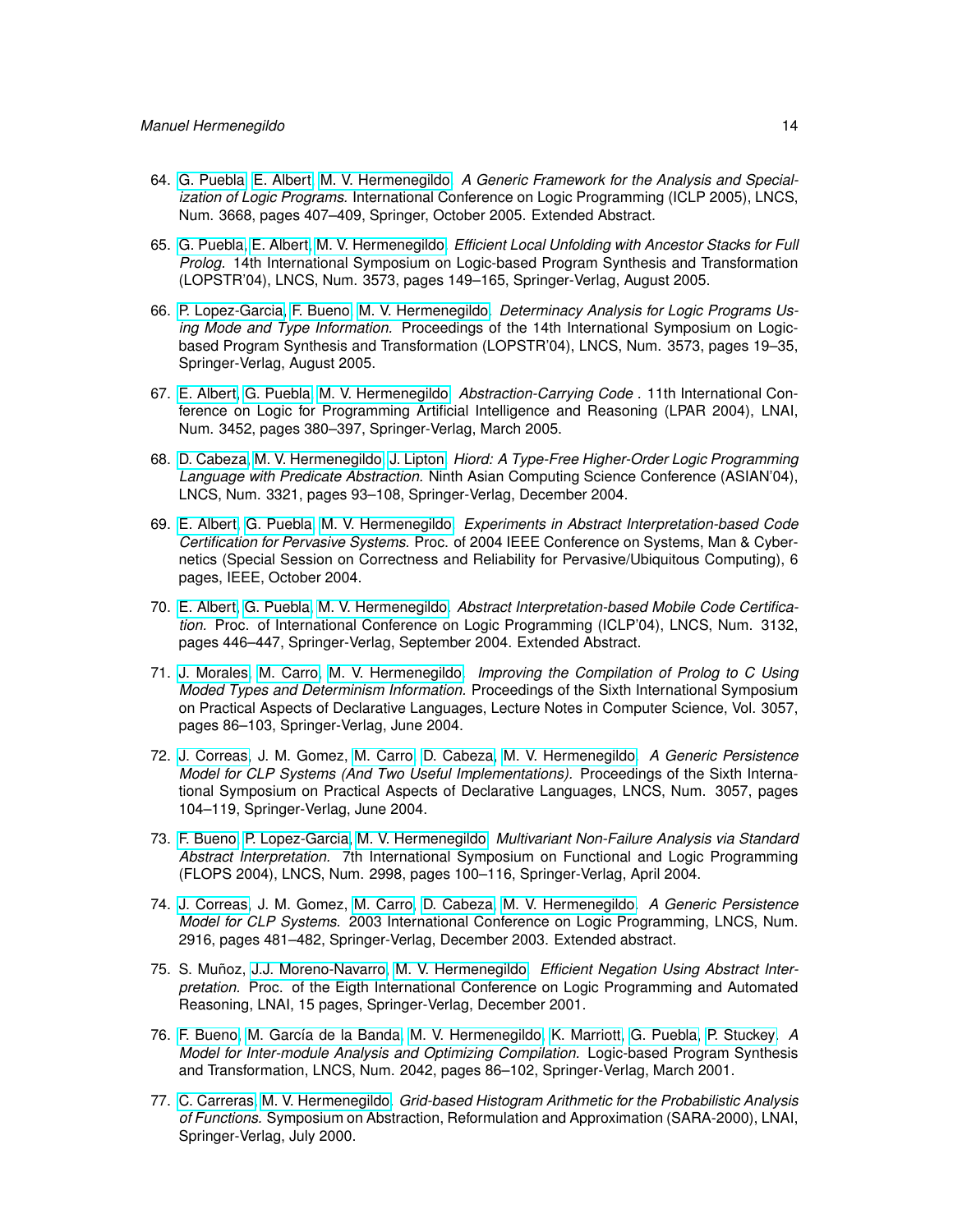- 64. [G. Puebla,](http://www.clip.dia.fi.upm.es/~{}german) [E. Albert,](http://www.clip.dia.fi.upm.es/~{}elvira) [M. V. Hermenegildo.](http://www.clip.dia.fi.upm.es/~{}herme) *A Generic Framework for the Analysis and Specialization of Logic Programs.* International Conference on Logic Programming (ICLP 2005), LNCS, Num. 3668, pages 407–409, Springer, October 2005. Extended Abstract.
- 65. [G. Puebla,](http://www.clip.dia.fi.upm.es/~{}german) [E. Albert,](http://www.clip.dia.fi.upm.es/~{}elvira) [M. V. Hermenegildo.](http://www.clip.dia.fi.upm.es/~{}herme) *Efficient Local Unfolding with Ancestor Stacks for Full Prolog.* 14th International Symposium on Logic-based Program Synthesis and Transformation (LOPSTR'04), LNCS, Num. 3573, pages 149–165, Springer-Verlag, August 2005.
- 66. [P. Lopez-Garcia,](http://www.clip.dia.fi.upm.es/~{}pedro) [F. Bueno,](http://www.clip.dia.fi.upm.es/~{}bueno) [M. V. Hermenegildo.](http://www.clip.dia.fi.upm.es/~{}herme) *Determinacy Analysis for Logic Programs Using Mode and Type Information.* Proceedings of the 14th International Symposium on Logicbased Program Synthesis and Transformation (LOPSTR'04), LNCS, Num. 3573, pages 19–35, Springer-Verlag, August 2005.
- 67. [E. Albert,](http://www.clip.dia.fi.upm.es/~{}elvira) [G. Puebla,](http://www.clip.dia.fi.upm.es/~{}german) [M. V. Hermenegildo.](http://www.clip.dia.fi.upm.es/~{}herme) *Abstraction-Carrying Code .* 11th International Conference on Logic for Programming Artificial Intelligence and Reasoning (LPAR 2004), LNAI, Num. 3452, pages 380–397, Springer-Verlag, March 2005.
- 68. [D. Cabeza,](http://www.clip.dia.fi.upm.es/~{}bardo) [M. V. Hermenegildo,](http://www.clip.dia.fi.upm.es/~{}herme) [J. Lipton.](http://www.clip.dia.fi.upm.es/~{}jlipton) *Hiord: A Type-Free Higher-Order Logic Programming Language with Predicate Abstraction.* Ninth Asian Computing Science Conference (ASIAN'04), LNCS, Num. 3321, pages 93–108, Springer-Verlag, December 2004.
- 69. [E. Albert,](http://www.clip.dia.fi.upm.es/~{}elvira) [G. Puebla,](http://www.clip.dia.fi.upm.es/~{}german) [M. V. Hermenegildo.](http://www.clip.dia.fi.upm.es/~{}herme) *Experiments in Abstract Interpretation-based Code Certification for Pervasive Systems.* Proc. of 2004 IEEE Conference on Systems, Man & Cybernetics (Special Session on Correctness and Reliability for Pervasive/Ubiquitous Computing), 6 pages, IEEE, October 2004.
- 70. [E. Albert,](http://www.clip.dia.fi.upm.es/~{}elvira) [G. Puebla,](http://www.clip.dia.fi.upm.es/~{}german) [M. V. Hermenegildo.](http://www.clip.dia.fi.upm.es/~{}herme) *Abstract Interpretation-based Mobile Code Certification.* Proc. of International Conference on Logic Programming (ICLP'04), LNCS, Num. 3132, pages 446–447, Springer-Verlag, September 2004. Extended Abstract.
- 71. [J. Morales,](http://www.clip.dia.fi.upm.es/~{}jfran) [M. Carro,](http://www.clip.dia.fi.upm.es/~{}mcarro) [M. V. Hermenegildo.](http://www.clip.dia.fi.upm.es/~{}herme) *Improving the Compilation of Prolog to C Using Moded Types and Determinism Information.* Proceedings of the Sixth International Symposium on Practical Aspects of Declarative Languages, Lecture Notes in Computer Science, Vol. 3057, pages 86–103, Springer-Verlag, June 2004.
- 72. [J. Correas,](http://www.clip.dia.fi.upm.es/~{}jcorreas) J. M. Gomez, [M. Carro,](http://www.clip.dia.fi.upm.es/~{}mcarro) [D. Cabeza,](http://www.clip.dia.fi.upm.es/~{}bardo) [M. V. Hermenegildo.](http://www.clip.dia.fi.upm.es/~{}herme) *A Generic Persistence Model for CLP Systems (And Two Useful Implementations).* Proceedings of the Sixth International Symposium on Practical Aspects of Declarative Languages, LNCS, Num. 3057, pages 104–119, Springer-Verlag, June 2004.
- 73. [F. Bueno,](http://www.clip.dia.fi.upm.es/~{}bueno) [P. Lopez-Garcia,](http://www.clip.dia.fi.upm.es/~{}pedro) [M. V. Hermenegildo.](http://www.clip.dia.fi.upm.es/~{}herme) *Multivariant Non-Failure Analysis via Standard Abstract Interpretation.* 7th International Symposium on Functional and Logic Programming (FLOPS 2004), LNCS, Num. 2998, pages 100–116, Springer-Verlag, April 2004.
- 74. [J. Correas,](http://www.clip.dia.fi.upm.es/~{}jcorreas) J. M. Gomez, [M. Carro,](http://www.clip.dia.fi.upm.es/~{}mcarro) [D. Cabeza,](http://www.clip.dia.fi.upm.es/~{}bardo) [M. V. Hermenegildo.](http://www.clip.dia.fi.upm.es/~{}herme) *A Generic Persistence Model for CLP Systems.* 2003 International Conference on Logic Programming, LNCS, Num. 2916, pages 481–482, Springer-Verlag, December 2003. Extended abstract.
- 75. S. Muñoz, [J.J. Moreno-Navarro,](http://lml.ls.fi.upm.es/~{}jjmoreno) [M. V. Hermenegildo.](http://www.clip.dia.fi.upm.es/~{}herme) *Efficient Negation Using Abstract Interpretation.* Proc. of the Eigth International Conference on Logic Programming and Automated Reasoning, LNAI, 15 pages, Springer-Verlag, December 2001.
- 76. [F. Bueno,](http://www.clip.dia.fi.upm.es/~{}bueno) [M. García de la Banda,](http://www.csse.monash.edu.au/~{}mbanda) [M. V. Hermenegildo,](http://www.clip.dia.fi.upm.es/~{}herme) [K. Marriott,](http://www.csse.monash.edu.au/~{}marriott) [G. Puebla,](http://www.clip.dia.fi.upm.es/~{}german) [P. Stuckey.](http://www.cs.mu.OZ.AU/~{}pjs) *A Model for Inter-module Analysis and Optimizing Compilation.* Logic-based Program Synthesis and Transformation, LNCS, Num. 2042, pages 86–102, Springer-Verlag, March 2001.
- 77. [C. Carreras,](http://www.die.upm.es/personal/carreras.html) [M. V. Hermenegildo.](http://www.clip.dia.fi.upm.es/~{}herme) *Grid-based Histogram Arithmetic for the Probabilistic Analysis of Functions.* Symposium on Abstraction, Reformulation and Approximation (SARA-2000), LNAI, Springer-Verlag, July 2000.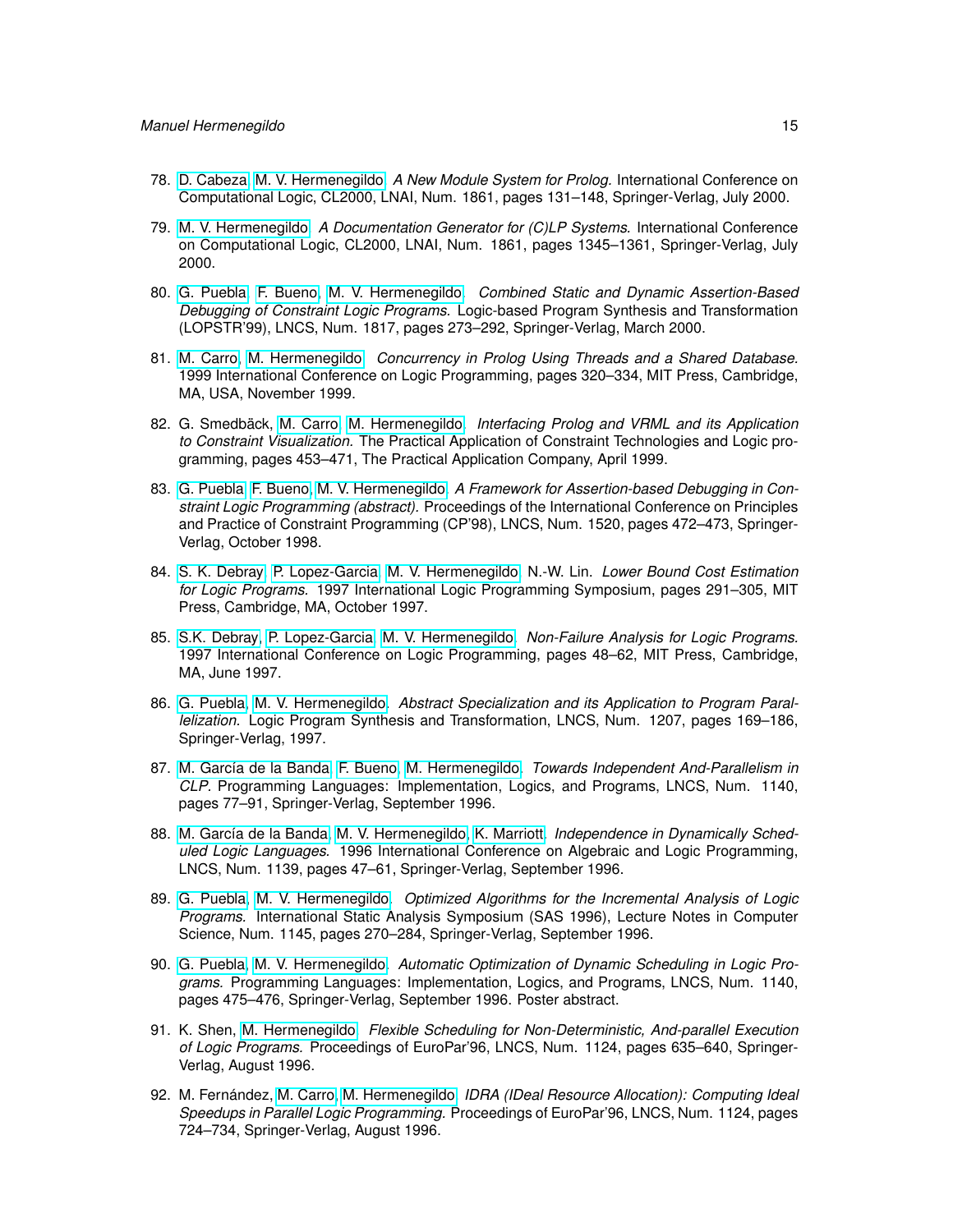- 78. [D. Cabeza,](http://www.clip.dia.fi.upm.es/~{}bardo) [M. V. Hermenegildo.](http://www.clip.dia.fi.upm.es/~{}herme) *A New Module System for Prolog.* International Conference on Computational Logic, CL2000, LNAI, Num. 1861, pages 131–148, Springer-Verlag, July 2000.
- 79. [M. V. Hermenegildo.](http://www.clip.dia.fi.upm.es/~{}herme) *A Documentation Generator for (C)LP Systems.* International Conference on Computational Logic, CL2000, LNAI, Num. 1861, pages 1345–1361, Springer-Verlag, July 2000.
- 80. [G. Puebla,](http://www.clip.dia.fi.upm.es/~{}german) [F. Bueno,](http://www.clip.dia.fi.upm.es/~{}bueno) [M. V. Hermenegildo.](http://www.clip.dia.fi.upm.es/~{}herme) *Combined Static and Dynamic Assertion-Based Debugging of Constraint Logic Programs.* Logic-based Program Synthesis and Transformation (LOPSTR'99), LNCS, Num. 1817, pages 273–292, Springer-Verlag, March 2000.
- 81. [M. Carro,](http://www.clip.dia.fi.upm.es/~{}mcarro) [M. Hermenegildo.](http://www.clip.dia.fi.upm.es/~{}herme) *Concurrency in Prolog Using Threads and a Shared Database.* 1999 International Conference on Logic Programming, pages 320–334, MIT Press, Cambridge, MA, USA, November 1999.
- 82. G. Smedbäck, [M. Carro,](http://www.clip.dia.fi.upm.es/~{}mcarro) [M. Hermenegildo.](http://www.clip.dia.fi.upm.es/~{}herme) *Interfacing Prolog and VRML and its Application to Constraint Visualization.* The Practical Application of Constraint Technologies and Logic programming, pages 453–471, The Practical Application Company, April 1999.
- 83. [G. Puebla,](http://www.clip.dia.fi.upm.es/~{}german) [F. Bueno,](http://www.clip.dia.fi.upm.es/~{}bueno) [M. V. Hermenegildo.](http://www.clip.dia.fi.upm.es/~{}herme) *A Framework for Assertion-based Debugging in Constraint Logic Programming (abstract).* Proceedings of the International Conference on Principles and Practice of Constraint Programming (CP'98), LNCS, Num. 1520, pages 472–473, Springer-Verlag, October 1998.
- 84. [S. K. Debray,](http://cs.arizona.edu/~{}debray) [P. Lopez-Garcia,](http://www.clip.dia.fi.upm.es/~{}pedro) [M. V. Hermenegildo,](http://www.clip.dia.fi.upm.es/~{}herme) N.-W. Lin. *Lower Bound Cost Estimation for Logic Programs.* 1997 International Logic Programming Symposium, pages 291–305, MIT Press, Cambridge, MA, October 1997.
- 85. [S.K. Debray,](http://cs.arizona.edu/~{}debray) [P. Lopez-Garcia,](http://www.clip.dia.fi.upm.es/~{}pedro) [M. V. Hermenegildo.](http://www.clip.dia.fi.upm.es/~{}herme) *Non-Failure Analysis for Logic Programs.* 1997 International Conference on Logic Programming, pages 48–62, MIT Press, Cambridge, MA, June 1997.
- 86. [G. Puebla,](http://www.clip.dia.fi.upm.es/~{}german) [M. V. Hermenegildo.](http://www.clip.dia.fi.upm.es/~{}herme) *Abstract Specialization and its Application to Program Parallelization.* Logic Program Synthesis and Transformation, LNCS, Num. 1207, pages 169–186, Springer-Verlag, 1997.
- 87. [M. García de la Banda,](http://www.csse.monash.edu.au/~{}mbanda) [F. Bueno,](http://www.clip.dia.fi.upm.es/~{}bueno) [M. Hermenegildo.](http://www.clip.dia.fi.upm.es/~{}herme) *Towards Independent And-Parallelism in CLP.* Programming Languages: Implementation, Logics, and Programs, LNCS, Num. 1140, pages 77–91, Springer-Verlag, September 1996.
- 88. [M. García de la Banda,](http://www.csse.monash.edu.au/~{}mbanda) [M. V. Hermenegildo,](http://www.clip.dia.fi.upm.es/~{}herme) [K. Marriott.](http://www.csse.monash.edu.au/~{}marriott) *Independence in Dynamically Scheduled Logic Languages.* 1996 International Conference on Algebraic and Logic Programming, LNCS, Num. 1139, pages 47–61, Springer-Verlag, September 1996.
- 89. [G. Puebla,](http://www.clip.dia.fi.upm.es/~{}german) [M. V. Hermenegildo.](http://www.clip.dia.fi.upm.es/~{}herme) *Optimized Algorithms for the Incremental Analysis of Logic Programs.* International Static Analysis Symposium (SAS 1996), Lecture Notes in Computer Science, Num. 1145, pages 270–284, Springer-Verlag, September 1996.
- 90. [G. Puebla,](http://www.clip.dia.fi.upm.es/~{}german) [M. V. Hermenegildo.](http://www.clip.dia.fi.upm.es/~{}herme) *Automatic Optimization of Dynamic Scheduling in Logic Programs.* Programming Languages: Implementation, Logics, and Programs, LNCS, Num. 1140, pages 475–476, Springer-Verlag, September 1996. Poster abstract.
- 91. K. Shen, [M. Hermenegildo.](http://www.clip.dia.fi.upm.es/~{}herme) *Flexible Scheduling for Non-Deterministic, And-parallel Execution of Logic Programs.* Proceedings of EuroPar'96, LNCS, Num. 1124, pages 635–640, Springer-Verlag, August 1996.
- 92. M. Fernández, [M. Carro,](http://www.clip.dia.fi.upm.es/~{}mcarro) [M. Hermenegildo.](http://www.clip.dia.fi.upm.es/~{}herme) *IDRA (IDeal Resource Allocation): Computing Ideal Speedups in Parallel Logic Programming.* Proceedings of EuroPar'96, LNCS, Num. 1124, pages 724–734, Springer-Verlag, August 1996.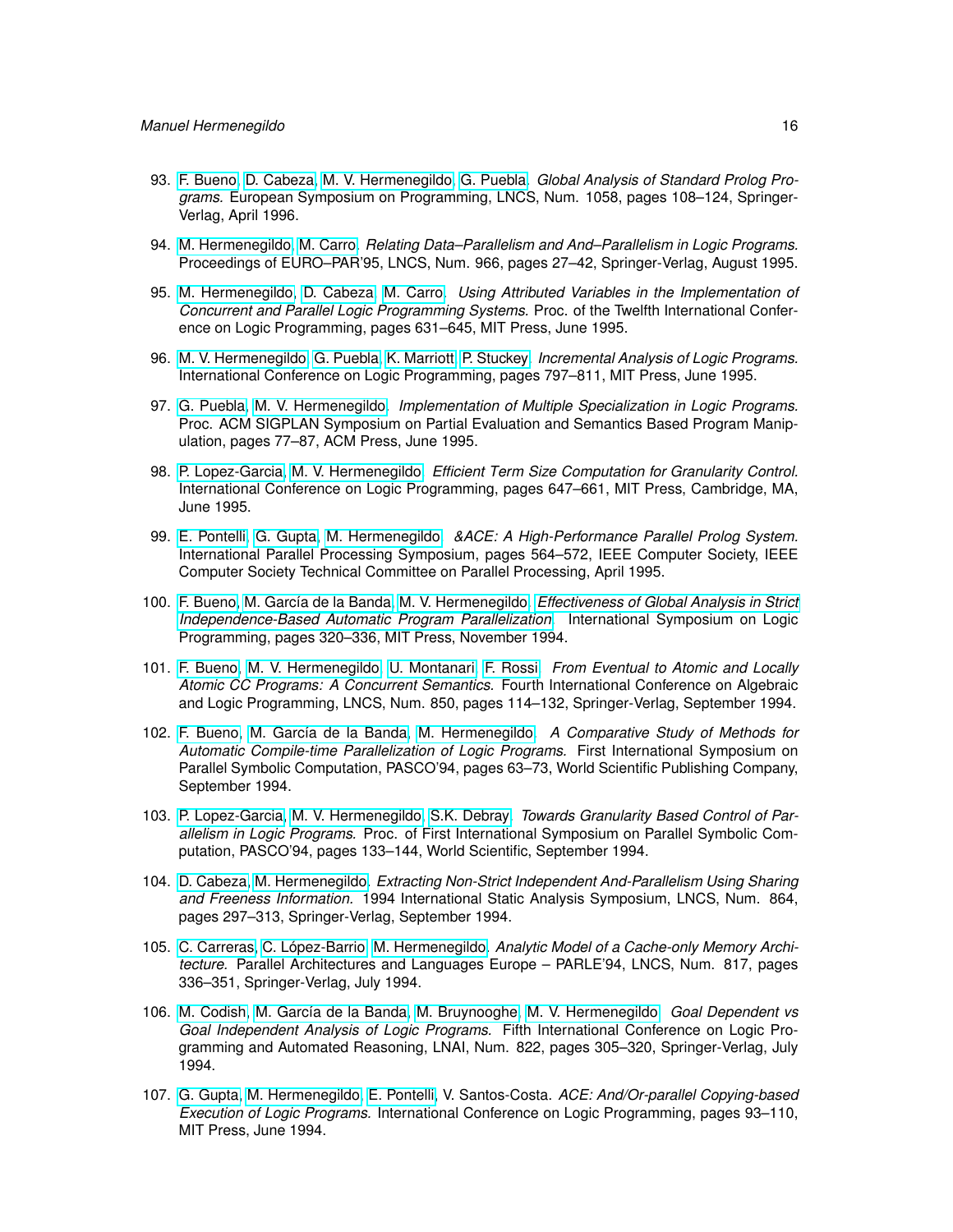- 93. [F. Bueno,](http://www.clip.dia.fi.upm.es/~{}bueno) [D. Cabeza,](http://www.clip.dia.fi.upm.es/~{}bardo) [M. V. Hermenegildo,](http://www.clip.dia.fi.upm.es/~{}herme) [G. Puebla.](http://www.clip.dia.fi.upm.es/~{}german) *Global Analysis of Standard Prolog Programs.* European Symposium on Programming, LNCS, Num. 1058, pages 108–124, Springer-Verlag, April 1996.
- 94. [M. Hermenegildo,](http://www.clip.dia.fi.upm.es/~{}herme) [M. Carro.](http://www.clip.dia.fi.upm.es/~{}mcarro) *Relating Data–Parallelism and And–Parallelism in Logic Programs.* Proceedings of EURO–PAR'95, LNCS, Num. 966, pages 27–42, Springer-Verlag, August 1995.
- 95. [M. Hermenegildo,](http://www.clip.dia.fi.upm.es/~{}herme) [D. Cabeza,](http://www.clip.dia.fi.upm.es/~{}bardo) [M. Carro.](http://www.clip.dia.fi.upm.es/~{}mcarro) *Using Attributed Variables in the Implementation of Concurrent and Parallel Logic Programming Systems.* Proc. of the Twelfth International Conference on Logic Programming, pages 631–645, MIT Press, June 1995.
- 96. [M. V. Hermenegildo,](http://www.clip.dia.fi.upm.es/~{}herme) [G. Puebla,](http://www.clip.dia.fi.upm.es/~{}german) [K. Marriott,](http://www.csse.monash.edu.au/~{}marriott) [P. Stuckey.](http://www.cs.mu.OZ.AU/~{}pjs) *Incremental Analysis of Logic Programs.* International Conference on Logic Programming, pages 797–811, MIT Press, June 1995.
- 97. [G. Puebla,](http://www.clip.dia.fi.upm.es/~{}german) [M. V. Hermenegildo.](http://www.clip.dia.fi.upm.es/~{}herme) *Implementation of Multiple Specialization in Logic Programs.* Proc. ACM SIGPLAN Symposium on Partial Evaluation and Semantics Based Program Manipulation, pages 77–87, ACM Press, June 1995.
- 98. [P. Lopez-Garcia,](http://www.clip.dia.fi.upm.es/~{}pedro) [M. V. Hermenegildo.](http://www.clip.dia.fi.upm.es/~{}herme) *Efficient Term Size Computation for Granularity Control.* International Conference on Logic Programming, pages 647–661, MIT Press, Cambridge, MA, June 1995.
- 99. [E. Pontelli,](http://www.cs.nmsu.edu/lldap/people/epontell.html) [G. Gupta,](http://www.cs.nmsu.edu/lldap/people/gupta.html) [M. Hermenegildo.](http://www.clip.dia.fi.upm.es/~{}herme) *&ACE: A High-Performance Parallel Prolog System.* International Parallel Processing Symposium, pages 564–572, IEEE Computer Society, IEEE Computer Society Technical Committee on Parallel Processing, April 1995.
- 100. [F. Bueno,](http://www.clip.dia.fi.upm.es/~{}bueno) [M. García de la Banda,](http://www.csse.monash.edu.au/~{}mbanda) [M. V. Hermenegildo.](http://www.clip.dia.fi.upm.es/~{}herme) *[Effectiveness of Global Analysis in Strict](http://cliplab.org/papers/effofai.pdf) [Independence-Based Automatic Program Parallelization.](http://cliplab.org/papers/effofai.pdf)* International Symposium on Logic Programming, pages 320–336, MIT Press, November 1994.
- 101. [F. Bueno,](http://www.clip.dia.fi.upm.es/~{}bueno) [M. V. Hermenegildo,](http://www.clip.dia.fi.upm.es/~{}herme) [U. Montanari,](http://www.di.unipi.it/~{}ugo/ugo.html) [F. Rossi.](http://www.di.unipi.it/~{}rossi) *From Eventual to Atomic and Locally Atomic CC Programs: A Concurrent Semantics.* Fourth International Conference on Algebraic and Logic Programming, LNCS, Num. 850, pages 114–132, Springer-Verlag, September 1994.
- 102. [F. Bueno,](http://www.clip.dia.fi.upm.es/~{}bueno) [M. García de la Banda,](http://www.csse.monash.edu.au/~{}mbanda) [M. Hermenegildo.](http://www.clip.dia.fi.upm.es/~{}herme) *A Comparative Study of Methods for Automatic Compile-time Parallelization of Logic Programs.* First International Symposium on Parallel Symbolic Computation, PASCO'94, pages 63–73, World Scientific Publishing Company, September 1994.
- 103. [P. Lopez-Garcia,](http://www.clip.dia.fi.upm.es/~{}pedro) [M. V. Hermenegildo,](http://www.clip.dia.fi.upm.es/~{}herme) [S.K. Debray.](http://cs.arizona.edu/~{}debray) *Towards Granularity Based Control of Parallelism in Logic Programs.* Proc. of First International Symposium on Parallel Symbolic Computation, PASCO'94, pages 133–144, World Scientific, September 1994.
- 104. [D. Cabeza,](http://www.clip.dia.fi.upm.es/~{}bardo) [M. Hermenegildo.](http://www.clip.dia.fi.upm.es/~{}herme) *Extracting Non-Strict Independent And-Parallelism Using Sharing and Freeness Information.* 1994 International Static Analysis Symposium, LNCS, Num. 864, pages 297–313, Springer-Verlag, September 1994.
- 105. [C. Carreras,](http://www.die.upm.es/personal/carreras.html) [C. López-Barrio,](http://www.die.upm.es/personal/barrio.html) [M. Hermenegildo.](http://www.clip.dia.fi.upm.es/~{}herme) *Analytic Model of a Cache-only Memory Architecture.* Parallel Architectures and Languages Europe – PARLE'94, LNCS, Num. 817, pages 336–351, Springer-Verlag, July 1994.
- 106. [M. Codish,](http://www.CS.bgu.ac.il/~{}codish) [M. García de la Banda,](http://www.csse.monash.edu.au/~{}mbanda) [M. Bruynooghe,](http://www.cs.kuleuven.ac.be/cwis/research/dtai/members-E.shtml) [M. V. Hermenegildo.](http://www.clip.dia.fi.upm.es/~{}herme) *Goal Dependent vs Goal Independent Analysis of Logic Programs.* Fifth International Conference on Logic Programming and Automated Reasoning, LNAI, Num. 822, pages 305–320, Springer-Verlag, July 1994.
- 107. [G. Gupta,](http://www.cs.nmsu.edu/lldap/people/gupta.html) [M. Hermenegildo,](http://www.clip.dia.fi.upm.es/~{}herme) [E. Pontelli,](http://www.cs.nmsu.edu/lldap/people/epontell.html) V. Santos-Costa. *ACE: And/Or-parallel Copying-based Execution of Logic Programs.* International Conference on Logic Programming, pages 93–110, MIT Press, June 1994.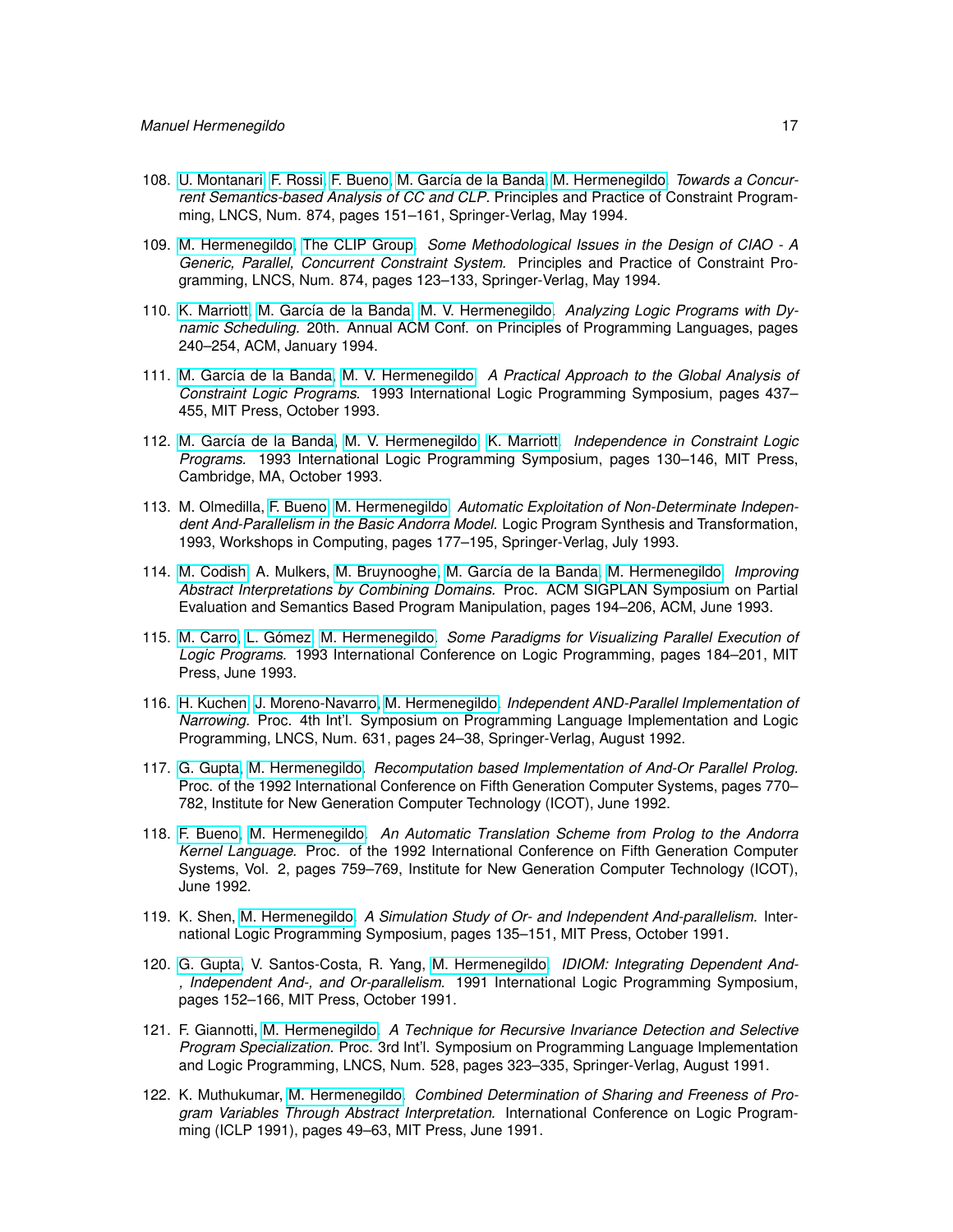- 108. [U. Montanari,](http://www.di.unipi.it/~{}ugo/ugo.html) [F. Rossi,](http://www.di.unipi.it/~{}rossi) [F. Bueno,](http://www.clip.dia.fi.upm.es/~{}bueno) [M. García de la Banda,](http://www.csse.monash.edu.au/~{}mbanda) [M. Hermenegildo.](http://www.clip.dia.fi.upm.es/~{}herme) *Towards a Concurrent Semantics-based Analysis of CC and CLP.* Principles and Practice of Constraint Programming, LNCS, Num. 874, pages 151–161, Springer-Verlag, May 1994.
- 109. [M. Hermenegildo,](http://www.clip.dia.fi.upm.es/~{}herme) [The CLIP Group.](http://www.clip.dia.fi.upm.es/) *Some Methodological Issues in the Design of CIAO A Generic, Parallel, Concurrent Constraint System.* Principles and Practice of Constraint Programming, LNCS, Num. 874, pages 123–133, Springer-Verlag, May 1994.
- 110. [K. Marriott,](http://www.csse.monash.edu.au/~{}marriott) [M. García de la Banda,](http://www.csse.monash.edu.au/~{}mbanda) [M. V. Hermenegildo.](http://www.clip.dia.fi.upm.es/~{}herme) *Analyzing Logic Programs with Dynamic Scheduling.* 20th. Annual ACM Conf. on Principles of Programming Languages, pages 240–254, ACM, January 1994.
- 111. [M. García de la Banda,](http://www.csse.monash.edu.au/~{}mbanda) [M. V. Hermenegildo.](http://www.clip.dia.fi.upm.es/~{}herme) *A Practical Approach to the Global Analysis of Constraint Logic Programs.* 1993 International Logic Programming Symposium, pages 437– 455, MIT Press, October 1993.
- 112. [M. García de la Banda,](http://www.csse.monash.edu.au/~{}mbanda) [M. V. Hermenegildo,](http://www.clip.dia.fi.upm.es/~{}herme) [K. Marriott.](http://www.csse.monash.edu.au/~{}marriott) *Independence in Constraint Logic Programs.* 1993 International Logic Programming Symposium, pages 130–146, MIT Press, Cambridge, MA, October 1993.
- 113. M. Olmedilla, [F. Bueno,](http://www.clip.dia.fi.upm.es/~{}bueno) [M. Hermenegildo.](http://www.clip.dia.fi.upm.es/~{}herme) *Automatic Exploitation of Non-Determinate Independent And-Parallelism in the Basic Andorra Model.* Logic Program Synthesis and Transformation, 1993, Workshops in Computing, pages 177–195, Springer-Verlag, July 1993.
- 114. [M. Codish,](http://www.CS.bgu.ac.il/~{}codish) A. Mulkers, [M. Bruynooghe,](http://www.cs.kuleuven.ac.be/cwis/research/dtai/members-E.shtml) [M. García de la Banda,](http://www.csse.monash.edu.au/~{}mbanda) [M. Hermenegildo.](http://www.clip.dia.fi.upm.es/~{}herme) *Improving Abstract Interpretations by Combining Domains.* Proc. ACM SIGPLAN Symposium on Partial Evaluation and Semantics Based Program Manipulation, pages 194–206, ACM, June 1993.
- 115. [M. Carro,](http://www.clip.dia.fi.upm.es/~{}mcarro) [L. Gómez,](http://www.datsi.fi.upm.es/~{}lgomez) [M. Hermenegildo.](http://www.clip.dia.fi.upm.es/~{}herme) *Some Paradigms for Visualizing Parallel Execution of Logic Programs.* 1993 International Conference on Logic Programming, pages 184–201, MIT Press, June 1993.
- 116. [H. Kuchen,](http://www-i2.informatik.rwth-aachen.de/~{}herbert) [J. Moreno-Navarro,](http://lml.ls.fi.upm.es/~{}jjmoreno) [M. Hermenegildo.](http://www.clip.dia.fi.upm.es/~{}herme) *Independent AND-Parallel Implementation of Narrowing.* Proc. 4th Int'l. Symposium on Programming Language Implementation and Logic Programming, LNCS, Num. 631, pages 24–38, Springer-Verlag, August 1992.
- 117. [G. Gupta,](http://www.cs.nmsu.edu/lldap/people/gupta.html) [M. Hermenegildo.](http://www.clip.dia.fi.upm.es/~{}herme) *Recomputation based Implementation of And-Or Parallel Prolog.* Proc. of the 1992 International Conference on Fifth Generation Computer Systems, pages 770– 782, Institute for New Generation Computer Technology (ICOT), June 1992.
- 118. [F. Bueno,](http://www.clip.dia.fi.upm.es/~{}bueno) [M. Hermenegildo.](http://www.clip.dia.fi.upm.es/~{}herme) *An Automatic Translation Scheme from Prolog to the Andorra Kernel Language.* Proc. of the 1992 International Conference on Fifth Generation Computer Systems, Vol. 2, pages 759–769, Institute for New Generation Computer Technology (ICOT), June 1992.
- 119. K. Shen, [M. Hermenegildo.](http://www.clip.dia.fi.upm.es/~{}herme) *A Simulation Study of Or- and Independent And-parallelism.* International Logic Programming Symposium, pages 135–151, MIT Press, October 1991.
- 120. [G. Gupta,](http://www.cs.nmsu.edu/lldap/people/gupta.html) V. Santos-Costa, R. Yang, [M. Hermenegildo.](http://www.clip.dia.fi.upm.es/~{}herme) *IDIOM: Integrating Dependent And- , Independent And-, and Or-parallelism.* 1991 International Logic Programming Symposium, pages 152–166, MIT Press, October 1991.
- 121. F. Giannotti, [M. Hermenegildo.](http://www.clip.dia.fi.upm.es/~{}herme) *A Technique for Recursive Invariance Detection and Selective Program Specialization.* Proc. 3rd Int'l. Symposium on Programming Language Implementation and Logic Programming, LNCS, Num. 528, pages 323–335, Springer-Verlag, August 1991.
- 122. K. Muthukumar, [M. Hermenegildo.](http://www.clip.dia.fi.upm.es/~{}herme) *Combined Determination of Sharing and Freeness of Program Variables Through Abstract Interpretation.* International Conference on Logic Programming (ICLP 1991), pages 49–63, MIT Press, June 1991.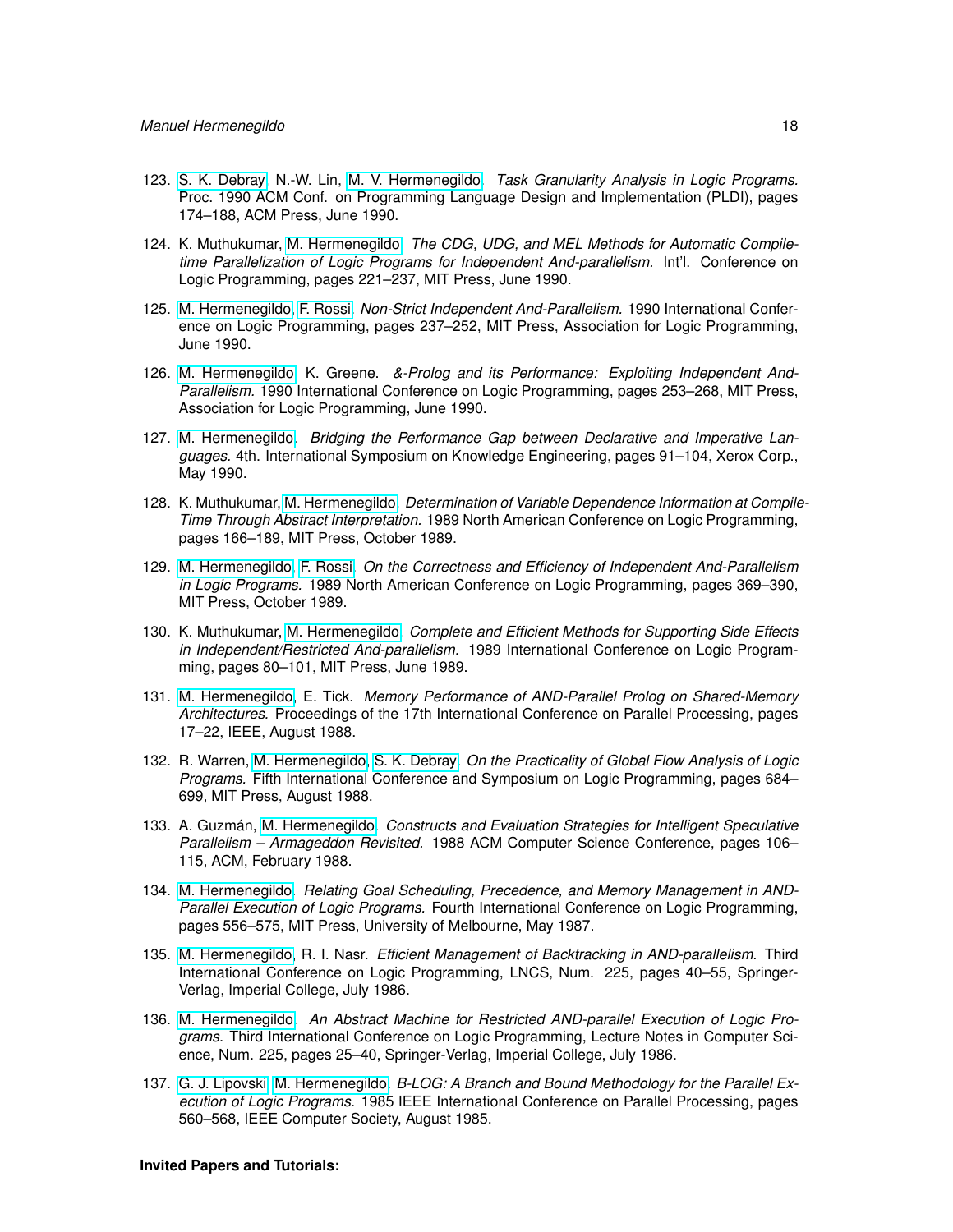- 123. [S. K. Debray,](http://cs.arizona.edu/~{}debray) N.-W. Lin, [M. V. Hermenegildo.](http://www.clip.dia.fi.upm.es/~{}herme) *Task Granularity Analysis in Logic Programs.* Proc. 1990 ACM Conf. on Programming Language Design and Implementation (PLDI), pages 174–188, ACM Press, June 1990.
- 124. K. Muthukumar, [M. Hermenegildo.](http://www.clip.dia.fi.upm.es/~{}herme) *The CDG, UDG, and MEL Methods for Automatic Compiletime Parallelization of Logic Programs for Independent And-parallelism.* Int'l. Conference on Logic Programming, pages 221–237, MIT Press, June 1990.
- 125. [M. Hermenegildo,](http://www.clip.dia.fi.upm.es/~{}herme) [F. Rossi.](http://www.di.unipi.it/~{}rossi) *Non-Strict Independent And-Parallelism.* 1990 International Conference on Logic Programming, pages 237–252, MIT Press, Association for Logic Programming, June 1990.
- 126. [M. Hermenegildo,](http://www.clip.dia.fi.upm.es/~{}herme) K. Greene. *&-Prolog and its Performance: Exploiting Independent And-Parallelism.* 1990 International Conference on Logic Programming, pages 253–268, MIT Press, Association for Logic Programming, June 1990.
- 127. [M. Hermenegildo.](http://www.clip.dia.fi.upm.es/~{}herme) *Bridging the Performance Gap between Declarative and Imperative Languages.* 4th. International Symposium on Knowledge Engineering, pages 91–104, Xerox Corp., May 1990.
- 128. K. Muthukumar, [M. Hermenegildo.](http://www.clip.dia.fi.upm.es/~{}herme) *Determination of Variable Dependence Information at Compile-Time Through Abstract Interpretation.* 1989 North American Conference on Logic Programming, pages 166–189, MIT Press, October 1989.
- 129. [M. Hermenegildo,](http://www.clip.dia.fi.upm.es/~{}herme) [F. Rossi.](http://www.di.unipi.it/~{}rossi) *On the Correctness and Efficiency of Independent And-Parallelism in Logic Programs.* 1989 North American Conference on Logic Programming, pages 369–390, MIT Press, October 1989.
- 130. K. Muthukumar, [M. Hermenegildo.](http://www.clip.dia.fi.upm.es/~{}herme) *Complete and Efficient Methods for Supporting Side Effects in Independent/Restricted And-parallelism.* 1989 International Conference on Logic Programming, pages 80–101, MIT Press, June 1989.
- 131. [M. Hermenegildo,](http://www.clip.dia.fi.upm.es/~{}herme) E. Tick. *Memory Performance of AND-Parallel Prolog on Shared-Memory Architectures.* Proceedings of the 17th International Conference on Parallel Processing, pages 17–22, IEEE, August 1988.
- 132. R. Warren, [M. Hermenegildo,](http://www.clip.dia.fi.upm.es/~{}herme) [S. K. Debray.](http://cs.arizona.edu/~{}debray) *On the Practicality of Global Flow Analysis of Logic Programs.* Fifth International Conference and Symposium on Logic Programming, pages 684– 699, MIT Press, August 1988.
- 133. A. Guzmán, [M. Hermenegildo.](http://www.clip.dia.fi.upm.es/~{}herme) *Constructs and Evaluation Strategies for Intelligent Speculative Parallelism – Armageddon Revisited.* 1988 ACM Computer Science Conference, pages 106– 115, ACM, February 1988.
- 134. [M. Hermenegildo.](http://www.clip.dia.fi.upm.es/~{}herme) *Relating Goal Scheduling, Precedence, and Memory Management in AND-Parallel Execution of Logic Programs.* Fourth International Conference on Logic Programming, pages 556–575, MIT Press, University of Melbourne, May 1987.
- 135. [M. Hermenegildo,](http://www.clip.dia.fi.upm.es/~{}herme) R. I. Nasr. *Efficient Management of Backtracking in AND-parallelism.* Third International Conference on Logic Programming, LNCS, Num. 225, pages 40–55, Springer-Verlag, Imperial College, July 1986.
- 136. [M. Hermenegildo.](http://www.clip.dia.fi.upm.es/~{}herme) *An Abstract Machine for Restricted AND-parallel Execution of Logic Programs.* Third International Conference on Logic Programming, Lecture Notes in Computer Science, Num. 225, pages 25–40, Springer-Verlag, Imperial College, July 1986.
- 137. [G. J. Lipovski,](http://www.ece.utexas.edu/ece/people/profs/Lipovski.html) [M. Hermenegildo.](http://www.clip.dia.fi.upm.es/~{}herme) *B-LOG: A Branch and Bound Methodology for the Parallel Execution of Logic Programs.* 1985 IEEE International Conference on Parallel Processing, pages 560–568, IEEE Computer Society, August 1985.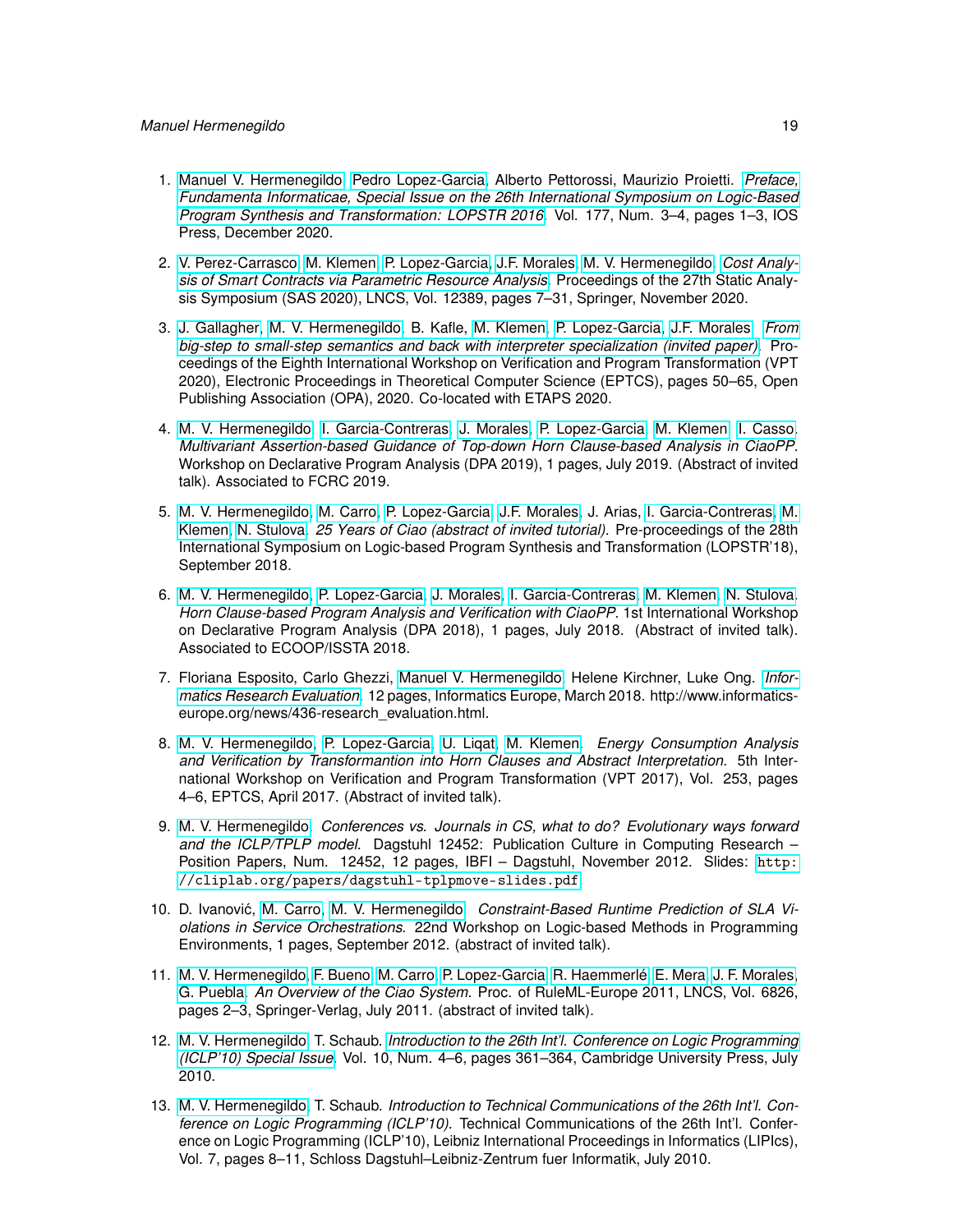- 1. [Manuel V. Hermenegildo,](http://www.clip.dia.fi.upm.es/~{}herme) [Pedro Lopez-Garcia,](http://www.clip.dia.fi.upm.es/~{}pedro) Alberto Pettorossi, Maurizio Proietti. *[Preface,](https://doi.org/10.3233/FI-2020-1987) [Fundamenta Informaticae, Special Issue on the 26th International Symposium on Logic-Based](https://doi.org/10.3233/FI-2020-1987) [Program Synthesis and Transformation: LOPSTR 2016.](https://doi.org/10.3233/FI-2020-1987)* Vol. 177, Num. 3–4, pages 1–3, IOS Press, December 2020.
- 2. [V. Perez-Carrasco,](https://software.imdea.org/people/victor.perez/index.html) [M. Klemen,](http://software.imdea.org/people/maximiliano.klemen/index.html) [P. Lopez-Garcia,](http://www.clip.dia.fi.upm.es/~{}pedro) [J.F. Morales,](http://www.clip.dia.fi.upm.es/~{}jfran) [M. V. Hermenegildo.](http://www.clip.dia.fi.upm.es/~{}herme) *[Cost Analy](http://cliplab.org/papers/resources-blockchain-sas20.pdf)[sis of Smart Contracts via Parametric Resource Analysis.](http://cliplab.org/papers/resources-blockchain-sas20.pdf)* Proceedings of the 27th Static Analysis Symposium (SAS 2020), LNCS, Vol. 12389, pages 7–31, Springer, November 2020.
- 3. [J. Gallagher,](john.gallagher@imdea.org) [M. V. Hermenegildo,](http://www.clip.dia.fi.upm.es/~{}herme) B. Kafle, [M. Klemen,](http://software.imdea.org/people/maximiliano.klemen/index.html) [P. Lopez-Garcia,](http://www.clip.dia.fi.upm.es/~{}pedro) [J.F. Morales.](http://www.clip.dia.fi.upm.es/~{}jfran) *[From](http://eptcs.web.cse.unsw.edu.au/paper.cgi?VPTHCVS2020.4) [big-step to small-step semantics and back with interpreter specialization \(invited paper\).](http://eptcs.web.cse.unsw.edu.au/paper.cgi?VPTHCVS2020.4)* Proceedings of the Eighth International Workshop on Verification and Program Transformation (VPT 2020), Electronic Proceedings in Theoretical Computer Science (EPTCS), pages 50–65, Open Publishing Association (OPA), 2020. Co-located with ETAPS 2020.
- 4. [M. V. Hermenegildo,](http://www.clip.dia.fi.upm.es/~{}herme) [I. Garcia-Contreras,](https://software.imdea.org/people/isabel.garcia/index.html) [J. Morales,](http://www.clip.dia.fi.upm.es/~{}jfran) [P. Lopez-Garcia,](http://www.clip.dia.fi.upm.es/~{}pedro) [M. Klemen,](http://software.imdea.org/people/maximiliano.klemen/index.html) [I. Casso.](https://software.imdea.org/people/ignacio.decasso/index.html) *Multivariant Assertion-based Guidance of Top-down Horn Clause-based Analysis in CiaoPP.* Workshop on Declarative Program Analysis (DPA 2019), 1 pages, July 2019. (Abstract of invited talk). Associated to FCRC 2019.
- 5. [M. V. Hermenegildo,](http://www.clip.dia.fi.upm.es/~{}herme) [M. Carro,](http://www.clip.dia.fi.upm.es/~{}mcarro) [P. Lopez-Garcia,](http://www.clip.dia.fi.upm.es/~{}pedro) [J.F. Morales,](http://www.clip.dia.fi.upm.es/~{}jfran) J. Arias, [I. Garcia-Contreras,](https://software.imdea.org/people/isabel.garcia/index.html) [M.](http://software.imdea.org/people/maximiliano.klemen/index.html) [Klemen,](http://software.imdea.org/people/maximiliano.klemen/index.html) [N. Stulova.](https://software.imdea.org/people/nataliia.stulova/index.html) *25 Years of Ciao (abstract of invited tutorial).* Pre-proceedings of the 28th International Symposium on Logic-based Program Synthesis and Transformation (LOPSTR'18), September 2018.
- 6. [M. V. Hermenegildo,](http://www.clip.dia.fi.upm.es/~{}herme) [P. Lopez-Garcia,](http://www.clip.dia.fi.upm.es/~{}pedro) [J. Morales,](http://www.clip.dia.fi.upm.es/~{}jfran) [I. Garcia-Contreras,](https://software.imdea.org/people/isabel.garcia/index.html) [M. Klemen,](http://software.imdea.org/people/maximiliano.klemen/index.html) [N. Stulova.](https://software.imdea.org/people/nataliia.stulova/index.html) *Horn Clause-based Program Analysis and Verification with CiaoPP.* 1st International Workshop on Declarative Program Analysis (DPA 2018), 1 pages, July 2018. (Abstract of invited talk). Associated to ECOOP/ISSTA 2018.
- 7. Floriana Esposito, Carlo Ghezzi, [Manuel V. Hermenegildo,](http://www.clip.dia.fi.upm.es/~{}herme) Helene Kirchner, Luke Ong. *[Infor](http://www.informatics-europe.org/news/436-research_evaluation.html)[matics Research Evaluation.](http://www.informatics-europe.org/news/436-research_evaluation.html)* 12 pages, Informatics Europe, March 2018. http://www.informaticseurope.org/news/436-research\_evaluation.html.
- 8. [M. V. Hermenegildo,](http://www.clip.dia.fi.upm.es/~{}herme) [P. Lopez-Garcia,](http://www.clip.dia.fi.upm.es/~{}pedro) [U. Liqat,](http://software.imdea.org/people/umer.liqat/index.html) [M. Klemen.](http://software.imdea.org/people/maximiliano.klemen/index.html) *Energy Consumption Analysis and Verification by Transformantion into Horn Clauses and Abstract Interpretation.* 5th International Workshop on Verification and Program Transformation (VPT 2017), Vol. 253, pages 4–6, EPTCS, April 2017. (Abstract of invited talk).
- 9. [M. V. Hermenegildo.](http://www.clip.dia.fi.upm.es/~{}herme) *Conferences vs. Journals in CS, what to do? Evolutionary ways forward and the ICLP/TPLP model.* Dagstuhl 12452: Publication Culture in Computing Research – Position Papers, Num. 12452, 12 pages, IBFI – Dagstuhl, November 2012. Slides: [http:](http://cliplab.org/papers/dagstuhl-tplpmove-slides.pdf) [//cliplab.org/papers/dagstuhl-tplpmove-slides.pdf](http://cliplab.org/papers/dagstuhl-tplpmove-slides.pdf).
- 10. D. Ivanović, [M. Carro,](http://www.clip.dia.fi.upm.es/~{}mcarro) [M. V. Hermenegildo.](http://www.clip.dia.fi.upm.es/~{}herme) Constraint-Based Runtime Prediction of SLA Vi*olations in Service Orchestrations.* 22nd Workshop on Logic-based Methods in Programming Environments, 1 pages, September 2012. (abstract of invited talk).
- 11. [M. V. Hermenegildo,](http://www.clip.dia.fi.upm.es/~{}herme) [F. Bueno,](http://www.clip.dia.fi.upm.es/~{}bueno) [M. Carro,](http://www.clip.dia.fi.upm.es/~{}mcarro) [P. Lopez-Garcia,](http://www.clip.dia.fi.upm.es/~{}pedro) [R. Haemmerlé,](http://www.clip.dia.fi.upm.es/~{}remy) [E. Mera,](http://www.clip.dia.fi.upm.es/~{}edison) [J. F. Morales,](http://www.clip.dia.fi.upm.es/~{}jfran) [G. Puebla.](http://www.clip.dia.fi.upm.es/~{}german) *An Overview of the Ciao System.* Proc. of RuleML-Europe 2011, LNCS, Vol. 6826, pages 2–3, Springer-Verlag, July 2011. (abstract of invited talk).
- 12. [M. V. Hermenegildo,](http://www.clip.dia.fi.upm.es/~{}herme) T. Schaub. *[Introduction to the 26th Int'l. Conference on Logic Programming](http://arxiv.org/abs/1008.1710) [\(ICLP'10\) Special Issue.](http://arxiv.org/abs/1008.1710)* Vol. 10, Num. 4–6, pages 361–364, Cambridge University Press, July 2010.
- 13. [M. V. Hermenegildo,](http://www.clip.dia.fi.upm.es/~{}herme) T. Schaub. *Introduction to Technical Communications of the 26th Int'l. Conference on Logic Programming (ICLP'10).* Technical Communications of the 26th Int'l. Conference on Logic Programming (ICLP'10), Leibniz International Proceedings in Informatics (LIPIcs), Vol. 7, pages 8–11, Schloss Dagstuhl–Leibniz-Zentrum fuer Informatik, July 2010.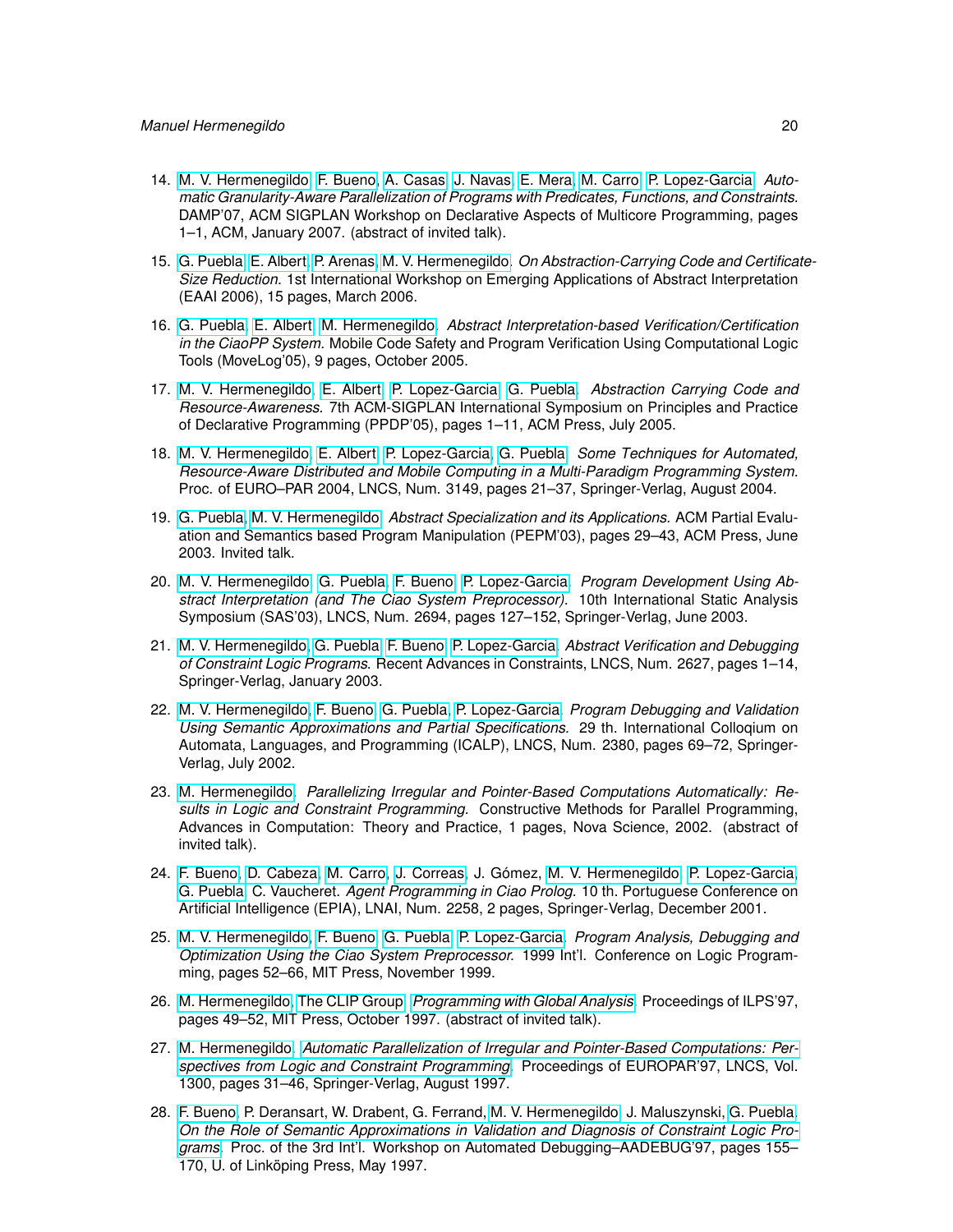- 14. [M. V. Hermenegildo,](http://www.clip.dia.fi.upm.es/~{}herme) [F. Bueno,](http://www.clip.dia.fi.upm.es/~{}bueno) [A. Casas,](http://www.clip.dia.fi.upm.es/~{}amadeo) [J. Navas,](http://www.clip.dia.fi.upm.es/~{}jorge) [E. Mera,](http://www.clip.dia.fi.upm.es/~{}edison) [M. Carro,](http://www.clip.dia.fi.upm.es/~{}mcarro) [P. Lopez-Garcia.](http://www.clip.dia.fi.upm.es/~{}pedro) *Automatic Granularity-Aware Parallelization of Programs with Predicates, Functions, and Constraints.* DAMP'07, ACM SIGPLAN Workshop on Declarative Aspects of Multicore Programming, pages 1–1, ACM, January 2007. (abstract of invited talk).
- 15. [G. Puebla,](http://www.clip.dia.fi.upm.es/~{}german) [E. Albert,](http://www.clip.dia.fi.upm.es/~{}elvira) [P. Arenas,](http://www.clip.dia.fi.upm.es/~{}puri) [M. V. Hermenegildo.](http://www.clip.dia.fi.upm.es/~{}herme) *On Abstraction-Carrying Code and Certificate-Size Reduction.* 1st International Workshop on Emerging Applications of Abstract Interpretation (EAAI 2006), 15 pages, March 2006.
- 16. [G. Puebla,](http://www.clip.dia.fi.upm.es/~{}german) [E. Albert,](http://www.clip.dia.fi.upm.es/~{}elvira) [M. Hermenegildo.](http://www.clip.dia.fi.upm.es/~{}herme) *Abstract Interpretation-based Verification/Certification in the CiaoPP System.* Mobile Code Safety and Program Verification Using Computational Logic Tools (MoveLog'05), 9 pages, October 2005.
- 17. [M. V. Hermenegildo,](http://www.clip.dia.fi.upm.es/~{}herme) [E. Albert,](http://www.clip.dia.fi.upm.es/~{}elvira) [P. Lopez-Garcia,](http://www.clip.dia.fi.upm.es/~{}pedro) [G. Puebla.](http://www.clip.dia.fi.upm.es/~{}german) *Abstraction Carrying Code and Resource-Awareness.* 7th ACM-SIGPLAN International Symposium on Principles and Practice of Declarative Programming (PPDP'05), pages 1–11, ACM Press, July 2005.
- 18. [M. V. Hermenegildo,](http://www.clip.dia.fi.upm.es/~{}herme) [E. Albert,](http://www.clip.dia.fi.upm.es/~{}elvira) [P. Lopez-Garcia,](http://www.clip.dia.fi.upm.es/~{}pedro) [G. Puebla.](http://www.clip.dia.fi.upm.es/~{}german) *Some Techniques for Automated, Resource-Aware Distributed and Mobile Computing in a Multi-Paradigm Programming System.* Proc. of EURO–PAR 2004, LNCS, Num. 3149, pages 21–37, Springer-Verlag, August 2004.
- 19. [G. Puebla,](http://www.clip.dia.fi.upm.es/~{}german) [M. V. Hermenegildo.](http://www.clip.dia.fi.upm.es/~{}herme) *Abstract Specialization and its Applications.* ACM Partial Evaluation and Semantics based Program Manipulation (PEPM'03), pages 29–43, ACM Press, June 2003. Invited talk.
- 20. [M. V. Hermenegildo,](http://www.clip.dia.fi.upm.es/~{}herme) [G. Puebla,](http://www.clip.dia.fi.upm.es/~{}german) [F. Bueno,](http://www.clip.dia.fi.upm.es/~{}bueno) [P. Lopez-Garcia.](http://www.clip.dia.fi.upm.es/~{}pedro) *Program Development Using Abstract Interpretation (and The Ciao System Preprocessor).* 10th International Static Analysis Symposium (SAS'03), LNCS, Num. 2694, pages 127–152, Springer-Verlag, June 2003.
- 21. [M. V. Hermenegildo,](http://www.clip.dia.fi.upm.es/~{}herme) [G. Puebla,](http://www.clip.dia.fi.upm.es/~{}german) [F. Bueno,](http://www.clip.dia.fi.upm.es/~{}bueno) [P. Lopez-Garcia.](http://www.clip.dia.fi.upm.es/~{}pedro) *Abstract Verification and Debugging of Constraint Logic Programs.* Recent Advances in Constraints, LNCS, Num. 2627, pages 1–14, Springer-Verlag, January 2003.
- 22. [M. V. Hermenegildo,](http://www.clip.dia.fi.upm.es/~{}herme) [F. Bueno,](http://www.clip.dia.fi.upm.es/~{}bueno) [G. Puebla,](http://www.clip.dia.fi.upm.es/~{}german) [P. Lopez-Garcia.](http://www.clip.dia.fi.upm.es/~{}pedro) *Program Debugging and Validation Using Semantic Approximations and Partial Specifications.* 29 th. International Colloqium on Automata, Languages, and Programming (ICALP), LNCS, Num. 2380, pages 69–72, Springer-Verlag, July 2002.
- 23. [M. Hermenegildo.](http://www.clip.dia.fi.upm.es/~{}herme) *Parallelizing Irregular and Pointer-Based Computations Automatically: Results in Logic and Constraint Programming.* Constructive Methods for Parallel Programming, Advances in Computation: Theory and Practice, 1 pages, Nova Science, 2002. (abstract of invited talk).
- 24. [F. Bueno,](http://www.clip.dia.fi.upm.es/~{}bueno) [D. Cabeza,](http://www.clip.dia.fi.upm.es/~{}bardo) [M. Carro,](http://www.clip.dia.fi.upm.es/~{}mcarro) [J. Correas,](http://www.clip.dia.fi.upm.es/~{}jcorreas) J. Gómez, [M. V. Hermenegildo,](http://www.clip.dia.fi.upm.es/~{}herme) [P. Lopez-Garcia,](http://www.clip.dia.fi.upm.es/~{}pedro) [G. Puebla,](http://www.clip.dia.fi.upm.es/~{}german) C. Vaucheret. *Agent Programming in Ciao Prolog.* 10 th. Portuguese Conference on Artificial Intelligence (EPIA), LNAI, Num. 2258, 2 pages, Springer-Verlag, December 2001.
- 25. [M. V. Hermenegildo,](http://www.clip.dia.fi.upm.es/~{}herme) [F. Bueno,](http://www.clip.dia.fi.upm.es/~{}bueno) [G. Puebla,](http://www.clip.dia.fi.upm.es/~{}german) [P. Lopez-Garcia.](http://www.clip.dia.fi.upm.es/~{}pedro) *Program Analysis, Debugging and Optimization Using the Ciao System Preprocessor.* 1999 Int'l. Conference on Logic Programming, pages 52–66, MIT Press, November 1999.
- 26. [M. Hermenegildo,](http://www.clip.dia.fi.upm.es/~{}herme) [The CLIP Group.](http://www.clip.dia.fi.upm.es/) *[Programming with Global Analysis.](ftp://cliplab.org/pub/papers/tutorial-ilps97-abstract.ps.gz)* Proceedings of ILPS'97, pages 49–52, MIT Press, October 1997. (abstract of invited talk).
- 27. [M. Hermenegildo.](http://www.clip.dia.fi.upm.es/~{}herme) *[Automatic Parallelization of Irregular and Pointer-Based Computations: Per](ftp://cliplab.org/pub/papers/tutorial-europar97.ps.gz)[spectives from Logic and Constraint Programming.](ftp://cliplab.org/pub/papers/tutorial-europar97.ps.gz)* Proceedings of EUROPAR'97, LNCS, Vol. 1300, pages 31–46, Springer-Verlag, August 1997.
- 28. [F. Bueno,](http://www.clip.dia.fi.upm.es/~{}bueno) P. Deransart, W. Drabent, G. Ferrand, [M. V. Hermenegildo,](http://www.clip.dia.fi.upm.es/~{}herme) J. Maluszynski, [G. Puebla.](http://www.clip.dia.fi.upm.es/~{}german) *[On the Role of Semantic Approximations in Validation and Diagnosis of Constraint Logic Pro](ftp://cliplab.org/pub/papers/aadebug_discipldeliv.ps.gz)[grams.](ftp://cliplab.org/pub/papers/aadebug_discipldeliv.ps.gz)* Proc. of the 3rd Int'l. Workshop on Automated Debugging–AADEBUG'97, pages 155– 170, U. of Linköping Press, May 1997.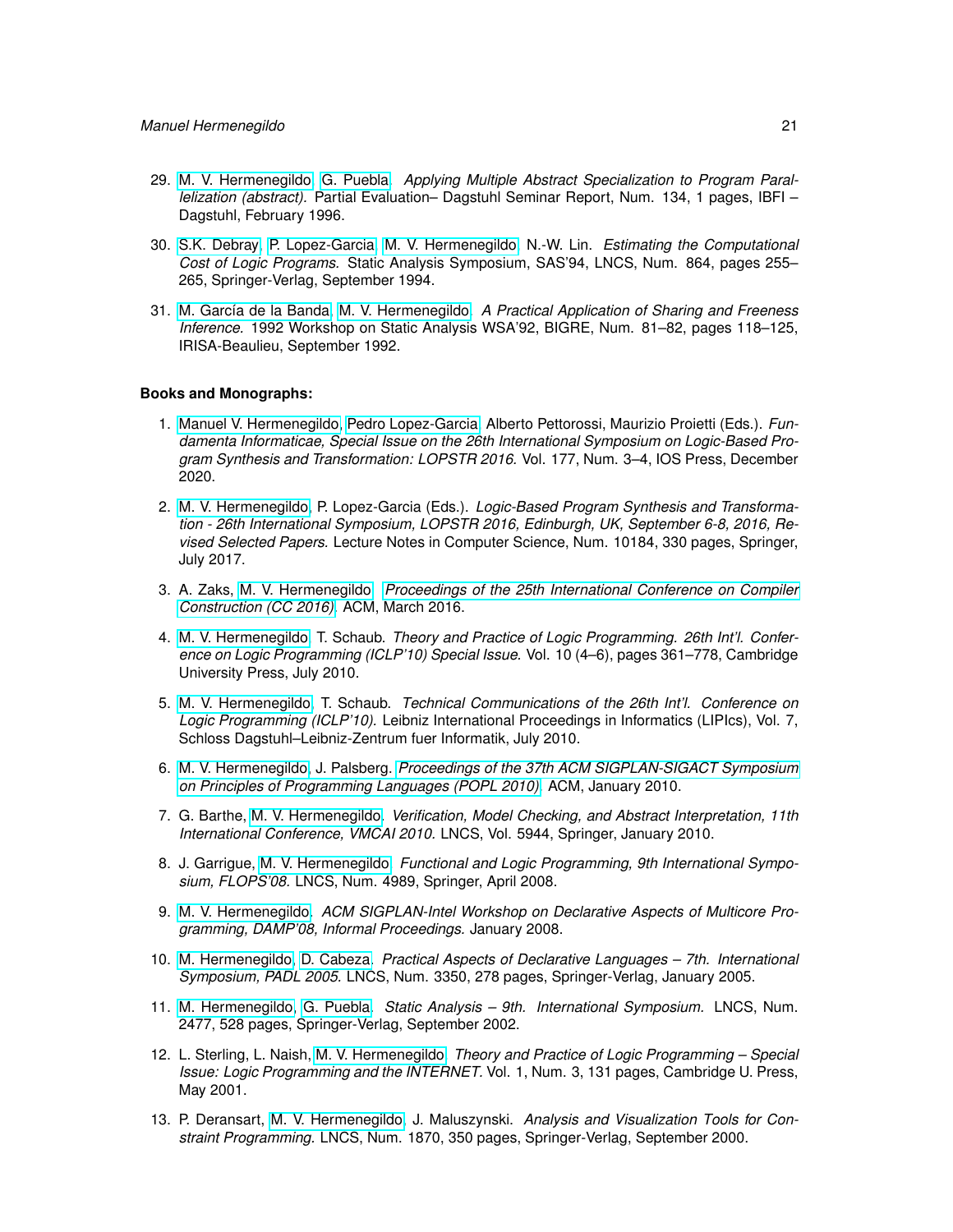- 29. [M. V. Hermenegildo,](http://www.clip.dia.fi.upm.es/~{}herme) [G. Puebla.](http://www.clip.dia.fi.upm.es/~{}german) *Applying Multiple Abstract Specialization to Program Parallelization (abstract).* Partial Evaluation– Dagstuhl Seminar Report, Num. 134, 1 pages, IBFI – Dagstuhl, February 1996.
- 30. [S.K. Debray,](http://cs.arizona.edu/~{}debray) [P. Lopez-Garcia,](http://www.clip.dia.fi.upm.es/~{}pedro) [M. V. Hermenegildo,](http://www.clip.dia.fi.upm.es/~{}herme) N.-W. Lin. *Estimating the Computational Cost of Logic Programs.* Static Analysis Symposium, SAS'94, LNCS, Num. 864, pages 255– 265, Springer-Verlag, September 1994.
- 31. [M. García de la Banda,](http://www.csse.monash.edu.au/~{}mbanda) [M. V. Hermenegildo.](http://www.clip.dia.fi.upm.es/~{}herme) *A Practical Application of Sharing and Freeness Inference.* 1992 Workshop on Static Analysis WSA'92, BIGRE, Num. 81–82, pages 118–125, IRISA-Beaulieu, September 1992.

### **Books and Monographs:**

- 1. [Manuel V. Hermenegildo,](http://www.clip.dia.fi.upm.es/~{}herme) [Pedro Lopez-Garcia,](http://www.clip.dia.fi.upm.es/~{}pedro) Alberto Pettorossi, Maurizio Proietti (Eds.). *Fundamenta Informaticae, Special Issue on the 26th International Symposium on Logic-Based Program Synthesis and Transformation: LOPSTR 2016.* Vol. 177, Num. 3–4, IOS Press, December 2020.
- 2. [M. V. Hermenegildo,](http://www.clip.dia.fi.upm.es/~{}herme) P. Lopez-Garcia (Eds.). *Logic-Based Program Synthesis and Transformation - 26th International Symposium, LOPSTR 2016, Edinburgh, UK, September 6-8, 2016, Revised Selected Papers.* Lecture Notes in Computer Science, Num. 10184, 330 pages, Springer, July 2017.
- 3. A. Zaks, [M. V. Hermenegildo.](http://www.clip.dia.fi.upm.es/~{}herme) *[Proceedings of the 25th International Conference on Compiler](http://dl.acm.org/citation.cfm?id=2892208) [Construction \(CC 2016\).](http://dl.acm.org/citation.cfm?id=2892208)* ACM, March 2016.
- 4. [M. V. Hermenegildo,](http://www.clip.dia.fi.upm.es/~{}herme) T. Schaub. *Theory and Practice of Logic Programming. 26th Int'l. Conference on Logic Programming (ICLP'10) Special Issue.* Vol. 10 (4–6), pages 361–778, Cambridge University Press, July 2010.
- 5. [M. V. Hermenegildo,](http://www.clip.dia.fi.upm.es/~{}herme) T. Schaub. *Technical Communications of the 26th Int'l. Conference on Logic Programming (ICLP'10).* Leibniz International Proceedings in Informatics (LIPIcs), Vol. 7, Schloss Dagstuhl–Leibniz-Zentrum fuer Informatik, July 2010.
- 6. [M. V. Hermenegildo,](http://www.clip.dia.fi.upm.es/~{}herme) J. Palsberg. *[Proceedings of the 37th ACM SIGPLAN-SIGACT Symposium](http://dl.acm.org/citation.cfm?id=1706299) [on Principles of Programming Languages \(POPL 2010\).](http://dl.acm.org/citation.cfm?id=1706299)* ACM, January 2010.
- 7. G. Barthe, [M. V. Hermenegildo.](http://www.clip.dia.fi.upm.es/~{}herme) *Verification, Model Checking, and Abstract Interpretation, 11th International Conference, VMCAI 2010.* LNCS, Vol. 5944, Springer, January 2010.
- 8. J. Garrigue, [M. V. Hermenegildo.](http://www.clip.dia.fi.upm.es/~{}herme) *Functional and Logic Programming, 9th International Symposium, FLOPS'08.* LNCS, Num. 4989, Springer, April 2008.
- 9. [M. V. Hermenegildo.](http://www.clip.dia.fi.upm.es/~{}herme) *ACM SIGPLAN-Intel Workshop on Declarative Aspects of Multicore Programming, DAMP'08, Informal Proceedings.* January 2008.
- 10. [M. Hermenegildo,](http://www.clip.dia.fi.upm.es/~{}herme) [D. Cabeza.](http://www.clip.dia.fi.upm.es/~{}bardo) *Practical Aspects of Declarative Languages 7th. International Symposium, PADL 2005.* LNCS, Num. 3350, 278 pages, Springer-Verlag, January 2005.
- 11. [M. Hermenegildo,](http://www.clip.dia.fi.upm.es/~{}herme) [G. Puebla.](http://www.clip.dia.fi.upm.es/~{}german) *Static Analysis 9th. International Symposium.* LNCS, Num. 2477, 528 pages, Springer-Verlag, September 2002.
- 12. L. Sterling, L. Naish, [M. V. Hermenegildo.](http://www.clip.dia.fi.upm.es/~{}herme) *Theory and Practice of Logic Programming Special Issue: Logic Programming and the INTERNET.* Vol. 1, Num. 3, 131 pages, Cambridge U. Press, May 2001.
- 13. P. Deransart, [M. V. Hermenegildo,](http://www.clip.dia.fi.upm.es/~{}herme) J. Maluszynski. *Analysis and Visualization Tools for Constraint Programming.* LNCS, Num. 1870, 350 pages, Springer-Verlag, September 2000.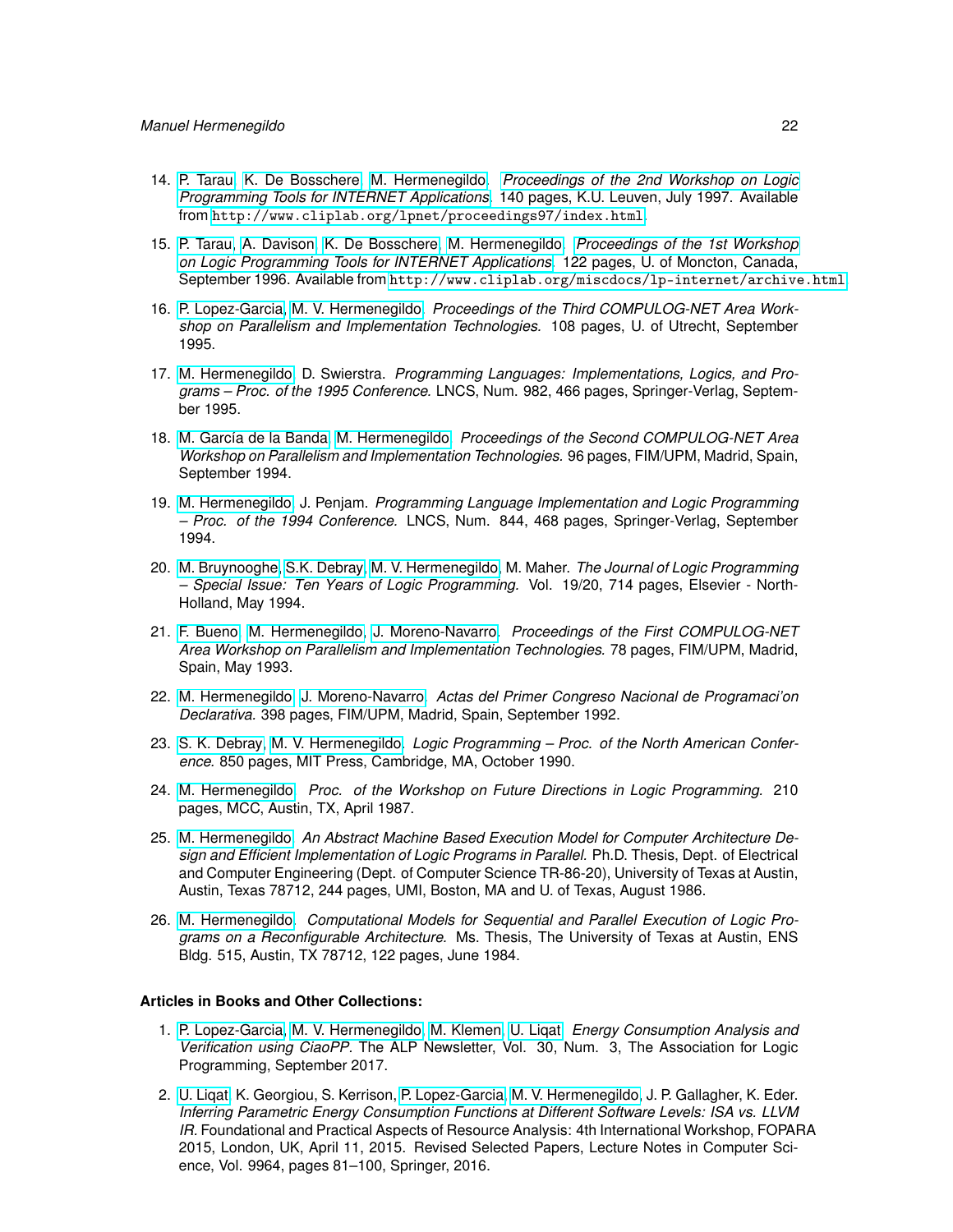- 14. [P. Tarau,](http://clement.info.umoncton.ca/~{}tarau) [K. De Bosschere,](http://www.elis.rug.ac.be/ELISgroups/paris/staff/kdb.html) [M. Hermenegildo.](http://www.clip.dia.fi.upm.es/~{}herme) *[Proceedings of the 2nd Workshop on Logic](http://www.cliplab.org/lpnet/proceedings97/index.html) [Programming Tools for INTERNET Applications.](http://www.cliplab.org/lpnet/proceedings97/index.html)* 140 pages, K.U. Leuven, July 1997. Available from <http://www.cliplab.org/lpnet/proceedings97/index.html>.
- 15. [P. Tarau,](http://clement.info.umoncton.ca/~{}tarau) [A. Davison,](htpp://www.cs.mu.oz.au/~{}ad) [K. De Bosschere,](http://www.elis.rug.ac.be/ELISgroups/paris/staff/kdb.html) [M. Hermenegildo.](http://www.clip.dia.fi.upm.es/~{}herme) *[Proceedings of the 1st Workshop](http://www.cliplab.org/miscdocs/lp-internet/archive.html) [on Logic Programming Tools for INTERNET Applications.](http://www.cliplab.org/miscdocs/lp-internet/archive.html)* 122 pages, U. of Moncton, Canada, September 1996. Available from <http://www.cliplab.org/miscdocs/lp-internet/archive.html>.
- 16. [P. Lopez-Garcia,](http://www.clip.dia.fi.upm.es/~{}pedro) [M. V. Hermenegildo.](http://www.clip.dia.fi.upm.es/~{}herme) *Proceedings of the Third COMPULOG-NET Area Workshop on Parallelism and Implementation Technologies.* 108 pages, U. of Utrecht, September 1995.
- 17. [M. Hermenegildo,](http://www.clip.dia.fi.upm.es/~{}herme) D. Swierstra. *Programming Languages: Implementations, Logics, and Programs – Proc. of the 1995 Conference.* LNCS, Num. 982, 466 pages, Springer-Verlag, September 1995.
- 18. [M. García de la Banda,](http://www.csse.monash.edu.au/~{}mbanda) [M. Hermenegildo.](http://www.clip.dia.fi.upm.es/~{}herme) *Proceedings of the Second COMPULOG-NET Area Workshop on Parallelism and Implementation Technologies.* 96 pages, FIM/UPM, Madrid, Spain, September 1994.
- 19. [M. Hermenegildo,](http://www.clip.dia.fi.upm.es/~{}herme) J. Penjam. *Programming Language Implementation and Logic Programming – Proc. of the 1994 Conference.* LNCS, Num. 844, 468 pages, Springer-Verlag, September 1994.
- 20. [M. Bruynooghe,](http://www.cs.kuleuven.ac.be/cwis/research/dtai/members-E.shtml) [S.K. Debray,](http://cs.arizona.edu/~{}debray) [M. V. Hermenegildo,](http://www.clip.dia.fi.upm.es/~{}herme) M. Maher. *The Journal of Logic Programming – Special Issue: Ten Years of Logic Programming.* Vol. 19/20, 714 pages, Elsevier - North-Holland, May 1994.
- 21. [F. Bueno,](http://www.clip.dia.fi.upm.es/~{}bueno) [M. Hermenegildo,](http://www.clip.dia.fi.upm.es/~{}herme) [J. Moreno-Navarro.](http://lml.ls.fi.upm.es/~{}jjmoreno) *Proceedings of the First COMPULOG-NET Area Workshop on Parallelism and Implementation Technologies.* 78 pages, FIM/UPM, Madrid, Spain, May 1993.
- 22. [M. Hermenegildo,](http://www.clip.dia.fi.upm.es/~{}herme) [J. Moreno-Navarro.](http://lml.ls.fi.upm.es/~{}jjmoreno) *Actas del Primer Congreso Nacional de Programaci'on Declarativa.* 398 pages, FIM/UPM, Madrid, Spain, September 1992.
- 23. [S. K. Debray,](http://cs.arizona.edu/~{}debray) [M. V. Hermenegildo.](http://www.clip.dia.fi.upm.es/~{}herme) *Logic Programming Proc. of the North American Conference.* 850 pages, MIT Press, Cambridge, MA, October 1990.
- 24. [M. Hermenegildo.](http://www.clip.dia.fi.upm.es/~{}herme) *Proc. of the Workshop on Future Directions in Logic Programming.* 210 pages, MCC, Austin, TX, April 1987.
- 25. [M. Hermenegildo.](http://www.clip.dia.fi.upm.es/~{}herme) *An Abstract Machine Based Execution Model for Computer Architecture Design and Efficient Implementation of Logic Programs in Parallel.* Ph.D. Thesis, Dept. of Electrical and Computer Engineering (Dept. of Computer Science TR-86-20), University of Texas at Austin, Austin, Texas 78712, 244 pages, UMI, Boston, MA and U. of Texas, August 1986.
- 26. [M. Hermenegildo.](http://www.clip.dia.fi.upm.es/~{}herme) *Computational Models for Sequential and Parallel Execution of Logic Programs on a Reconfigurable Architecture.* Ms. Thesis, The University of Texas at Austin, ENS Bldg. 515, Austin, TX 78712, 122 pages, June 1984.

# **Articles in Books and Other Collections:**

- 1. [P. Lopez-Garcia,](http://www.clip.dia.fi.upm.es/~{}pedro) [M. V. Hermenegildo,](http://www.clip.dia.fi.upm.es/~{}herme) [M. Klemen,](http://software.imdea.org/people/maximiliano.klemen/index.html) [U. Liqat.](http://software.imdea.org/people/umer.liqat/index.html) *Energy Consumption Analysis and Verification using CiaoPP.* The ALP Newsletter, Vol. 30, Num. 3, The Association for Logic Programming, September 2017.
- 2. [U. Liqat,](http://software.imdea.org/people/umer.liqat/index.html) K. Georgiou, S. Kerrison, [P. Lopez-Garcia,](http://www.clip.dia.fi.upm.es/~{}pedro) [M. V. Hermenegildo,](http://www.clip.dia.fi.upm.es/~{}herme) J. P. Gallagher, K. Eder. *Inferring Parametric Energy Consumption Functions at Different Software Levels: ISA vs. LLVM IR.* Foundational and Practical Aspects of Resource Analysis: 4th International Workshop, FOPARA 2015, London, UK, April 11, 2015. Revised Selected Papers, Lecture Notes in Computer Science, Vol. 9964, pages 81–100, Springer, 2016.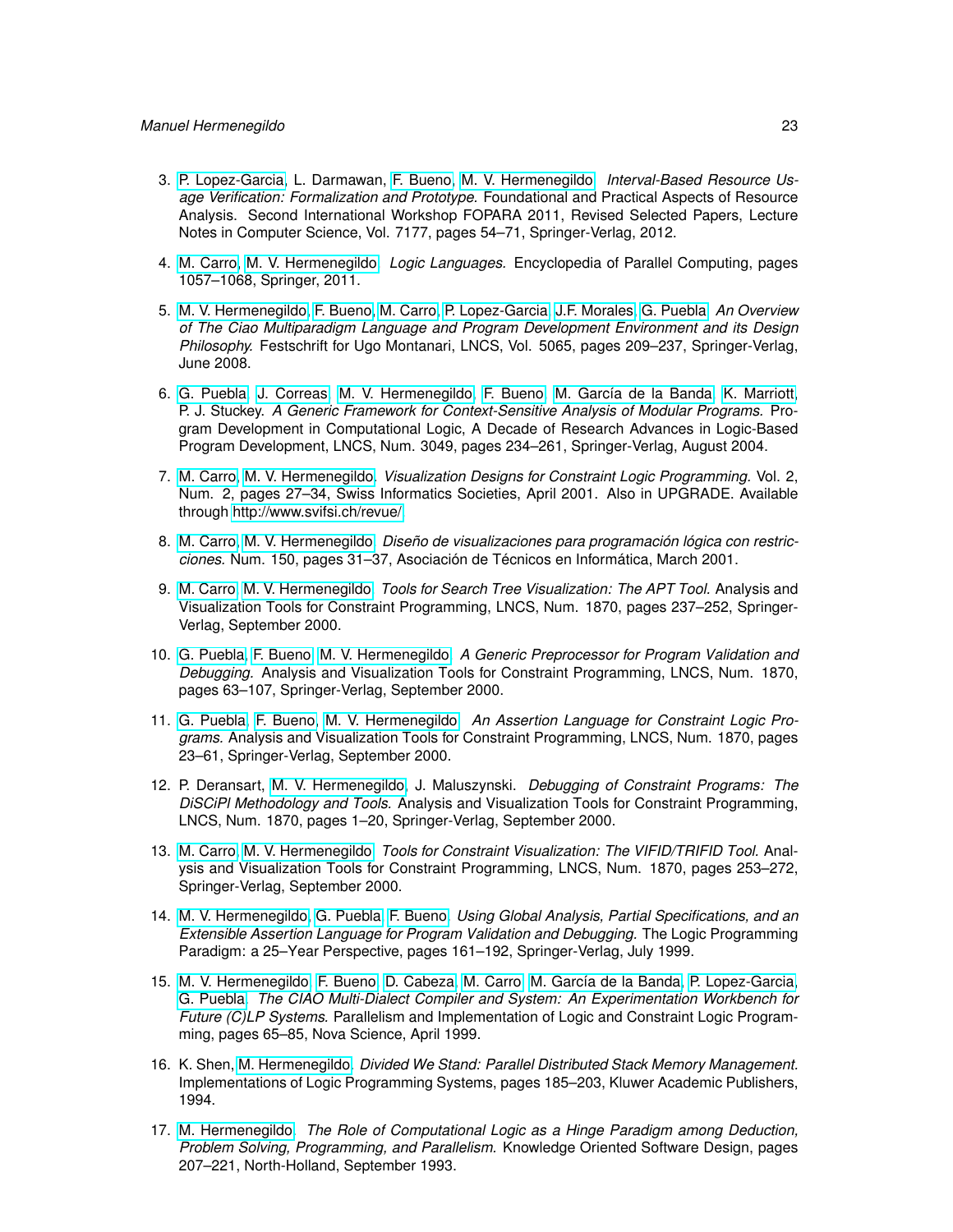- 3. [P. Lopez-Garcia,](http://www.clip.dia.fi.upm.es/~{}pedro) L. Darmawan, [F. Bueno,](http://www.clip.dia.fi.upm.es/~{}bueno) [M. V. Hermenegildo.](http://www.clip.dia.fi.upm.es/~{}herme) *Interval-Based Resource Usage Verification: Formalization and Prototype.* Foundational and Practical Aspects of Resource Analysis. Second International Workshop FOPARA 2011, Revised Selected Papers, Lecture Notes in Computer Science, Vol. 7177, pages 54–71, Springer-Verlag, 2012.
- 4. [M. Carro,](http://www.clip.dia.fi.upm.es/~{}mcarro) [M. V. Hermenegildo.](http://www.clip.dia.fi.upm.es/~{}herme) *Logic Languages.* Encyclopedia of Parallel Computing, pages 1057–1068, Springer, 2011.
- 5. [M. V. Hermenegildo,](http://www.clip.dia.fi.upm.es/~{}herme) [F. Bueno,](http://www.clip.dia.fi.upm.es/~{}bueno) [M. Carro,](http://www.clip.dia.fi.upm.es/~{}mcarro) [P. Lopez-Garcia,](http://www.clip.dia.fi.upm.es/~{}pedro) [J.F. Morales,](http://www.clip.dia.fi.upm.es/~{}jfran) [G. Puebla.](http://www.clip.dia.fi.upm.es/~{}german) *An Overview of The Ciao Multiparadigm Language and Program Development Environment and its Design Philosophy.* Festschrift for Ugo Montanari, LNCS, Vol. 5065, pages 209–237, Springer-Verlag, June 2008.
- 6. [G. Puebla,](http://www.clip.dia.fi.upm.es/~{}german) [J. Correas,](http://www.clip.dia.fi.upm.es/~{}jcorreas) [M. V. Hermenegildo,](http://www.clip.dia.fi.upm.es/~{}herme) [F. Bueno,](http://www.clip.dia.fi.upm.es/~{}bueno) [M. García de la Banda,](http://www.csse.monash.edu.au/~{}mbanda) [K. Marriott,](http://www.csse.monash.edu.au/~{}marriott) P. J. Stuckey. *A Generic Framework for Context-Sensitive Analysis of Modular Programs.* Program Development in Computational Logic, A Decade of Research Advances in Logic-Based Program Development, LNCS, Num. 3049, pages 234–261, Springer-Verlag, August 2004.
- 7. [M. Carro,](http://www.clip.dia.fi.upm.es/~{}mcarro) [M. V. Hermenegildo.](http://www.clip.dia.fi.upm.es/~{}herme) *Visualization Designs for Constraint Logic Programming.* Vol. 2, Num. 2, pages 27–34, Swiss Informatics Societies, April 2001. Also in UPGRADE. Available through [http://www.svifsi.ch/revue/.](http://www.svifsi.ch/revue/)
- 8. [M. Carro,](http://www.clip.dia.fi.upm.es/~{}mcarro) [M. V. Hermenegildo.](http://www.clip.dia.fi.upm.es/~{}herme) *Diseño de visualizaciones para programación lógica con restricciones.* Num. 150, pages 31–37, Asociación de Técnicos en Informática, March 2001.
- 9. [M. Carro,](http://www.clip.dia.fi.upm.es/~{}mcarro) [M. V. Hermenegildo.](http://www.clip.dia.fi.upm.es/~{}herme) *Tools for Search Tree Visualization: The APT Tool.* Analysis and Visualization Tools for Constraint Programming, LNCS, Num. 1870, pages 237–252, Springer-Verlag, September 2000.
- 10. [G. Puebla,](http://www.clip.dia.fi.upm.es/~{}german) [F. Bueno,](http://www.clip.dia.fi.upm.es/~{}bueno) [M. V. Hermenegildo.](http://www.clip.dia.fi.upm.es/~{}herme) *A Generic Preprocessor for Program Validation and Debugging.* Analysis and Visualization Tools for Constraint Programming, LNCS, Num. 1870, pages 63–107, Springer-Verlag, September 2000.
- 11. [G. Puebla,](http://www.clip.dia.fi.upm.es/~{}german) [F. Bueno,](http://www.clip.dia.fi.upm.es/~{}bueno) [M. V. Hermenegildo.](http://www.clip.dia.fi.upm.es/~{}herme) *An Assertion Language for Constraint Logic Programs.* Analysis and Visualization Tools for Constraint Programming, LNCS, Num. 1870, pages 23–61, Springer-Verlag, September 2000.
- 12. P. Deransart, [M. V. Hermenegildo,](http://www.clip.dia.fi.upm.es/~{}herme) J. Maluszynski. *Debugging of Constraint Programs: The DiSCiPl Methodology and Tools.* Analysis and Visualization Tools for Constraint Programming, LNCS, Num. 1870, pages 1–20, Springer-Verlag, September 2000.
- 13. [M. Carro,](http://www.clip.dia.fi.upm.es/~{}mcarro) [M. V. Hermenegildo.](http://www.clip.dia.fi.upm.es/~{}herme) *Tools for Constraint Visualization: The VIFID/TRIFID Tool.* Analysis and Visualization Tools for Constraint Programming, LNCS, Num. 1870, pages 253–272, Springer-Verlag, September 2000.
- 14. [M. V. Hermenegildo,](http://www.clip.dia.fi.upm.es/~{}herme) [G. Puebla,](http://www.clip.dia.fi.upm.es/~{}german) [F. Bueno.](http://www.clip.dia.fi.upm.es/~{}bueno) *Using Global Analysis, Partial Specifications, and an Extensible Assertion Language for Program Validation and Debugging.* The Logic Programming Paradigm: a 25–Year Perspective, pages 161–192, Springer-Verlag, July 1999.
- 15. [M. V. Hermenegildo,](http://www.clip.dia.fi.upm.es/~{}herme) [F. Bueno,](http://www.clip.dia.fi.upm.es/~{}bueno) [D. Cabeza,](http://www.clip.dia.fi.upm.es/~{}bardo) [M. Carro,](http://www.clip.dia.fi.upm.es/~{}mcarro) [M. García de la Banda,](http://www.csse.monash.edu.au/~{}mbanda) [P. Lopez-Garcia,](http://www.clip.dia.fi.upm.es/~{}pedro) [G. Puebla.](http://www.clip.dia.fi.upm.es/~{}german) *The CIAO Multi-Dialect Compiler and System: An Experimentation Workbench for Future (C)LP Systems.* Parallelism and Implementation of Logic and Constraint Logic Programming, pages 65–85, Nova Science, April 1999.
- 16. K. Shen, [M. Hermenegildo.](http://www.clip.dia.fi.upm.es/~{}herme) *Divided We Stand: Parallel Distributed Stack Memory Management.* Implementations of Logic Programming Systems, pages 185–203, Kluwer Academic Publishers, 1994.
- 17. [M. Hermenegildo.](http://www.clip.dia.fi.upm.es/~{}herme) *The Role of Computational Logic as a Hinge Paradigm among Deduction, Problem Solving, Programming, and Parallelism.* Knowledge Oriented Software Design, pages 207–221, North-Holland, September 1993.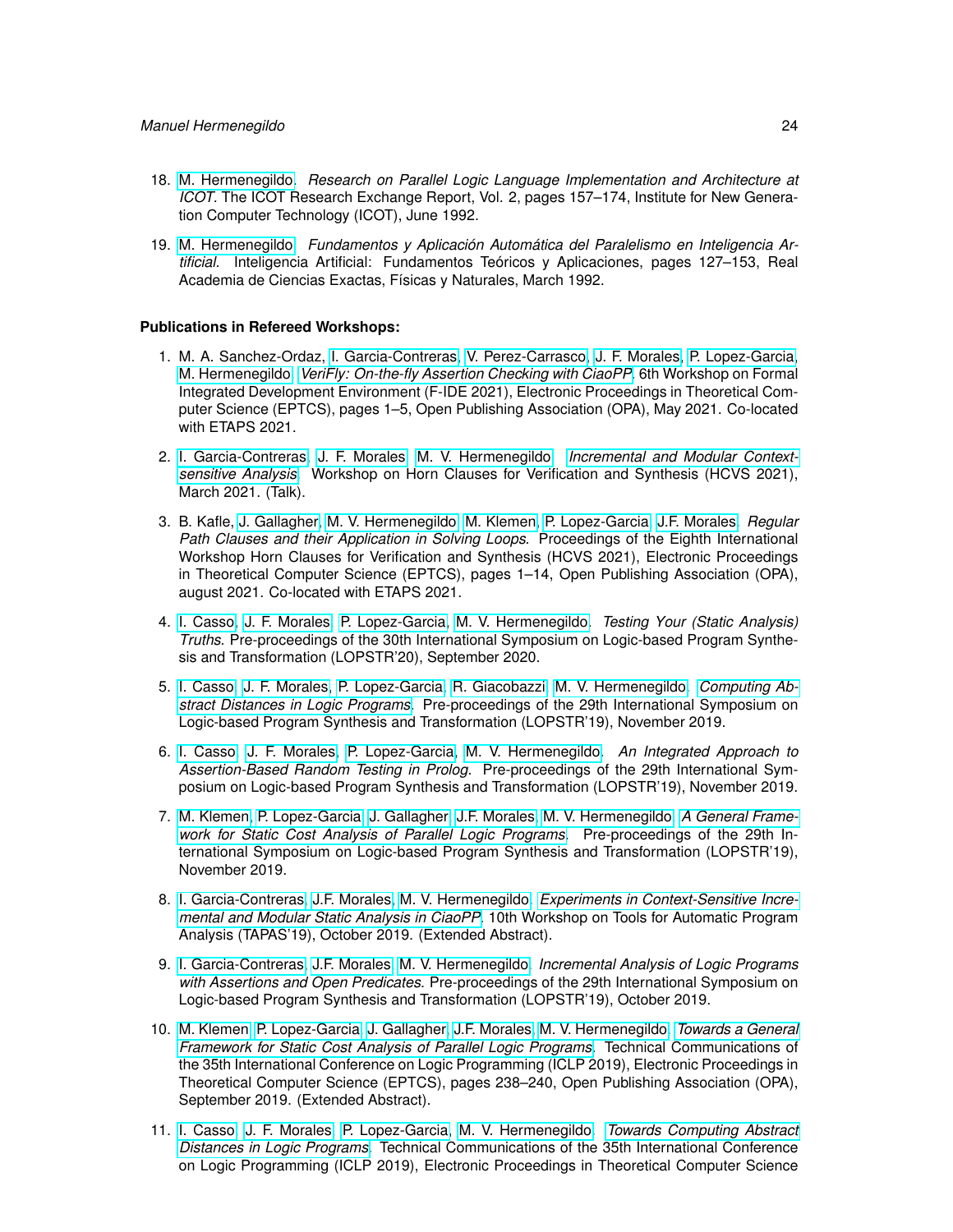- 18. [M. Hermenegildo.](http://www.clip.dia.fi.upm.es/~{}herme) *Research on Parallel Logic Language Implementation and Architecture at ICOT.* The ICOT Research Exchange Report, Vol. 2, pages 157–174, Institute for New Generation Computer Technology (ICOT), June 1992.
- 19. [M. Hermenegildo.](http://www.clip.dia.fi.upm.es/~{}herme) *Fundamentos y Aplicación Automática del Paralelismo en Inteligencia Artificial.* Inteligencia Artificial: Fundamentos Teóricos y Aplicaciones, pages 127–153, Real Academia de Ciencias Exactas, Físicas y Naturales, March 1992.

#### **Publications in Refereed Workshops:**

- 1. M. A. Sanchez-Ordaz, [I. Garcia-Contreras,](https://software.imdea.org/people/isabel.garcia/index.html) [V. Perez-Carrasco,](https://software.imdea.org/people/victor.perez/index.html) [J. F. Morales,](http://www.clip.dia.fi.upm.es/~{}jfran) [P. Lopez-Garcia,](http://www.clip.dia.fi.upm.es/~{}pedro) [M. Hermenegildo.](http://www.clip.dia.fi.upm.es/~{}herme) *[VeriFly: On-the-fly Assertion Checking with CiaoPP.](http://eptcs.web.cse.unsw.edu.au/content.cgi?FIDE2021##EPTCS338.13)* 6th Workshop on Formal Integrated Development Environment (F-IDE 2021), Electronic Proceedings in Theoretical Computer Science (EPTCS), pages 1–5, Open Publishing Association (OPA), May 2021. Co-located with ETAPS 2021.
- 2. [I. Garcia-Contreras,](https://software.imdea.org/people/isabel.garcia/index.html) [J. F. Morales,](http://www.clip.dia.fi.upm.es/~{}jfran) [M. V. Hermenegildo.](http://www.clip.dia.fi.upm.es/~{}herme) *[Incremental and Modular Context](http://cliplab.org/papers/intermod-incanal-hcvs21.pdf)[sensitive Analysis.](http://cliplab.org/papers/intermod-incanal-hcvs21.pdf)* Workshop on Horn Clauses for Verification and Synthesis (HCVS 2021), March 2021. (Talk).
- 3. B. Kafle, [J. Gallagher,](john.gallagher@imdea.org) [M. V. Hermenegildo,](http://www.clip.dia.fi.upm.es/~{}herme) [M. Klemen,](http://software.imdea.org/people/maximiliano.klemen/index.html) [P. Lopez-Garcia,](http://www.clip.dia.fi.upm.es/~{}pedro) [J.F. Morales.](http://www.clip.dia.fi.upm.es/~{}jfran) *Regular Path Clauses and their Application in Solving Loops.* Proceedings of the Eighth International Workshop Horn Clauses for Verification and Synthesis (HCVS 2021), Electronic Proceedings in Theoretical Computer Science (EPTCS), pages 1–14, Open Publishing Association (OPA), august 2021. Co-located with ETAPS 2021.
- 4. [I. Casso,](https://software.imdea.org/people/ignacio.decasso/index.html) [J. F. Morales,](http://www.clip.dia.fi.upm.es/~{}jfran) [P. Lopez-Garcia,](http://www.clip.dia.fi.upm.es/~{}pedro) [M. V. Hermenegildo.](http://www.clip.dia.fi.upm.es/~{}herme) *Testing Your (Static Analysis) Truths.* Pre-proceedings of the 30th International Symposium on Logic-based Program Synthesis and Transformation (LOPSTR'20), September 2020.
- 5. [I. Casso,](https://software.imdea.org/people/ignacio.decasso/index.html) [J. F. Morales,](http://www.clip.dia.fi.upm.es/~{}jfran) [P. Lopez-Garcia,](http://www.clip.dia.fi.upm.es/~{}pedro) [R. Giacobazzi,](https://software.imdea.org/people/roberto.giacobazzi/index.html) [M. V. Hermenegildo.](http://www.clip.dia.fi.upm.es/~{}herme) *[Computing Ab](http://arxiv.org/abs/1907.13263)[stract Distances in Logic Programs.](http://arxiv.org/abs/1907.13263)* Pre-proceedings of the 29th International Symposium on Logic-based Program Synthesis and Transformation (LOPSTR'19), November 2019.
- 6. [I. Casso,](https://software.imdea.org/people/ignacio.decasso/index.html) [J. F. Morales,](http://www.clip.dia.fi.upm.es/~{}jfran) [P. Lopez-Garcia,](http://www.clip.dia.fi.upm.es/~{}pedro) [M. V. Hermenegildo.](http://www.clip.dia.fi.upm.es/~{}herme) *An Integrated Approach to Assertion-Based Random Testing in Prolog.* Pre-proceedings of the 29th International Symposium on Logic-based Program Synthesis and Transformation (LOPSTR'19), November 2019.
- 7. [M. Klemen,](http://software.imdea.org/people/maximiliano.klemen/index.html) [P. Lopez-Garcia,](http://www.clip.dia.fi.upm.es/~{}pedro) [J. Gallagher,](john.gallagher@imdea.org) [J.F. Morales,](http://www.clip.dia.fi.upm.es/~{}jfran) [M. V. Hermenegildo.](http://www.clip.dia.fi.upm.es/~{}herme) *[A General Frame](http://arxiv.org/abs/1907.13272)[work for Static Cost Analysis of Parallel Logic Programs.](http://arxiv.org/abs/1907.13272)* Pre-proceedings of the 29th International Symposium on Logic-based Program Synthesis and Transformation (LOPSTR'19), November 2019.
- 8. [I. Garcia-Contreras,](https://software.imdea.org/people/isabel.garcia/index.html) [J.F. Morales,](http://www.clip.dia.fi.upm.es/~{}jfran) [M. V. Hermenegildo.](http://www.clip.dia.fi.upm.es/~{}herme) *[Experiments in Context-Sensitive Incre](https://staticanalysis.org/tapas2019/talks/TAPAS_2019_paper_14.pdf)[mental and Modular Static Analysis in CiaoPP.](https://staticanalysis.org/tapas2019/talks/TAPAS_2019_paper_14.pdf)* 10th Workshop on Tools for Automatic Program Analysis (TAPAS'19), October 2019. (Extended Abstract).
- 9. [I. Garcia-Contreras,](https://software.imdea.org/people/isabel.garcia/index.html) [J.F. Morales,](http://www.clip.dia.fi.upm.es/~{}jfran) [M. V. Hermenegildo.](http://www.clip.dia.fi.upm.es/~{}herme) *Incremental Analysis of Logic Programs with Assertions and Open Predicates.* Pre-proceedings of the 29th International Symposium on Logic-based Program Synthesis and Transformation (LOPSTR'19), October 2019.
- 10. [M. Klemen,](http://software.imdea.org/people/maximiliano.klemen/index.html) [P. Lopez-Garcia,](http://www.clip.dia.fi.upm.es/~{}pedro) [J. Gallagher,](john.gallagher@imdea.org) [J.F. Morales,](http://www.clip.dia.fi.upm.es/~{}jfran) [M. V. Hermenegildo.](http://www.clip.dia.fi.upm.es/~{}herme) *[Towards a General](http://eptcs.web.cse.unsw.edu.au/content.cgi?ICLP2019##EPTCS306.27) [Framework for Static Cost Analysis of Parallel Logic Programs.](http://eptcs.web.cse.unsw.edu.au/content.cgi?ICLP2019##EPTCS306.27)* Technical Communications of the 35th International Conference on Logic Programming (ICLP 2019), Electronic Proceedings in Theoretical Computer Science (EPTCS), pages 238–240, Open Publishing Association (OPA), September 2019. (Extended Abstract).
- 11. [I. Casso,](https://software.imdea.org/people/ignacio.decasso/index.html) [J. F. Morales,](http://www.clip.dia.fi.upm.es/~{}jfran) [P. Lopez-Garcia,](http://www.clip.dia.fi.upm.es/~{}pedro) [M. V. Hermenegildo.](http://www.clip.dia.fi.upm.es/~{}herme) *[Towards Computing Abstract](http://eptcs.web.cse.unsw.edu.au/content.cgi?ICLP2019##EPTCS306.12) [Distances in Logic Programs.](http://eptcs.web.cse.unsw.edu.au/content.cgi?ICLP2019##EPTCS306.12)* Technical Communications of the 35th International Conference on Logic Programming (ICLP 2019), Electronic Proceedings in Theoretical Computer Science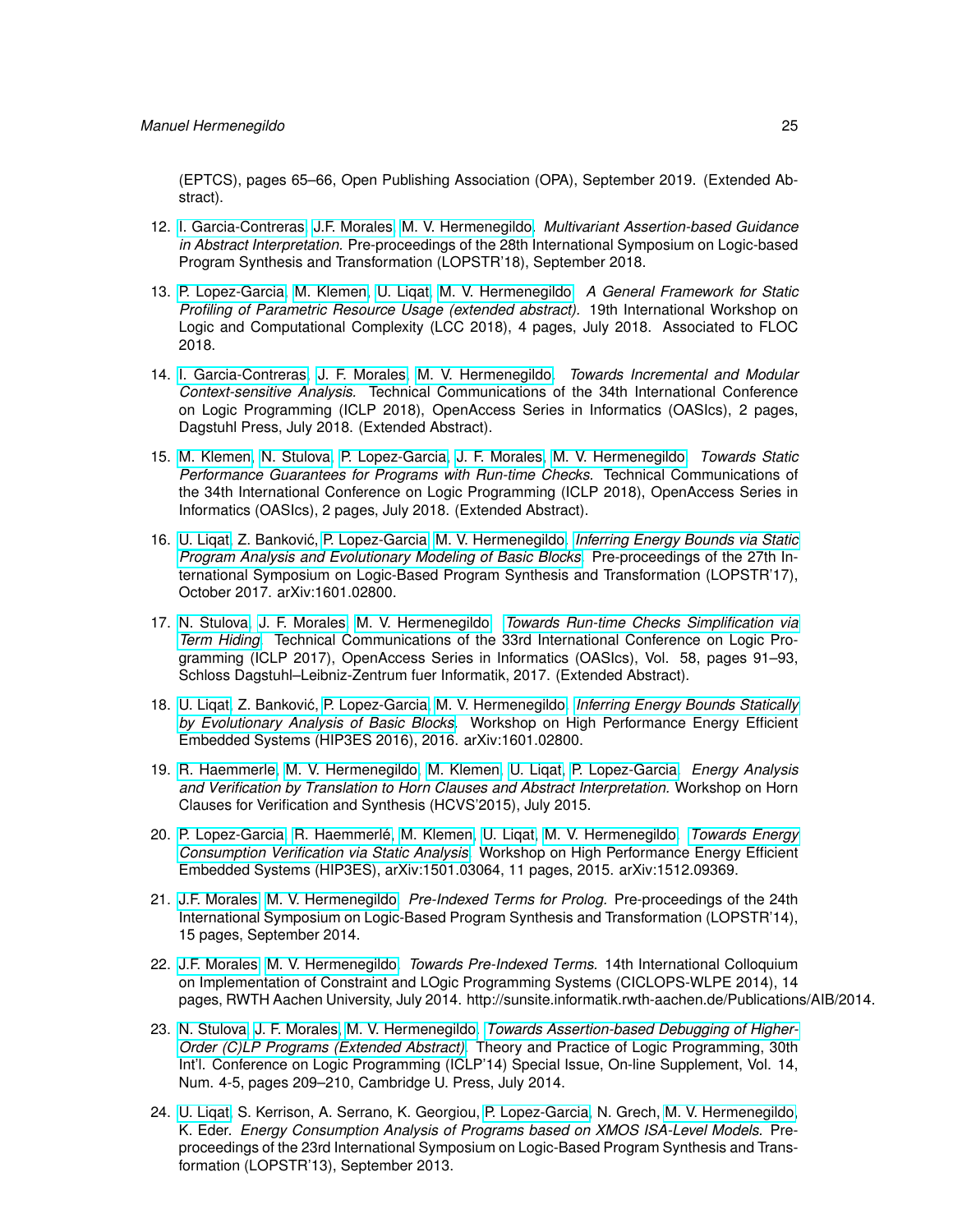(EPTCS), pages 65–66, Open Publishing Association (OPA), September 2019. (Extended Abstract).

- 12. [I. Garcia-Contreras,](https://software.imdea.org/people/isabel.garcia/index.html) [J.F. Morales,](http://www.clip.dia.fi.upm.es/~{}jfran) [M. V. Hermenegildo.](http://www.clip.dia.fi.upm.es/~{}herme) *Multivariant Assertion-based Guidance in Abstract Interpretation.* Pre-proceedings of the 28th International Symposium on Logic-based Program Synthesis and Transformation (LOPSTR'18), September 2018.
- 13. [P. Lopez-Garcia,](http://www.clip.dia.fi.upm.es/~{}pedro) [M. Klemen,](http://software.imdea.org/people/maximiliano.klemen/index.html) [U. Liqat,](http://software.imdea.org/people/umer.liqat/index.html) [M. V. Hermenegildo.](http://www.clip.dia.fi.upm.es/~{}herme) *A General Framework for Static Profiling of Parametric Resource Usage (extended abstract).* 19th International Workshop on Logic and Computational Complexity (LCC 2018), 4 pages, July 2018. Associated to FLOC 2018.
- 14. [I. Garcia-Contreras,](https://software.imdea.org/people/isabel.garcia/index.html) [J. F. Morales,](http://www.clip.dia.fi.upm.es/~{}jfran) [M. V. Hermenegildo.](http://www.clip.dia.fi.upm.es/~{}herme) *Towards Incremental and Modular Context-sensitive Analysis.* Technical Communications of the 34th International Conference on Logic Programming (ICLP 2018), OpenAccess Series in Informatics (OASIcs), 2 pages, Dagstuhl Press, July 2018. (Extended Abstract).
- 15. [M. Klemen,](http://software.imdea.org/people/maximiliano.klemen/index.html) [N. Stulova,](https://software.imdea.org/people/nataliia.stulova/index.html) [P. Lopez-Garcia,](http://www.clip.dia.fi.upm.es/~{}pedro) [J. F. Morales,](http://www.clip.dia.fi.upm.es/~{}jfran) [M. V. Hermenegildo.](http://www.clip.dia.fi.upm.es/~{}herme) *Towards Static Performance Guarantees for Programs with Run-time Checks.* Technical Communications of the 34th International Conference on Logic Programming (ICLP 2018), OpenAccess Series in Informatics (OASIcs), 2 pages, July 2018. (Extended Abstract).
- 16. [U. Liqat,](http://software.imdea.org/people/umer.liqat/index.html) Z. Bankovic, [P. Lopez-Garcia,](http://www.clip.dia.fi.upm.es/~{}pedro) [M. V. Hermenegildo.](http://www.clip.dia.fi.upm.es/~{}herme) ´ *[Inferring Energy Bounds via Static](https://arxiv.org/abs/1601.02800) [Program Analysis and Evolutionary Modeling of Basic Blocks.](https://arxiv.org/abs/1601.02800)* Pre-proceedings of the 27th International Symposium on Logic-Based Program Synthesis and Transformation (LOPSTR'17), October 2017. arXiv:1601.02800.
- 17. [N. Stulova,](https://software.imdea.org/people/nataliia.stulova/index.html) [J. F. Morales,](http://www.clip.dia.fi.upm.es/~{}jfran) [M. V. Hermenegildo.](http://www.clip.dia.fi.upm.es/~{}herme) *[Towards Run-time Checks Simplification via](http://cliplab.org/papers/termhide-iclp2017-tc.pdf) [Term Hiding.](http://cliplab.org/papers/termhide-iclp2017-tc.pdf)* Technical Communications of the 33rd International Conference on Logic Programming (ICLP 2017), OpenAccess Series in Informatics (OASIcs), Vol. 58, pages 91–93, Schloss Dagstuhl–Leibniz-Zentrum fuer Informatik, 2017. (Extended Abstract).
- 18. [U. Liqat,](http://software.imdea.org/people/umer.liqat/index.html) Z. Bankovic, [P. Lopez-Garcia,](http://www.clip.dia.fi.upm.es/~{}pedro) [M. V. Hermenegildo.](http://www.clip.dia.fi.upm.es/~{}herme) ´ *[Inferring Energy Bounds Statically](http://arxiv.org/abs/1601.02800) [by Evolutionary Analysis of Basic Blocks.](http://arxiv.org/abs/1601.02800)* Workshop on High Performance Energy Efficient Embedded Systems (HIP3ES 2016), 2016. arXiv:1601.02800.
- 19. [R. Haemmerle,](http://www.clip.dia.fi.upm.es/~{}remy) [M. V. Hermenegildo,](http://www.clip.dia.fi.upm.es/~{}herme) [M. Klemen,](http://software.imdea.org/people/maximiliano.klemen/index.html) [U. Liqat,](http://software.imdea.org/people/umer.liqat/index.html) [P. Lopez-Garcia.](http://www.clip.dia.fi.upm.es/~{}pedro) *Energy Analysis and Verification by Translation to Horn Clauses and Abstract Interpretation.* Workshop on Horn Clauses for Verification and Synthesis (HCVS'2015), July 2015.
- 20. [P. Lopez-Garcia,](http://www.clip.dia.fi.upm.es/~{}pedro) [R. Haemmerlé,](http://www.clip.dia.fi.upm.es/~{}remy) [M. Klemen,](http://software.imdea.org/people/maximiliano.klemen/index.html) [U. Liqat,](http://software.imdea.org/people/umer.liqat/index.html) [M. V. Hermenegildo.](http://www.clip.dia.fi.upm.es/~{}herme) *[Towards Energy](http://arxiv.org/abs/1512.09369) [Consumption Verification via Static Analysis.](http://arxiv.org/abs/1512.09369)* Workshop on High Performance Energy Efficient Embedded Systems (HIP3ES), arXiv:1501.03064, 11 pages, 2015. arXiv:1512.09369.
- 21. [J.F. Morales,](http://www.clip.dia.fi.upm.es/~{}jfran) [M. V. Hermenegildo.](http://www.clip.dia.fi.upm.es/~{}herme) *Pre-Indexed Terms for Prolog.* Pre-proceedings of the 24th International Symposium on Logic-Based Program Synthesis and Transformation (LOPSTR'14), 15 pages, September 2014.
- 22. [J.F. Morales,](http://www.clip.dia.fi.upm.es/~{}jfran) [M. V. Hermenegildo.](http://www.clip.dia.fi.upm.es/~{}herme) *Towards Pre-Indexed Terms.* 14th International Colloquium on Implementation of Constraint and LOgic Programming Systems (CICLOPS-WLPE 2014), 14 pages, RWTH Aachen University, July 2014. http://sunsite.informatik.rwth-aachen.de/Publications/AIB/2014.
- 23. [N. Stulova,](https://software.imdea.org/people/nataliia.stulova/index.html) [J. F. Morales,](http://www.clip.dia.fi.upm.es/~{}jfran) [M. V. Hermenegildo.](http://www.clip.dia.fi.upm.es/~{}herme) *[Towards Assertion-based Debugging of Higher-](https://www.cs.nmsu.edu/ALP/conferences/iclp-2014-proceedings/)[Order \(C\)LP Programs \(Extended Abstract\).](https://www.cs.nmsu.edu/ALP/conferences/iclp-2014-proceedings/)* Theory and Practice of Logic Programming, 30th Int'l. Conference on Logic Programming (ICLP'14) Special Issue, On-line Supplement, Vol. 14, Num. 4-5, pages 209–210, Cambridge U. Press, July 2014.
- 24. [U. Liqat,](http://software.imdea.org/people/umer.liqat/index.html) S. Kerrison, A. Serrano, K. Georgiou, [P. Lopez-Garcia,](http://www.clip.dia.fi.upm.es/~{}pedro) N. Grech, [M. V. Hermenegildo,](http://www.clip.dia.fi.upm.es/~{}herme) K. Eder. *Energy Consumption Analysis of Programs based on XMOS ISA-Level Models.* Preproceedings of the 23rd International Symposium on Logic-Based Program Synthesis and Transformation (LOPSTR'13), September 2013.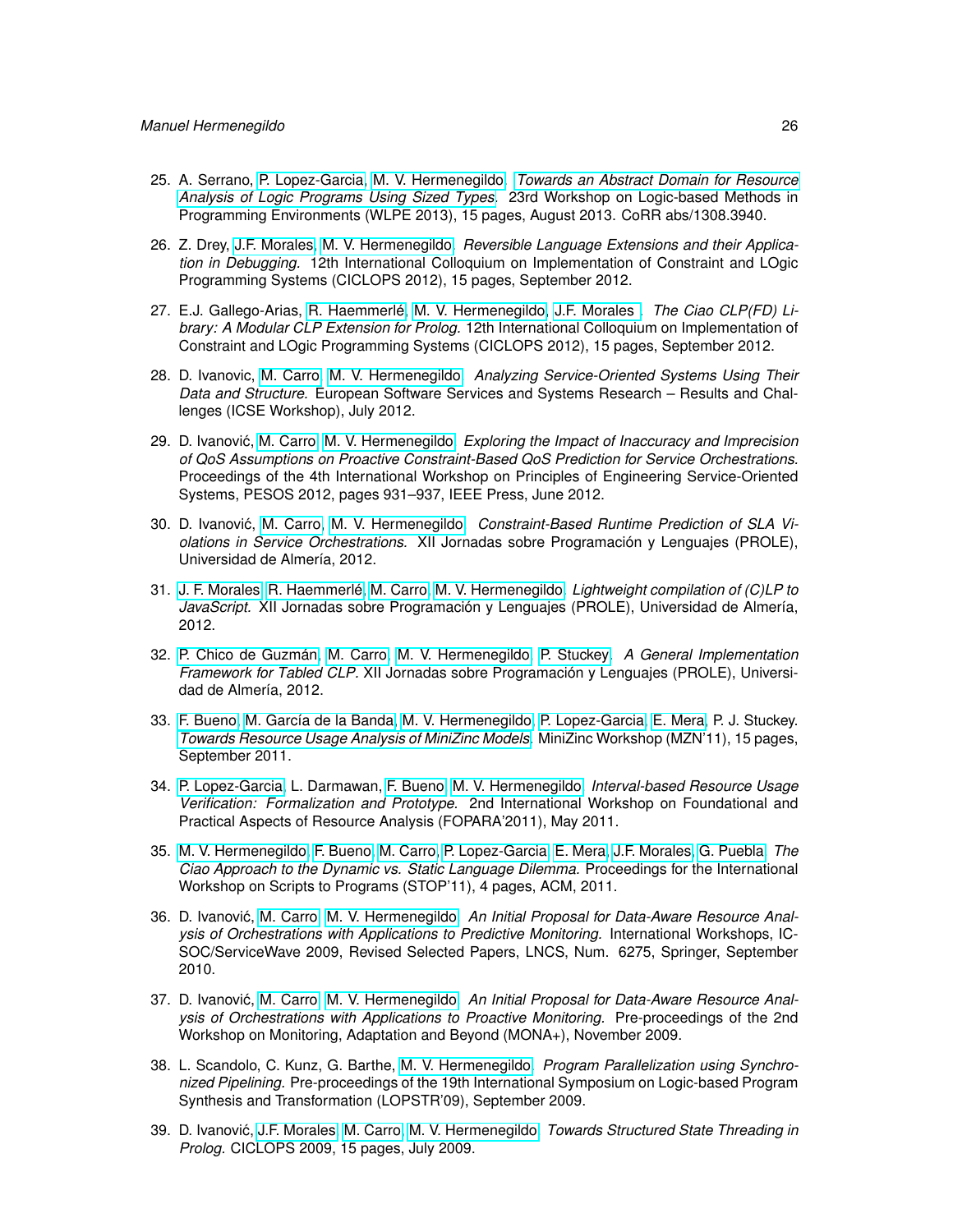- 25. A. Serrano, [P. Lopez-Garcia,](http://www.clip.dia.fi.upm.es/~{}pedro) [M. V. Hermenegildo.](http://www.clip.dia.fi.upm.es/~{}herme) *[Towards an Abstract Domain for Resource](http://arxiv.org/abs/1308.3940) [Analysis of Logic Programs Using Sized Types.](http://arxiv.org/abs/1308.3940)* 23rd Workshop on Logic-based Methods in Programming Environments (WLPE 2013), 15 pages, August 2013. CoRR abs/1308.3940.
- 26. Z. Drey, [J.F. Morales,](http://www.clip.dia.fi.upm.es/~{}jfran) [M. V. Hermenegildo.](http://www.clip.dia.fi.upm.es/~{}herme) *Reversible Language Extensions and their Application in Debugging.* 12th International Colloquium on Implementation of Constraint and LOgic Programming Systems (CICLOPS 2012), 15 pages, September 2012.
- 27. E.J. Gallego-Arias, [R. Haemmerlé,](http://www.clip.dia.fi.upm.es/~{}remy) [M. V. Hermenegildo,](http://www.clip.dia.fi.upm.es/~{}herme) [J.F. Morales .](http://www.clip.dia.fi.upm.es/~{}jfran) *The Ciao CLP(FD) Library: A Modular CLP Extension for Prolog.* 12th International Colloquium on Implementation of Constraint and LOgic Programming Systems (CICLOPS 2012), 15 pages, September 2012.
- 28. D. Ivanovic, [M. Carro,](http://www.clip.dia.fi.upm.es/~{}mcarro) [M. V. Hermenegildo.](http://www.clip.dia.fi.upm.es/~{}herme) *Analyzing Service-Oriented Systems Using Their Data and Structure.* European Software Services and Systems Research – Results and Challenges (ICSE Workshop), July 2012.
- 29. D. Ivanović, [M. Carro,](http://www.clip.dia.fi.upm.es/~{}mcarro) [M. V. Hermenegildo.](http://www.clip.dia.fi.upm.es/~{}herme) Exploring the Impact of Inaccuracy and Imprecision *of QoS Assumptions on Proactive Constraint-Based QoS Prediction for Service Orchestrations.* Proceedings of the 4th International Workshop on Principles of Engineering Service-Oriented Systems, PESOS 2012, pages 931–937, IEEE Press, June 2012.
- 30. D. Ivanović, [M. Carro,](http://www.clip.dia.fi.upm.es/~{}mcarro) [M. V. Hermenegildo.](http://www.clip.dia.fi.upm.es/~{}herme) Constraint-Based Runtime Prediction of SLA Vi*olations in Service Orchestrations.* XII Jornadas sobre Programación y Lenguajes (PROLE), Universidad de Almería, 2012.
- 31. [J. F. Morales,](http://www.clip.dia.fi.upm.es/~{}jfran) [R. Haemmerlé,](http://www.clip.dia.fi.upm.es/~{}remy) [M. Carro,](http://www.clip.dia.fi.upm.es/~{}mcarro) [M. V. Hermenegildo.](http://www.clip.dia.fi.upm.es/~{}herme) *Lightweight compilation of (C)LP to JavaScript.* XII Jornadas sobre Programación y Lenguajes (PROLE), Universidad de Almería, 2012.
- 32. [P. Chico de Guzmán,](http://www.clip.dia.fi.upm.es/~{}pchico) [M. Carro,](http://www.clip.dia.fi.upm.es/~{}mcarro) [M. V. Hermenegildo,](http://www.clip.dia.fi.upm.es/~{}herme) [P. Stuckey.](http://www.cs.mu.OZ.AU/~{}pjs) *A General Implementation Framework for Tabled CLP.* XII Jornadas sobre Programación y Lenguajes (PROLE), Universidad de Almería, 2012.
- 33. [F. Bueno,](http://www.clip.dia.fi.upm.es/~{}bueno) [M. García de la Banda,](http://www.csse.monash.edu.au/~{}mbanda) [M. V. Hermenegildo,](http://www.clip.dia.fi.upm.es/~{}herme) [P. Lopez-Garcia,](http://www.clip.dia.fi.upm.es/~{}pedro) [E. Mera,](http://www.clip.dia.fi.upm.es/~{}edison) P. J. Stuckey. *[Towards Resource Usage Analysis of MiniZinc Models.](http://www.g12.csse.unimelb.edu.au/minizinc/workshop2011/mzn2011_submission_3.pdf)* MiniZinc Workshop (MZN'11), 15 pages, September 2011.
- 34. [P. Lopez-Garcia,](http://www.clip.dia.fi.upm.es/~{}pedro) L. Darmawan, [F. Bueno,](http://www.clip.dia.fi.upm.es/~{}bueno) [M. V. Hermenegildo.](http://www.clip.dia.fi.upm.es/~{}herme) *Interval-based Resource Usage Verification: Formalization and Prototype.* 2nd International Workshop on Foundational and Practical Aspects of Resource Analysis (FOPARA'2011), May 2011.
- 35. [M. V. Hermenegildo,](http://www.clip.dia.fi.upm.es/~{}herme) [F. Bueno,](http://www.clip.dia.fi.upm.es/~{}bueno) [M. Carro,](http://www.clip.dia.fi.upm.es/~{}mcarro) [P. Lopez-Garcia,](http://www.clip.dia.fi.upm.es/~{}pedro) [E. Mera,](http://www.clip.dia.fi.upm.es/~{}edison) [J.F. Morales,](http://www.clip.dia.fi.upm.es/~{}jfran) [G. Puebla.](http://www.clip.dia.fi.upm.es/~{}german) *The Ciao Approach to the Dynamic vs. Static Language Dilemma.* Proceedings for the International Workshop on Scripts to Programs (STOP'11), 4 pages, ACM, 2011.
- 36. D. Ivanović, [M. Carro,](http://www.clip.dia.fi.upm.es/~{}mcarro) [M. V. Hermenegildo.](http://www.clip.dia.fi.upm.es/~{}herme) An Initial Proposal for Data-Aware Resource Anal*ysis of Orchestrations with Applications to Predictive Monitoring.* International Workshops, IC-SOC/ServiceWave 2009, Revised Selected Papers, LNCS, Num. 6275, Springer, September 2010.
- 37. D. Ivanović, [M. Carro,](http://www.clip.dia.fi.upm.es/~{}mcarro) [M. V. Hermenegildo.](http://www.clip.dia.fi.upm.es/~{}herme) An Initial Proposal for Data-Aware Resource Anal*ysis of Orchestrations with Applications to Proactive Monitoring.* Pre-proceedings of the 2nd Workshop on Monitoring, Adaptation and Beyond (MONA+), November 2009.
- 38. L. Scandolo, C. Kunz, G. Barthe, [M. V. Hermenegildo.](http://www.clip.dia.fi.upm.es/~{}herme) *Program Parallelization using Synchronized Pipelining.* Pre-proceedings of the 19th International Symposium on Logic-based Program Synthesis and Transformation (LOPSTR'09), September 2009.
- 39. D. Ivanovic, [J.F. Morales,](http://www.clip.dia.fi.upm.es/~{}jfran) [M. Carro,](http://www.clip.dia.fi.upm.es/~{}mcarro) [M. V. Hermenegildo.](http://www.clip.dia.fi.upm.es/~{}herme) ´ *Towards Structured State Threading in Prolog.* CICLOPS 2009, 15 pages, July 2009.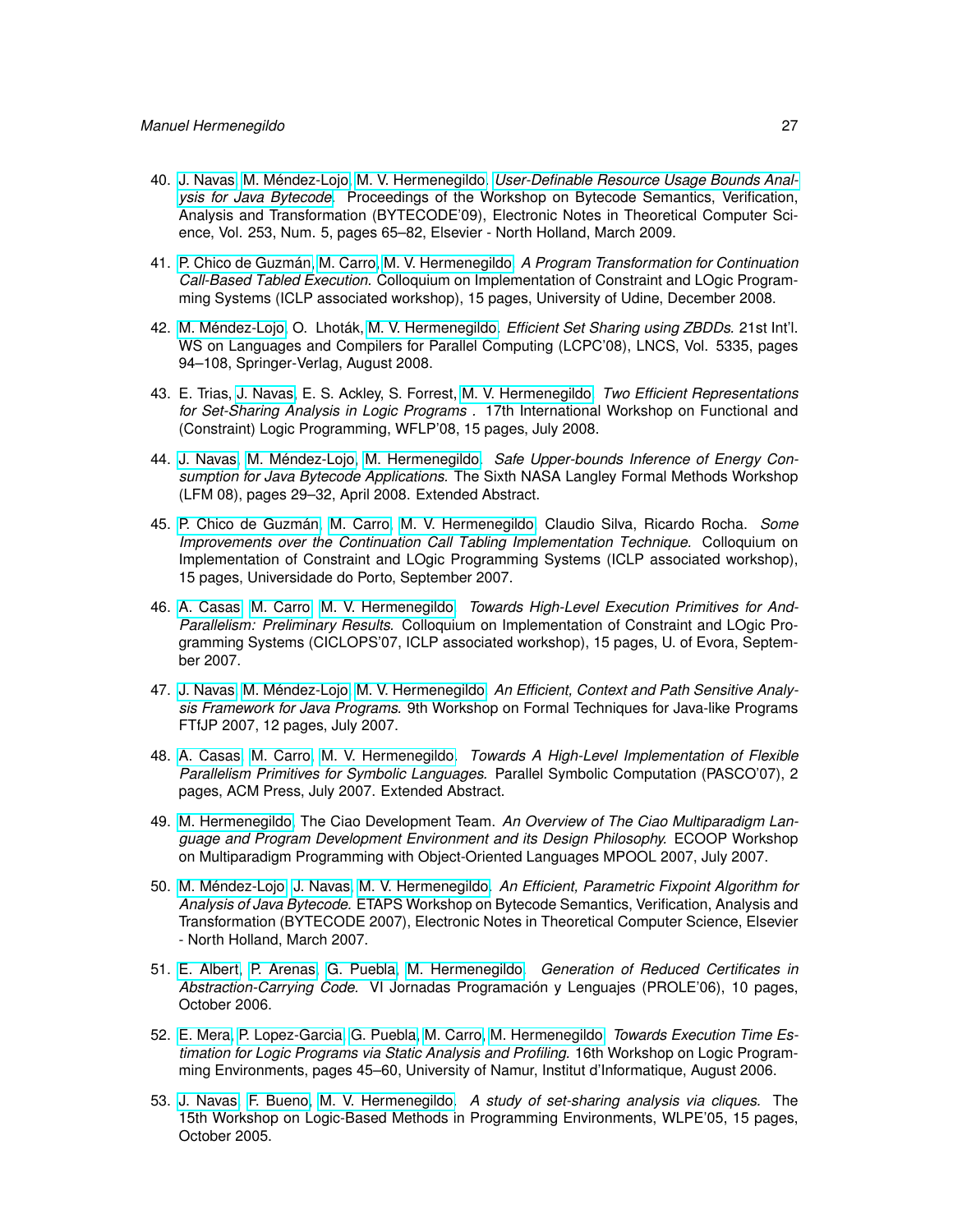- 40. [J. Navas,](http://www.clip.dia.fi.upm.es/~{}jorge) [M. Méndez-Lojo,](http://www.clip.dia.fi.upm.es/~{}mario) [M. V. Hermenegildo.](http://www.clip.dia.fi.upm.es/~{}herme) *[User-Definable Resource Usage Bounds Anal](http://cliplab.org/papers/resources-bytecode09.pdf)[ysis for Java Bytecode.](http://cliplab.org/papers/resources-bytecode09.pdf)* Proceedings of the Workshop on Bytecode Semantics, Verification, Analysis and Transformation (BYTECODE'09), Electronic Notes in Theoretical Computer Science, Vol. 253, Num. 5, pages 65–82, Elsevier - North Holland, March 2009.
- 41. [P. Chico de Guzmán,](http://www.clip.dia.fi.upm.es/~{}pchico) [M. Carro,](http://www.clip.dia.fi.upm.es/~{}mcarro) [M. V. Hermenegildo.](http://www.clip.dia.fi.upm.es/~{}herme) *A Program Transformation for Continuation Call-Based Tabled Execution.* Colloquium on Implementation of Constraint and LOgic Programming Systems (ICLP associated workshop), 15 pages, University of Udine, December 2008.
- 42. [M. Méndez-Lojo,](http://www.clip.dia.fi.upm.es/~{}mario) O. Lhoták, [M. V. Hermenegildo.](http://www.clip.dia.fi.upm.es/~{}herme) *Efficient Set Sharing using ZBDDs.* 21st Int'l. WS on Languages and Compilers for Parallel Computing (LCPC'08), LNCS, Vol. 5335, pages 94–108, Springer-Verlag, August 2008.
- 43. E. Trias, [J. Navas,](http://www.clip.dia.fi.upm.es/~{}jorge) E. S. Ackley, S. Forrest, [M. V. Hermenegildo.](http://www.clip.dia.fi.upm.es/~{}herme) *Two Efficient Representations for Set-Sharing Analysis in Logic Programs .* 17th International Workshop on Functional and (Constraint) Logic Programming, WFLP'08, 15 pages, July 2008.
- 44. [J. Navas,](http://www.clip.dia.fi.upm.es/~{}jorge) [M. Méndez-Lojo,](http://www.clip.dia.fi.upm.es/~{}mario) [M. Hermenegildo.](http://www.clip.dia.fi.upm.es/~{}herme) *Safe Upper-bounds Inference of Energy Consumption for Java Bytecode Applications.* The Sixth NASA Langley Formal Methods Workshop (LFM 08), pages 29–32, April 2008. Extended Abstract.
- 45. [P. Chico de Guzmán,](http://www.clip.dia.fi.upm.es/~{}pchico) [M. Carro,](http://www.clip.dia.fi.upm.es/~{}mcarro) [M. V. Hermenegildo,](http://www.clip.dia.fi.upm.es/~{}herme) Claudio Silva, Ricardo Rocha. *Some Improvements over the Continuation Call Tabling Implementation Technique.* Colloquium on Implementation of Constraint and LOgic Programming Systems (ICLP associated workshop), 15 pages, Universidade do Porto, September 2007.
- 46. [A. Casas,](http://www.clip.dia.fi.upm.es/~{}amadeo) [M. Carro,](http://www.clip.dia.fi.upm.es/~{}mcarro) [M. V. Hermenegildo.](http://www.clip.dia.fi.upm.es/~{}herme) *Towards High-Level Execution Primitives for And-Parallelism: Preliminary Results.* Colloquium on Implementation of Constraint and LOgic Programming Systems (CICLOPS'07, ICLP associated workshop), 15 pages, U. of Evora, September 2007.
- 47. [J. Navas,](http://www.clip.dia.fi.upm.es/~{}jorge) [M. Méndez-Lojo,](http://www.clip.dia.fi.upm.es/~{}mario) [M. V. Hermenegildo.](http://www.clip.dia.fi.upm.es/~{}herme) *An Efficient, Context and Path Sensitive Analysis Framework for Java Programs.* 9th Workshop on Formal Techniques for Java-like Programs FTfJP 2007, 12 pages, July 2007.
- 48. [A. Casas,](http://www.clip.dia.fi.upm.es/~{}amadeo) [M. Carro,](http://www.clip.dia.fi.upm.es/~{}mcarro) [M. V. Hermenegildo.](http://www.clip.dia.fi.upm.es/~{}herme) *Towards A High-Level Implementation of Flexible Parallelism Primitives for Symbolic Languages.* Parallel Symbolic Computation (PASCO'07), 2 pages, ACM Press, July 2007. Extended Abstract.
- 49. [M. Hermenegildo,](http://www.clip.dia.fi.upm.es/~{}herme) The Ciao Development Team. *An Overview of The Ciao Multiparadigm Language and Program Development Environment and its Design Philosophy.* ECOOP Workshop on Multiparadigm Programming with Object-Oriented Languages MPOOL 2007, July 2007.
- 50. [M. Méndez-Lojo,](http://www.clip.dia.fi.upm.es/~{}mario) [J. Navas,](http://www.clip.dia.fi.upm.es/~{}jorge) [M. V. Hermenegildo.](http://www.clip.dia.fi.upm.es/~{}herme) *An Efficient, Parametric Fixpoint Algorithm for Analysis of Java Bytecode.* ETAPS Workshop on Bytecode Semantics, Verification, Analysis and Transformation (BYTECODE 2007), Electronic Notes in Theoretical Computer Science, Elsevier - North Holland, March 2007.
- 51. [E. Albert,](http://www.clip.dia.fi.upm.es/~{}elvira) [P. Arenas,](http://www.clip.dia.fi.upm.es/~{}puri) [G. Puebla,](http://www.clip.dia.fi.upm.es/~{}german) [M. Hermenegildo.](http://www.clip.dia.fi.upm.es/~{}herme) *Generation of Reduced Certificates in Abstraction-Carrying Code.* VI Jornadas Programación y Lenguajes (PROLE'06), 10 pages, October 2006.
- 52. [E. Mera,](http://www.clip.dia.fi.upm.es/~{}edison) [P. Lopez-Garcia,](http://www.clip.dia.fi.upm.es/~{}pedro) [G. Puebla,](http://www.clip.dia.fi.upm.es/~{}german) [M. Carro,](http://www.clip.dia.fi.upm.es/~{}mcarro) [M. Hermenegildo.](http://www.clip.dia.fi.upm.es/~{}herme) *Towards Execution Time Estimation for Logic Programs via Static Analysis and Profiling.* 16th Workshop on Logic Programming Environments, pages 45–60, University of Namur, Institut d'Informatique, August 2006.
- 53. [J. Navas,](http://www.clip.dia.fi.upm.es/~{}jorge) [F. Bueno,](http://www.clip.dia.fi.upm.es/~{}bueno) [M. V. Hermenegildo.](http://www.clip.dia.fi.upm.es/~{}herme) *A study of set-sharing analysis via cliques.* The 15th Workshop on Logic-Based Methods in Programming Environments, WLPE'05, 15 pages, October 2005.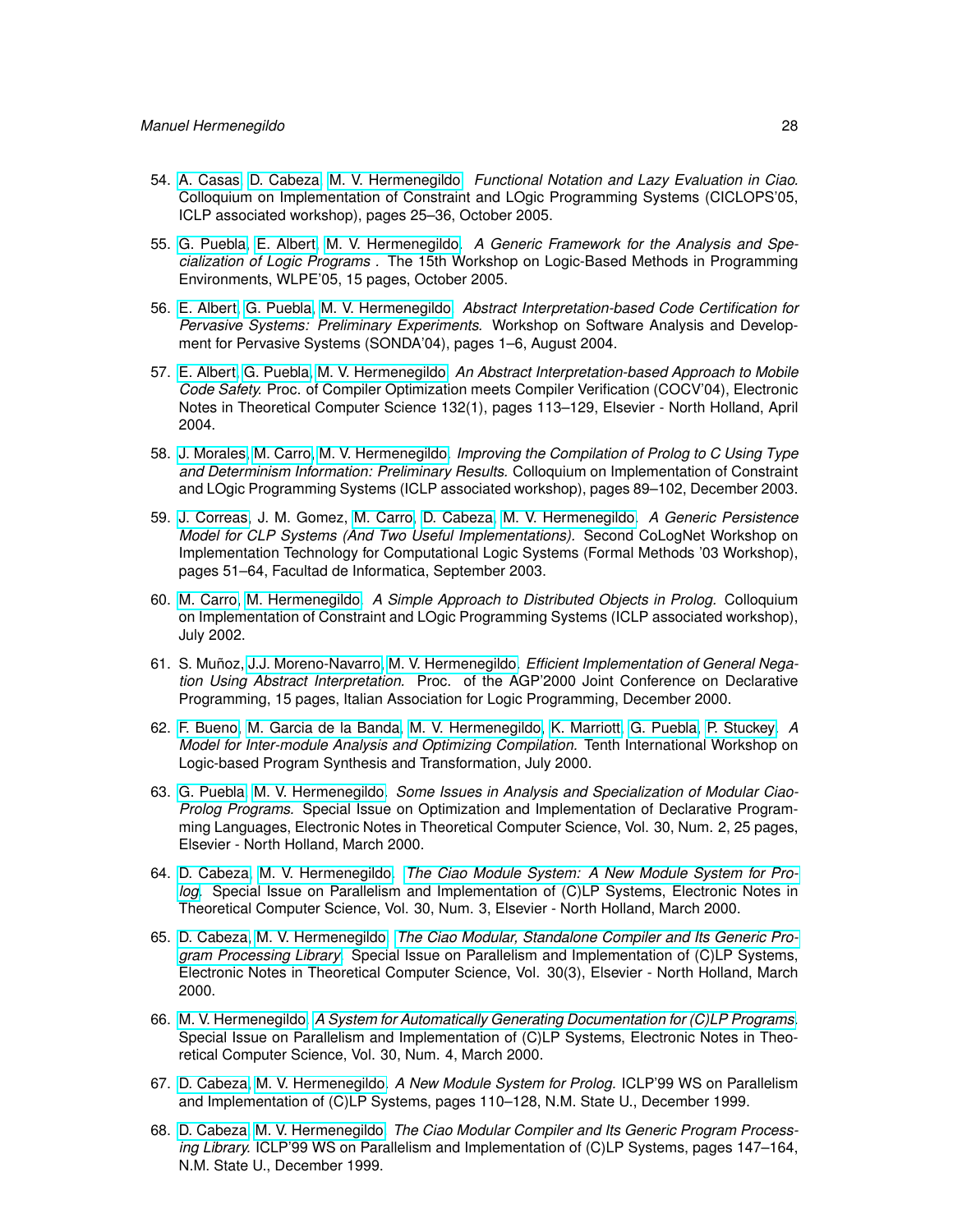- 54. [A. Casas,](http://www.clip.dia.fi.upm.es/~{}amadeo) [D. Cabeza,](http://www.clip.dia.fi.upm.es/~{}bardo) [M. V. Hermenegildo.](http://www.clip.dia.fi.upm.es/~{}herme) *Functional Notation and Lazy Evaluation in Ciao.* Colloquium on Implementation of Constraint and LOgic Programming Systems (CICLOPS'05, ICLP associated workshop), pages 25–36, October 2005.
- 55. [G. Puebla,](http://www.clip.dia.fi.upm.es/~{}german) [E. Albert,](http://www.clip.dia.fi.upm.es/~{}elvira) [M. V. Hermenegildo.](http://www.clip.dia.fi.upm.es/~{}herme) *A Generic Framework for the Analysis and Specialization of Logic Programs .* The 15th Workshop on Logic-Based Methods in Programming Environments, WLPE'05, 15 pages, October 2005.
- 56. [E. Albert,](http://www.clip.dia.fi.upm.es/~{}elvira) [G. Puebla,](http://www.clip.dia.fi.upm.es/~{}german) [M. V. Hermenegildo.](http://www.clip.dia.fi.upm.es/~{}herme) *Abstract Interpretation-based Code Certification for Pervasive Systems: Preliminary Experiments.* Workshop on Software Analysis and Development for Pervasive Systems (SONDA'04), pages 1–6, August 2004.
- 57. [E. Albert,](http://www.clip.dia.fi.upm.es/~{}elvira) [G. Puebla,](http://www.clip.dia.fi.upm.es/~{}german) [M. V. Hermenegildo.](http://www.clip.dia.fi.upm.es/~{}herme) *An Abstract Interpretation-based Approach to Mobile Code Safety.* Proc. of Compiler Optimization meets Compiler Verification (COCV'04), Electronic Notes in Theoretical Computer Science 132(1), pages 113–129, Elsevier - North Holland, April 2004.
- 58. [J. Morales,](http://www.clip.dia.fi.upm.es/~{}jfran) [M. Carro,](http://www.clip.dia.fi.upm.es/~{}mcarro) [M. V. Hermenegildo.](http://www.clip.dia.fi.upm.es/~{}herme) *Improving the Compilation of Prolog to C Using Type and Determinism Information: Preliminary Results.* Colloquium on Implementation of Constraint and LOgic Programming Systems (ICLP associated workshop), pages 89–102, December 2003.
- 59. [J. Correas,](http://www.clip.dia.fi.upm.es/~{}jcorreas) J. M. Gomez, [M. Carro,](http://www.clip.dia.fi.upm.es/~{}mcarro) [D. Cabeza,](http://www.clip.dia.fi.upm.es/~{}bardo) [M. V. Hermenegildo.](http://www.clip.dia.fi.upm.es/~{}herme) *A Generic Persistence Model for CLP Systems (And Two Useful Implementations).* Second CoLogNet Workshop on Implementation Technology for Computational Logic Systems (Formal Methods '03 Workshop), pages 51–64, Facultad de Informatica, September 2003.
- 60. [M. Carro,](http://www.clip.dia.fi.upm.es/~{}mcarro) [M. Hermenegildo.](http://www.clip.dia.fi.upm.es/~{}herme) *A Simple Approach to Distributed Objects in Prolog.* Colloquium on Implementation of Constraint and LOgic Programming Systems (ICLP associated workshop), July 2002.
- 61. S. Muñoz, [J.J. Moreno-Navarro,](http://lml.ls.fi.upm.es/~{}jjmoreno) [M. V. Hermenegildo.](http://www.clip.dia.fi.upm.es/~{}herme) *Efficient Implementation of General Negation Using Abstract Interpretation.* Proc. of the AGP'2000 Joint Conference on Declarative Programming, 15 pages, Italian Association for Logic Programming, December 2000.
- 62. [F. Bueno,](http://www.clip.dia.fi.upm.es/~{}bueno) [M. Garcia de la Banda,](http://www.csse.monash.edu.au/~{}mbanda) [M. V. Hermenegildo,](http://www.clip.dia.fi.upm.es/~{}herme) [K. Marriott,](http://www.csse.monash.edu.au/~{}marriott) [G. Puebla,](http://www.clip.dia.fi.upm.es/~{}german) [P. Stuckey.](http://www.cs.mu.OZ.AU/~{}pjs) *A Model for Inter-module Analysis and Optimizing Compilation.* Tenth International Workshop on Logic-based Program Synthesis and Transformation, July 2000.
- 63. [G. Puebla,](http://www.clip.dia.fi.upm.es/~{}german) [M. V. Hermenegildo.](http://www.clip.dia.fi.upm.es/~{}herme) *Some Issues in Analysis and Specialization of Modular Ciao-Prolog Programs.* Special Issue on Optimization and Implementation of Declarative Programming Languages, Electronic Notes in Theoretical Computer Science, Vol. 30, Num. 2, 25 pages, Elsevier - North Holland, March 2000.
- 64. [D. Cabeza,](http://www.clip.dia.fi.upm.es/~{}bardo) [M. V. Hermenegildo.](http://www.clip.dia.fi.upm.es/~{}herme) *[The Ciao Module System: A New Module System for Pro](http://www.elsevier.com/locate/entcs/volume30.html)[log.](http://www.elsevier.com/locate/entcs/volume30.html)* Special Issue on Parallelism and Implementation of (C)LP Systems, Electronic Notes in Theoretical Computer Science, Vol. 30, Num. 3, Elsevier - North Holland, March 2000.
- 65. [D. Cabeza,](http://www.clip.dia.fi.upm.es/~{}bardo) [M. V. Hermenegildo.](http://www.clip.dia.fi.upm.es/~{}herme) *[The Ciao Modular, Standalone Compiler and Its Generic Pro](http://www.elsevier.com/locate/entcs/volume30.html)[gram Processing Library.](http://www.elsevier.com/locate/entcs/volume30.html)* Special Issue on Parallelism and Implementation of (C)LP Systems, Electronic Notes in Theoretical Computer Science, Vol. 30(3), Elsevier - North Holland, March 2000.
- 66. [M. V. Hermenegildo.](http://www.clip.dia.fi.upm.es/~{}herme) *[A System for Automatically Generating Documentation for \(C\)LP Programs.](http://www.elsevier.com/locate/entcs/volume30.html)* Special Issue on Parallelism and Implementation of (C)LP Systems, Electronic Notes in Theoretical Computer Science, Vol. 30, Num. 4, March 2000.
- 67. [D. Cabeza,](http://www.clip.dia.fi.upm.es/~{}bardo) [M. V. Hermenegildo.](http://www.clip.dia.fi.upm.es/~{}herme) *A New Module System for Prolog.* ICLP'99 WS on Parallelism and Implementation of (C)LP Systems, pages 110–128, N.M. State U., December 1999.
- 68. [D. Cabeza,](http://www.clip.dia.fi.upm.es/~{}bardo) [M. V. Hermenegildo.](http://www.clip.dia.fi.upm.es/~{}herme) *The Ciao Modular Compiler and Its Generic Program Processing Library.* ICLP'99 WS on Parallelism and Implementation of (C)LP Systems, pages 147–164, N.M. State U., December 1999.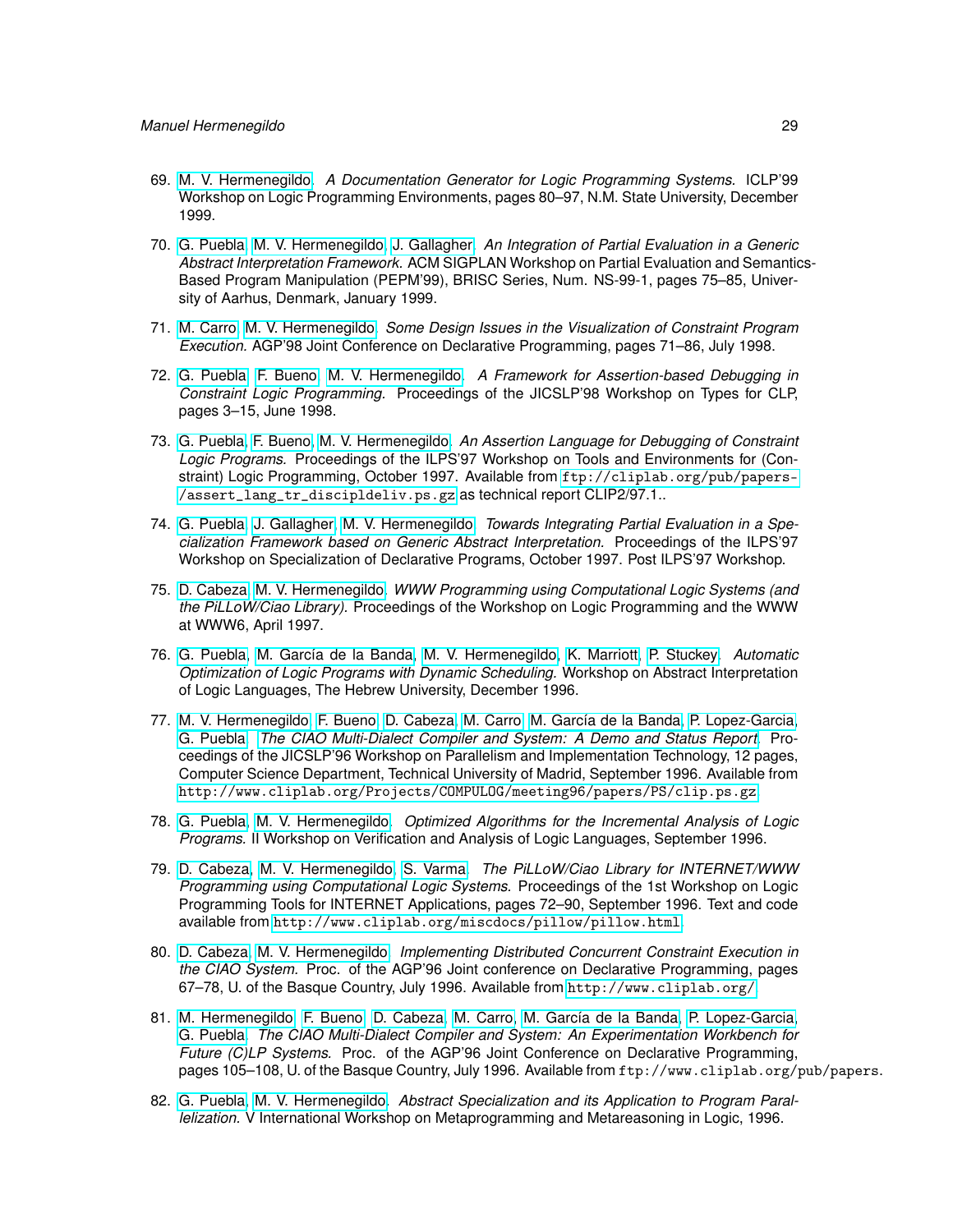- 69. [M. V. Hermenegildo.](http://www.clip.dia.fi.upm.es/~{}herme) *A Documentation Generator for Logic Programming Systems.* ICLP'99 Workshop on Logic Programming Environments, pages 80–97, N.M. State University, December 1999.
- 70. [G. Puebla,](http://www.clip.dia.fi.upm.es/~{}german) [M. V. Hermenegildo,](http://www.clip.dia.fi.upm.es/~{}herme) [J. Gallagher.](john.gallagher@imdea.org) *An Integration of Partial Evaluation in a Generic Abstract Interpretation Framework.* ACM SIGPLAN Workshop on Partial Evaluation and Semantics-Based Program Manipulation (PEPM'99), BRISC Series, Num. NS-99-1, pages 75–85, University of Aarhus, Denmark, January 1999.
- 71. [M. Carro,](http://www.clip.dia.fi.upm.es/~{}mcarro) [M. V. Hermenegildo.](http://www.clip.dia.fi.upm.es/~{}herme) *Some Design Issues in the Visualization of Constraint Program Execution.* AGP'98 Joint Conference on Declarative Programming, pages 71–86, July 1998.
- 72. [G. Puebla,](http://www.clip.dia.fi.upm.es/~{}german) [F. Bueno,](http://www.clip.dia.fi.upm.es/~{}bueno) [M. V. Hermenegildo.](http://www.clip.dia.fi.upm.es/~{}herme) *A Framework for Assertion-based Debugging in Constraint Logic Programming.* Proceedings of the JICSLP'98 Workshop on Types for CLP, pages 3–15, June 1998.
- 73. [G. Puebla,](http://www.clip.dia.fi.upm.es/~{}german) [F. Bueno,](http://www.clip.dia.fi.upm.es/~{}bueno) [M. V. Hermenegildo.](http://www.clip.dia.fi.upm.es/~{}herme) *An Assertion Language for Debugging of Constraint Logic Programs.* Proceedings of the ILPS'97 Workshop on Tools and Environments for (Constraint) Logic Programming, October 1997. Available from [ftp://cliplab.org/pub/papers-](ftp://cliplab.org/pub/papers/assert_lang_tr_discipldeliv.ps.gz) [/assert\\_lang\\_tr\\_discipldeliv.ps.gz](ftp://cliplab.org/pub/papers/assert_lang_tr_discipldeliv.ps.gz) as technical report CLIP2/97.1..
- 74. [G. Puebla,](http://www.clip.dia.fi.upm.es/~{}german) [J. Gallagher,](john.gallagher@imdea.org) [M. V. Hermenegildo.](http://www.clip.dia.fi.upm.es/~{}herme) *Towards Integrating Partial Evaluation in a Specialization Framework based on Generic Abstract Interpretation.* Proceedings of the ILPS'97 Workshop on Specialization of Declarative Programs, October 1997. Post ILPS'97 Workshop.
- 75. [D. Cabeza,](http://www.clip.dia.fi.upm.es/~{}bardo) [M. V. Hermenegildo.](http://www.clip.dia.fi.upm.es/~{}herme) *WWW Programming using Computational Logic Systems (and the PiLLoW/Ciao Library).* Proceedings of the Workshop on Logic Programming and the WWW at WWW6, April 1997.
- 76. [G. Puebla,](http://www.clip.dia.fi.upm.es/~{}german) [M. García de la Banda,](http://www.csse.monash.edu.au/~{}mbanda) [M. V. Hermenegildo,](http://www.clip.dia.fi.upm.es/~{}herme) [K. Marriott,](http://www.csse.monash.edu.au/~{}marriott) [P. Stuckey.](http://www.cs.mu.OZ.AU/~{}pjs) *Automatic Optimization of Logic Programs with Dynamic Scheduling.* Workshop on Abstract Interpretation of Logic Languages, The Hebrew University, December 1996.
- 77. [M. V. Hermenegildo,](http://www.clip.dia.fi.upm.es/~{}herme) [F. Bueno,](http://www.clip.dia.fi.upm.es/~{}bueno) [D. Cabeza,](http://www.clip.dia.fi.upm.es/~{}bardo) [M. Carro,](http://www.clip.dia.fi.upm.es/~{}mcarro) [M. García de la Banda,](http://www.csse.monash.edu.au/~{}mbanda) [P. Lopez-Garcia,](http://www.clip.dia.fi.upm.es/~{}pedro) [G. Puebla.](http://www.clip.dia.fi.upm.es/~{}german) *[The CIAO Multi-Dialect Compiler and System: A Demo and Status Report.](http://www.cliplab.org/Projects/COMPULOG/meeting96/papers/PS/clip.ps.gz)* Proceedings of the JICSLP'96 Workshop on Parallelism and Implementation Technology, 12 pages, Computer Science Department, Technical University of Madrid, September 1996. Available from <http://www.cliplab.org/Projects/COMPULOG/meeting96/papers/PS/clip.ps.gz>.
- 78. [G. Puebla,](http://www.clip.dia.fi.upm.es/~{}german) [M. V. Hermenegildo.](http://www.clip.dia.fi.upm.es/~{}herme) *Optimized Algorithms for the Incremental Analysis of Logic Programs.* II Workshop on Verification and Analysis of Logic Languages, September 1996.
- 79. [D. Cabeza,](http://www.clip.dia.fi.upm.es/~{}bardo) [M. V. Hermenegildo,](http://www.clip.dia.fi.upm.es/~{}herme) [S. Varma.](http://www.clip.dia.fi.upm.es/~{}sacha) *The PiLLoW/Ciao Library for INTERNET/WWW Programming using Computational Logic Systems.* Proceedings of the 1st Workshop on Logic Programming Tools for INTERNET Applications, pages 72–90, September 1996. Text and code available from <http://www.cliplab.org/miscdocs/pillow/pillow.html>.
- 80. [D. Cabeza,](http://www.clip.dia.fi.upm.es/~{}bardo) [M. V. Hermenegildo.](http://www.clip.dia.fi.upm.es/~{}herme) *Implementing Distributed Concurrent Constraint Execution in the CIAO System.* Proc. of the AGP'96 Joint conference on Declarative Programming, pages 67–78, U. of the Basque Country, July 1996. Available from <http://www.cliplab.org/>.
- 81. [M. Hermenegildo,](http://www.clip.dia.fi.upm.es/~{}herme) [F. Bueno,](http://www.clip.dia.fi.upm.es/~{}bueno) [D. Cabeza,](http://www.clip.dia.fi.upm.es/~{}bardo) [M. Carro,](http://www.clip.dia.fi.upm.es/~{}mcarro) [M. García de la Banda,](http://www.csse.monash.edu.au/~{}mbanda) [P. Lopez-Garcia,](http://www.clip.dia.fi.upm.es/~{}pedro) [G. Puebla.](http://www.clip.dia.fi.upm.es/~{}german) *The CIAO Multi-Dialect Compiler and System: An Experimentation Workbench for Future (C)LP Systems.* Proc. of the AGP'96 Joint Conference on Declarative Programming, pages 105–108, U. of the Basque Country, July 1996. Available from ftp://www.cliplab.org/pub/papers.
- 82. [G. Puebla,](http://www.clip.dia.fi.upm.es/~{}german) [M. V. Hermenegildo.](http://www.clip.dia.fi.upm.es/~{}herme) *Abstract Specialization and its Application to Program Parallelization.* V International Workshop on Metaprogramming and Metareasoning in Logic, 1996.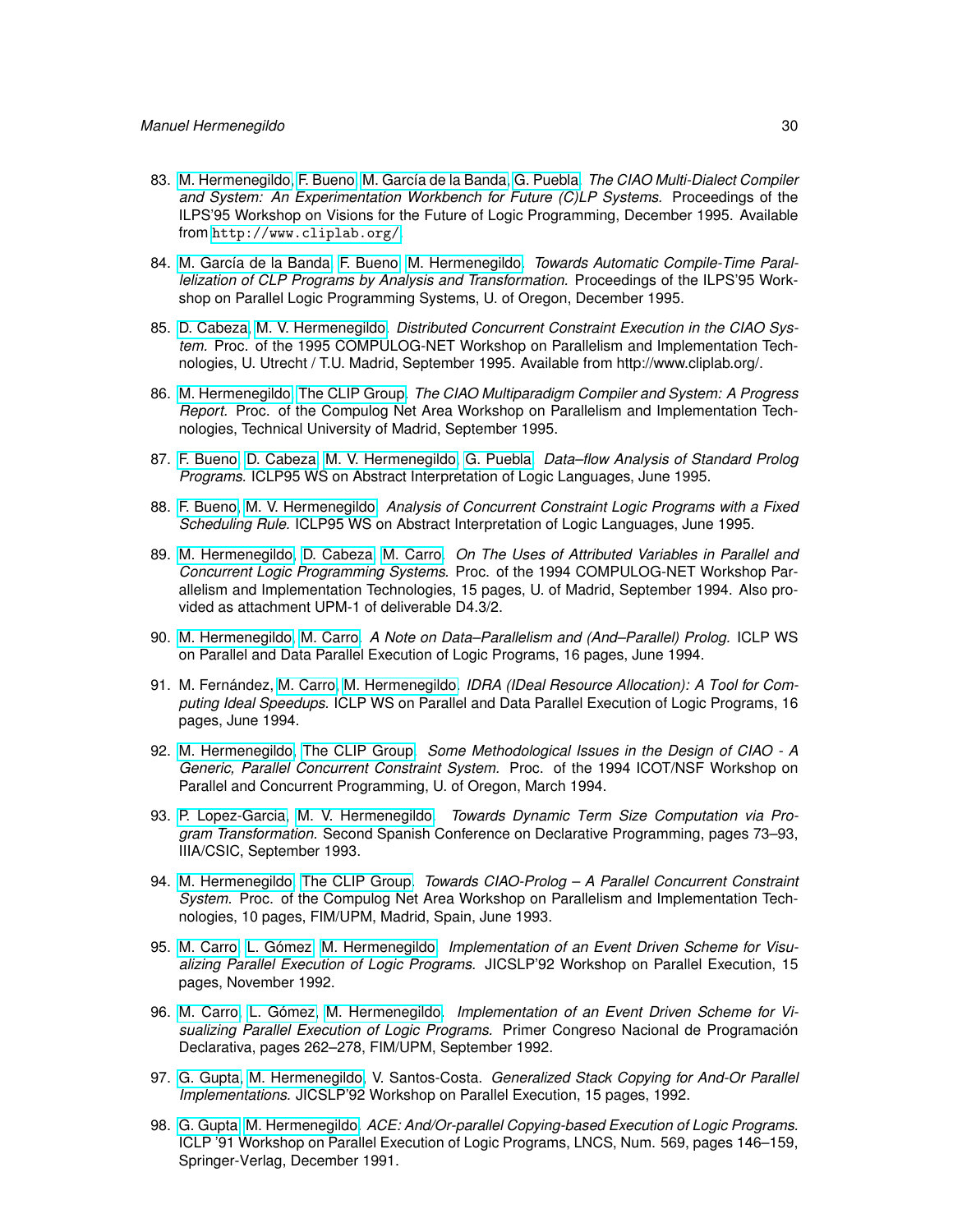- 83. [M. Hermenegildo,](http://www.clip.dia.fi.upm.es/~{}herme) [F. Bueno,](http://www.clip.dia.fi.upm.es/~{}bueno) [M. García de la Banda,](http://www.csse.monash.edu.au/~{}mbanda) [G. Puebla.](http://www.clip.dia.fi.upm.es/~{}german) *The CIAO Multi-Dialect Compiler and System: An Experimentation Workbench for Future (C)LP Systems.* Proceedings of the ILPS'95 Workshop on Visions for the Future of Logic Programming, December 1995. Available from <http://www.cliplab.org/>.
- 84. [M. García de la Banda,](http://www.csse.monash.edu.au/~{}mbanda) [F. Bueno,](http://www.clip.dia.fi.upm.es/~{}bueno) [M. Hermenegildo.](http://www.clip.dia.fi.upm.es/~{}herme) *Towards Automatic Compile-Time Parallelization of CLP Programs by Analysis and Transformation.* Proceedings of the ILPS'95 Workshop on Parallel Logic Programming Systems, U. of Oregon, December 1995.
- 85. [D. Cabeza,](http://www.clip.dia.fi.upm.es/~{}bardo) [M. V. Hermenegildo.](http://www.clip.dia.fi.upm.es/~{}herme) *Distributed Concurrent Constraint Execution in the CIAO System.* Proc. of the 1995 COMPULOG-NET Workshop on Parallelism and Implementation Technologies, U. Utrecht / T.U. Madrid, September 1995. Available from http://www.cliplab.org/.
- 86. [M. Hermenegildo,](http://www.clip.dia.fi.upm.es/~{}herme) [The CLIP Group.](http://www.clip.dia.fi.upm.es/) *The CIAO Multiparadigm Compiler and System: A Progress Report.* Proc. of the Compulog Net Area Workshop on Parallelism and Implementation Technologies, Technical University of Madrid, September 1995.
- 87. [F. Bueno,](http://www.clip.dia.fi.upm.es/~{}bueno) [D. Cabeza,](http://www.clip.dia.fi.upm.es/~{}bardo) [M. V. Hermenegildo,](http://www.clip.dia.fi.upm.es/~{}herme) [G. Puebla.](http://www.clip.dia.fi.upm.es/~{}german) *Data–flow Analysis of Standard Prolog Programs.* ICLP95 WS on Abstract Interpretation of Logic Languages, June 1995.
- 88. [F. Bueno,](http://www.clip.dia.fi.upm.es/~{}bueno) [M. V. Hermenegildo.](http://www.clip.dia.fi.upm.es/~{}herme) *Analysis of Concurrent Constraint Logic Programs with a Fixed Scheduling Rule.* ICLP95 WS on Abstract Interpretation of Logic Languages, June 1995.
- 89. [M. Hermenegildo,](http://www.clip.dia.fi.upm.es/~{}herme) [D. Cabeza,](http://www.clip.dia.fi.upm.es/~{}bardo) [M. Carro.](http://www.clip.dia.fi.upm.es/~{}mcarro) *On The Uses of Attributed Variables in Parallel and Concurrent Logic Programming Systems.* Proc. of the 1994 COMPULOG-NET Workshop Parallelism and Implementation Technologies, 15 pages, U. of Madrid, September 1994. Also provided as attachment UPM-1 of deliverable D4.3/2.
- 90. [M. Hermenegildo,](http://www.clip.dia.fi.upm.es/~{}herme) [M. Carro.](http://www.clip.dia.fi.upm.es/~{}mcarro) *A Note on Data–Parallelism and (And–Parallel) Prolog.* ICLP WS on Parallel and Data Parallel Execution of Logic Programs, 16 pages, June 1994.
- 91. M. Fernández, [M. Carro,](http://www.clip.dia.fi.upm.es/~{}mcarro) [M. Hermenegildo.](http://www.clip.dia.fi.upm.es/~{}herme) *IDRA (IDeal Resource Allocation): A Tool for Computing Ideal Speedups.* ICLP WS on Parallel and Data Parallel Execution of Logic Programs, 16 pages, June 1994.
- 92. [M. Hermenegildo,](http://www.clip.dia.fi.upm.es/~{}herme) [The CLIP Group.](http://www.clip.dia.fi.upm.es/) *Some Methodological Issues in the Design of CIAO A Generic, Parallel Concurrent Constraint System.* Proc. of the 1994 ICOT/NSF Workshop on Parallel and Concurrent Programming, U. of Oregon, March 1994.
- 93. [P. Lopez-Garcia,](http://www.clip.dia.fi.upm.es/~{}pedro) [M. V. Hermenegildo.](http://www.clip.dia.fi.upm.es/~{}herme) *Towards Dynamic Term Size Computation via Program Transformation.* Second Spanish Conference on Declarative Programming, pages 73–93, IIIA/CSIC, September 1993.
- 94. [M. Hermenegildo,](http://www.clip.dia.fi.upm.es/~{}herme) [The CLIP Group.](http://www.clip.dia.fi.upm.es/) *Towards CIAO-Prolog A Parallel Concurrent Constraint System.* Proc. of the Compulog Net Area Workshop on Parallelism and Implementation Technologies, 10 pages, FIM/UPM, Madrid, Spain, June 1993.
- 95. [M. Carro,](http://www.clip.dia.fi.upm.es/~{}mcarro) [L. Gómez,](http://www.datsi.fi.upm.es/~{}lgomez) [M. Hermenegildo.](http://www.clip.dia.fi.upm.es/~{}herme) *Implementation of an Event Driven Scheme for Visualizing Parallel Execution of Logic Programs.* JICSLP'92 Workshop on Parallel Execution, 15 pages, November 1992.
- 96. [M. Carro,](http://www.clip.dia.fi.upm.es/~{}mcarro) [L. Gómez,](http://www.datsi.fi.upm.es/~{}lgomez) [M. Hermenegildo.](http://www.clip.dia.fi.upm.es/~{}herme) *Implementation of an Event Driven Scheme for Visualizing Parallel Execution of Logic Programs.* Primer Congreso Nacional de Programación Declarativa, pages 262–278, FIM/UPM, September 1992.
- 97. [G. Gupta,](http://www.cs.nmsu.edu/lldap/people/gupta.html) [M. Hermenegildo,](http://www.clip.dia.fi.upm.es/~{}herme) V. Santos-Costa. *Generalized Stack Copying for And-Or Parallel Implementations.* JICSLP'92 Workshop on Parallel Execution, 15 pages, 1992.
- 98. [G. Gupta,](http://www.cs.nmsu.edu/lldap/people/gupta.html) [M. Hermenegildo.](http://www.clip.dia.fi.upm.es/~{}herme) *ACE: And/Or-parallel Copying-based Execution of Logic Programs.* ICLP '91 Workshop on Parallel Execution of Logic Programs, LNCS, Num. 569, pages 146–159, Springer-Verlag, December 1991.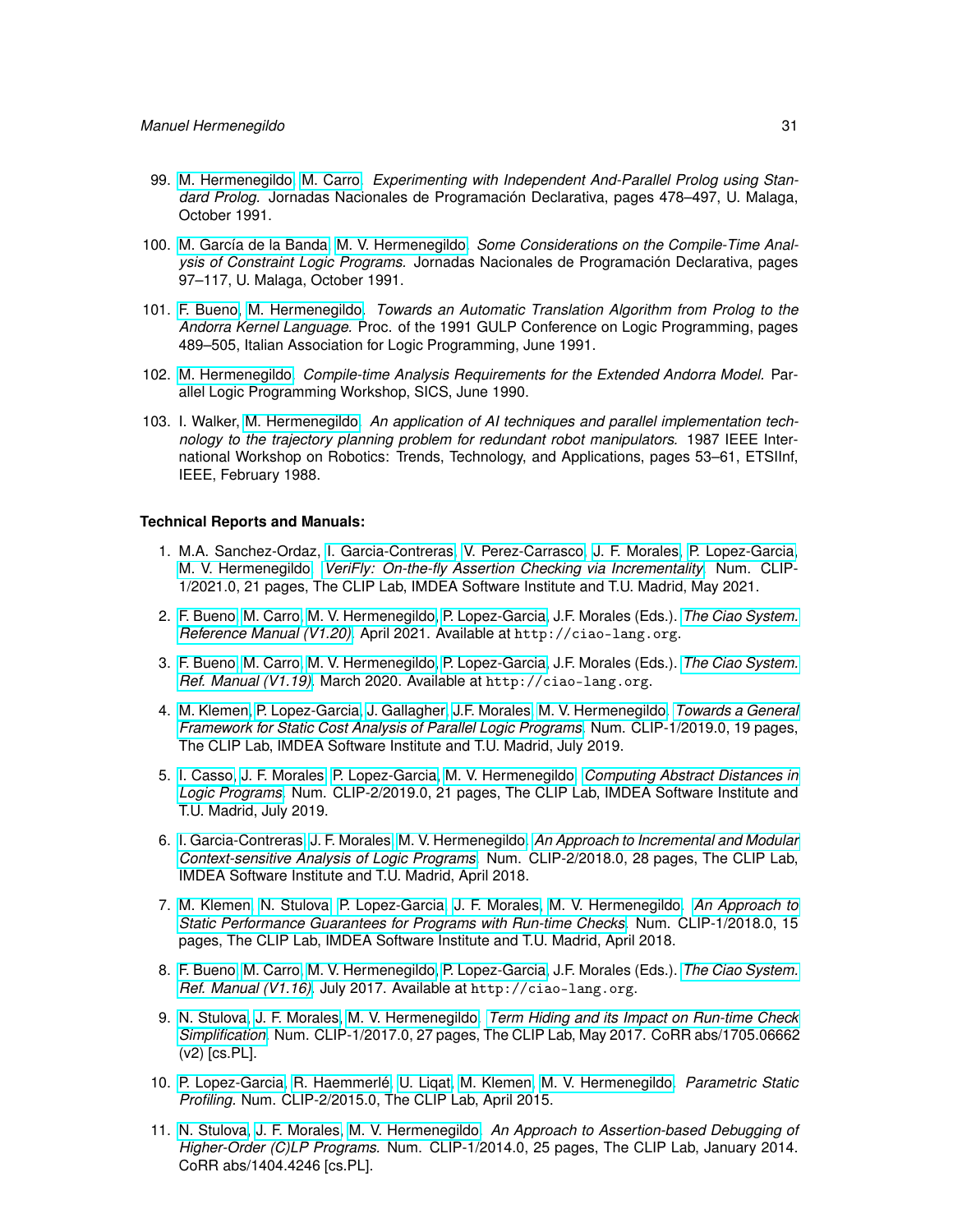- 99. [M. Hermenegildo,](http://www.clip.dia.fi.upm.es/~{}herme) [M. Carro.](http://www.clip.dia.fi.upm.es/~{}mcarro) *Experimenting with Independent And-Parallel Prolog using Standard Prolog.* Jornadas Nacionales de Programación Declarativa, pages 478–497, U. Malaga, October 1991.
- 100. [M. García de la Banda,](http://www.csse.monash.edu.au/~{}mbanda) [M. V. Hermenegildo.](http://www.clip.dia.fi.upm.es/~{}herme) *Some Considerations on the Compile-Time Analysis of Constraint Logic Programs.* Jornadas Nacionales de Programación Declarativa, pages 97–117, U. Malaga, October 1991.
- 101. [F. Bueno,](http://www.clip.dia.fi.upm.es/~{}bueno) [M. Hermenegildo.](http://www.clip.dia.fi.upm.es/~{}herme) *Towards an Automatic Translation Algorithm from Prolog to the Andorra Kernel Language.* Proc. of the 1991 GULP Conference on Logic Programming, pages 489–505, Italian Association for Logic Programming, June 1991.
- 102. [M. Hermenegildo.](http://www.clip.dia.fi.upm.es/~{}herme) *Compile-time Analysis Requirements for the Extended Andorra Model.* Parallel Logic Programming Workshop, SICS, June 1990.
- 103. I. Walker, [M. Hermenegildo.](http://www.clip.dia.fi.upm.es/~{}herme) *An application of AI techniques and parallel implementation technology to the trajectory planning problem for redundant robot manipulators.* 1987 IEEE International Workshop on Robotics: Trends, Technology, and Applications, pages 53–61, ETSIInf, IEEE, February 1988.

# **Technical Reports and Manuals:**

- 1. M.A. Sanchez-Ordaz, [I. Garcia-Contreras,](https://software.imdea.org/people/isabel.garcia/index.html) [V. Perez-Carrasco,](https://software.imdea.org/people/victor.perez/index.html) [J. F. Morales,](http://www.clip.dia.fi.upm.es/~{}jfran) [P. Lopez-Garcia,](http://www.clip.dia.fi.upm.es/~{}pedro) [M. V. Hermenegildo.](http://www.clip.dia.fi.upm.es/~{}herme) *[VeriFly: On-the-fly Assertion Checking via Incrementality.](http://arxiv.org/abs/2106.07045)* Num. CLIP-1/2021.0, 21 pages, The CLIP Lab, IMDEA Software Institute and T.U. Madrid, May 2021.
- 2. [F. Bueno,](http://www.clip.dia.fi.upm.es/~{}bueno) [M. Carro,](http://www.clip.dia.fi.upm.es/~{}mcarro) [M. V. Hermenegildo,](http://www.clip.dia.fi.upm.es/~{}herme) [P. Lopez-Garcia,](http://www.clip.dia.fi.upm.es/~{}pedro) J.F. Morales (Eds.). *[The Ciao System.](http://ciao-lang.org) [Reference Manual \(V1.20\).](http://ciao-lang.org)* April 2021. Available at http://ciao-lang.org.
- 3. [F. Bueno,](http://www.clip.dia.fi.upm.es/~{}bueno) [M. Carro,](http://www.clip.dia.fi.upm.es/~{}mcarro) [M. V. Hermenegildo,](http://www.clip.dia.fi.upm.es/~{}herme) [P. Lopez-Garcia,](http://www.clip.dia.fi.upm.es/~{}pedro) J.F. Morales (Eds.). *[The Ciao System.](http://ciao-lang.org) [Ref. Manual \(V1.19\).](http://ciao-lang.org)* March 2020. Available at http://ciao-lang.org.
- 4. [M. Klemen,](http://software.imdea.org/people/maximiliano.klemen/index.html) [P. Lopez-Garcia,](http://www.clip.dia.fi.upm.es/~{}pedro) [J. Gallagher,](john.gallagher@imdea.org) [J.F. Morales,](http://www.clip.dia.fi.upm.es/~{}jfran) [M. V. Hermenegildo.](http://www.clip.dia.fi.upm.es/~{}herme) *[Towards a General](http://arxiv.org/abs/1907.13272) [Framework for Static Cost Analysis of Parallel Logic Programs.](http://arxiv.org/abs/1907.13272)* Num. CLIP-1/2019.0, 19 pages, The CLIP Lab, IMDEA Software Institute and T.U. Madrid, July 2019.
- 5. [I. Casso,](https://software.imdea.org/people/ignacio.decasso/index.html) [J. F. Morales,](http://www.clip.dia.fi.upm.es/~{}jfran) [P. Lopez-Garcia,](http://www.clip.dia.fi.upm.es/~{}pedro) [M. V. Hermenegildo.](http://www.clip.dia.fi.upm.es/~{}herme) *[Computing Abstract Distances in](http://arxiv.org/abs/1907.13263) [Logic Programs.](http://arxiv.org/abs/1907.13263)* Num. CLIP-2/2019.0, 21 pages, The CLIP Lab, IMDEA Software Institute and T.U. Madrid, July 2019.
- 6. [I. Garcia-Contreras,](https://software.imdea.org/people/isabel.garcia/index.html) [J. F. Morales,](http://www.clip.dia.fi.upm.es/~{}jfran) [M. V. Hermenegildo.](http://www.clip.dia.fi.upm.es/~{}herme) *[An Approach to Incremental and Modular](https://arxiv.org/abs/1804.01839) [Context-sensitive Analysis of Logic Programs.](https://arxiv.org/abs/1804.01839)* Num. CLIP-2/2018.0, 28 pages, The CLIP Lab, IMDEA Software Institute and T.U. Madrid, April 2018.
- 7. [M. Klemen,](http://software.imdea.org/people/maximiliano.klemen/index.html) [N. Stulova,](https://software.imdea.org/people/nataliia.stulova/index.html) [P. Lopez-Garcia,](http://www.clip.dia.fi.upm.es/~{}pedro) [J. F. Morales,](http://www.clip.dia.fi.upm.es/~{}jfran) [M. V. Hermenegildo.](http://www.clip.dia.fi.upm.es/~{}herme) *[An Approach to](http://arxiv.org/abs/1804.02380) [Static Performance Guarantees for Programs with Run-time Checks.](http://arxiv.org/abs/1804.02380)* Num. CLIP-1/2018.0, 15 pages, The CLIP Lab, IMDEA Software Institute and T.U. Madrid, April 2018.
- 8. [F. Bueno,](http://www.clip.dia.fi.upm.es/~{}bueno) [M. Carro,](http://www.clip.dia.fi.upm.es/~{}mcarro) [M. V. Hermenegildo,](http://www.clip.dia.fi.upm.es/~{}herme) [P. Lopez-Garcia,](http://www.clip.dia.fi.upm.es/~{}pedro) J.F. Morales (Eds.). *[The Ciao System.](http://ciao-lang.org) [Ref. Manual \(V1.16\).](http://ciao-lang.org)* July 2017. Available at http://ciao-lang.org.
- 9. [N. Stulova,](https://software.imdea.org/people/nataliia.stulova/index.html) [J. F. Morales,](http://www.clip.dia.fi.upm.es/~{}jfran) [M. V. Hermenegildo.](http://www.clip.dia.fi.upm.es/~{}herme) *[Term Hiding and its Impact on Run-time Check](https://arxiv.org/abs/1705.06662v2) [Simplification.](https://arxiv.org/abs/1705.06662v2)* Num. CLIP-1/2017.0, 27 pages, The CLIP Lab, May 2017. CoRR abs/1705.06662 (v2) [cs.PL].
- 10. [P. Lopez-Garcia,](http://www.clip.dia.fi.upm.es/~{}pedro) [R. Haemmerlé,](http://www.clip.dia.fi.upm.es/~{}remy) [U. Liqat,](http://software.imdea.org/people/umer.liqat/index.html) [M. Klemen,](http://software.imdea.org/people/maximiliano.klemen/index.html) [M. V. Hermenegildo.](http://www.clip.dia.fi.upm.es/~{}herme) *Parametric Static Profiling.* Num. CLIP-2/2015.0, The CLIP Lab, April 2015.
- 11. [N. Stulova,](https://software.imdea.org/people/nataliia.stulova/index.html) [J. F. Morales,](http://www.clip.dia.fi.upm.es/~{}jfran) [M. V. Hermenegildo.](http://www.clip.dia.fi.upm.es/~{}herme) *An Approach to Assertion-based Debugging of Higher-Order (C)LP Programs.* Num. CLIP-1/2014.0, 25 pages, The CLIP Lab, January 2014. CoRR abs/1404.4246 [cs.PL].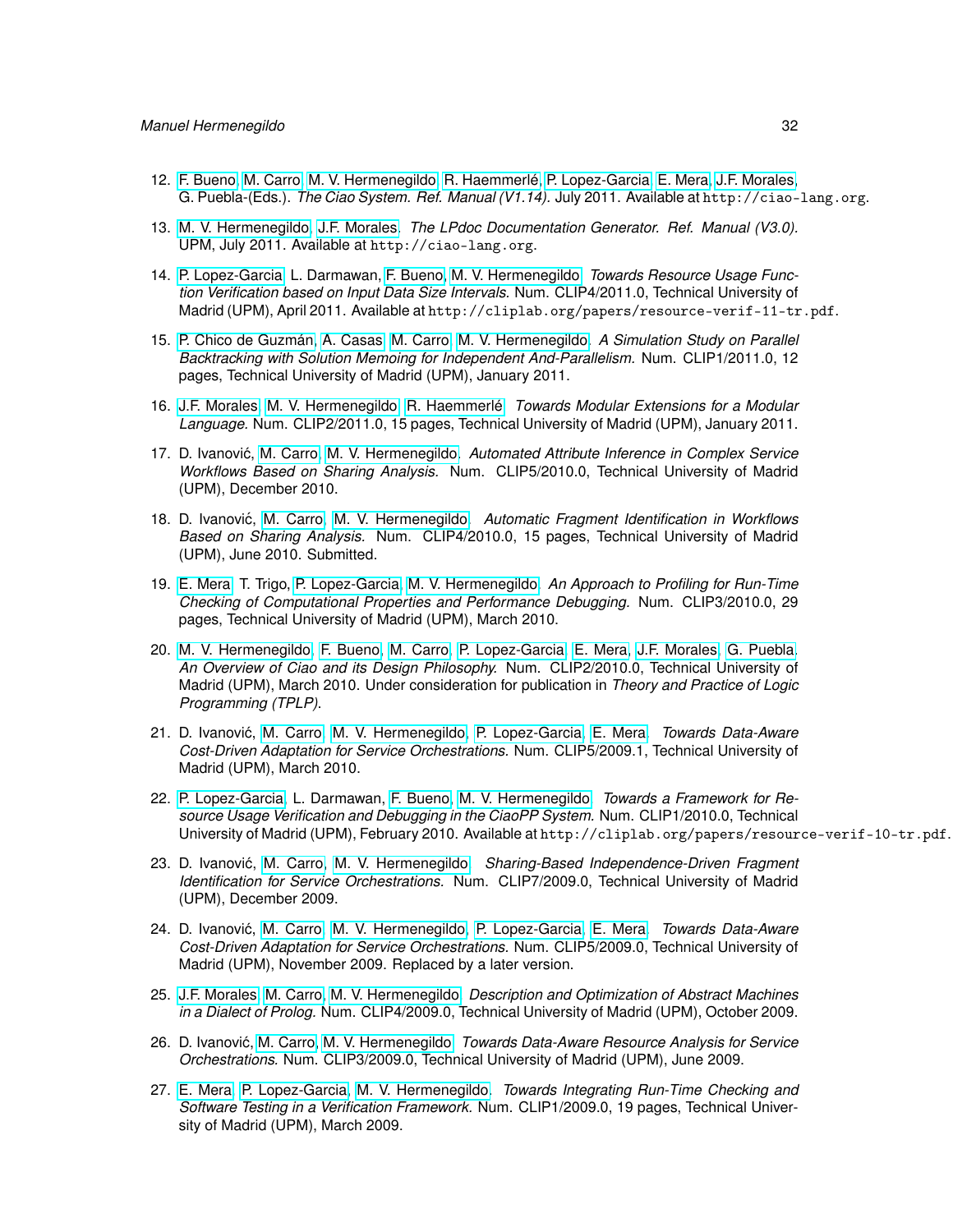- 12. [F. Bueno,](http://www.clip.dia.fi.upm.es/~{}bueno) [M. Carro,](http://www.clip.dia.fi.upm.es/~{}mcarro) [M. V. Hermenegildo,](http://www.clip.dia.fi.upm.es/~{}herme) [R. Haemmerlé,](http://www.clip.dia.fi.upm.es/~{}remy) [P. Lopez-Garcia,](http://www.clip.dia.fi.upm.es/~{}pedro) [E. Mera,](http://www.clip.dia.fi.upm.es/~{}edison) [J.F. Morales,](http://www.clip.dia.fi.upm.es/~{}jfran) G. Puebla-(Eds.). *The Ciao System. Ref. Manual (V1.14).* July 2011. Available at http://ciao-lang.org.
- 13. [M. V. Hermenegildo,](http://www.clip.dia.fi.upm.es/~{}herme) [J.F. Morales.](http://www.clip.dia.fi.upm.es/~{}jfran) *The LPdoc Documentation Generator. Ref. Manual (V3.0).* UPM, July 2011. Available at http://ciao-lang.org.
- 14. [P. Lopez-Garcia,](http://www.clip.dia.fi.upm.es/~{}pedro) L. Darmawan, [F. Bueno,](http://www.clip.dia.fi.upm.es/~{}bueno) [M. V. Hermenegildo.](http://www.clip.dia.fi.upm.es/~{}herme) *Towards Resource Usage Function Verification based on Input Data Size Intervals.* Num. CLIP4/2011.0, Technical University of Madrid (UPM), April 2011. Available at http://cliplab.org/papers/resource-verif-11-tr.pdf.
- 15. [P. Chico de Guzmán,](http://www.clip.dia.fi.upm.es/~{}pchico) [A. Casas,](http://www.clip.dia.fi.upm.es/~{}amadeo) [M. Carro,](http://www.clip.dia.fi.upm.es/~{}mcarro) [M. V. Hermenegildo.](http://www.clip.dia.fi.upm.es/~{}herme) *A Simulation Study on Parallel Backtracking with Solution Memoing for Independent And-Parallelism.* Num. CLIP1/2011.0, 12 pages, Technical University of Madrid (UPM), January 2011.
- 16. [J.F. Morales,](http://www.clip.dia.fi.upm.es/~{}jfran) [M. V. Hermenegildo,](http://www.clip.dia.fi.upm.es/~{}herme) [R. Haemmerlé.](http://www.clip.dia.fi.upm.es/~{}remy) *Towards Modular Extensions for a Modular Language.* Num. CLIP2/2011.0, 15 pages, Technical University of Madrid (UPM), January 2011.
- 17. D. Ivanović, [M. Carro,](http://www.clip.dia.fi.upm.es/~{}mcarro) [M. V. Hermenegildo.](http://www.clip.dia.fi.upm.es/~{}herme) Automated Attribute Inference in Complex Service *Workflows Based on Sharing Analysis.* Num. CLIP5/2010.0, Technical University of Madrid (UPM), December 2010.
- 18. D. Ivanovic, [M. Carro,](http://www.clip.dia.fi.upm.es/~{}mcarro) [M. V. Hermenegildo.](http://www.clip.dia.fi.upm.es/~{}herme) ´ *Automatic Fragment Identification in Workflows Based on Sharing Analysis.* Num. CLIP4/2010.0, 15 pages, Technical University of Madrid (UPM), June 2010. Submitted.
- 19. [E. Mera,](http://www.clip.dia.fi.upm.es/~{}edison) T. Trigo, [P. Lopez-Garcia,](http://www.clip.dia.fi.upm.es/~{}pedro) [M. V. Hermenegildo.](http://www.clip.dia.fi.upm.es/~{}herme) *An Approach to Profiling for Run-Time Checking of Computational Properties and Performance Debugging.* Num. CLIP3/2010.0, 29 pages, Technical University of Madrid (UPM), March 2010.
- 20. [M. V. Hermenegildo,](http://www.clip.dia.fi.upm.es/~{}herme) [F. Bueno,](http://www.clip.dia.fi.upm.es/~{}bueno) [M. Carro,](http://www.clip.dia.fi.upm.es/~{}mcarro) [P. Lopez-Garcia,](http://www.clip.dia.fi.upm.es/~{}pedro) [E. Mera,](http://www.clip.dia.fi.upm.es/~{}edison) [J.F. Morales,](http://www.clip.dia.fi.upm.es/~{}jfran) [G. Puebla.](http://www.clip.dia.fi.upm.es/~{}german) *An Overview of Ciao and its Design Philosophy.* Num. CLIP2/2010.0, Technical University of Madrid (UPM), March 2010. Under consideration for publication in *Theory and Practice of Logic Programming (TPLP)*.
- 21. D. Ivanovic, [M. Carro,](http://www.clip.dia.fi.upm.es/~{}mcarro) [M. V. Hermenegildo,](http://www.clip.dia.fi.upm.es/~{}herme) [P. Lopez-Garcia,](http://www.clip.dia.fi.upm.es/~{}pedro) [E. Mera.](http://www.clip.dia.fi.upm.es/~{}edison) ´ *Towards Data-Aware Cost-Driven Adaptation for Service Orchestrations.* Num. CLIP5/2009.1, Technical University of Madrid (UPM), March 2010.
- 22. [P. Lopez-Garcia,](http://www.clip.dia.fi.upm.es/~{}pedro) L. Darmawan, [F. Bueno,](http://www.clip.dia.fi.upm.es/~{}bueno) [M. V. Hermenegildo.](http://www.clip.dia.fi.upm.es/~{}herme) *Towards a Framework for Resource Usage Verification and Debugging in the CiaoPP System.* Num. CLIP1/2010.0, Technical University of Madrid (UPM), February 2010. Available at http://cliplab.org/papers/resource-verif-10-tr.pdf.
- 23. D. Ivanovic, [M. Carro,](http://www.clip.dia.fi.upm.es/~{}mcarro) [M. V. Hermenegildo.](http://www.clip.dia.fi.upm.es/~{}herme) ´ *Sharing-Based Independence-Driven Fragment Identification for Service Orchestrations.* Num. CLIP7/2009.0, Technical University of Madrid (UPM), December 2009.
- 24. D. Ivanovic, [M. Carro,](http://www.clip.dia.fi.upm.es/~{}mcarro) [M. V. Hermenegildo,](http://www.clip.dia.fi.upm.es/~{}herme) [P. Lopez-Garcia,](http://www.clip.dia.fi.upm.es/~{}pedro) [E. Mera.](http://www.clip.dia.fi.upm.es/~{}edison) ´ *Towards Data-Aware Cost-Driven Adaptation for Service Orchestrations.* Num. CLIP5/2009.0, Technical University of Madrid (UPM), November 2009. Replaced by a later version.
- 25. [J.F. Morales,](http://www.clip.dia.fi.upm.es/~{}jfran) [M. Carro,](http://www.clip.dia.fi.upm.es/~{}mcarro) [M. V. Hermenegildo.](http://www.clip.dia.fi.upm.es/~{}herme) *Description and Optimization of Abstract Machines in a Dialect of Prolog.* Num. CLIP4/2009.0, Technical University of Madrid (UPM), October 2009.
- 26. D. Ivanovic, [M. Carro,](http://www.clip.dia.fi.upm.es/~{}mcarro) [M. V. Hermenegildo.](http://www.clip.dia.fi.upm.es/~{}herme) ´ *Towards Data-Aware Resource Analysis for Service Orchestrations.* Num. CLIP3/2009.0, Technical University of Madrid (UPM), June 2009.
- 27. [E. Mera,](http://www.clip.dia.fi.upm.es/~{}edison) [P. Lopez-Garcia,](http://www.clip.dia.fi.upm.es/~{}pedro) [M. V. Hermenegildo.](http://www.clip.dia.fi.upm.es/~{}herme) *Towards Integrating Run-Time Checking and Software Testing in a Verification Framework.* Num. CLIP1/2009.0, 19 pages, Technical University of Madrid (UPM), March 2009.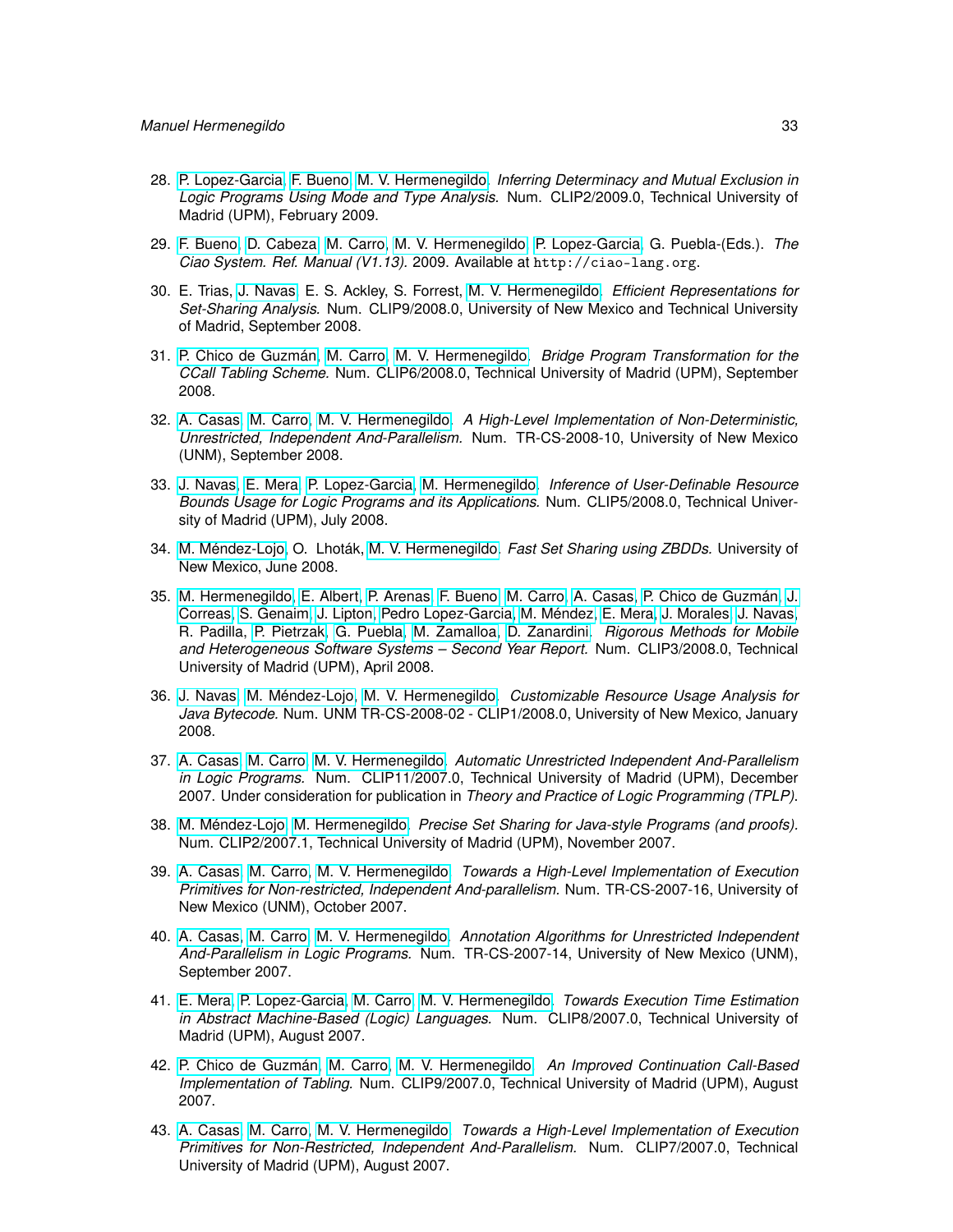- 28. [P. Lopez-Garcia,](http://www.clip.dia.fi.upm.es/~{}pedro) [F. Bueno,](http://www.clip.dia.fi.upm.es/~{}bueno) [M. V. Hermenegildo.](http://www.clip.dia.fi.upm.es/~{}herme) *Inferring Determinacy and Mutual Exclusion in Logic Programs Using Mode and Type Analysis.* Num. CLIP2/2009.0, Technical University of Madrid (UPM), February 2009.
- 29. [F. Bueno,](http://www.clip.dia.fi.upm.es/~{}bueno) [D. Cabeza,](http://www.clip.dia.fi.upm.es/~{}bardo) [M. Carro,](http://www.clip.dia.fi.upm.es/~{}mcarro) [M. V. Hermenegildo,](http://www.clip.dia.fi.upm.es/~{}herme) [P. Lopez-Garcia,](http://www.clip.dia.fi.upm.es/~{}pedro) G. Puebla-(Eds.). *The Ciao System. Ref. Manual (V1.13).* 2009. Available at http://ciao-lang.org.
- 30. E. Trias, [J. Navas,](http://www.clip.dia.fi.upm.es/~{}jorge) E. S. Ackley, S. Forrest, [M. V. Hermenegildo.](http://www.clip.dia.fi.upm.es/~{}herme) *Efficient Representations for Set-Sharing Analysis.* Num. CLIP9/2008.0, University of New Mexico and Technical University of Madrid, September 2008.
- 31. [P. Chico de Guzmán,](http://www.clip.dia.fi.upm.es/~{}pchico) [M. Carro,](http://www.clip.dia.fi.upm.es/~{}mcarro) [M. V. Hermenegildo.](http://www.clip.dia.fi.upm.es/~{}herme) *Bridge Program Transformation for the CCall Tabling Scheme.* Num. CLIP6/2008.0, Technical University of Madrid (UPM), September 2008.
- 32. [A. Casas,](http://www.clip.dia.fi.upm.es/~{}amadeo) [M. Carro,](http://www.clip.dia.fi.upm.es/~{}mcarro) [M. V. Hermenegildo.](http://www.clip.dia.fi.upm.es/~{}herme) *A High-Level Implementation of Non-Deterministic, Unrestricted, Independent And-Parallelism.* Num. TR-CS-2008-10, University of New Mexico (UNM), September 2008.
- 33. [J. Navas,](http://www.clip.dia.fi.upm.es/~{}jorge) [E. Mera,](http://www.clip.dia.fi.upm.es/~{}edison) [P. Lopez-Garcia,](http://www.clip.dia.fi.upm.es/~{}pedro) [M. Hermenegildo.](http://www.clip.dia.fi.upm.es/~{}herme) *Inference of User-Definable Resource Bounds Usage for Logic Programs and its Applications.* Num. CLIP5/2008.0, Technical University of Madrid (UPM), July 2008.
- 34. [M. Méndez-Lojo,](http://www.clip.dia.fi.upm.es/~{}mario) O. Lhoták, [M. V. Hermenegildo.](http://www.clip.dia.fi.upm.es/~{}herme) *Fast Set Sharing using ZBDDs.* University of New Mexico, June 2008.
- 35. [M. Hermenegildo,](http://www.clip.dia.fi.upm.es/~{}herme) [E. Albert,](http://www.clip.dia.fi.upm.es/~{}elvira) [P. Arenas,](http://www.clip.dia.fi.upm.es/~{}puri) [F. Bueno,](http://www.clip.dia.fi.upm.es/~{}bueno) [M. Carro,](http://www.clip.dia.fi.upm.es/~{}mcarro) [A. Casas,](http://www.clip.dia.fi.upm.es/~{}amadeo) [P. Chico de Guzmán,](http://www.clip.dia.fi.upm.es/~{}pchico) [J.](http://www.clip.dia.fi.upm.es/~{}jcorreas) [Correas,](http://www.clip.dia.fi.upm.es/~{}jcorreas) [S. Genaim,](http://www.clip.dia.fi.upm.es/~{}samir) [J. Lipton,](http://www.clip.dia.fi.upm.es/~{}jlipton) [Pedro Lopez-Garcia,](http://www.clip.dia.fi.upm.es/~{}pedro) [M. Méndez,](http://www.clip.dia.fi.upm.es/~{}mario) [E. Mera,](http://www.clip.dia.fi.upm.es/~{}edison) [J. Morales,](http://www.clip.dia.fi.upm.es/~{}jfran) [J. Navas,](http://www.clip.dia.fi.upm.es/~{}jorge) R. Padilla, [P. Pietrzak,](http://www.clip.dia.fi.upm.es/~{}pawel) [G. Puebla,](http://www.clip.dia.fi.upm.es/~{}german) [M. Zamalloa,](http://www.clip.dia.fi.upm.es/~{}mzamalloa) [D. Zanardini.](http://www.clip.dia.fi.upm.es/~{}damiano) *Rigorous Methods for Mobile and Heterogeneous Software Systems – Second Year Report.* Num. CLIP3/2008.0, Technical University of Madrid (UPM), April 2008.
- 36. [J. Navas,](http://www.clip.dia.fi.upm.es/~{}jorge) [M. Méndez-Lojo,](http://www.clip.dia.fi.upm.es/~{}mario) [M. V. Hermenegildo.](http://www.clip.dia.fi.upm.es/~{}herme) *Customizable Resource Usage Analysis for Java Bytecode.* Num. UNM TR-CS-2008-02 - CLIP1/2008.0, University of New Mexico, January 2008.
- 37. [A. Casas,](http://www.clip.dia.fi.upm.es/~{}amadeo) [M. Carro,](http://www.clip.dia.fi.upm.es/~{}mcarro) [M. V. Hermenegildo.](http://www.clip.dia.fi.upm.es/~{}herme) *Automatic Unrestricted Independent And-Parallelism in Logic Programs.* Num. CLIP11/2007.0, Technical University of Madrid (UPM), December 2007. Under consideration for publication in *Theory and Practice of Logic Programming (TPLP)*.
- 38. [M. Méndez-Lojo,](http://www.clip.dia.fi.upm.es/~{}mario) [M. Hermenegildo.](http://www.clip.dia.fi.upm.es/~{}herme) *Precise Set Sharing for Java-style Programs (and proofs).* Num. CLIP2/2007.1, Technical University of Madrid (UPM), November 2007.
- 39. [A. Casas,](http://www.clip.dia.fi.upm.es/~{}amadeo) [M. Carro,](http://www.clip.dia.fi.upm.es/~{}mcarro) [M. V. Hermenegildo.](http://www.clip.dia.fi.upm.es/~{}herme) *Towards a High-Level Implementation of Execution Primitives for Non-restricted, Independent And-parallelism.* Num. TR-CS-2007-16, University of New Mexico (UNM), October 2007.
- 40. [A. Casas,](http://www.clip.dia.fi.upm.es/~{}amadeo) [M. Carro,](http://www.clip.dia.fi.upm.es/~{}mcarro) [M. V. Hermenegildo.](http://www.clip.dia.fi.upm.es/~{}herme) *Annotation Algorithms for Unrestricted Independent And-Parallelism in Logic Programs.* Num. TR-CS-2007-14, University of New Mexico (UNM), September 2007.
- 41. [E. Mera,](http://www.clip.dia.fi.upm.es/~{}edison) [P. Lopez-Garcia,](http://www.clip.dia.fi.upm.es/~{}pedro) [M. Carro,](http://www.clip.dia.fi.upm.es/~{}mcarro) [M. V. Hermenegildo.](http://www.clip.dia.fi.upm.es/~{}herme) *Towards Execution Time Estimation in Abstract Machine-Based (Logic) Languages.* Num. CLIP8/2007.0, Technical University of Madrid (UPM), August 2007.
- 42. [P. Chico de Guzmán,](http://www.clip.dia.fi.upm.es/~{}pchico) [M. Carro,](http://www.clip.dia.fi.upm.es/~{}mcarro) [M. V. Hermenegildo.](http://www.clip.dia.fi.upm.es/~{}herme) *An Improved Continuation Call-Based Implementation of Tabling.* Num. CLIP9/2007.0, Technical University of Madrid (UPM), August 2007.
- 43. [A. Casas,](http://www.clip.dia.fi.upm.es/~{}amadeo) [M. Carro,](http://www.clip.dia.fi.upm.es/~{}mcarro) [M. V. Hermenegildo.](http://www.clip.dia.fi.upm.es/~{}herme) *Towards a High-Level Implementation of Execution Primitives for Non-Restricted, Independent And-Parallelism.* Num. CLIP7/2007.0, Technical University of Madrid (UPM), August 2007.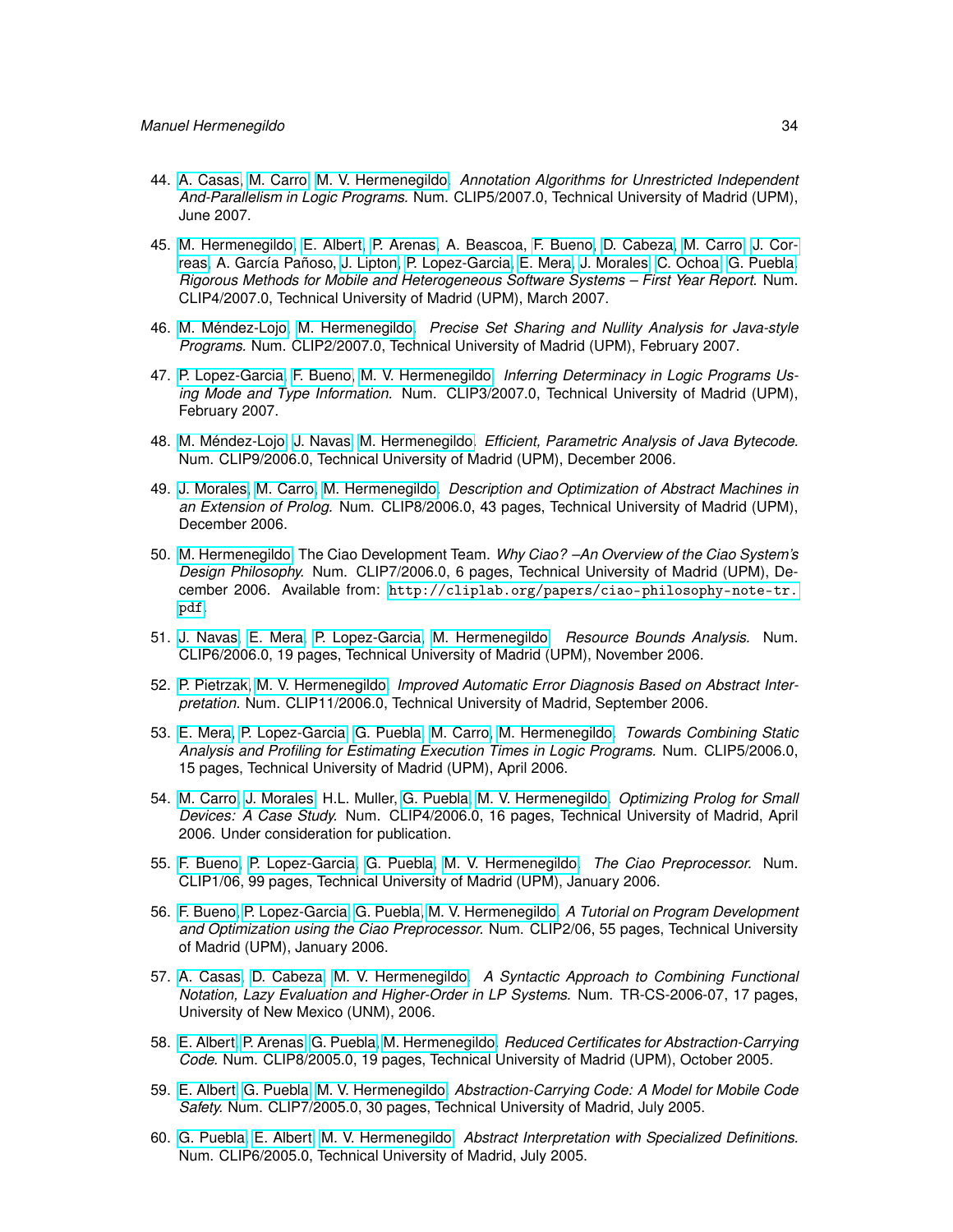- 44. [A. Casas,](http://www.clip.dia.fi.upm.es/~{}amadeo) [M. Carro,](http://www.clip.dia.fi.upm.es/~{}mcarro) [M. V. Hermenegildo.](http://www.clip.dia.fi.upm.es/~{}herme) *Annotation Algorithms for Unrestricted Independent And-Parallelism in Logic Programs.* Num. CLIP5/2007.0, Technical University of Madrid (UPM), June 2007.
- 45. [M. Hermenegildo,](http://www.clip.dia.fi.upm.es/~{}herme) [E. Albert,](http://www.clip.dia.fi.upm.es/~{}elvira) [P. Arenas,](http://www.clip.dia.fi.upm.es/~{}puri) A. Beascoa, [F. Bueno,](http://www.clip.dia.fi.upm.es/~{}bueno) [D. Cabeza,](http://www.clip.dia.fi.upm.es/~{}bardo) [M. Carro,](http://www.clip.dia.fi.upm.es/~{}mcarro) [J. Cor](http://www.clip.dia.fi.upm.es/~{}jcorreas)[reas,](http://www.clip.dia.fi.upm.es/~{}jcorreas) A. García Pañoso, [J. Lipton,](http://www.clip.dia.fi.upm.es/~{}jlipton) [P. Lopez-Garcia,](http://www.clip.dia.fi.upm.es/~{}pedro) [E. Mera,](http://www.clip.dia.fi.upm.es/~{}edison) [J. Morales,](http://www.clip.dia.fi.upm.es/~{}jfran) [C. Ochoa,](http://www.clip.dia.fi.upm.es/~{}cochoa) [G. Puebla.](http://www.clip.dia.fi.upm.es/~{}german) *Rigorous Methods for Mobile and Heterogeneous Software Systems – First Year Report.* Num. CLIP4/2007.0, Technical University of Madrid (UPM), March 2007.
- 46. [M. Méndez-Lojo,](http://www.clip.dia.fi.upm.es/~{}mario) [M. Hermenegildo.](http://www.clip.dia.fi.upm.es/~{}herme) *Precise Set Sharing and Nullity Analysis for Java-style Programs.* Num. CLIP2/2007.0, Technical University of Madrid (UPM), February 2007.
- 47. [P. Lopez-Garcia,](http://www.clip.dia.fi.upm.es/~{}pedro) [F. Bueno,](http://www.clip.dia.fi.upm.es/~{}bueno) [M. V. Hermenegildo.](http://www.clip.dia.fi.upm.es/~{}herme) *Inferring Determinacy in Logic Programs Using Mode and Type Information.* Num. CLIP3/2007.0, Technical University of Madrid (UPM), February 2007.
- 48. [M. Méndez-Lojo,](http://www.clip.dia.fi.upm.es/~{}mario) [J. Navas,](http://www.clip.dia.fi.upm.es/~{}jorge) [M. Hermenegildo.](http://www.clip.dia.fi.upm.es/~{}herme) *Efficient, Parametric Analysis of Java Bytecode.* Num. CLIP9/2006.0, Technical University of Madrid (UPM), December 2006.
- 49. [J. Morales,](http://www.clip.dia.fi.upm.es/~{}jfran) [M. Carro,](http://www.clip.dia.fi.upm.es/~{}mcarro) [M. Hermenegildo.](http://www.clip.dia.fi.upm.es/~{}herme) *Description and Optimization of Abstract Machines in an Extension of Prolog.* Num. CLIP8/2006.0, 43 pages, Technical University of Madrid (UPM), December 2006.
- 50. [M. Hermenegildo,](http://www.clip.dia.fi.upm.es/~{}herme) The Ciao Development Team. *Why Ciao? –An Overview of the Ciao System's Design Philosophy.* Num. CLIP7/2006.0, 6 pages, Technical University of Madrid (UPM), December 2006. Available from: [http://cliplab.org/papers/ciao-philosophy-note-tr.](http://cliplab.org/papers/ciao-philosophy-note-tr.pdf) [pdf](http://cliplab.org/papers/ciao-philosophy-note-tr.pdf).
- 51. [J. Navas,](http://www.clip.dia.fi.upm.es/~{}jorge) [E. Mera,](http://www.clip.dia.fi.upm.es/~{}edison) [P. Lopez-Garcia,](http://www.clip.dia.fi.upm.es/~{}pedro) [M. Hermenegildo.](http://www.clip.dia.fi.upm.es/~{}herme) *Resource Bounds Analysis.* Num. CLIP6/2006.0, 19 pages, Technical University of Madrid (UPM), November 2006.
- 52. [P. Pietrzak,](http://www.clip.dia.fi.upm.es/~{}pawel) [M. V. Hermenegildo.](http://www.clip.dia.fi.upm.es/~{}herme) *Improved Automatic Error Diagnosis Based on Abstract Interpretation.* Num. CLIP11/2006.0, Technical University of Madrid, September 2006.
- 53. [E. Mera,](http://www.clip.dia.fi.upm.es/~{}edison) [P. Lopez-Garcia,](http://www.clip.dia.fi.upm.es/~{}pedro) [G. Puebla,](http://www.clip.dia.fi.upm.es/~{}german) [M. Carro,](http://www.clip.dia.fi.upm.es/~{}mcarro) [M. Hermenegildo.](http://www.clip.dia.fi.upm.es/~{}herme) *Towards Combining Static Analysis and Profiling for Estimating Execution Times in Logic Programs.* Num. CLIP5/2006.0, 15 pages, Technical University of Madrid (UPM), April 2006.
- 54. [M. Carro,](http://www.clip.dia.fi.upm.es/~{}mcarro) [J. Morales,](http://www.clip.dia.fi.upm.es/~{}jfran) H.L. Muller, [G. Puebla,](http://www.clip.dia.fi.upm.es/~{}german) [M. V. Hermenegildo.](http://www.clip.dia.fi.upm.es/~{}herme) *Optimizing Prolog for Small Devices: A Case Study.* Num. CLIP4/2006.0, 16 pages, Technical University of Madrid, April 2006. Under consideration for publication.
- 55. [F. Bueno,](http://www.clip.dia.fi.upm.es/~{}bueno) [P. Lopez-Garcia,](http://www.clip.dia.fi.upm.es/~{}pedro) [G. Puebla,](http://www.clip.dia.fi.upm.es/~{}german) [M. V. Hermenegildo.](http://www.clip.dia.fi.upm.es/~{}herme) *The Ciao Preprocessor.* Num. CLIP1/06, 99 pages, Technical University of Madrid (UPM), January 2006.
- 56. [F. Bueno,](http://www.clip.dia.fi.upm.es/~{}bueno) [P. Lopez-Garcia,](http://www.clip.dia.fi.upm.es/~{}pedro) [G. Puebla,](http://www.clip.dia.fi.upm.es/~{}german) [M. V. Hermenegildo.](http://www.clip.dia.fi.upm.es/~{}herme) *A Tutorial on Program Development and Optimization using the Ciao Preprocessor.* Num. CLIP2/06, 55 pages, Technical University of Madrid (UPM), January 2006.
- 57. [A. Casas,](http://www.clip.dia.fi.upm.es/~{}amadeo) [D. Cabeza,](http://www.clip.dia.fi.upm.es/~{}bardo) [M. V. Hermenegildo.](http://www.clip.dia.fi.upm.es/~{}herme) *A Syntactic Approach to Combining Functional Notation, Lazy Evaluation and Higher-Order in LP Systems.* Num. TR-CS-2006-07, 17 pages, University of New Mexico (UNM), 2006.
- 58. [E. Albert,](http://www.clip.dia.fi.upm.es/~{}elvira) [P. Arenas,](http://www.clip.dia.fi.upm.es/~{}puri) [G. Puebla,](http://www.clip.dia.fi.upm.es/~{}german) [M. Hermenegildo.](http://www.clip.dia.fi.upm.es/~{}herme) *Reduced Certificates for Abstraction-Carrying Code.* Num. CLIP8/2005.0, 19 pages, Technical University of Madrid (UPM), October 2005.
- 59. [E. Albert,](http://www.clip.dia.fi.upm.es/~{}elvira) [G. Puebla,](http://www.clip.dia.fi.upm.es/~{}german) [M. V. Hermenegildo.](http://www.clip.dia.fi.upm.es/~{}herme) *Abstraction-Carrying Code: A Model for Mobile Code Safety.* Num. CLIP7/2005.0, 30 pages, Technical University of Madrid, July 2005.
- 60. [G. Puebla,](http://www.clip.dia.fi.upm.es/~{}german) [E. Albert,](http://www.clip.dia.fi.upm.es/~{}elvira) [M. V. Hermenegildo.](http://www.clip.dia.fi.upm.es/~{}herme) *Abstract Interpretation with Specialized Definitions.* Num. CLIP6/2005.0, Technical University of Madrid, July 2005.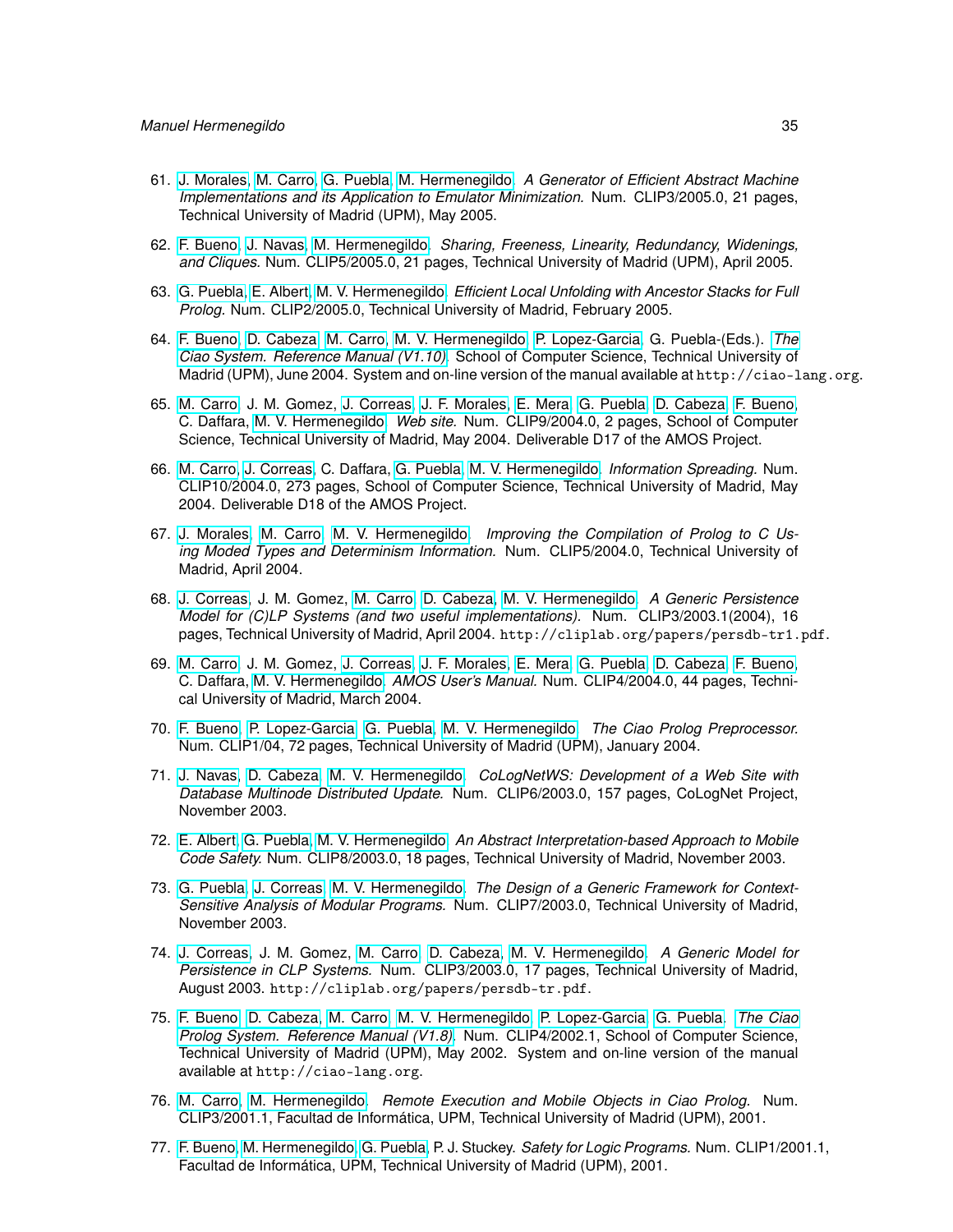- 61. [J. Morales,](http://www.clip.dia.fi.upm.es/~{}jfran) [M. Carro,](http://www.clip.dia.fi.upm.es/~{}mcarro) [G. Puebla,](http://www.clip.dia.fi.upm.es/~{}german) [M. Hermenegildo.](http://www.clip.dia.fi.upm.es/~{}herme) *A Generator of Efficient Abstract Machine Implementations and its Application to Emulator Minimization.* Num. CLIP3/2005.0, 21 pages, Technical University of Madrid (UPM), May 2005.
- 62. [F. Bueno,](http://www.clip.dia.fi.upm.es/~{}bueno) [J. Navas,](http://www.clip.dia.fi.upm.es/~{}jorge) [M. Hermenegildo.](http://www.clip.dia.fi.upm.es/~{}herme) *Sharing, Freeness, Linearity, Redundancy, Widenings, and Cliques.* Num. CLIP5/2005.0, 21 pages, Technical University of Madrid (UPM), April 2005.
- 63. [G. Puebla,](http://www.clip.dia.fi.upm.es/~{}german) [E. Albert,](http://www.clip.dia.fi.upm.es/~{}elvira) [M. V. Hermenegildo.](http://www.clip.dia.fi.upm.es/~{}herme) *Efficient Local Unfolding with Ancestor Stacks for Full Prolog.* Num. CLIP2/2005.0, Technical University of Madrid, February 2005.
- 64. [F. Bueno,](http://www.clip.dia.fi.upm.es/~{}bueno) [D. Cabeza,](http://www.clip.dia.fi.upm.es/~{}bardo) [M. Carro,](http://www.clip.dia.fi.upm.es/~{}mcarro) [M. V. Hermenegildo,](http://www.clip.dia.fi.upm.es/~{}herme) [P. Lopez-Garcia,](http://www.clip.dia.fi.upm.es/~{}pedro) G. Puebla-(Eds.). *[The](http://ciao-lang.org) [Ciao System. Reference Manual \(V1.10\).](http://ciao-lang.org)* School of Computer Science, Technical University of Madrid (UPM), June 2004. System and on-line version of the manual available at http://ciao-lang.org.
- 65. [M. Carro,](http://www.clip.dia.fi.upm.es/~{}mcarro) J. M. Gomez, [J. Correas,](http://www.clip.dia.fi.upm.es/~{}jcorreas) [J. F. Morales,](http://www.clip.dia.fi.upm.es/~{}jfran) [E. Mera,](http://www.clip.dia.fi.upm.es/~{}edison) [G. Puebla,](http://www.clip.dia.fi.upm.es/~{}german) [D. Cabeza,](http://www.clip.dia.fi.upm.es/~{}bardo) [F. Bueno,](http://www.clip.dia.fi.upm.es/~{}bueno) C. Daffara, [M. V. Hermenegildo.](http://www.clip.dia.fi.upm.es/~{}herme) *Web site.* Num. CLIP9/2004.0, 2 pages, School of Computer Science, Technical University of Madrid, May 2004. Deliverable D17 of the AMOS Project.
- 66. [M. Carro,](http://www.clip.dia.fi.upm.es/~{}mcarro) [J. Correas,](http://www.clip.dia.fi.upm.es/~{}jcorreas) C. Daffara, [G. Puebla,](http://www.clip.dia.fi.upm.es/~{}german) [M. V. Hermenegildo.](http://www.clip.dia.fi.upm.es/~{}herme) *Information Spreading.* Num. CLIP10/2004.0, 273 pages, School of Computer Science, Technical University of Madrid, May 2004. Deliverable D18 of the AMOS Project.
- 67. [J. Morales,](http://www.clip.dia.fi.upm.es/~{}jfran) [M. Carro,](http://www.clip.dia.fi.upm.es/~{}mcarro) [M. V. Hermenegildo.](http://www.clip.dia.fi.upm.es/~{}herme) *Improving the Compilation of Prolog to C Using Moded Types and Determinism Information.* Num. CLIP5/2004.0, Technical University of Madrid, April 2004.
- 68. [J. Correas,](http://www.clip.dia.fi.upm.es/~{}jcorreas) J. M. Gomez, [M. Carro,](http://www.clip.dia.fi.upm.es/~{}mcarro) [D. Cabeza,](http://www.clip.dia.fi.upm.es/~{}bardo) [M. V. Hermenegildo.](http://www.clip.dia.fi.upm.es/~{}herme) *A Generic Persistence Model for (C)LP Systems (and two useful implementations).* Num. CLIP3/2003.1(2004), 16 pages, Technical University of Madrid, April 2004. http://cliplab.org/papers/persdb-tr1.pdf.
- 69. [M. Carro,](http://www.clip.dia.fi.upm.es/~{}mcarro) J. M. Gomez, [J. Correas,](http://www.clip.dia.fi.upm.es/~{}jcorreas) [J. F. Morales,](http://www.clip.dia.fi.upm.es/~{}jfran) [E. Mera,](http://www.clip.dia.fi.upm.es/~{}edison) [G. Puebla,](http://www.clip.dia.fi.upm.es/~{}german) [D. Cabeza,](http://www.clip.dia.fi.upm.es/~{}bardo) [F. Bueno,](http://www.clip.dia.fi.upm.es/~{}bueno) C. Daffara, [M. V. Hermenegildo.](http://www.clip.dia.fi.upm.es/~{}herme) *AMOS User's Manual.* Num. CLIP4/2004.0, 44 pages, Technical University of Madrid, March 2004.
- 70. [F. Bueno,](http://www.clip.dia.fi.upm.es/~{}bueno) [P. Lopez-Garcia,](http://www.clip.dia.fi.upm.es/~{}pedro) [G. Puebla,](http://www.clip.dia.fi.upm.es/~{}german) [M. V. Hermenegildo.](http://www.clip.dia.fi.upm.es/~{}herme) *The Ciao Prolog Preprocessor.* Num. CLIP1/04, 72 pages, Technical University of Madrid (UPM), January 2004.
- 71. [J. Navas,](http://www.clip.dia.fi.upm.es/~{}jorge) [D. Cabeza,](http://www.clip.dia.fi.upm.es/~{}bardo) [M. V. Hermenegildo.](http://www.clip.dia.fi.upm.es/~{}herme) *CoLogNetWS: Development of a Web Site with Database Multinode Distributed Update.* Num. CLIP6/2003.0, 157 pages, CoLogNet Project, November 2003.
- 72. [E. Albert,](http://www.clip.dia.fi.upm.es/~{}elvira) [G. Puebla,](http://www.clip.dia.fi.upm.es/~{}german) [M. V. Hermenegildo.](http://www.clip.dia.fi.upm.es/~{}herme) *An Abstract Interpretation-based Approach to Mobile Code Safety.* Num. CLIP8/2003.0, 18 pages, Technical University of Madrid, November 2003.
- 73. [G. Puebla,](http://www.clip.dia.fi.upm.es/~{}german) [J. Correas,](http://www.clip.dia.fi.upm.es/~{}jcorreas) [M. V. Hermenegildo.](http://www.clip.dia.fi.upm.es/~{}herme) *The Design of a Generic Framework for Context-Sensitive Analysis of Modular Programs.* Num. CLIP7/2003.0, Technical University of Madrid, November 2003.
- 74. [J. Correas,](http://www.clip.dia.fi.upm.es/~{}jcorreas) J. M. Gomez, [M. Carro,](http://www.clip.dia.fi.upm.es/~{}mcarro) [D. Cabeza,](http://www.clip.dia.fi.upm.es/~{}bardo) [M. V. Hermenegildo.](http://www.clip.dia.fi.upm.es/~{}herme) *A Generic Model for Persistence in CLP Systems.* Num. CLIP3/2003.0, 17 pages, Technical University of Madrid, August 2003. http://cliplab.org/papers/persdb-tr.pdf.
- 75. [F. Bueno,](http://www.clip.dia.fi.upm.es/~{}bueno) [D. Cabeza,](http://www.clip.dia.fi.upm.es/~{}bardo) [M. Carro,](http://www.clip.dia.fi.upm.es/~{}mcarro) [M. V. Hermenegildo,](http://www.clip.dia.fi.upm.es/~{}herme) [P. Lopez-Garcia,](http://www.clip.dia.fi.upm.es/~{}pedro) [G. Puebla.](http://www.clip.dia.fi.upm.es/~{}german) *[The Ciao](http://ciao-lang.org) [Prolog System. Reference Manual \(V1.8\).](http://ciao-lang.org)* Num. CLIP4/2002.1, School of Computer Science, Technical University of Madrid (UPM), May 2002. System and on-line version of the manual available at http://ciao-lang.org.
- 76. [M. Carro,](http://www.clip.dia.fi.upm.es/~{}mcarro) [M. Hermenegildo.](http://www.clip.dia.fi.upm.es/~{}herme) *Remote Execution and Mobile Objects in Ciao Prolog.* Num. CLIP3/2001.1, Facultad de Informática, UPM, Technical University of Madrid (UPM), 2001.
- 77. [F. Bueno,](http://www.clip.dia.fi.upm.es/~{}bueno) [M. Hermenegildo,](http://www.clip.dia.fi.upm.es/~{}herme) [G. Puebla,](http://www.clip.dia.fi.upm.es/~{}german) P. J. Stuckey. *Safety for Logic Programs.* Num. CLIP1/2001.1, Facultad de Informática, UPM, Technical University of Madrid (UPM), 2001.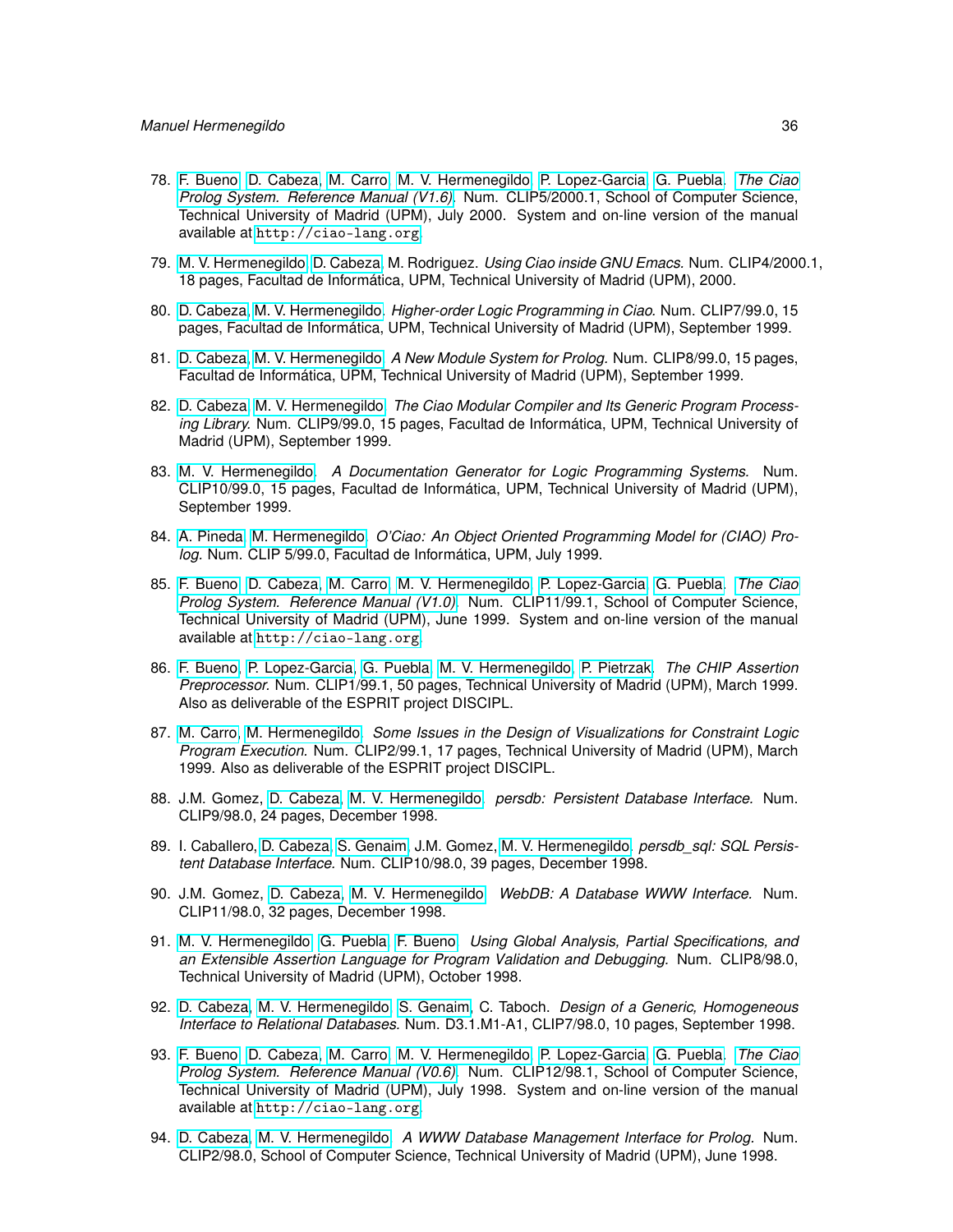- 78. [F. Bueno,](http://www.clip.dia.fi.upm.es/~{}bueno) [D. Cabeza,](http://www.clip.dia.fi.upm.es/~{}bardo) [M. Carro,](http://www.clip.dia.fi.upm.es/~{}mcarro) [M. V. Hermenegildo,](http://www.clip.dia.fi.upm.es/~{}herme) [P. Lopez-Garcia,](http://www.clip.dia.fi.upm.es/~{}pedro) [G. Puebla.](http://www.clip.dia.fi.upm.es/~{}german) *[The Ciao](http://ciao-lang.org) [Prolog System. Reference Manual \(V1.6\).](http://ciao-lang.org)* Num. CLIP5/2000.1, School of Computer Science, Technical University of Madrid (UPM), July 2000. System and on-line version of the manual available at <http://ciao-lang.org>.
- 79. [M. V. Hermenegildo,](http://www.clip.dia.fi.upm.es/~{}herme) [D. Cabeza,](http://www.clip.dia.fi.upm.es/~{}bardo) M. Rodriguez. *Using Ciao inside GNU Emacs.* Num. CLIP4/2000.1, 18 pages, Facultad de Informática, UPM, Technical University of Madrid (UPM), 2000.
- 80. [D. Cabeza,](http://www.clip.dia.fi.upm.es/~{}bardo) [M. V. Hermenegildo.](http://www.clip.dia.fi.upm.es/~{}herme) *Higher-order Logic Programming in Ciao.* Num. CLIP7/99.0, 15 pages, Facultad de Informática, UPM, Technical University of Madrid (UPM), September 1999.
- 81. [D. Cabeza,](http://www.clip.dia.fi.upm.es/~{}bardo) [M. V. Hermenegildo.](http://www.clip.dia.fi.upm.es/~{}herme) *A New Module System for Prolog.* Num. CLIP8/99.0, 15 pages, Facultad de Informática, UPM, Technical University of Madrid (UPM), September 1999.
- 82. [D. Cabeza,](http://www.clip.dia.fi.upm.es/~{}bardo) [M. V. Hermenegildo.](http://www.clip.dia.fi.upm.es/~{}herme) *The Ciao Modular Compiler and Its Generic Program Processing Library.* Num. CLIP9/99.0, 15 pages, Facultad de Informática, UPM, Technical University of Madrid (UPM), September 1999.
- 83. [M. V. Hermenegildo.](http://www.clip.dia.fi.upm.es/~{}herme) *A Documentation Generator for Logic Programming Systems.* Num. CLIP10/99.0, 15 pages, Facultad de Informática, UPM, Technical University of Madrid (UPM), September 1999.
- 84. [A. Pineda,](http://www.clip.dia.fi.upm.es/~{}apineda) [M. Hermenegildo.](http://www.clip.dia.fi.upm.es/~{}herme) *O'Ciao: An Object Oriented Programming Model for (CIAO) Prolog.* Num. CLIP 5/99.0, Facultad de Informática, UPM, July 1999.
- 85. [F. Bueno,](http://www.clip.dia.fi.upm.es/~{}bueno) [D. Cabeza,](http://www.clip.dia.fi.upm.es/~{}bardo) [M. Carro,](http://www.clip.dia.fi.upm.es/~{}mcarro) [M. V. Hermenegildo,](http://www.clip.dia.fi.upm.es/~{}herme) [P. Lopez-Garcia,](http://www.clip.dia.fi.upm.es/~{}pedro) [G. Puebla.](http://www.clip.dia.fi.upm.es/~{}german) *[The Ciao](http://ciao-lang.org) [Prolog System. Reference Manual \(V1.0\).](http://ciao-lang.org)* Num. CLIP11/99.1, School of Computer Science, Technical University of Madrid (UPM), June 1999. System and on-line version of the manual available at <http://ciao-lang.org>.
- 86. [F. Bueno,](http://www.clip.dia.fi.upm.es/~{}bueno) [P. Lopez-Garcia,](http://www.clip.dia.fi.upm.es/~{}pedro) [G. Puebla,](http://www.clip.dia.fi.upm.es/~{}german) [M. V. Hermenegildo,](http://www.clip.dia.fi.upm.es/~{}herme) [P. Pietrzak.](http://www.clip.dia.fi.upm.es/~{}pawel) *The CHIP Assertion Preprocessor.* Num. CLIP1/99.1, 50 pages, Technical University of Madrid (UPM), March 1999. Also as deliverable of the ESPRIT project DISCIPL.
- 87. [M. Carro,](http://www.clip.dia.fi.upm.es/~{}mcarro) [M. Hermenegildo.](http://www.clip.dia.fi.upm.es/~{}herme) *Some Issues in the Design of Visualizations for Constraint Logic Program Execution.* Num. CLIP2/99.1, 17 pages, Technical University of Madrid (UPM), March 1999. Also as deliverable of the ESPRIT project DISCIPL.
- 88. J.M. Gomez, [D. Cabeza,](http://www.clip.dia.fi.upm.es/~{}bardo) [M. V. Hermenegildo.](http://www.clip.dia.fi.upm.es/~{}herme) *persdb: Persistent Database Interface.* Num. CLIP9/98.0, 24 pages, December 1998.
- 89. I. Caballero, [D. Cabeza,](http://www.clip.dia.fi.upm.es/~{}bardo) [S. Genaim,](http://www.clip.dia.fi.upm.es/~{}samir) J.M. Gomez, [M. V. Hermenegildo.](http://www.clip.dia.fi.upm.es/~{}herme) *persdb\_sql: SQL Persistent Database Interface.* Num. CLIP10/98.0, 39 pages, December 1998.
- 90. J.M. Gomez, [D. Cabeza,](http://www.clip.dia.fi.upm.es/~{}bardo) [M. V. Hermenegildo.](http://www.clip.dia.fi.upm.es/~{}herme) *WebDB: A Database WWW Interface.* Num. CLIP11/98.0, 32 pages, December 1998.
- 91. [M. V. Hermenegildo,](http://www.clip.dia.fi.upm.es/~{}herme) [G. Puebla,](http://www.clip.dia.fi.upm.es/~{}german) [F. Bueno.](http://www.clip.dia.fi.upm.es/~{}bueno) *Using Global Analysis, Partial Specifications, and an Extensible Assertion Language for Program Validation and Debugging.* Num. CLIP8/98.0, Technical University of Madrid (UPM), October 1998.
- 92. [D. Cabeza,](http://www.clip.dia.fi.upm.es/~{}bardo) [M. V. Hermenegildo,](http://www.clip.dia.fi.upm.es/~{}herme) [S. Genaim,](http://www.clip.dia.fi.upm.es/~{}samir) C. Taboch. *Design of a Generic, Homogeneous Interface to Relational Databases.* Num. D3.1.M1-A1, CLIP7/98.0, 10 pages, September 1998.
- 93. [F. Bueno,](http://www.clip.dia.fi.upm.es/~{}bueno) [D. Cabeza,](http://www.clip.dia.fi.upm.es/~{}bardo) [M. Carro,](http://www.clip.dia.fi.upm.es/~{}mcarro) [M. V. Hermenegildo,](http://www.clip.dia.fi.upm.es/~{}herme) [P. Lopez-Garcia,](http://www.clip.dia.fi.upm.es/~{}pedro) [G. Puebla.](http://www.clip.dia.fi.upm.es/~{}german) *[The Ciao](http://ciao-lang.org) [Prolog System. Reference Manual \(V0.6\).](http://ciao-lang.org)* Num. CLIP12/98.1, School of Computer Science, Technical University of Madrid (UPM), July 1998. System and on-line version of the manual available at <http://ciao-lang.org>.
- 94. [D. Cabeza,](http://www.clip.dia.fi.upm.es/~{}bardo) [M. V. Hermenegildo.](http://www.clip.dia.fi.upm.es/~{}herme) *A WWW Database Management Interface for Prolog.* Num. CLIP2/98.0, School of Computer Science, Technical University of Madrid (UPM), June 1998.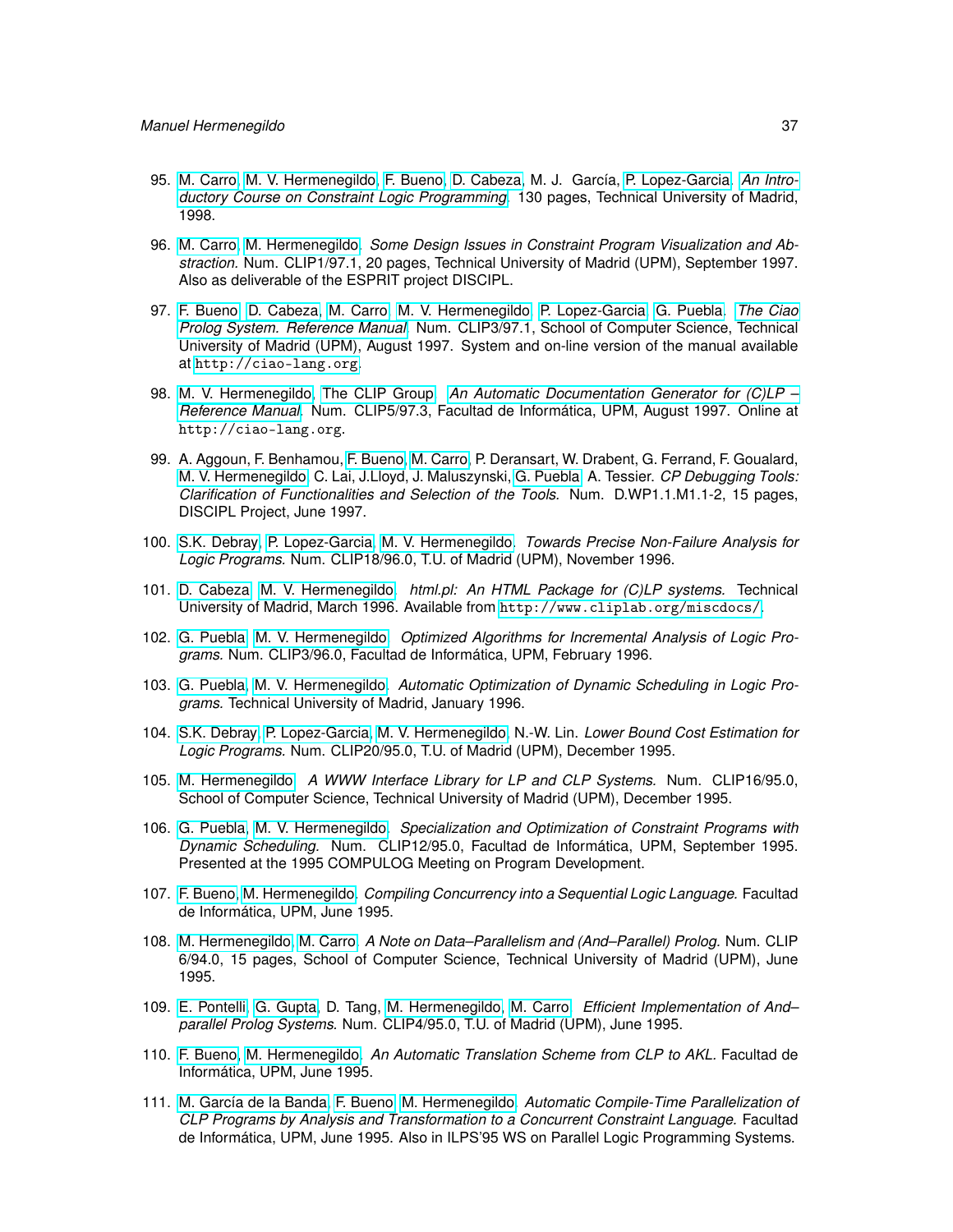- 95. [M. Carro,](http://www.clip.dia.fi.upm.es/~{}mcarro) [M. V. Hermenegildo,](http://www.clip.dia.fi.upm.es/~{}herme) [F. Bueno,](http://www.clip.dia.fi.upm.es/~{}bueno) [D. Cabeza,](http://www.clip.dia.fi.upm.es/~{}bardo) M. J. García, [P. Lopez-Garcia.](http://www.clip.dia.fi.upm.es/~{}pedro) *[An Intro](http://www.cliplab.org/~{}vocal/public_info/index.html)[ductory Course on Constraint Logic Programming.](http://www.cliplab.org/~{}vocal/public_info/index.html)* 130 pages, Technical University of Madrid, 1998.
- 96. [M. Carro,](http://www.clip.dia.fi.upm.es/~{}mcarro) [M. Hermenegildo.](http://www.clip.dia.fi.upm.es/~{}herme) *Some Design Issues in Constraint Program Visualization and Abstraction.* Num. CLIP1/97.1, 20 pages, Technical University of Madrid (UPM), September 1997. Also as deliverable of the ESPRIT project DISCIPL.
- 97. [F. Bueno,](http://www.clip.dia.fi.upm.es/~{}bueno) [D. Cabeza,](http://www.clip.dia.fi.upm.es/~{}bardo) [M. Carro,](http://www.clip.dia.fi.upm.es/~{}mcarro) [M. V. Hermenegildo,](http://www.clip.dia.fi.upm.es/~{}herme) [P. Lopez-Garcia,](http://www.clip.dia.fi.upm.es/~{}pedro) [G. Puebla.](http://www.clip.dia.fi.upm.es/~{}german) *[The Ciao](http://ciao-lang.org) [Prolog System. Reference Manual.](http://ciao-lang.org)* Num. CLIP3/97.1, School of Computer Science, Technical University of Madrid (UPM), August 1997. System and on-line version of the manual available at <http://ciao-lang.org>.
- 98. [M. V. Hermenegildo,](http://www.clip.dia.fi.upm.es/~{}herme) [The CLIP Group.](http://www.clip.dia.fi.upm.es/) *[An Automatic Documentation Generator for \(C\)LP –](http://ciao-lang.org) [Reference Manual.](http://ciao-lang.org)* Num. CLIP5/97.3, Facultad de Informática, UPM, August 1997. Online at http://ciao-lang.org.
- 99. A. Aggoun, F. Benhamou, [F. Bueno,](http://www.clip.dia.fi.upm.es/~{}bueno) [M. Carro,](http://www.clip.dia.fi.upm.es/~{}mcarro) P. Deransart, W. Drabent, G. Ferrand, F. Goualard, [M. V. Hermenegildo,](http://www.clip.dia.fi.upm.es/~{}herme) C. Lai, J.Lloyd, J. Maluszynski, [G. Puebla,](http://www.clip.dia.fi.upm.es/~{}german) A. Tessier. *CP Debugging Tools: Clarification of Functionalities and Selection of the Tools.* Num. D.WP1.1.M1.1-2, 15 pages, DISCIPL Project, June 1997.
- 100. [S.K. Debray,](http://cs.arizona.edu/~{}debray) [P. Lopez-Garcia,](http://www.clip.dia.fi.upm.es/~{}pedro) [M. V. Hermenegildo.](http://www.clip.dia.fi.upm.es/~{}herme) *Towards Precise Non-Failure Analysis for Logic Programs.* Num. CLIP18/96.0, T.U. of Madrid (UPM), November 1996.
- 101. [D. Cabeza,](http://www.clip.dia.fi.upm.es/~{}bardo) [M. V. Hermenegildo.](http://www.clip.dia.fi.upm.es/~{}herme) *html.pl: An HTML Package for (C)LP systems.* Technical University of Madrid, March 1996. Available from <http://www.cliplab.org/miscdocs/>.
- 102. [G. Puebla,](http://www.clip.dia.fi.upm.es/~{}german) [M. V. Hermenegildo.](http://www.clip.dia.fi.upm.es/~{}herme) *Optimized Algorithms for Incremental Analysis of Logic Programs.* Num. CLIP3/96.0, Facultad de Informática, UPM, February 1996.
- 103. [G. Puebla,](http://www.clip.dia.fi.upm.es/~{}german) [M. V. Hermenegildo.](http://www.clip.dia.fi.upm.es/~{}herme) *Automatic Optimization of Dynamic Scheduling in Logic Programs.* Technical University of Madrid, January 1996.
- 104. [S.K. Debray,](http://cs.arizona.edu/~{}debray) [P. Lopez-Garcia,](http://www.clip.dia.fi.upm.es/~{}pedro) [M. V. Hermenegildo,](http://www.clip.dia.fi.upm.es/~{}herme) N.-W. Lin. *Lower Bound Cost Estimation for Logic Programs.* Num. CLIP20/95.0, T.U. of Madrid (UPM), December 1995.
- 105. [M. Hermenegildo.](http://www.clip.dia.fi.upm.es/~{}herme) *A WWW Interface Library for LP and CLP Systems.* Num. CLIP16/95.0, School of Computer Science, Technical University of Madrid (UPM), December 1995.
- 106. [G. Puebla,](http://www.clip.dia.fi.upm.es/~{}german) [M. V. Hermenegildo.](http://www.clip.dia.fi.upm.es/~{}herme) *Specialization and Optimization of Constraint Programs with Dynamic Scheduling.* Num. CLIP12/95.0, Facultad de Informática, UPM, September 1995. Presented at the 1995 COMPULOG Meeting on Program Development.
- 107. [F. Bueno,](http://www.clip.dia.fi.upm.es/~{}bueno) [M. Hermenegildo.](http://www.clip.dia.fi.upm.es/~{}herme) *Compiling Concurrency into a Sequential Logic Language.* Facultad de Informática, UPM, June 1995.
- 108. [M. Hermenegildo,](http://www.clip.dia.fi.upm.es/~{}herme) [M. Carro.](http://www.clip.dia.fi.upm.es/~{}mcarro) *A Note on Data–Parallelism and (And–Parallel) Prolog.* Num. CLIP 6/94.0, 15 pages, School of Computer Science, Technical University of Madrid (UPM), June 1995.
- 109. [E. Pontelli,](http://www.cs.nmsu.edu/lldap/people/epontell.html) [G. Gupta,](http://www.cs.nmsu.edu/lldap/people/gupta.html) D. Tang, [M. Hermenegildo,](http://www.clip.dia.fi.upm.es/~{}herme) [M. Carro.](http://www.clip.dia.fi.upm.es/~{}mcarro) *Efficient Implementation of And– parallel Prolog Systems.* Num. CLIP4/95.0, T.U. of Madrid (UPM), June 1995.
- 110. [F. Bueno,](http://www.clip.dia.fi.upm.es/~{}bueno) [M. Hermenegildo.](http://www.clip.dia.fi.upm.es/~{}herme) *An Automatic Translation Scheme from CLP to AKL.* Facultad de Informática, UPM, June 1995.
- 111. [M. García de la Banda,](http://www.csse.monash.edu.au/~{}mbanda) [F. Bueno,](http://www.clip.dia.fi.upm.es/~{}bueno) [M. Hermenegildo.](http://www.clip.dia.fi.upm.es/~{}herme) *Automatic Compile-Time Parallelization of CLP Programs by Analysis and Transformation to a Concurrent Constraint Language.* Facultad de Informática, UPM, June 1995. Also in ILPS'95 WS on Parallel Logic Programming Systems.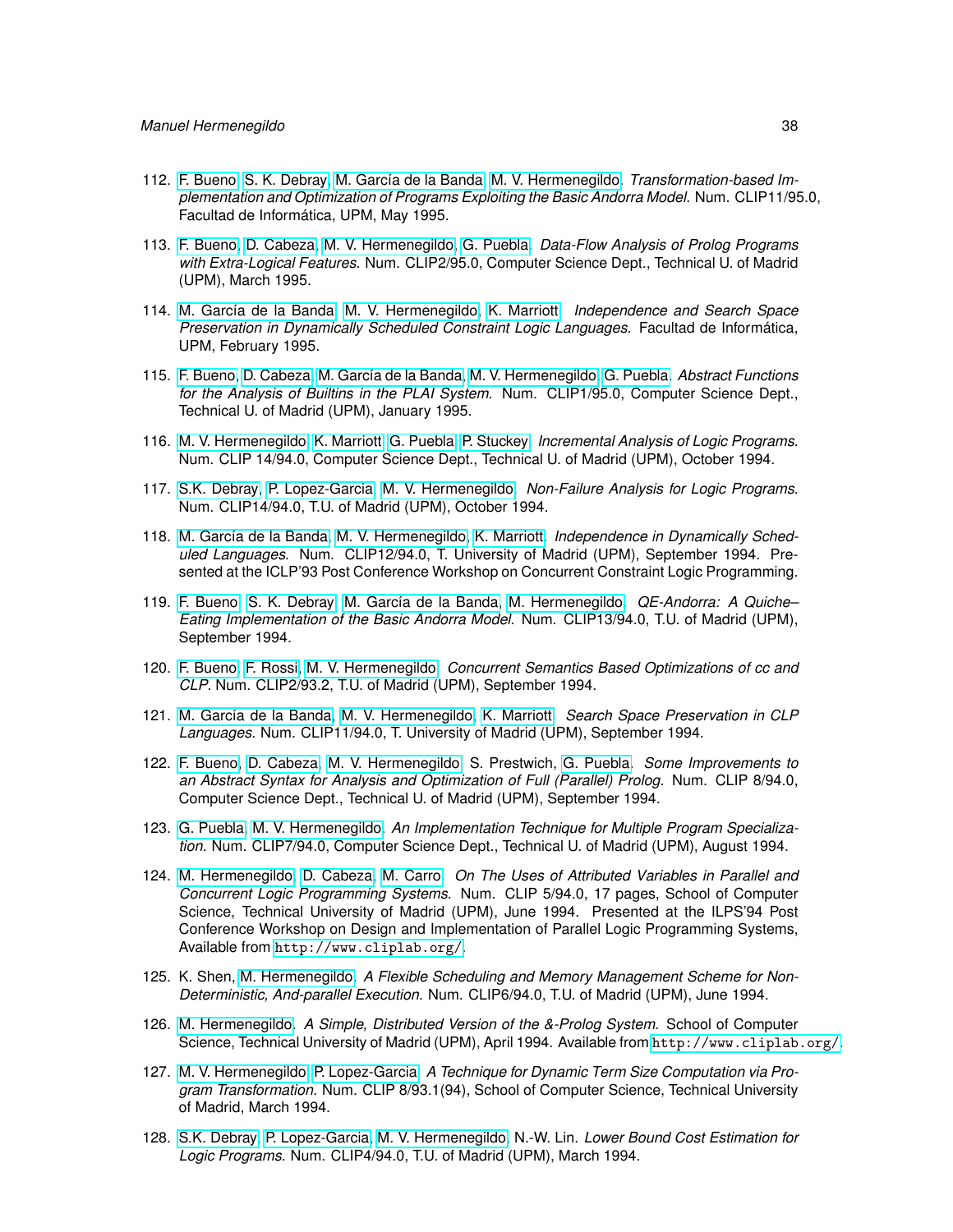- 112. [F. Bueno,](http://www.clip.dia.fi.upm.es/~{}bueno) [S. K. Debray,](http://cs.arizona.edu/~{}debray) [M. García de la Banda,](http://www.csse.monash.edu.au/~{}mbanda) [M. V. Hermenegildo.](http://www.clip.dia.fi.upm.es/~{}herme) *Transformation-based Implementation and Optimization of Programs Exploiting the Basic Andorra Model.* Num. CLIP11/95.0, Facultad de Informática, UPM, May 1995.
- 113. [F. Bueno,](http://www.clip.dia.fi.upm.es/~{}bueno) [D. Cabeza,](http://www.clip.dia.fi.upm.es/~{}bardo) [M. V. Hermenegildo,](http://www.clip.dia.fi.upm.es/~{}herme) [G. Puebla.](http://www.clip.dia.fi.upm.es/~{}german) *Data-Flow Analysis of Prolog Programs with Extra-Logical Features.* Num. CLIP2/95.0, Computer Science Dept., Technical U. of Madrid (UPM), March 1995.
- 114. [M. García de la Banda,](http://www.csse.monash.edu.au/~{}mbanda) [M. V. Hermenegildo,](http://www.clip.dia.fi.upm.es/~{}herme) [K. Marriott.](http://www.csse.monash.edu.au/~{}marriott) *Independence and Search Space Preservation in Dynamically Scheduled Constraint Logic Languages.* Facultad de Informática, UPM, February 1995.
- 115. [F. Bueno,](http://www.clip.dia.fi.upm.es/~{}bueno) [D. Cabeza,](http://www.clip.dia.fi.upm.es/~{}bardo) [M. García de la Banda,](http://www.csse.monash.edu.au/~{}mbanda) [M. V. Hermenegildo,](http://www.clip.dia.fi.upm.es/~{}herme) [G. Puebla.](http://www.clip.dia.fi.upm.es/~{}german) *Abstract Functions for the Analysis of Builtins in the PLAI System.* Num. CLIP1/95.0, Computer Science Dept., Technical U. of Madrid (UPM), January 1995.
- 116. [M. V. Hermenegildo,](http://www.clip.dia.fi.upm.es/~{}herme) [K. Marriott,](http://www.csse.monash.edu.au/~{}marriott) [G. Puebla,](http://www.clip.dia.fi.upm.es/~{}german) [P. Stuckey.](http://www.cs.mu.OZ.AU/~{}pjs) *Incremental Analysis of Logic Programs.* Num. CLIP 14/94.0, Computer Science Dept., Technical U. of Madrid (UPM), October 1994.
- 117. [S.K. Debray,](http://cs.arizona.edu/~{}debray) [P. Lopez-Garcia,](http://www.clip.dia.fi.upm.es/~{}pedro) [M. V. Hermenegildo.](http://www.clip.dia.fi.upm.es/~{}herme) *Non-Failure Analysis for Logic Programs.* Num. CLIP14/94.0, T.U. of Madrid (UPM), October 1994.
- 118. [M. García de la Banda,](http://www.csse.monash.edu.au/~{}mbanda) [M. V. Hermenegildo,](http://www.clip.dia.fi.upm.es/~{}herme) [K. Marriott.](http://www.csse.monash.edu.au/~{}marriott) *Independence in Dynamically Scheduled Languages.* Num. CLIP12/94.0, T. University of Madrid (UPM), September 1994. Presented at the ICLP'93 Post Conference Workshop on Concurrent Constraint Logic Programming.
- 119. [F. Bueno,](http://www.clip.dia.fi.upm.es/~{}bueno) [S. K. Debray,](http://cs.arizona.edu/~{}debray) [M. García de la Banda,](http://www.csse.monash.edu.au/~{}mbanda) [M. Hermenegildo.](http://www.clip.dia.fi.upm.es/~{}herme) *QE-Andorra: A Quiche– Eating Implementation of the Basic Andorra Model.* Num. CLIP13/94.0, T.U. of Madrid (UPM), September 1994.
- 120. [F. Bueno,](http://www.clip.dia.fi.upm.es/~{}bueno) [F. Rossi,](http://www.di.unipi.it/~{}rossi) [M. V. Hermenegildo.](http://www.clip.dia.fi.upm.es/~{}herme) *Concurrent Semantics Based Optimizations of cc and CLP.* Num. CLIP2/93.2, T.U. of Madrid (UPM), September 1994.
- 121. [M. García de la Banda,](http://www.csse.monash.edu.au/~{}mbanda) [M. V. Hermenegildo,](http://www.clip.dia.fi.upm.es/~{}herme) [K. Marriott.](http://www.csse.monash.edu.au/~{}marriott) *Search Space Preservation in CLP Languages.* Num. CLIP11/94.0, T. University of Madrid (UPM), September 1994.
- 122. [F. Bueno,](http://www.clip.dia.fi.upm.es/~{}bueno) [D. Cabeza,](http://www.clip.dia.fi.upm.es/~{}bardo) [M. V. Hermenegildo,](http://www.clip.dia.fi.upm.es/~{}herme) S. Prestwich, [G. Puebla.](http://www.clip.dia.fi.upm.es/~{}german) *Some Improvements to an Abstract Syntax for Analysis and Optimization of Full (Parallel) Prolog.* Num. CLIP 8/94.0, Computer Science Dept., Technical U. of Madrid (UPM), September 1994.
- 123. [G. Puebla,](http://www.clip.dia.fi.upm.es/~{}german) [M. V. Hermenegildo.](http://www.clip.dia.fi.upm.es/~{}herme) *An Implementation Technique for Multiple Program Specialization.* Num. CLIP7/94.0, Computer Science Dept., Technical U. of Madrid (UPM), August 1994.
- 124. [M. Hermenegildo,](http://www.clip.dia.fi.upm.es/~{}herme) [D. Cabeza,](http://www.clip.dia.fi.upm.es/~{}bardo) [M. Carro.](http://www.clip.dia.fi.upm.es/~{}mcarro) *On The Uses of Attributed Variables in Parallel and Concurrent Logic Programming Systems.* Num. CLIP 5/94.0, 17 pages, School of Computer Science, Technical University of Madrid (UPM), June 1994. Presented at the ILPS'94 Post Conference Workshop on Design and Implementation of Parallel Logic Programming Systems, Available from <http://www.cliplab.org/>.
- 125. K. Shen, [M. Hermenegildo.](http://www.clip.dia.fi.upm.es/~{}herme) *A Flexible Scheduling and Memory Management Scheme for Non-Deterministic, And-parallel Execution.* Num. CLIP6/94.0, T.U. of Madrid (UPM), June 1994.
- 126. [M. Hermenegildo.](http://www.clip.dia.fi.upm.es/~{}herme) *A Simple, Distributed Version of the &-Prolog System.* School of Computer Science, Technical University of Madrid (UPM), April 1994. Available from <http://www.cliplab.org/>.
- 127. [M. V. Hermenegildo,](http://www.clip.dia.fi.upm.es/~{}herme) [P. Lopez-Garcia.](http://www.clip.dia.fi.upm.es/~{}pedro) *A Technique for Dynamic Term Size Computation via Program Transformation.* Num. CLIP 8/93.1(94), School of Computer Science, Technical University of Madrid, March 1994.
- 128. [S.K. Debray,](http://cs.arizona.edu/~{}debray) [P. Lopez-Garcia,](http://www.clip.dia.fi.upm.es/~{}pedro) [M. V. Hermenegildo,](http://www.clip.dia.fi.upm.es/~{}herme) N.-W. Lin. *Lower Bound Cost Estimation for Logic Programs.* Num. CLIP4/94.0, T.U. of Madrid (UPM), March 1994.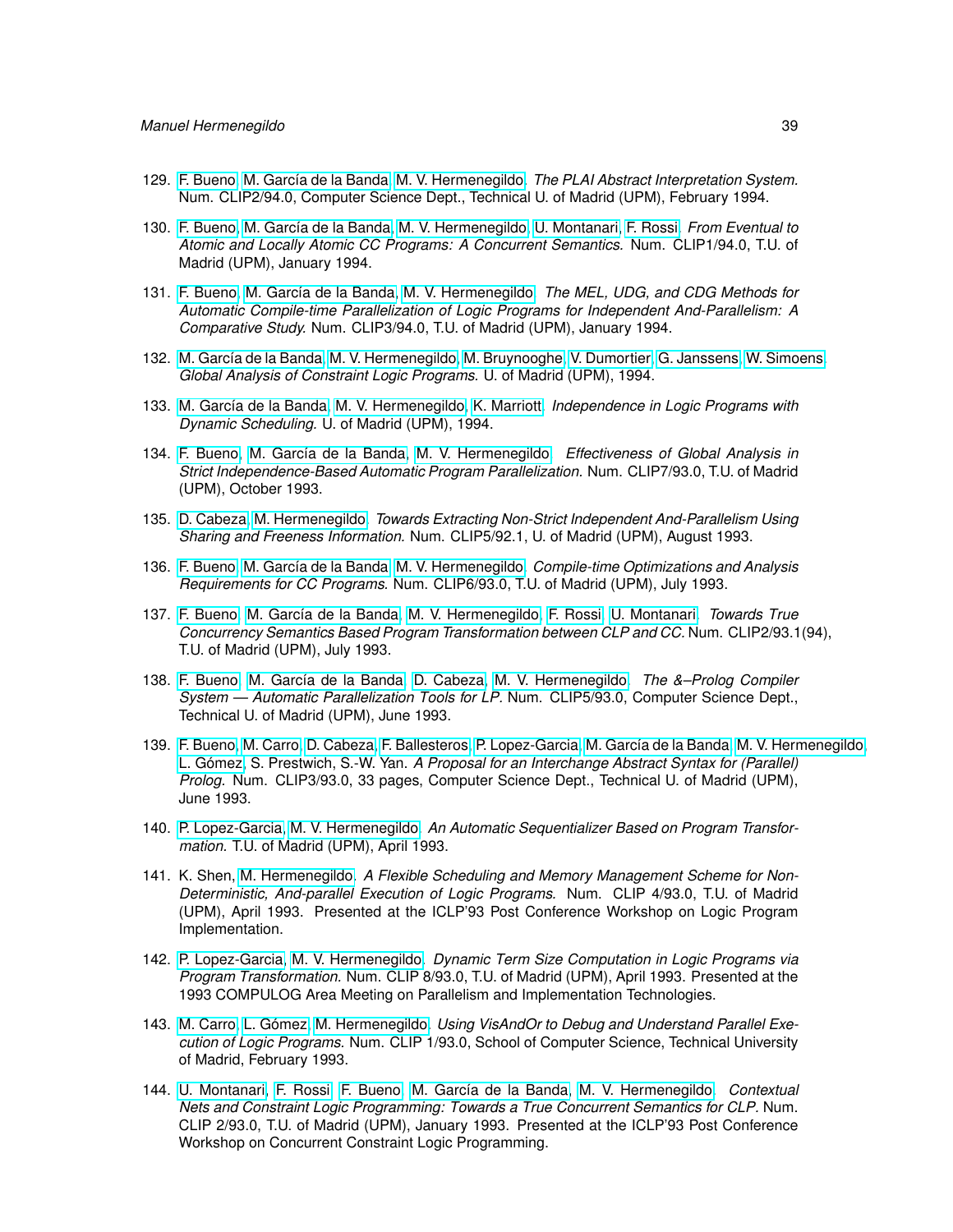- 129. [F. Bueno,](http://www.clip.dia.fi.upm.es/~{}bueno) [M. García de la Banda,](http://www.csse.monash.edu.au/~{}mbanda) [M. V. Hermenegildo.](http://www.clip.dia.fi.upm.es/~{}herme) *The PLAI Abstract Interpretation System.* Num. CLIP2/94.0, Computer Science Dept., Technical U. of Madrid (UPM), February 1994.
- 130. [F. Bueno,](http://www.clip.dia.fi.upm.es/~{}bueno) [M. García de la Banda,](http://www.csse.monash.edu.au/~{}mbanda) [M. V. Hermenegildo,](http://www.clip.dia.fi.upm.es/~{}herme) [U. Montanari,](http://www.di.unipi.it/~{}ugo/ugo.html) [F. Rossi.](http://www.di.unipi.it/~{}rossi) *From Eventual to Atomic and Locally Atomic CC Programs: A Concurrent Semantics.* Num. CLIP1/94.0, T.U. of Madrid (UPM), January 1994.
- 131. [F. Bueno,](http://www.clip.dia.fi.upm.es/~{}bueno) [M. García de la Banda,](http://www.csse.monash.edu.au/~{}mbanda) [M. V. Hermenegildo.](http://www.clip.dia.fi.upm.es/~{}herme) *The MEL, UDG, and CDG Methods for Automatic Compile-time Parallelization of Logic Programs for Independent And-Parallelism: A Comparative Study.* Num. CLIP3/94.0, T.U. of Madrid (UPM), January 1994.
- 132. [M. García de la Banda,](http://www.csse.monash.edu.au/~{}mbanda) [M. V. Hermenegildo,](http://www.clip.dia.fi.upm.es/~{}herme) [M. Bruynooghe, V. Dumortier, G. Janssens, W. Simoens.](http://www.cs.kuleuven.ac.be/cwis/research/dtai/members-E.shtml) *Global Analysis of Constraint Logic Programs.* U. of Madrid (UPM), 1994.
- 133. [M. García de la Banda,](http://www.csse.monash.edu.au/~{}mbanda) [M. V. Hermenegildo,](http://www.clip.dia.fi.upm.es/~{}herme) [K. Marriott.](http://www.csse.monash.edu.au/~{}marriott) *Independence in Logic Programs with Dynamic Scheduling.* U. of Madrid (UPM), 1994.
- 134. [F. Bueno,](http://www.clip.dia.fi.upm.es/~{}bueno) [M. García de la Banda,](http://www.csse.monash.edu.au/~{}mbanda) [M. V. Hermenegildo.](http://www.clip.dia.fi.upm.es/~{}herme) *Effectiveness of Global Analysis in Strict Independence-Based Automatic Program Parallelization.* Num. CLIP7/93.0, T.U. of Madrid (UPM), October 1993.
- 135. [D. Cabeza,](http://www.clip.dia.fi.upm.es/~{}bardo) [M. Hermenegildo.](http://www.clip.dia.fi.upm.es/~{}herme) *Towards Extracting Non-Strict Independent And-Parallelism Using Sharing and Freeness Information.* Num. CLIP5/92.1, U. of Madrid (UPM), August 1993.
- 136. [F. Bueno,](http://www.clip.dia.fi.upm.es/~{}bueno) [M. García de la Banda,](http://www.csse.monash.edu.au/~{}mbanda) [M. V. Hermenegildo.](http://www.clip.dia.fi.upm.es/~{}herme) *Compile-time Optimizations and Analysis Requirements for CC Programs.* Num. CLIP6/93.0, T.U. of Madrid (UPM), July 1993.
- 137. [F. Bueno,](http://www.clip.dia.fi.upm.es/~{}bueno) [M. García de la Banda,](http://www.csse.monash.edu.au/~{}mbanda) [M. V. Hermenegildo,](http://www.clip.dia.fi.upm.es/~{}herme) [F. Rossi,](http://www.di.unipi.it/~{}rossi) [U. Montanari.](http://www.di.unipi.it/~{}ugo/ugo.html) *Towards True Concurrency Semantics Based Program Transformation between CLP and CC.* Num. CLIP2/93.1(94), T.U. of Madrid (UPM), July 1993.
- 138. [F. Bueno,](http://www.clip.dia.fi.upm.es/~{}bueno) [M. García de la Banda,](http://www.csse.monash.edu.au/~{}mbanda) [D. Cabeza,](http://www.clip.dia.fi.upm.es/~{}bardo) [M. V. Hermenegildo.](http://www.clip.dia.fi.upm.es/~{}herme) *The &–Prolog Compiler System — Automatic Parallelization Tools for LP.* Num. CLIP5/93.0, Computer Science Dept., Technical U. of Madrid (UPM), June 1993.
- 139. [F. Bueno,](http://www.clip.dia.fi.upm.es/~{}bueno) [M. Carro,](http://www.clip.dia.fi.upm.es/~{}mcarro) [D. Cabeza,](http://www.clip.dia.fi.upm.es/~{}bardo) [F. Ballesteros,](http://www.gsyc.inf.uc3m.es/~{}nemo) [P. Lopez-Garcia,](http://www.clip.dia.fi.upm.es/~{}pedro) [M. García de la Banda,](http://www.csse.monash.edu.au/~{}mbanda) [M. V. Hermenegildo,](http://www.clip.dia.fi.upm.es/~{}herme) [L. Gómez,](http://www.datsi.fi.upm.es/~{}lgomez) S. Prestwich, S.-W. Yan. *A Proposal for an Interchange Abstract Syntax for (Parallel) Prolog.* Num. CLIP3/93.0, 33 pages, Computer Science Dept., Technical U. of Madrid (UPM), June 1993.
- 140. [P. Lopez-Garcia,](http://www.clip.dia.fi.upm.es/~{}pedro) [M. V. Hermenegildo.](http://www.clip.dia.fi.upm.es/~{}herme) *An Automatic Sequentializer Based on Program Transformation.* T.U. of Madrid (UPM), April 1993.
- 141. K. Shen, [M. Hermenegildo.](http://www.clip.dia.fi.upm.es/~{}herme) *A Flexible Scheduling and Memory Management Scheme for Non-Deterministic, And-parallel Execution of Logic Programs.* Num. CLIP 4/93.0, T.U. of Madrid (UPM), April 1993. Presented at the ICLP'93 Post Conference Workshop on Logic Program Implementation.
- 142. [P. Lopez-Garcia,](http://www.clip.dia.fi.upm.es/~{}pedro) [M. V. Hermenegildo.](http://www.clip.dia.fi.upm.es/~{}herme) *Dynamic Term Size Computation in Logic Programs via Program Transformation.* Num. CLIP 8/93.0, T.U. of Madrid (UPM), April 1993. Presented at the 1993 COMPULOG Area Meeting on Parallelism and Implementation Technologies.
- 143. [M. Carro,](http://www.clip.dia.fi.upm.es/~{}mcarro) [L. Gómez,](http://www.datsi.fi.upm.es/~{}lgomez) [M. Hermenegildo.](http://www.clip.dia.fi.upm.es/~{}herme) *Using VisAndOr to Debug and Understand Parallel Execution of Logic Programs.* Num. CLIP 1/93.0, School of Computer Science, Technical University of Madrid, February 1993.
- 144. [U. Montanari,](http://www.di.unipi.it/~{}ugo/ugo.html) [F. Rossi,](http://www.di.unipi.it/~{}rossi) [F. Bueno,](http://www.clip.dia.fi.upm.es/~{}bueno) [M. García de la Banda,](http://www.csse.monash.edu.au/~{}mbanda) [M. V. Hermenegildo.](http://www.clip.dia.fi.upm.es/~{}herme) *Contextual Nets and Constraint Logic Programming: Towards a True Concurrent Semantics for CLP.* Num. CLIP 2/93.0, T.U. of Madrid (UPM), January 1993. Presented at the ICLP'93 Post Conference Workshop on Concurrent Constraint Logic Programming.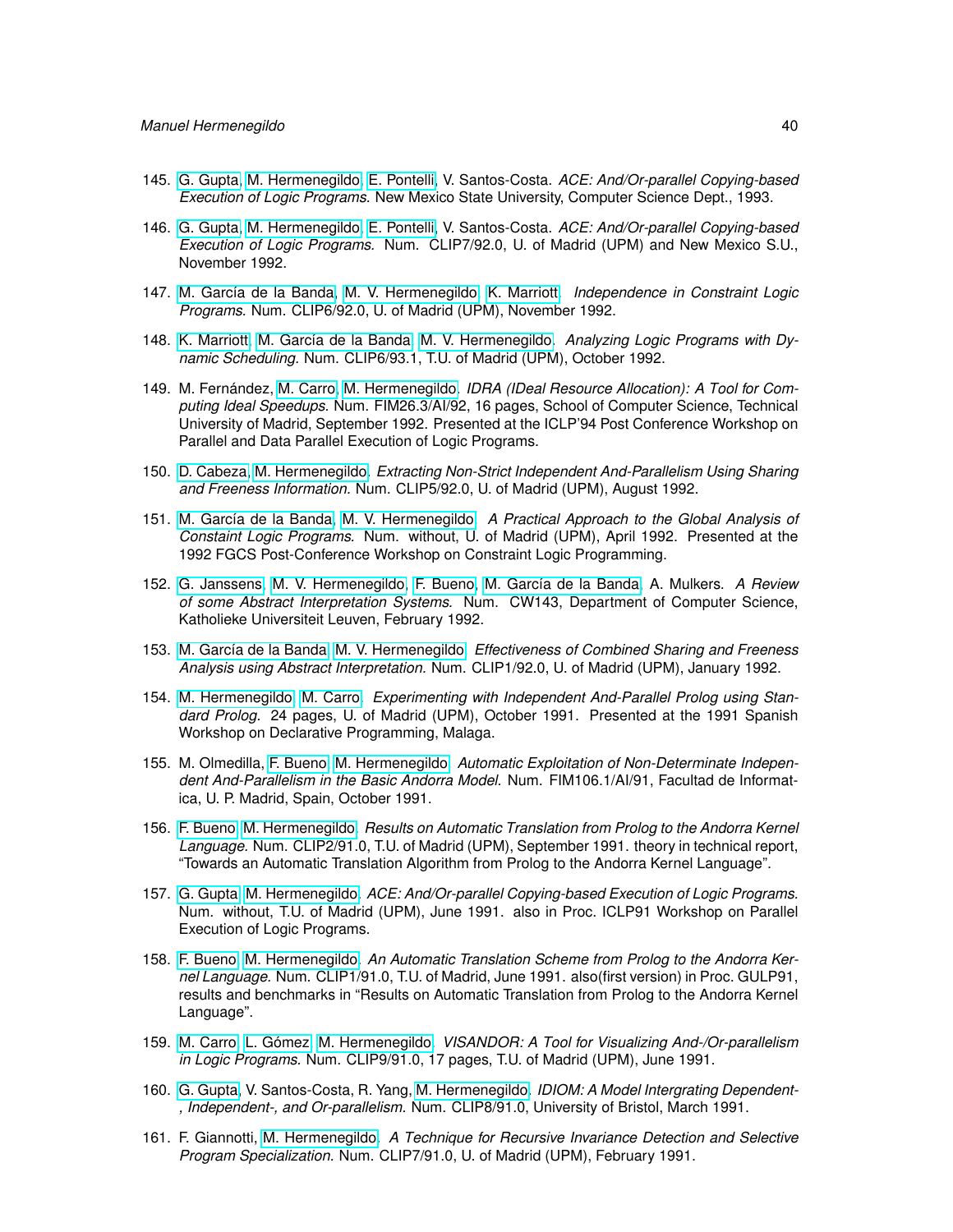- 145. [G. Gupta,](http://www.cs.nmsu.edu/lldap/people/gupta.html) [M. Hermenegildo,](http://www.clip.dia.fi.upm.es/~{}herme) [E. Pontelli,](http://www.cs.nmsu.edu/lldap/people/epontell.html) V. Santos-Costa. *ACE: And/Or-parallel Copying-based Execution of Logic Programs.* New Mexico State University, Computer Science Dept., 1993.
- 146. [G. Gupta,](http://www.cs.nmsu.edu/lldap/people/gupta.html) [M. Hermenegildo,](http://www.clip.dia.fi.upm.es/~{}herme) [E. Pontelli,](http://www.cs.nmsu.edu/lldap/people/epontell.html) V. Santos-Costa. *ACE: And/Or-parallel Copying-based Execution of Logic Programs.* Num. CLIP7/92.0, U. of Madrid (UPM) and New Mexico S.U., November 1992.
- 147. [M. García de la Banda,](http://www.csse.monash.edu.au/~{}mbanda) [M. V. Hermenegildo,](http://www.clip.dia.fi.upm.es/~{}herme) [K. Marriott.](http://www.csse.monash.edu.au/~{}marriott) *Independence in Constraint Logic Programs.* Num. CLIP6/92.0, U. of Madrid (UPM), November 1992.
- 148. [K. Marriott,](http://www.csse.monash.edu.au/~{}marriott) [M. García de la Banda,](http://www.csse.monash.edu.au/~{}mbanda) [M. V. Hermenegildo.](http://www.clip.dia.fi.upm.es/~{}herme) *Analyzing Logic Programs with Dynamic Scheduling.* Num. CLIP6/93.1, T.U. of Madrid (UPM), October 1992.
- 149. M. Fernández, [M. Carro,](http://www.clip.dia.fi.upm.es/~{}mcarro) [M. Hermenegildo.](http://www.clip.dia.fi.upm.es/~{}herme) *IDRA (IDeal Resource Allocation): A Tool for Computing Ideal Speedups.* Num. FIM26.3/AI/92, 16 pages, School of Computer Science, Technical University of Madrid, September 1992. Presented at the ICLP'94 Post Conference Workshop on Parallel and Data Parallel Execution of Logic Programs.
- 150. [D. Cabeza,](http://www.clip.dia.fi.upm.es/~{}bardo) [M. Hermenegildo.](http://www.clip.dia.fi.upm.es/~{}herme) *Extracting Non-Strict Independent And-Parallelism Using Sharing and Freeness Information.* Num. CLIP5/92.0, U. of Madrid (UPM), August 1992.
- 151. [M. García de la Banda,](http://www.csse.monash.edu.au/~{}mbanda) [M. V. Hermenegildo.](http://www.clip.dia.fi.upm.es/~{}herme) *A Practical Approach to the Global Analysis of Constaint Logic Programs.* Num. without, U. of Madrid (UPM), April 1992. Presented at the 1992 FGCS Post-Conference Workshop on Constraint Logic Programming.
- 152. [G. Janssens,](http://www.cs.kuleuven.ac.be/cwis/research/dtai/members-E.shtml) [M. V. Hermenegildo,](http://www.clip.dia.fi.upm.es/~{}herme) [F. Bueno,](http://www.clip.dia.fi.upm.es/~{}bueno) [M. García de la Banda,](http://www.csse.monash.edu.au/~{}mbanda) A. Mulkers. *A Review of some Abstract Interpretation Systems.* Num. CW143, Department of Computer Science, Katholieke Universiteit Leuven, February 1992.
- 153. [M. García de la Banda,](http://www.csse.monash.edu.au/~{}mbanda) [M. V. Hermenegildo.](http://www.clip.dia.fi.upm.es/~{}herme) *Effectiveness of Combined Sharing and Freeness Analysis using Abstract Interpretation.* Num. CLIP1/92.0, U. of Madrid (UPM), January 1992.
- 154. [M. Hermenegildo,](http://www.clip.dia.fi.upm.es/~{}herme) [M. Carro.](http://www.clip.dia.fi.upm.es/~{}mcarro) *Experimenting with Independent And-Parallel Prolog using Standard Prolog.* 24 pages, U. of Madrid (UPM), October 1991. Presented at the 1991 Spanish Workshop on Declarative Programming, Malaga.
- 155. M. Olmedilla, [F. Bueno,](http://www.clip.dia.fi.upm.es/~{}bueno) [M. Hermenegildo.](http://www.clip.dia.fi.upm.es/~{}herme) *Automatic Exploitation of Non-Determinate Independent And-Parallelism in the Basic Andorra Model.* Num. FIM106.1/AI/91, Facultad de Informatica, U. P. Madrid, Spain, October 1991.
- 156. [F. Bueno,](http://www.clip.dia.fi.upm.es/~{}bueno) [M. Hermenegildo.](http://www.clip.dia.fi.upm.es/~{}herme) *Results on Automatic Translation from Prolog to the Andorra Kernel Language.* Num. CLIP2/91.0, T.U. of Madrid (UPM), September 1991. theory in technical report, "Towards an Automatic Translation Algorithm from Prolog to the Andorra Kernel Language".
- 157. [G. Gupta,](http://www.cs.nmsu.edu/lldap/people/gupta.html) [M. Hermenegildo.](http://www.clip.dia.fi.upm.es/~{}herme) *ACE: And/Or-parallel Copying-based Execution of Logic Programs.* Num. without, T.U. of Madrid (UPM), June 1991. also in Proc. ICLP91 Workshop on Parallel Execution of Logic Programs.
- 158. [F. Bueno,](http://www.clip.dia.fi.upm.es/~{}bueno) [M. Hermenegildo.](http://www.clip.dia.fi.upm.es/~{}herme) *An Automatic Translation Scheme from Prolog to the Andorra Kernel Language.* Num. CLIP1/91.0, T.U. of Madrid, June 1991. also(first version) in Proc. GULP91, results and benchmarks in "Results on Automatic Translation from Prolog to the Andorra Kernel Language".
- 159. [M. Carro,](http://www.clip.dia.fi.upm.es/~{}mcarro) [L. Gómez,](http://www.datsi.fi.upm.es/~{}lgomez) [M. Hermenegildo.](http://www.clip.dia.fi.upm.es/~{}herme) *VISANDOR: A Tool for Visualizing And-/Or-parallelism in Logic Programs.* Num. CLIP9/91.0, 17 pages, T.U. of Madrid (UPM), June 1991.
- 160. [G. Gupta,](http://www.cs.nmsu.edu/lldap/people/gupta.html) V. Santos-Costa, R. Yang, [M. Hermenegildo.](http://www.clip.dia.fi.upm.es/~{}herme) *IDIOM: A Model Intergrating Dependent- , Independent-, and Or-parallelism.* Num. CLIP8/91.0, University of Bristol, March 1991.
- 161. F. Giannotti, [M. Hermenegildo.](http://www.clip.dia.fi.upm.es/~{}herme) *A Technique for Recursive Invariance Detection and Selective Program Specialization.* Num. CLIP7/91.0, U. of Madrid (UPM), February 1991.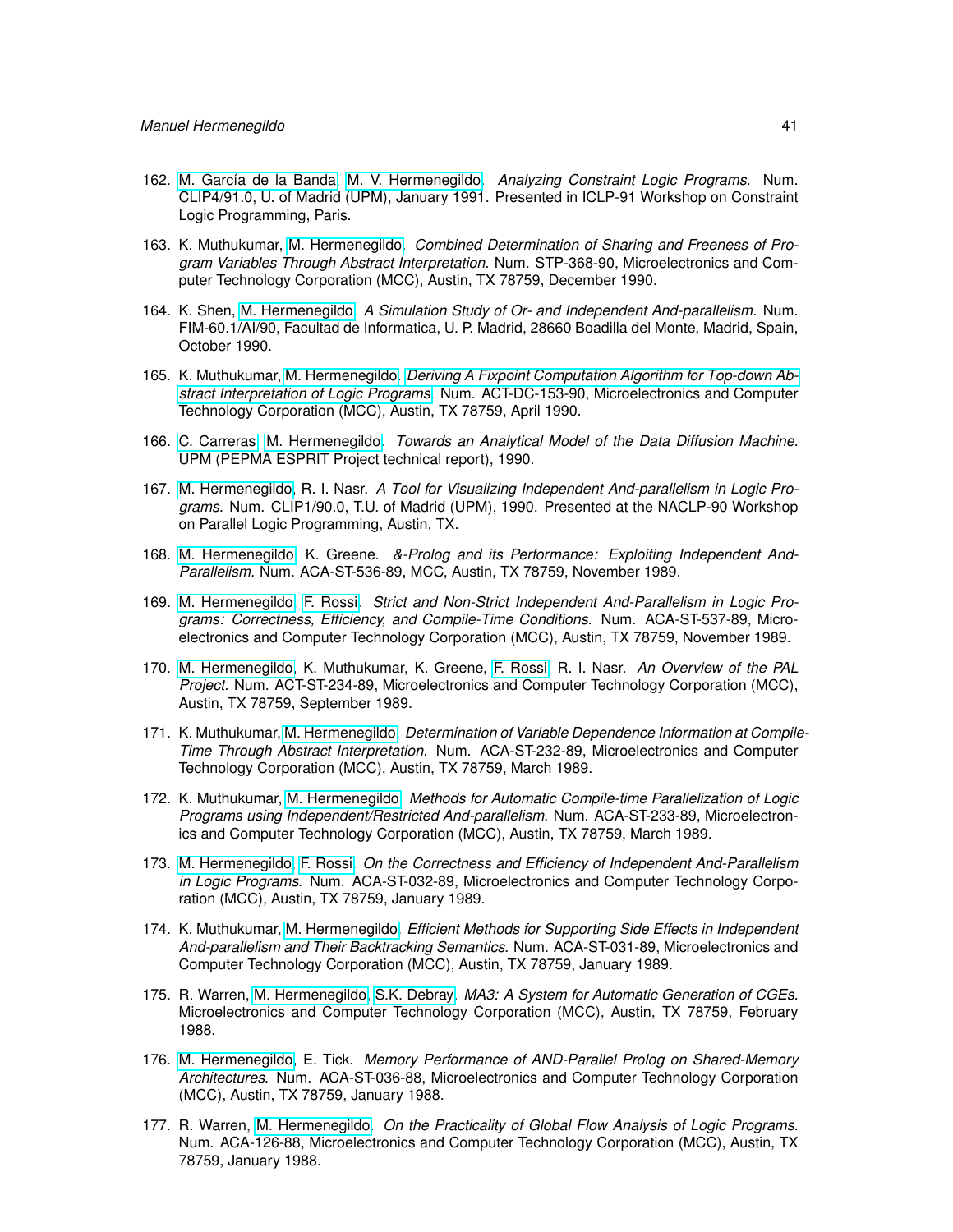- 162. [M. García de la Banda,](http://www.csse.monash.edu.au/~{}mbanda) [M. V. Hermenegildo.](http://www.clip.dia.fi.upm.es/~{}herme) *Analyzing Constraint Logic Programs.* Num. CLIP4/91.0, U. of Madrid (UPM), January 1991. Presented in ICLP-91 Workshop on Constraint Logic Programming, Paris.
- 163. K. Muthukumar, [M. Hermenegildo.](http://www.clip.dia.fi.upm.es/~{}herme) *Combined Determination of Sharing and Freeness of Program Variables Through Abstract Interpretation.* Num. STP-368-90, Microelectronics and Computer Technology Corporation (MCC), Austin, TX 78759, December 1990.
- 164. K. Shen, [M. Hermenegildo.](http://www.clip.dia.fi.upm.es/~{}herme) *A Simulation Study of Or- and Independent And-parallelism.* Num. FIM-60.1/AI/90, Facultad de Informatica, U. P. Madrid, 28660 Boadilla del Monte, Madrid, Spain, October 1990.
- 165. K. Muthukumar, [M. Hermenegildo.](http://www.clip.dia.fi.upm.es/~{}herme) *[Deriving A Fixpoint Computation Algorithm for Top-down Ab](ftp://cliplab.org/pub/papers/tr153-90.mcc.ps.Z)[stract Interpretation of Logic Programs.](ftp://cliplab.org/pub/papers/tr153-90.mcc.ps.Z)* Num. ACT-DC-153-90, Microelectronics and Computer Technology Corporation (MCC), Austin, TX 78759, April 1990.
- 166. [C. Carreras,](http://www.die.upm.es/personal/carreras.html) [M. Hermenegildo.](http://www.clip.dia.fi.upm.es/~{}herme) *Towards an Analytical Model of the Data Diffusion Machine.* UPM (PEPMA ESPRIT Project technical report), 1990.
- 167. [M. Hermenegildo,](http://www.clip.dia.fi.upm.es/~{}herme) R. I. Nasr. *A Tool for Visualizing Independent And-parallelism in Logic Programs.* Num. CLIP1/90.0, T.U. of Madrid (UPM), 1990. Presented at the NACLP-90 Workshop on Parallel Logic Programming, Austin, TX.
- 168. [M. Hermenegildo,](http://www.clip.dia.fi.upm.es/~{}herme) K. Greene. *&-Prolog and its Performance: Exploiting Independent And-Parallelism.* Num. ACA-ST-536-89, MCC, Austin, TX 78759, November 1989.
- 169. [M. Hermenegildo,](http://www.clip.dia.fi.upm.es/~{}herme) [F. Rossi.](http://www.di.unipi.it/~{}rossi) *Strict and Non-Strict Independent And-Parallelism in Logic Programs: Correctness, Efficiency, and Compile-Time Conditions.* Num. ACA-ST-537-89, Microelectronics and Computer Technology Corporation (MCC), Austin, TX 78759, November 1989.
- 170. [M. Hermenegildo,](http://www.clip.dia.fi.upm.es/~{}herme) K. Muthukumar, K. Greene, [F. Rossi,](http://www.di.unipi.it/~{}rossi) R. I. Nasr. *An Overview of the PAL Project.* Num. ACT-ST-234-89, Microelectronics and Computer Technology Corporation (MCC), Austin, TX 78759, September 1989.
- 171. K. Muthukumar, [M. Hermenegildo.](http://www.clip.dia.fi.upm.es/~{}herme) *Determination of Variable Dependence Information at Compile-Time Through Abstract Interpretation.* Num. ACA-ST-232-89, Microelectronics and Computer Technology Corporation (MCC), Austin, TX 78759, March 1989.
- 172. K. Muthukumar, [M. Hermenegildo.](http://www.clip.dia.fi.upm.es/~{}herme) *Methods for Automatic Compile-time Parallelization of Logic Programs using Independent/Restricted And-parallelism.* Num. ACA-ST-233-89, Microelectronics and Computer Technology Corporation (MCC), Austin, TX 78759, March 1989.
- 173. [M. Hermenegildo,](http://www.clip.dia.fi.upm.es/~{}herme) [F. Rossi.](http://www.di.unipi.it/~{}rossi) *On the Correctness and Efficiency of Independent And-Parallelism in Logic Programs.* Num. ACA-ST-032-89, Microelectronics and Computer Technology Corporation (MCC), Austin, TX 78759, January 1989.
- 174. K. Muthukumar, [M. Hermenegildo.](http://www.clip.dia.fi.upm.es/~{}herme) *Efficient Methods for Supporting Side Effects in Independent And-parallelism and Their Backtracking Semantics.* Num. ACA-ST-031-89, Microelectronics and Computer Technology Corporation (MCC), Austin, TX 78759, January 1989.
- 175. R. Warren, [M. Hermenegildo,](http://www.clip.dia.fi.upm.es/~{}herme) [S.K. Debray.](http://cs.arizona.edu/~{}debray) *MA3: A System for Automatic Generation of CGEs.* Microelectronics and Computer Technology Corporation (MCC), Austin, TX 78759, February 1988.
- 176. [M. Hermenegildo,](http://www.clip.dia.fi.upm.es/~{}herme) E. Tick. *Memory Performance of AND-Parallel Prolog on Shared-Memory Architectures.* Num. ACA-ST-036-88, Microelectronics and Computer Technology Corporation (MCC), Austin, TX 78759, January 1988.
- 177. R. Warren, [M. Hermenegildo.](http://www.clip.dia.fi.upm.es/~{}herme) *On the Practicality of Global Flow Analysis of Logic Programs.* Num. ACA-126-88, Microelectronics and Computer Technology Corporation (MCC), Austin, TX 78759, January 1988.